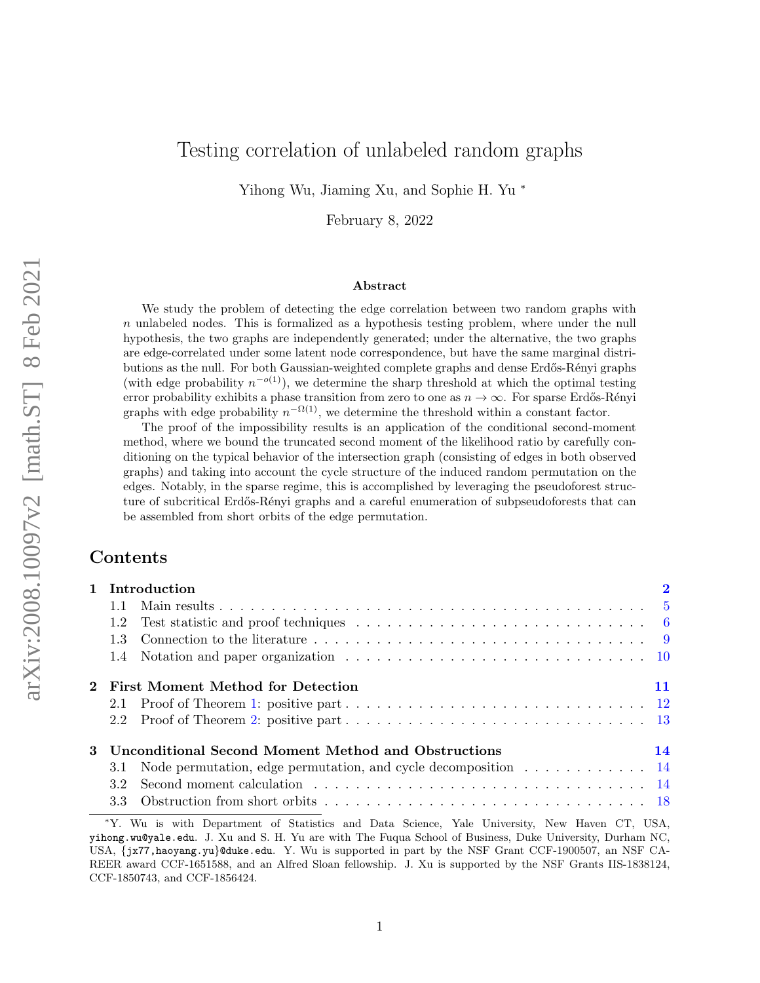# <span id="page-0-0"></span>Testing correlation of unlabeled random graphs

Yihong Wu, Jiaming Xu, and Sophie H. Yu <sup>∗</sup>

February 8, 2022

#### Abstract

We study the problem of detecting the edge correlation between two random graphs with n unlabeled nodes. This is formalized as a hypothesis testing problem, where under the null hypothesis, the two graphs are independently generated; under the alternative, the two graphs are edge-correlated under some latent node correspondence, but have the same marginal distributions as the null. For both Gaussian-weighted complete graphs and dense Erdős-Rényi graphs (with edge probability  $n^{-o(1)}$ ), we determine the sharp threshold at which the optimal testing error probability exhibits a phase transition from zero to one as  $n \to \infty$ . For sparse Erdős-Rényi graphs with edge probability  $n^{-\Omega(1)}$ , we determine the threshold within a constant factor.

The proof of the impossibility results is an application of the conditional second-moment method, where we bound the truncated second moment of the likelihood ratio by carefully conditioning on the typical behavior of the intersection graph (consisting of edges in both observed graphs) and taking into account the cycle structure of the induced random permutation on the edges. Notably, in the sparse regime, this is accomplished by leveraging the pseudoforest structure of subcritical Erdős-Rényi graphs and a careful enumeration of subpseudoforests that can be assembled from short orbits of the edge permutation.

## Contents

| 1 Introduction |                                                                    |    |  |
|----------------|--------------------------------------------------------------------|----|--|
| 1.1            |                                                                    |    |  |
| 1.2            |                                                                    |    |  |
|                |                                                                    |    |  |
|                |                                                                    |    |  |
|                | 2 First Moment Method for Detection                                | 11 |  |
|                |                                                                    |    |  |
|                |                                                                    |    |  |
|                | 3 Unconditional Second Moment Method and Obstructions              | 14 |  |
|                | 3.1 Node permutation, edge permutation, and cycle decomposition 14 |    |  |
| 3.2            |                                                                    |    |  |
|                |                                                                    |    |  |

<sup>∗</sup>Y. Wu is with Department of Statistics and Data Science, Yale University, New Haven CT, USA, yihong.wu@yale.edu. J. Xu and S. H. Yu are with The Fuqua School of Business, Duke University, Durham NC, USA, {jx77,haoyang.yu}@duke.edu. Y. Wu is supported in part by the NSF Grant CCF-1900507, an NSF CA-REER award CCF-1651588, and an Alfred Sloan fellowship. J. Xu is supported by the NSF Grants IIS-1838124, CCF-1850743, and CCF-1856424.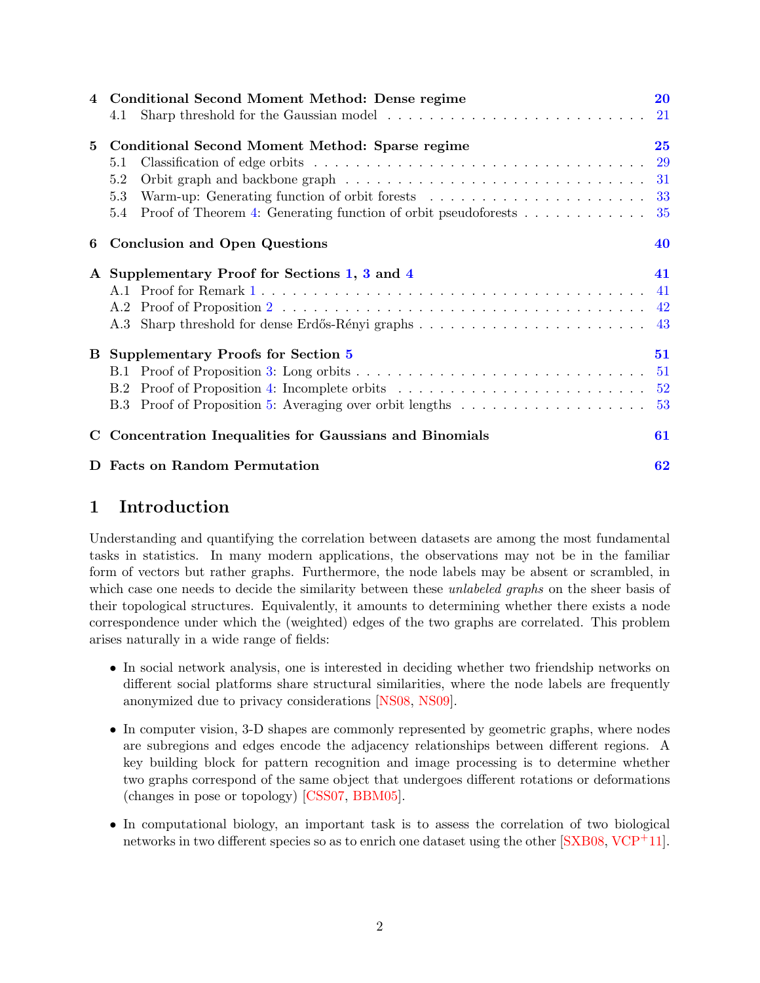| 4 | Conditional Second Moment Method: Dense regime                        | 20        |
|---|-----------------------------------------------------------------------|-----------|
|   | 4.1                                                                   | 21        |
| 5 | Conditional Second Moment Method: Sparse regime                       | 25        |
|   | 5.1                                                                   | <b>29</b> |
|   | 5.2                                                                   | 31        |
|   | 5.3                                                                   | 33        |
|   | Proof of Theorem 4: Generating function of orbit pseudoforests<br>5.4 | 35        |
| 6 | <b>Conclusion and Open Questions</b>                                  | 40        |
|   | A Supplementary Proof for Sections 1, 3 and 4                         | 41        |
|   |                                                                       | -41       |
|   |                                                                       | 42        |
|   |                                                                       | 43        |
| B | <b>Supplementary Proofs for Section 5</b>                             | 51        |
|   | B.1                                                                   | 51        |
|   | B.2 Proof of Proposition 4: Incomplete orbits                         | $52\,$    |
|   | B.3 Proof of Proposition 5: Averaging over orbit lengths              | 53        |
|   | Concentration Inequalities for Gaussians and Binomials                | 61        |
|   | <b>Facts on Random Permutation</b>                                    | 62        |

# <span id="page-1-0"></span>1 Introduction

Understanding and quantifying the correlation between datasets are among the most fundamental tasks in statistics. In many modern applications, the observations may not be in the familiar form of vectors but rather graphs. Furthermore, the node labels may be absent or scrambled, in which case one needs to decide the similarity between these *unlabeled graphs* on the sheer basis of their topological structures. Equivalently, it amounts to determining whether there exists a node correspondence under which the (weighted) edges of the two graphs are correlated. This problem arises naturally in a wide range of fields:

- In social network analysis, one is interested in deciding whether two friendship networks on different social platforms share structural similarities, where the node labels are frequently anonymized due to privacy considerations [\[NS08,](#page-64-0) [NS09\]](#page-64-1).
- In computer vision, 3-D shapes are commonly represented by geometric graphs, where nodes are subregions and edges encode the adjacency relationships between different regions. A key building block for pattern recognition and image processing is to determine whether two graphs correspond of the same object that undergoes different rotations or deformations (changes in pose or topology) [\[CSS07,](#page-63-0) [BBM05\]](#page-62-0).
- In computational biology, an important task is to assess the correlation of two biological networks in two different species so as to enrich one dataset using the other  $[SXB08, VCP<sup>+</sup>11]$  $[SXB08, VCP<sup>+</sup>11]$  $[SXB08, VCP<sup>+</sup>11]$ .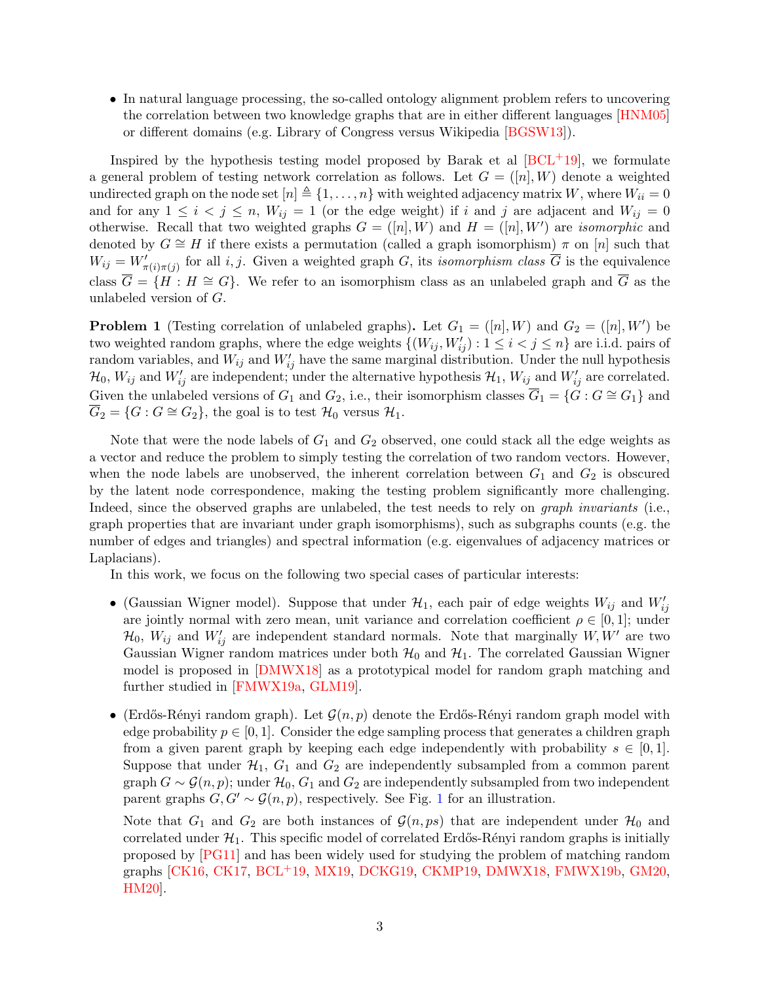• In natural language processing, the so-called ontology alignment problem refers to uncovering the correlation between two knowledge graphs that are in either different languages [\[HNM05\]](#page-64-2) or different domains (e.g. Library of Congress versus Wikipedia [\[BGSW13\]](#page-62-1)).

Inspired by the hypothesis testing model proposed by Barak et al  $[BCL+19]$ , we formulate a general problem of testing network correlation as follows. Let  $G = ([n], W)$  denote a weighted undirected graph on the node set  $[n] \triangleq \{1, \ldots, n\}$  with weighted adjacency matrix W, where  $W_{ii} = 0$ and for any  $1 \leq i \leq j \leq n$ ,  $W_{ij} = 1$  (or the edge weight) if i and j are adjacent and  $W_{ij} = 0$ otherwise. Recall that two weighted graphs  $G = ([n], W)$  and  $H = ([n], W')$  are *isomorphic* and denoted by  $G \cong H$  if there exists a permutation (called a graph isomorphism)  $\pi$  on [n] such that  $W_{ij} = W'_{\pi(i)\pi(j)}$  for all i, j. Given a weighted graph G, its isomorphism class  $\overline{G}$  is the equivalence class  $\overline{G} = \{H : H \cong G\}$ . We refer to an isomorphism class as an unlabeled graph and  $\overline{G}$  as the unlabeled version of G.

<span id="page-2-0"></span>**Problem 1** (Testing correlation of unlabeled graphs). Let  $G_1 = ([n], W)$  and  $G_2 = ([n], W')$  be two weighted random graphs, where the edge weights  $\{(W_{ij}, W'_{ij}) : 1 \leq i < j \leq n\}$  are i.i.d. pairs of random variables, and  $W_{ij}$  and  $W'_{ij}$  have the same marginal distribution. Under the null hypothesis  $\mathcal{H}_0$ ,  $W_{ij}$  and  $W'_{ij}$  are independent; under the alternative hypothesis  $\mathcal{H}_1$ ,  $W_{ij}$  and  $W'_{ij}$  are correlated. Given the unlabeled versions of  $G_1$  and  $G_2$ , i.e., their isomorphism classes  $\overline{G}_1 = \{G : G \cong G_1\}$  and  $\overline{G}_2 = \{G : G \cong G_2\}$ , the goal is to test  $\mathcal{H}_0$  versus  $\mathcal{H}_1$ .

Note that were the node labels of  $G_1$  and  $G_2$  observed, one could stack all the edge weights as a vector and reduce the problem to simply testing the correlation of two random vectors. However, when the node labels are unobserved, the inherent correlation between  $G_1$  and  $G_2$  is obscured by the latent node correspondence, making the testing problem significantly more challenging. Indeed, since the observed graphs are unlabeled, the test needs to rely on *graph invariants* (i.e., graph properties that are invariant under graph isomorphisms), such as subgraphs counts (e.g. the number of edges and triangles) and spectral information (e.g. eigenvalues of adjacency matrices or Laplacians).

In this work, we focus on the following two special cases of particular interests:

- (Gaussian Wigner model). Suppose that under  $\mathcal{H}_1$ , each pair of edge weights  $W_{ij}$  and  $W'_{ij}$ are jointly normal with zero mean, unit variance and correlation coefficient  $\rho \in [0,1]$ ; under  $\mathcal{H}_0$ ,  $W_{ij}$  and  $W'_{ij}$  are independent standard normals. Note that marginally  $W, W'$  are two Gaussian Wigner random matrices under both  $\mathcal{H}_0$  and  $\mathcal{H}_1$ . The correlated Gaussian Wigner model is proposed in [\[DMWX18\]](#page-63-1) as a prototypical model for random graph matching and further studied in [\[FMWX19a,](#page-63-2) [GLM19\]](#page-63-3).
- (Erdős-Rényi random graph). Let  $\mathcal{G}(n, p)$  denote the Erdős-Rényi random graph model with edge probability  $p \in [0, 1]$ . Consider the edge sampling process that generates a children graph from a given parent graph by keeping each edge independently with probability  $s \in [0,1]$ . Suppose that under  $\mathcal{H}_1$ ,  $G_1$  and  $G_2$  are independently subsampled from a common parent graph  $G \sim \mathcal{G}(n, p)$ ; under  $\mathcal{H}_0$ ,  $G_1$  and  $G_2$  are independently subsampled from two independent parent graphs  $G, G' \sim \mathcal{G}(n, p)$ , respectively. See Fig. [1](#page-3-0) for an illustration.

Note that  $G_1$  and  $G_2$  are both instances of  $\mathcal{G}(n, ps)$  that are independent under  $\mathcal{H}_0$  and correlated under  $\mathcal{H}_1$ . This specific model of correlated Erdős-Rényi random graphs is initially proposed by [\[PG11\]](#page-65-2) and has been widely used for studying the problem of matching random graphs [\[CK16,](#page-63-4) [CK17,](#page-63-5) [BCL](#page-62-2)+19, [MX19,](#page-64-3) [DCKG19,](#page-63-6) [CKMP19,](#page-63-7) [DMWX18,](#page-63-1) [FMWX19b,](#page-63-8) [GM20,](#page-63-9) [HM20\]](#page-64-4).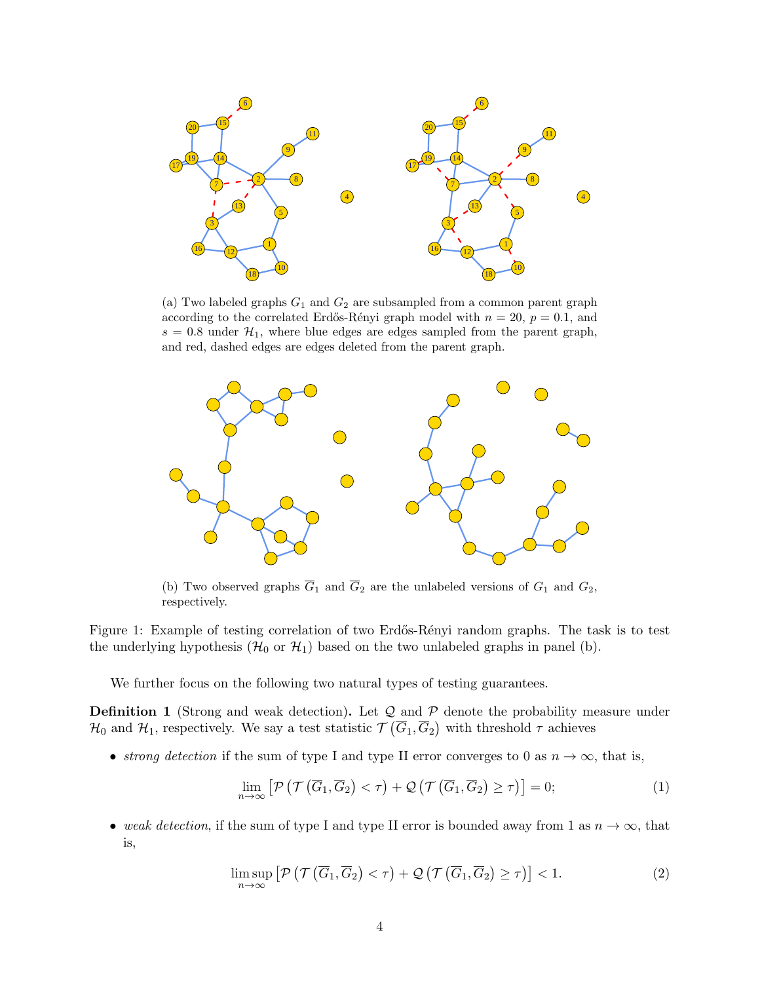<span id="page-3-0"></span>

(a) Two labeled graphs  $G_1$  and  $G_2$  are subsampled from a common parent graph according to the correlated Erdős-Rényi graph model with  $n = 20$ ,  $p = 0.1$ , and  $s = 0.8$  under  $\mathcal{H}_1$ , where blue edges are edges sampled from the parent graph, and red, dashed edges are edges deleted from the parent graph.



(b) Two observed graphs  $\overline{G}_1$  and  $\overline{G}_2$  are the unlabeled versions of  $G_1$  and  $G_2$ , respectively.

Figure 1: Example of testing correlation of two Erdős-Rényi random graphs. The task is to test the underlying hypothesis  $(\mathcal{H}_0 \text{ or } \mathcal{H}_1)$  based on the two unlabeled graphs in panel (b).

We further focus on the following two natural types of testing guarantees.

**Definition 1** (Strong and weak detection). Let  $Q$  and  $P$  denote the probability measure under  $\mathcal{H}_0$  and  $\mathcal{H}_1$ , respectively. We say a test statistic  $\mathcal{T}\left(\overline{G}_1,\overline{G}_2\right)$  with threshold  $\tau$  achieves

• strong detection if the sum of type I and type II error converges to 0 as  $n \to \infty$ , that is,

$$
\lim_{n \to \infty} \left[ \mathcal{P} \left( \mathcal{T} \left( \overline{G}_1, \overline{G}_2 \right) < \tau \right) + \mathcal{Q} \left( \mathcal{T} \left( \overline{G}_1, \overline{G}_2 \right) \geq \tau \right) \right] = 0; \tag{1}
$$

• weak detection, if the sum of type I and type II error is bounded away from 1 as  $n \to \infty$ , that is,

$$
\limsup_{n \to \infty} \left[ \mathcal{P} \left( \mathcal{T} \left( \overline{G}_1, \overline{G}_2 \right) < \tau \right) + \mathcal{Q} \left( \mathcal{T} \left( \overline{G}_1, \overline{G}_2 \right) \geq \tau \right) \right] < 1. \tag{2}
$$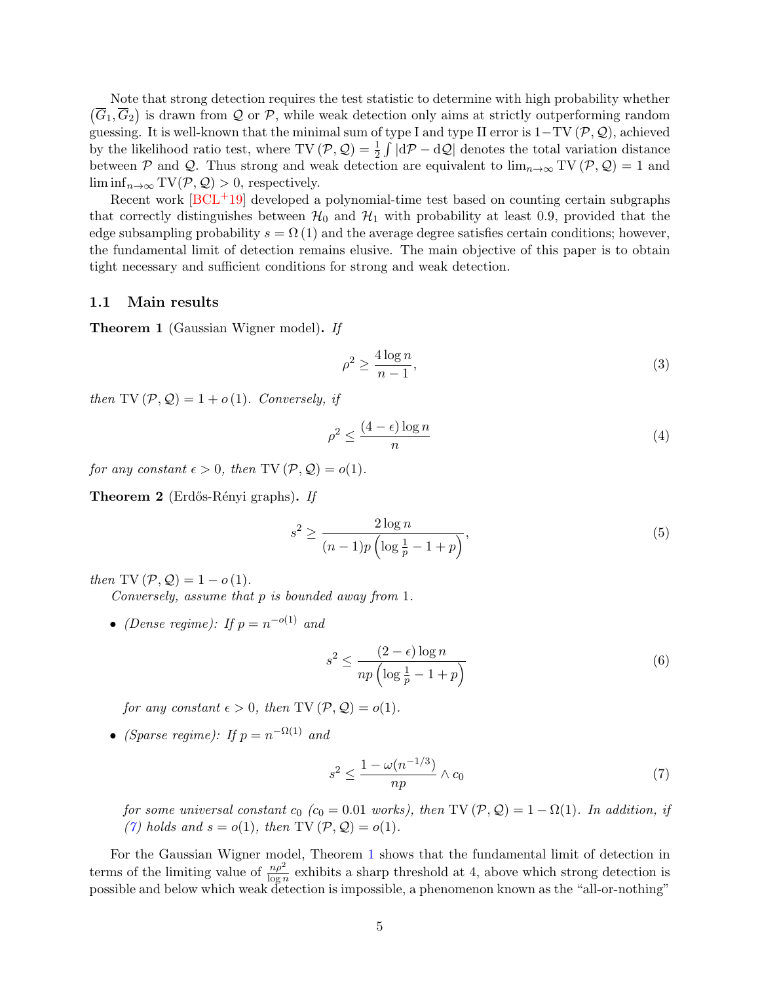Note that strong detection requires the test statistic to determine with high probability whether  $(\overline{G}_1, \overline{G}_2)$  is drawn from Q or P, while weak detection only aims at strictly outperforming random guessing. It is well-known that the minimal sum of type I and type II error is  $1-TV(\mathcal{P}, \mathcal{Q})$ , achieved by the likelihood ratio test, where  $TV(\mathcal{P}, \mathcal{Q}) = \frac{1}{2} \int |d\mathcal{P} - d\mathcal{Q}|$  denotes the total variation distance between P and Q. Thus strong and weak detection are equivalent to  $\lim_{n\to\infty} TV(\mathcal{P}, \mathcal{Q}) = 1$  and  $\liminf_{n\to\infty} TV(\mathcal{P}, \mathcal{Q}) > 0$ , respectively.

Recent work  $[BCL^+19]$  developed a polynomial-time test based on counting certain subgraphs that correctly distinguishes between  $\mathcal{H}_0$  and  $\mathcal{H}_1$  with probability at least 0.9, provided that the edge subsampling probability  $s = \Omega(1)$  and the average degree satisfies certain conditions; however, the fundamental limit of detection remains elusive. The main objective of this paper is to obtain tight necessary and sufficient conditions for strong and weak detection.

### <span id="page-4-0"></span>1.1 Main results

<span id="page-4-1"></span>Theorem 1 (Gaussian Wigner model). If

<span id="page-4-6"></span><span id="page-4-4"></span>
$$
\rho^2 \ge \frac{4\log n}{n-1},\tag{3}
$$

then TV  $(\mathcal{P}, \mathcal{Q}) = 1 + o(1)$ . Conversely, if

<span id="page-4-5"></span>
$$
\rho^2 \le \frac{(4 - \epsilon) \log n}{n} \tag{4}
$$

for any constant  $\epsilon > 0$ , then TV  $(\mathcal{P}, \mathcal{Q}) = o(1)$ .

<span id="page-4-2"></span>Theorem 2 (Erdős-Rényi graphs). If

$$
s^{2} \ge \frac{2\log n}{(n-1)p\left(\log\frac{1}{p}-1+p\right)},\tag{5}
$$

then TV  $(\mathcal{P}, \mathcal{Q}) = 1 - o(1)$ .

Conversely, assume that p is bounded away from 1.

• (Dense regime): If  $p = n^{-o(1)}$  and

<span id="page-4-7"></span>
$$
s^2 \le \frac{(2 - \epsilon) \log n}{np \left( \log \frac{1}{p} - 1 + p \right)}\tag{6}
$$

for any constant  $\epsilon > 0$ , then TV  $(\mathcal{P}, \mathcal{Q}) = o(1)$ .

• (Sparse regime): If  $p = n^{-\Omega(1)}$  and

<span id="page-4-3"></span>
$$
s^2 \le \frac{1 - \omega(n^{-1/3})}{np} \wedge c_0 \tag{7}
$$

for some universal constant  $c_0$  ( $c_0 = 0.01$  works), then TV ( $\mathcal{P}, \mathcal{Q}$ ) = 1 –  $\Omega(1)$ . In addition, if [\(7\)](#page-4-3) holds and  $s = o(1)$ , then TV  $(\mathcal{P}, \mathcal{Q}) = o(1)$ .

For the Gaussian Wigner model, Theorem [1](#page-4-1) shows that the fundamental limit of detection in terms of the limiting value of  $\frac{n\rho^2}{\log n}$  exhibits a sharp threshold at 4, above which strong detection is possible and below which weak detection is impossible, a phenomenon known as the "all-or-nothing"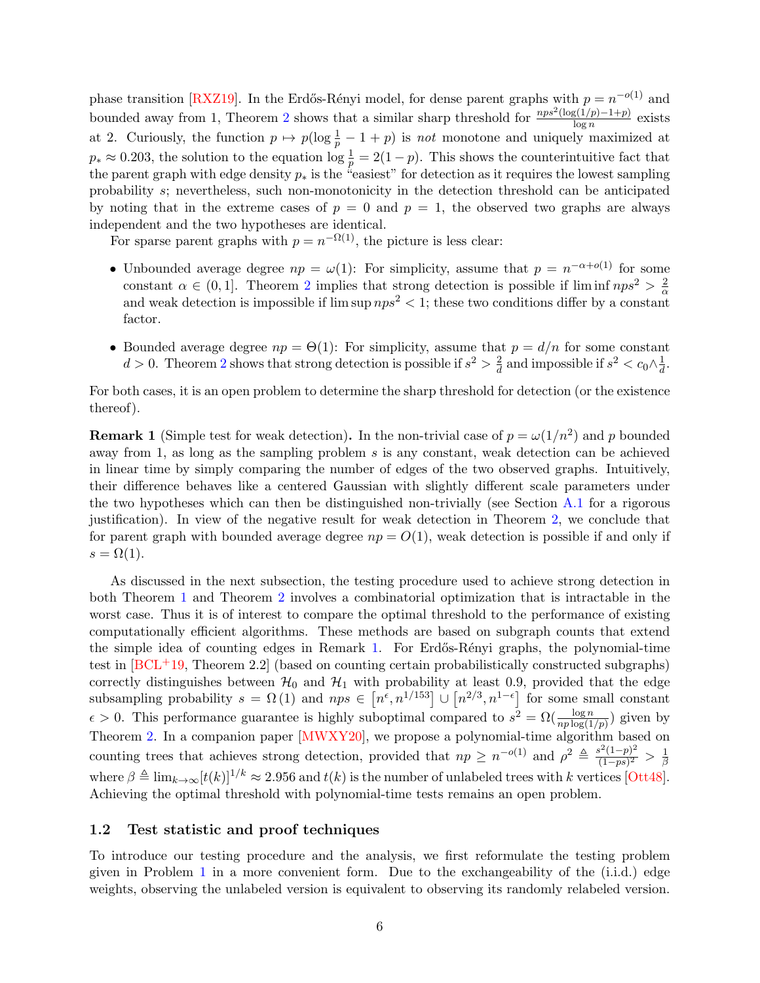phase transition [\[RXZ19\]](#page-65-3). In the Erdős-Rényi model, for dense parent graphs with  $p = n^{-o(1)}$  and bounded away from 1, Theorem [2](#page-4-2) shows that a similar sharp threshold for  $\frac{nps^2(\log(1/p)-1+p)}{\log p}$  $\frac{g(1/p)-1+pj}{\log n}$  exists at 2. Curiously, the function  $p \mapsto p(\log \frac{1}{p} - 1 + p)$  is not monotone and uniquely maximized at  $p_* \approx 0.203$ , the solution to the equation  $\log \frac{1}{p} = 2(1-p)$ . This shows the counterintuitive fact that the parent graph with edge density  $p_*$  is the "easiest" for detection as it requires the lowest sampling probability s; nevertheless, such non-monotonicity in the detection threshold can be anticipated by noting that in the extreme cases of  $p = 0$  and  $p = 1$ , the observed two graphs are always independent and the two hypotheses are identical.

For sparse parent graphs with  $p = n^{-\Omega(1)}$ , the picture is less clear:

- Unbounded average degree  $np = \omega(1)$ : For simplicity, assume that  $p = n^{-\alpha + o(1)}$  for some constant  $\alpha \in (0,1]$ . Theorem [2](#page-4-2) implies that strong detection is possible if liminf  $nps^2 > \frac{2}{\alpha}$ and weak detection is impossible if  $\limsup nps^2 < 1$ ; these two conditions differ by a constant factor.
- Bounded average degree  $np = \Theta(1)$ : For simplicity, assume that  $p = d/n$  for some constant  $d > 0$ . Theorem [2](#page-4-2) shows that strong detection is possible if  $s^2 > \frac{2}{d}$  $\frac{2}{d}$  and impossible if  $s^2 < c_0 \wedge \frac{1}{d}$  $\frac{1}{d}$ .

For both cases, it is an open problem to determine the sharp threshold for detection (or the existence thereof).

<span id="page-5-1"></span>**Remark 1** (Simple test for weak detection). In the non-trivial case of  $p = \omega(1/n^2)$  and p bounded away from 1, as long as the sampling problem  $s$  is any constant, weak detection can be achieved in linear time by simply comparing the number of edges of the two observed graphs. Intuitively, their difference behaves like a centered Gaussian with slightly different scale parameters under the two hypotheses which can then be distinguished non-trivially (see Section [A.1](#page-40-1) for a rigorous justification). In view of the negative result for weak detection in Theorem [2,](#page-4-2) we conclude that for parent graph with bounded average degree  $np = O(1)$ , weak detection is possible if and only if  $s = \Omega(1)$ .

As discussed in the next subsection, the testing procedure used to achieve strong detection in both Theorem [1](#page-4-1) and Theorem [2](#page-4-2) involves a combinatorial optimization that is intractable in the worst case. Thus it is of interest to compare the optimal threshold to the performance of existing computationally efficient algorithms. These methods are based on subgraph counts that extend the simple idea of counting edges in Remark [1.](#page-5-1) For Erdős-Rényi graphs, the polynomial-time test in  $[BCL+19,$  Theorem 2.2 (based on counting certain probabilistically constructed subgraphs) correctly distinguishes between  $\mathcal{H}_0$  and  $\mathcal{H}_1$  with probability at least 0.9, provided that the edge subsampling probability  $s = \Omega(1)$  and  $nps \in [n^{\epsilon}, n^{1/153}] \cup [n^{2/3}, n^{1-\epsilon}]$  for some small constant  $\epsilon > 0$ . This performance guarantee is highly suboptimal compared to  $s^2 = \Omega(\frac{\log n}{np \log(1/p)})$  given by Theorem [2.](#page-4-2) In a companion paper [\[MWXY20\]](#page-64-5), we propose a polynomial-time algorithm based on counting trees that achieves strong detection, provided that  $np \geq n^{-o(1)}$  and  $\rho^2 \triangleq \frac{s^2(1-p)^2}{(1-n\varepsilon)^2}$  $\frac{s^2(1-p)^2}{(1-ps)^2} > \frac{1}{\beta}$ β where  $\beta \triangleq \lim_{k\to\infty} [t(k)]^{1/k} \approx 2.956$  and  $t(k)$  is the number of unlabeled trees with k vertices [\[Ott48\]](#page-64-6). Achieving the optimal threshold with polynomial-time tests remains an open problem.

### <span id="page-5-0"></span>1.2 Test statistic and proof techniques

To introduce our testing procedure and the analysis, we first reformulate the testing problem given in Problem [1](#page-2-0) in a more convenient form. Due to the exchangeability of the (i.i.d.) edge weights, observing the unlabeled version is equivalent to observing its randomly relabeled version.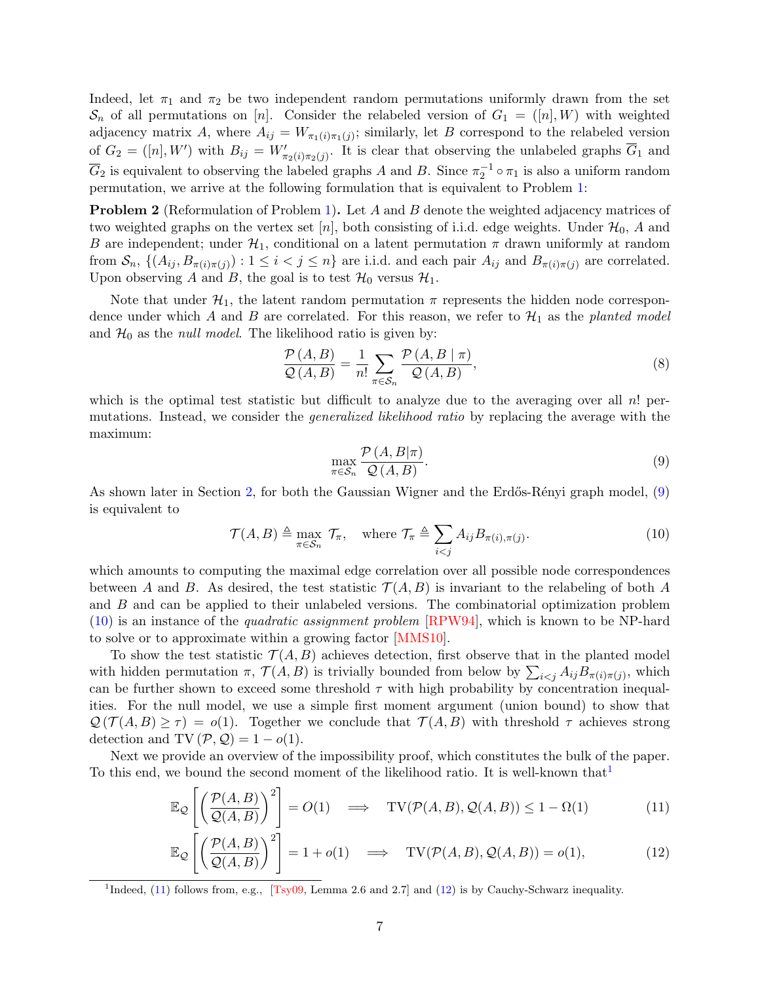Indeed, let  $\pi_1$  and  $\pi_2$  be two independent random permutations uniformly drawn from the set  $\mathcal{S}_n$  of all permutations on [n]. Consider the relabeled version of  $G_1 = ([n], W)$  with weighted adjacency matrix A, where  $A_{ij} = W_{\pi_1(i)\pi_1(j)}$ ; similarly, let B correspond to the relabeled version of  $G_2 = ([n], W')$  with  $B_{ij} = W'_{\pi_2(i), \pi_2(j)}$ . It is clear that observing the unlabeled graphs  $\overline{G}_1$  and  $\overline{G}_2$  is equivalent to observing the labeled graphs A and B. Since  $\pi_2^{-1} \circ \pi_1$  is also a uniform random permutation, we arrive at the following formulation that is equivalent to Problem [1:](#page-2-0)

<span id="page-6-5"></span>**Problem 2** (Reformulation of Problem [1\)](#page-2-0). Let A and B denote the weighted adjacency matrices of two weighted graphs on the vertex set [n], both consisting of i.i.d. edge weights. Under  $\mathcal{H}_0$ , A and B are independent; under  $\mathcal{H}_1$ , conditional on a latent permutation  $\pi$  drawn uniformly at random from  $S_n$ ,  $\{(A_{ij}, B_{\pi(i)\pi(j)}) : 1 \leq i < j \leq n\}$  are i.i.d. and each pair  $A_{ij}$  and  $B_{\pi(i)\pi(j)}$  are correlated. Upon observing A and B, the goal is to test  $\mathcal{H}_0$  versus  $\mathcal{H}_1$ .

Note that under  $\mathcal{H}_1$ , the latent random permutation  $\pi$  represents the hidden node correspondence under which A and B are correlated. For this reason, we refer to  $\mathcal{H}_1$  as the planted model and  $\mathcal{H}_0$  as the *null model*. The likelihood ratio is given by:

$$
\frac{\mathcal{P}(A,B)}{\mathcal{Q}(A,B)} = \frac{1}{n!} \sum_{\pi \in \mathcal{S}_n} \frac{\mathcal{P}(A,B \mid \pi)}{\mathcal{Q}(A,B)},\tag{8}
$$

which is the optimal test statistic but difficult to analyze due to the averaging over all n! permutations. Instead, we consider the generalized likelihood ratio by replacing the average with the maximum:

<span id="page-6-3"></span><span id="page-6-1"></span><span id="page-6-0"></span>
$$
\max_{\pi \in \mathcal{S}_n} \frac{\mathcal{P}(A, B | \pi)}{\mathcal{Q}(A, B)}.
$$
\n(9)

As shown later in Section [2,](#page-10-0) for both the Gaussian Wigner and the Erdős-Rényi graph model,  $(9)$ is equivalent to

$$
\mathcal{T}(A,B) \triangleq \max_{\pi \in S_n} \mathcal{T}_{\pi}, \quad \text{where } \mathcal{T}_{\pi} \triangleq \sum_{i < j} A_{ij} B_{\pi(i),\pi(j)}.\tag{10}
$$

which amounts to computing the maximal edge correlation over all possible node correspondences between A and B. As desired, the test statistic  $\mathcal{T}(A, B)$  is invariant to the relabeling of both A and B and can be applied to their unlabeled versions. The combinatorial optimization problem [\(10\)](#page-6-1) is an instance of the quadratic assignment problem [\[RPW94\]](#page-65-4), which is known to be NP-hard to solve or to approximate within a growing factor [\[MMS10\]](#page-64-7).

To show the test statistic  $\mathcal{T}(A, B)$  achieves detection, first observe that in the planted model with hidden permutation  $\pi$ ,  $\mathcal{T}(A, B)$  is trivially bounded from below by  $\sum_{i < j} A_{ij} B_{\pi(i)\pi(j)}$ , which can be further shown to exceed some threshold  $\tau$  with high probability by concentration inequalities. For the null model, we use a simple first moment argument (union bound) to show that  $\mathcal{Q}(\mathcal{T}(A, B) \geq \tau) = o(1)$ . Together we conclude that  $\mathcal{T}(A, B)$  with threshold  $\tau$  achieves strong detection and TV  $(\mathcal{P}, \mathcal{Q}) = 1 - o(1)$ .

Next we provide an overview of the impossibility proof, which constitutes the bulk of the paper. To this end, we bound the second moment of the likelihood ratio. It is well-known that

$$
\mathbb{E}_{\mathcal{Q}}\left[\left(\frac{\mathcal{P}(A,B)}{\mathcal{Q}(A,B)}\right)^2\right] = O(1) \quad \Longrightarrow \quad \text{TV}(\mathcal{P}(A,B), \mathcal{Q}(A,B)) \le 1 - \Omega(1) \tag{11}
$$

<span id="page-6-4"></span>
$$
\mathbb{E}_{\mathcal{Q}}\left[\left(\frac{\mathcal{P}(A,B)}{\mathcal{Q}(A,B)}\right)^2\right] = 1 + o(1) \quad \Longrightarrow \quad \text{TV}(\mathcal{P}(A,B),\mathcal{Q}(A,B)) = o(1),\tag{12}
$$

<span id="page-6-2"></span><sup>1</sup>Indeed, [\(11\)](#page-6-3) follows from, e.g., [\[Tsy09,](#page-65-5) Lemma 2.6 and 2.7] and [\(12\)](#page-6-4) is by Cauchy-Schwarz inequality.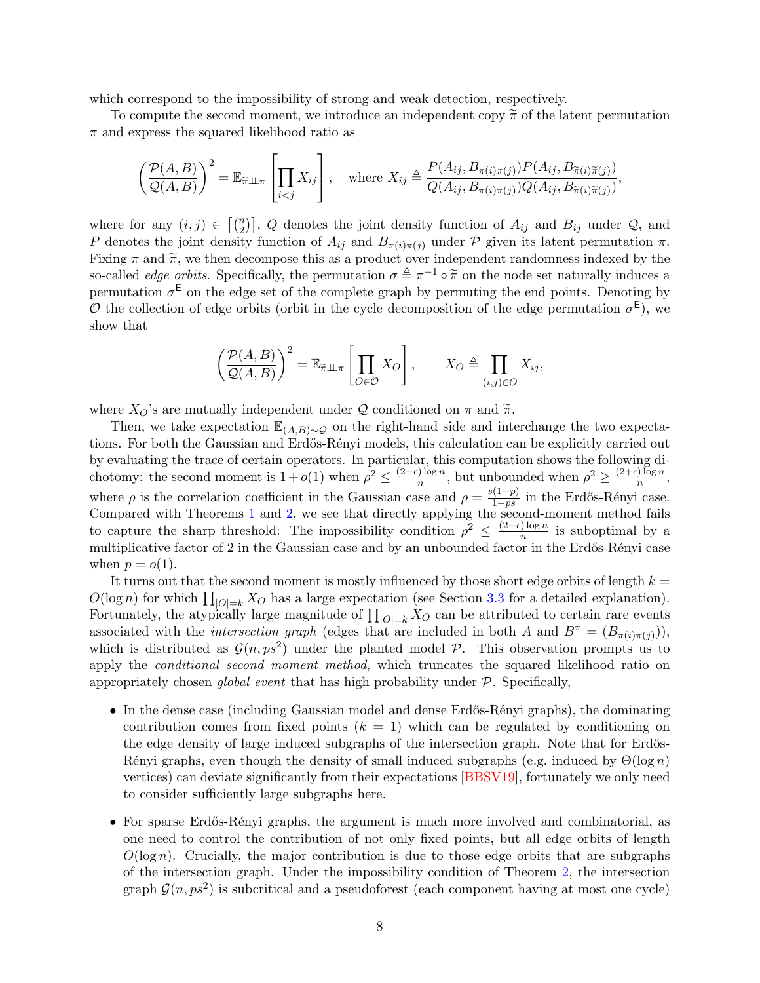which correspond to the impossibility of strong and weak detection, respectively.

To compute the second moment, we introduce an independent copy  $\tilde{\pi}$  of the latent permutation  $\pi$  and express the squared likelihood ratio as

$$
\left(\frac{\mathcal{P}(A,B)}{\mathcal{Q}(A,B)}\right)^2 = \mathbb{E}_{\widetilde{\pi}\perp\perp\pi} \left[\prod_{i
$$

where for any  $(i, j) \in \binom{n}{2}$ , Q denotes the joint density function of  $A_{ij}$  and  $B_{ij}$  under Q, and P denotes the joint density function of  $A_{ij}$  and  $B_{\pi(i)\pi(j)}$  under P given its latent permutation  $\pi$ . Fixing  $\pi$  and  $\tilde{\pi}$ , we then decompose this as a product over independent randomness indexed by the so-called *edge orbits*. Specifically, the permutation  $\sigma \triangleq \pi^{-1} \circ \tilde{\pi}$  on the node set naturally induces a<br>permutation  $\sigma^E$  on the odge set of the complete graph by permuting the ord points. Denoting by permutation  $\sigma^{\text{E}}$  on the edge set of the complete graph by permuting the end points. Denoting by O the collection of edge orbits (orbit in the cycle decomposition of the edge permutation  $\sigma^{\mathsf{E}}$ ), we show that

$$
\left(\frac{\mathcal{P}(A,B)}{\mathcal{Q}(A,B)}\right)^2 = \mathbb{E}_{\widetilde{\pi}\perp\perp\pi} \left[\prod_{O\in\mathcal{O}} X_O\right], \qquad X_O \triangleq \prod_{(i,j)\in O} X_{ij},
$$

where  $X_O$ 's are mutually independent under  $\mathcal Q$  conditioned on  $\pi$  and  $\widetilde{\pi}$ .

Then, we take expectation  $\mathbb{E}_{(A,B)\sim\mathcal{Q}}$  on the right-hand side and interchange the two expectations. For both the Gaussian and Erdős-Rényi models, this calculation can be explicitly carried out by evaluating the trace of certain operators. In particular, this computation shows the following dichotomy: the second moment is  $1+o(1)$  when  $\rho^2 \leq \frac{(2-\epsilon)\log n}{n}$  $\frac{\log n}{n}$ , but unbounded when  $\rho^2 \geq \frac{(2+\epsilon)\log n}{n}$  $\frac{n}{\log n},$ where  $\rho$  is the correlation coefficient in the Gaussian case and  $\rho = \frac{s(1-p)}{1-ps}$  $\frac{(1-p)}{1-ps}$  in the Erdős-Rényi case. Compared with Theorems [1](#page-4-1) and [2,](#page-4-2) we see that directly applying the second-moment method fails to capture the sharp threshold: The impossibility condition  $\rho^2 \leq \frac{(2-\epsilon)\log n}{n}$  $\frac{\log n}{n}$  is suboptimal by a multiplicative factor of 2 in the Gaussian case and by an unbounded factor in the Erdős-Rényi case when  $p = o(1)$ .

It turns out that the second moment is mostly influenced by those short edge orbits of length  $k =$  $O(\log n)$  for which  $\prod_{|O|=k} X_O$  has a large expectation (see Section [3.3](#page-17-0) for a detailed explanation). Fortunately, the atypically large magnitude of  $\prod_{|O|=k} X_O$  can be attributed to certain rare events associated with the *intersection graph* (edges that are included in both A and  $B^{\pi} = (B_{\pi(i)\pi(j)}),$ which is distributed as  $\mathcal{G}(n, ps^2)$  under the planted model P. This observation prompts us to apply the *conditional second moment method*, which truncates the squared likelihood ratio on appropriately chosen *global event* that has high probability under  $P$ . Specifically,

- In the dense case (including Gaussian model and dense Erdős-Rényi graphs), the dominating contribution comes from fixed points  $(k = 1)$  which can be regulated by conditioning on the edge density of large induced subgraphs of the intersection graph. Note that for Erdős-Rényi graphs, even though the density of small induced subgraphs (e.g. induced by  $\Theta(\log n)$ ) vertices) can deviate significantly from their expectations [\[BBSV19\]](#page-62-3), fortunately we only need to consider sufficiently large subgraphs here.
- For sparse Erdős-Rényi graphs, the argument is much more involved and combinatorial, as one need to control the contribution of not only fixed points, but all edge orbits of length  $O(\log n)$ . Crucially, the major contribution is due to those edge orbits that are subgraphs of the intersection graph. Under the impossibility condition of Theorem [2,](#page-4-2) the intersection graph  $\mathcal{G}(n, ps^2)$  is subcritical and a pseudoforest (each component having at most one cycle)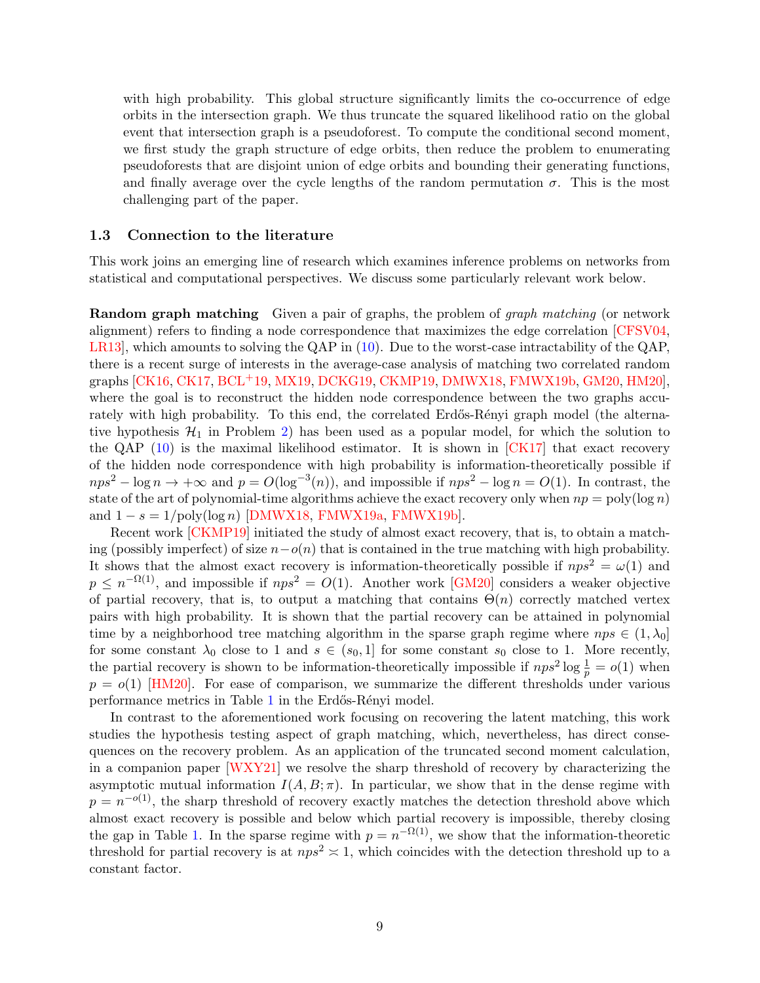with high probability. This global structure significantly limits the co-occurrence of edge orbits in the intersection graph. We thus truncate the squared likelihood ratio on the global event that intersection graph is a pseudoforest. To compute the conditional second moment, we first study the graph structure of edge orbits, then reduce the problem to enumerating pseudoforests that are disjoint union of edge orbits and bounding their generating functions, and finally average over the cycle lengths of the random permutation  $\sigma$ . This is the most challenging part of the paper.

#### <span id="page-8-0"></span>1.3 Connection to the literature

This work joins an emerging line of research which examines inference problems on networks from statistical and computational perspectives. We discuss some particularly relevant work below.

**Random graph matching** Given a pair of graphs, the problem of *graph matching* (or network alignment) refers to finding a node correspondence that maximizes the edge correlation [\[CFSV04,](#page-63-10) [LR13\]](#page-64-8), which amounts to solving the QAP in [\(10\)](#page-6-1). Due to the worst-case intractability of the QAP, there is a recent surge of interests in the average-case analysis of matching two correlated random graphs [\[CK16,](#page-63-4) [CK17,](#page-63-5) [BCL](#page-62-2)+19, [MX19,](#page-64-3) [DCKG19,](#page-63-6) [CKMP19,](#page-63-7) [DMWX18,](#page-63-1) [FMWX19b,](#page-63-8) [GM20,](#page-63-9) [HM20\]](#page-64-4), where the goal is to reconstruct the hidden node correspondence between the two graphs accurately with high probability. To this end, the correlated Erdős-Rényi graph model (the alternative hypothesis  $\mathcal{H}_1$  in Problem [2\)](#page-6-5) has been used as a popular model, for which the solution to the QAP [\(10\)](#page-6-1) is the maximal likelihood estimator. It is shown in [\[CK17\]](#page-63-5) that exact recovery of the hidden node correspondence with high probability is information-theoretically possible if  $nps^2 - \log n \to +\infty$  and  $p = O(\log^{-3}(n))$ , and impossible if  $nps^2 - \log n = O(1)$ . In contrast, the state of the art of polynomial-time algorithms achieve the exact recovery only when  $np = poly(log n)$ and  $1 - s = 1/\text{poly}(\log n)$  [\[DMWX18,](#page-63-1) [FMWX19a,](#page-63-2) [FMWX19b\]](#page-63-8).

Recent work [\[CKMP19\]](#page-63-7) initiated the study of almost exact recovery, that is, to obtain a matching (possibly imperfect) of size  $n-o(n)$  that is contained in the true matching with high probability. It shows that the almost exact recovery is information-theoretically possible if  $nps^2 = \omega(1)$  and  $p \leq n^{-\Omega(1)}$ , and impossible if  $nps^2 = O(1)$ . Another work [\[GM20\]](#page-63-9) considers a weaker objective of partial recovery, that is, to output a matching that contains  $\Theta(n)$  correctly matched vertex pairs with high probability. It is shown that the partial recovery can be attained in polynomial time by a neighborhood tree matching algorithm in the sparse graph regime where  $nps \in (1, \lambda_0]$ for some constant  $\lambda_0$  close to 1 and  $s \in (s_0, 1]$  for some constant  $s_0$  close to 1. More recently, the partial recovery is shown to be information-theoretically impossible if  $nps^2 \log \frac{1}{p} = o(1)$  when  $p = o(1)$  [\[HM20\]](#page-64-4). For ease of comparison, we summarize the different thresholds under various performance metrics in Table [1](#page-9-1) in the Erdős-Rényi model.

In contrast to the aforementioned work focusing on recovering the latent matching, this work studies the hypothesis testing aspect of graph matching, which, nevertheless, has direct consequences on the recovery problem. As an application of the truncated second moment calculation, in a companion paper [\[WXY21\]](#page-65-6) we resolve the sharp threshold of recovery by characterizing the asymptotic mutual information  $I(A, B; \pi)$ . In particular, we show that in the dense regime with  $p = n^{-o(1)}$ , the sharp threshold of recovery exactly matches the detection threshold above which almost exact recovery is possible and below which partial recovery is impossible, thereby closing the gap in Table [1.](#page-9-1) In the sparse regime with  $p = n^{-\Omega(1)}$ , we show that the information-theoretic threshold for partial recovery is at  $nps^2 \approx 1$ , which coincides with the detection threshold up to a constant factor.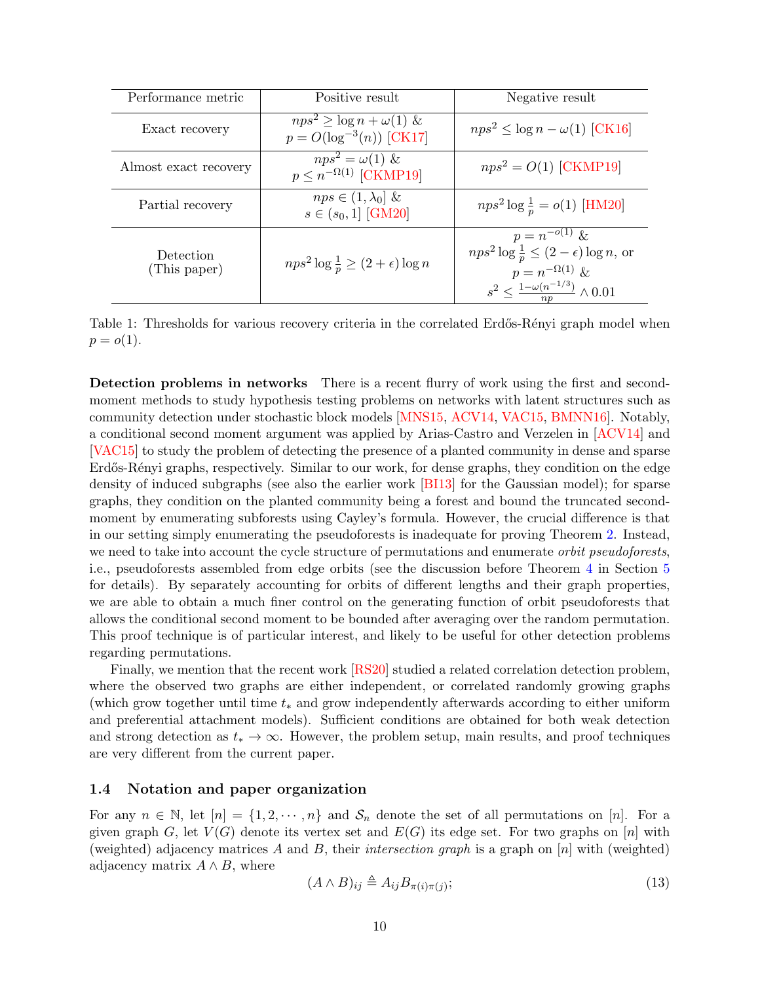<span id="page-9-1"></span>

| Performance metric        | Positive result                                                       | Negative result                                                                                                                                                     |  |
|---------------------------|-----------------------------------------------------------------------|---------------------------------------------------------------------------------------------------------------------------------------------------------------------|--|
| Exact recovery            | $nps^2 \geq \log n + \omega(1) \&$<br>$p = O(\log^{-3}(n))$ [CK17]    | $nps^2 \leq \log n - \omega(1)$ [CK16]                                                                                                                              |  |
| Almost exact recovery     | $\overline{nps^2} = \omega(1) \&$<br>$p \leq n^{-\Omega(1)}$ [CKMP19] | $nps^2 = O(1)$ [CKMP19]                                                                                                                                             |  |
| Partial recovery          | $\overline{nps} \in (1, \lambda_0]$ &<br>$s \in (s_0, 1]$ [GM20]      | $nps^2 \log \frac{1}{p} = o(1)$ [HM20]                                                                                                                              |  |
| Detection<br>(This paper) | $nps^2 \log \frac{1}{n} \geq (2+\epsilon) \log n$                     | $p = n^{-o(1)} \&$<br>$nps^2 \log \frac{1}{p} \leq (2 - \epsilon) \log n$ , or<br>$p = n^{-\Omega(1)} \&$<br>$s^2 \leq \frac{1 - \omega(n^{-1/3})}{np} \wedge 0.01$ |  |

Table 1: Thresholds for various recovery criteria in the correlated Erdős-Rényi graph model when  $p = o(1)$ .

Detection problems in networks There is a recent flurry of work using the first and secondmoment methods to study hypothesis testing problems on networks with latent structures such as community detection under stochastic block models [\[MNS15,](#page-64-9) [ACV14,](#page-62-4) [VAC15,](#page-65-7) [BMNN16\]](#page-62-5). Notably, a conditional second moment argument was applied by Arias-Castro and Verzelen in [\[ACV14\]](#page-62-4) and [\[VAC15\]](#page-65-7) to study the problem of detecting the presence of a planted community in dense and sparse Erdős-Rényi graphs, respectively. Similar to our work, for dense graphs, they condition on the edge density of induced subgraphs (see also the earlier work [\[BI13\]](#page-62-6) for the Gaussian model); for sparse graphs, they condition on the planted community being a forest and bound the truncated secondmoment by enumerating subforests using Cayley's formula. However, the crucial difference is that in our setting simply enumerating the pseudoforests is inadequate for proving Theorem [2.](#page-4-2) Instead, we need to take into account the cycle structure of permutations and enumerate *orbit pseudoforests*, i.e., pseudoforests assembled from edge orbits (see the discussion before Theorem [4](#page-27-0) in Section [5](#page-24-0) for details). By separately accounting for orbits of different lengths and their graph properties, we are able to obtain a much finer control on the generating function of orbit pseudoforests that allows the conditional second moment to be bounded after averaging over the random permutation. This proof technique is of particular interest, and likely to be useful for other detection problems regarding permutations.

Finally, we mention that the recent work [\[RS20\]](#page-65-8) studied a related correlation detection problem, where the observed two graphs are either independent, or correlated randomly growing graphs (which grow together until time  $t_*$  and grow independently afterwards according to either uniform and preferential attachment models). Sufficient conditions are obtained for both weak detection and strong detection as  $t_* \to \infty$ . However, the problem setup, main results, and proof techniques are very different from the current paper.

### <span id="page-9-0"></span>1.4 Notation and paper organization

For any  $n \in \mathbb{N}$ , let  $[n] = \{1, 2, \dots, n\}$  and  $S_n$  denote the set of all permutations on [n]. For a given graph G, let  $V(G)$  denote its vertex set and  $E(G)$  its edge set. For two graphs on [n] with (weighted) adjacency matrices A and B, their intersection graph is a graph on  $[n]$  with (weighted) adjacency matrix  $A \wedge B$ , where

<span id="page-9-2"></span>
$$
(A \wedge B)_{ij} \triangleq A_{ij} B_{\pi(i)\pi(j)};
$$
\n(13)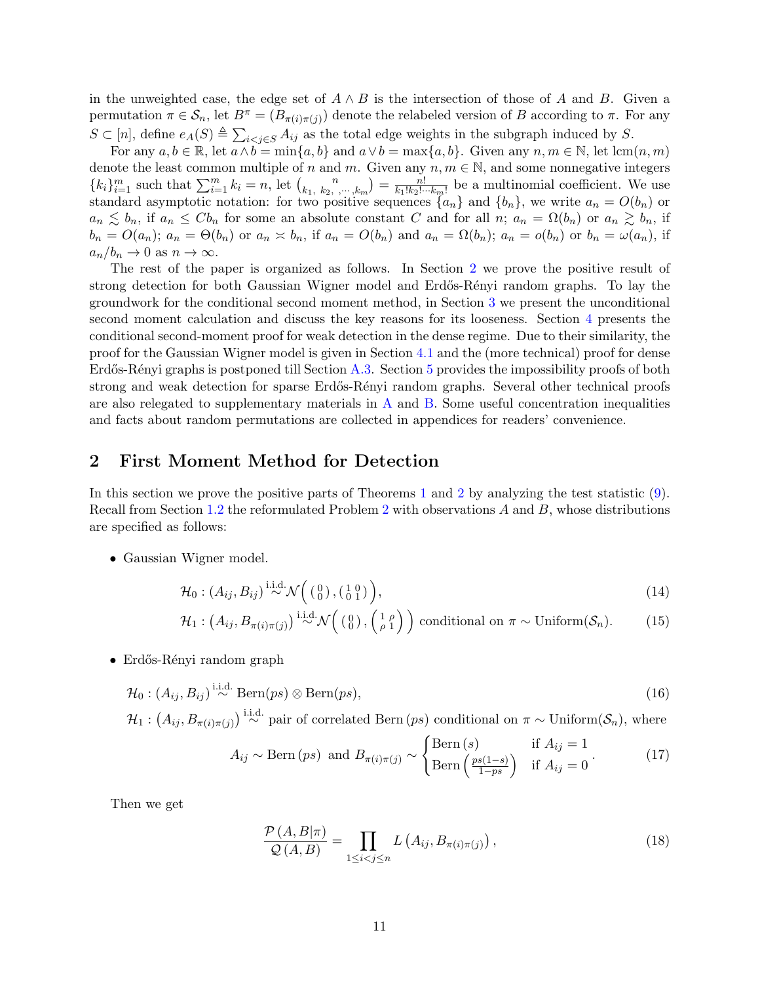in the unweighted case, the edge set of  $A \wedge B$  is the intersection of those of A and B. Given a permutation  $\pi \in \mathcal{S}_n$ , let  $B^{\pi} = (B_{\pi(i)\pi(j)})$  denote the relabeled version of B according to  $\pi$ . For any  $S \subset [n]$ , define  $e_A(S) \triangleq \sum_{i < j \in S} A_{ij}$  as the total edge weights in the subgraph induced by S.

For any  $a, b \in \mathbb{R}$ , let  $a \wedge b = \min\{a, b\}$  and  $a \vee b = \max\{a, b\}$ . Given any  $n, m \in \mathbb{N}$ , let  $\operatorname{lcm}(n, m)$ denote the least common multiple of n and m. Given any  $n, m \in \mathbb{N}$ , and some nonnegative integers  ${k_i}_{i=1}^m$  such that  $\sum_{i=1}^m k_i = n$ , let  $\binom{n}{k_1, k_2}$  $\binom{n}{k_1, k_2, \dots, k_m} = \frac{n!}{k_1! k_2! \dots k_m!}$  be a multinomial coefficient. We use standard asymptotic notation: for two positive sequences  $\{a_n\}$  and  $\{b_n\}$ , we write  $a_n = O(b_n)$  or  $a_n \leq b_n$ , if  $a_n \leq Cb_n$  for some an absolute constant C and for all n;  $a_n = \Omega(b_n)$  or  $a_n \geq b_n$ , if  $b_n = O(a_n);$   $a_n = \Theta(b_n)$  or  $a_n \times b_n$ , if  $a_n = O(b_n)$  and  $a_n = \Omega(b_n);$   $a_n = o(b_n)$  or  $b_n = \omega(a_n)$ , if  $a_n/b_n \to 0$  as  $n \to \infty$ .

The rest of the paper is organized as follows. In Section [2](#page-10-0) we prove the positive result of strong detection for both Gaussian Wigner model and Erdős-Rényi random graphs. To lay the groundwork for the conditional second moment method, in Section [3](#page-13-0) we present the unconditional second moment calculation and discuss the key reasons for its looseness. Section [4](#page-19-0) presents the conditional second-moment proof for weak detection in the dense regime. Due to their similarity, the proof for the Gaussian Wigner model is given in Section [4.1](#page-20-0) and the (more technical) proof for dense Erdős-Rényi graphs is postponed till Section [A.3.](#page-42-0) Section [5](#page-24-0) provides the impossibility proofs of both strong and weak detection for sparse Erdős-Rényi random graphs. Several other technical proofs are also relegated to supplementary materials in  $A$  and  $B$ . Some useful concentration inequalities and facts about random permutations are collected in appendices for readers' convenience.

## <span id="page-10-0"></span>2 First Moment Method for Detection

In this section we prove the positive parts of Theorems [1](#page-4-1) and [2](#page-4-2) by analyzing the test statistic [\(9\)](#page-6-0). Recall from Section [1.2](#page-5-0) the reformulated Problem [2](#page-6-5) with observations A and B, whose distributions are specified as follows:

• Gaussian Wigner model.

$$
\mathcal{H}_0: (A_{ij}, B_{ij}) \stackrel{\text{i.i.d.}}{\sim} \mathcal{N}\Big(\begin{pmatrix} 0 \\ 0 \end{pmatrix}, \begin{pmatrix} 1 & 0 \\ 0 & 1 \end{pmatrix}\Big),\tag{14}
$$

$$
\mathcal{H}_1: (A_{ij}, B_{\pi(i)\pi(j)}) \stackrel{\text{i.i.d.}}{\sim} \mathcal{N}\Big(\begin{pmatrix} 0\\ 0 \end{pmatrix}, \begin{pmatrix} 1 & \rho\\ \rho & 1 \end{pmatrix} \Big) \text{ conditional on } \pi \sim \text{Uniform}(\mathcal{S}_n). \tag{15}
$$

• Erdős-Rényi random graph

$$
\mathcal{H}_0: (A_{ij}, B_{ij}) \stackrel{\text{i.i.d.}}{\sim} \text{Bern}(ps) \otimes \text{Bern}(ps), \tag{16}
$$

 $\mathcal{H}_1: (A_{ij}, B_{\pi(i)\pi(j)}) \stackrel{\text{i.i.d.}}{\sim} \text{pair of correlated Bern}(ps) \text{ conditional on } \pi \sim \text{Uniform}(\mathcal{S}_n)$ , where

<span id="page-10-2"></span><span id="page-10-1"></span>
$$
A_{ij} \sim \text{Bern}(ps) \text{ and } B_{\pi(i)\pi(j)} \sim \begin{cases} \text{Bern}(s) & \text{if } A_{ij} = 1\\ \text{Bern}\left(\frac{ps(1-s)}{1-ps}\right) & \text{if } A_{ij} = 0 \end{cases} \tag{17}
$$

Then we get

<span id="page-10-4"></span><span id="page-10-3"></span>
$$
\frac{\mathcal{P}\left(A,B|\pi\right)}{\mathcal{Q}\left(A,B\right)} = \prod_{1 \leq i < j \leq n} L\left(A_{ij}, B_{\pi(i)\pi(j)}\right),\tag{18}
$$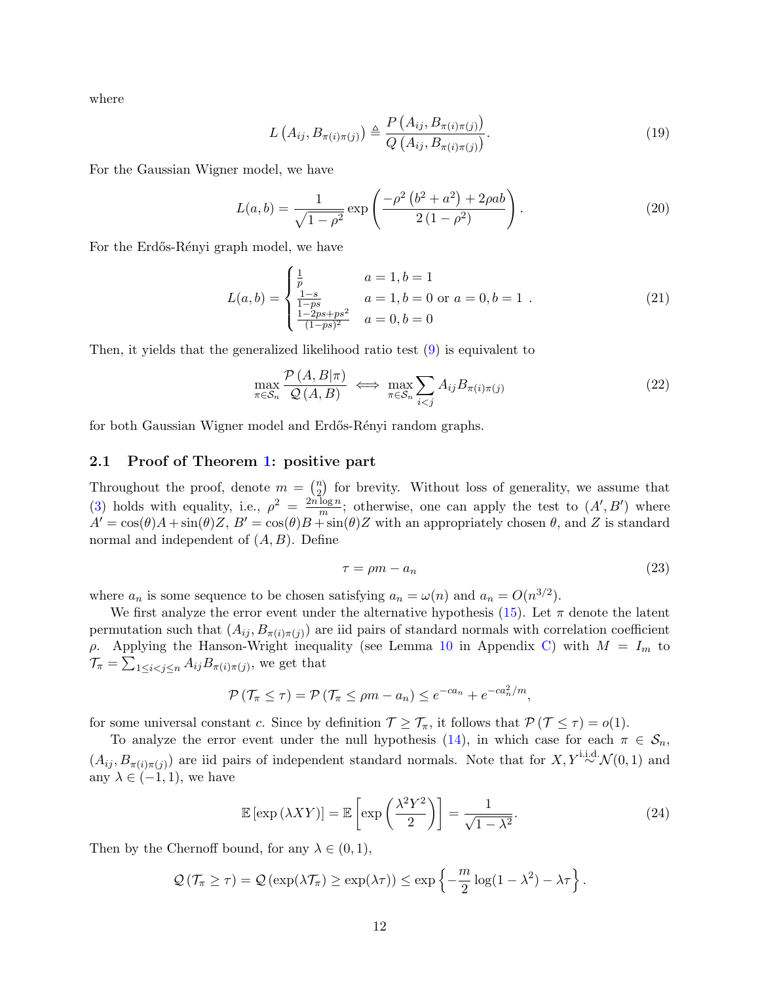where

<span id="page-11-3"></span><span id="page-11-2"></span>
$$
L\left(A_{ij}, B_{\pi(i)\pi(j)}\right) \triangleq \frac{P\left(A_{ij}, B_{\pi(i)\pi(j)}\right)}{Q\left(A_{ij}, B_{\pi(i)\pi(j)}\right)}.
$$
\n(19)

For the Gaussian Wigner model, we have

$$
L(a,b) = \frac{1}{\sqrt{1-\rho^2}} \exp\left(\frac{-\rho^2 \left(b^2 + a^2\right) + 2\rho ab}{2\left(1-\rho^2\right)}\right).
$$
 (20)

For the Erdős-Rényi graph model, we have

$$
L(a,b) = \begin{cases} \frac{1}{p} & a = 1, b = 1\\ \frac{1-s}{1-ps} & a = 1, b = 0 \text{ or } a = 0, b = 1\\ \frac{1-2ps+ps^2}{(1-ps)^2} & a = 0, b = 0 \end{cases}
$$
(21)

Then, it yields that the generalized likelihood ratio test [\(9\)](#page-6-0) is equivalent to

<span id="page-11-4"></span>
$$
\max_{\pi \in S_n} \frac{\mathcal{P}(A, B | \pi)}{\mathcal{Q}(A, B)} \iff \max_{\pi \in S_n} \sum_{i < j} A_{ij} B_{\pi(i)\pi(j)} \tag{22}
$$

for both Gaussian Wigner model and Erdős-Rényi random graphs.

### <span id="page-11-0"></span>2.1 Proof of Theorem [1:](#page-4-1) positive part

Throughout the proof, denote  $m = \binom{n}{2}$  for brevity. Without loss of generality, we assume that 2 [\(3\)](#page-4-4) holds with equality, i.e.,  $\rho^2 = \frac{2n \log n}{m}$  $\frac{\log n}{m}$ ; otherwise, one can apply the test to  $(A', B')$  where  $A' = \cos(\theta)A + \sin(\theta)Z$ ,  $B' = \cos(\theta)B + \sin(\theta)Z$  with an appropriately chosen  $\theta$ , and Z is standard normal and independent of  $(A, B)$ . Define

<span id="page-11-5"></span><span id="page-11-1"></span>
$$
\tau = \rho m - a_n \tag{23}
$$

where  $a_n$  is some sequence to be chosen satisfying  $a_n = \omega(n)$  and  $a_n = O(n^{3/2})$ .

We first analyze the error event under the alternative hypothesis [\(15\)](#page-10-1). Let  $\pi$  denote the latent permutation such that  $(A_{ij}, B_{\pi(i)\pi(j)})$  are iid pairs of standard normals with correlation coefficient ρ. Applying the Hanson-Wright inequality (see Lemma [10](#page-60-1) in Appendix [C\)](#page-60-0) with  $M = I_m$  to  $\mathcal{T}_{\pi} = \sum_{1 \leq i < j \leq n} A_{ij} B_{\pi(i)\pi(j)}$ , we get that

$$
\mathcal{P}\left(\mathcal{T}_{\pi} \leq \tau\right) = \mathcal{P}\left(\mathcal{T}_{\pi} \leq \rho m - a_n\right) \leq e^{-ca_n} + e^{-ca_n^2/m},
$$

for some universal constant c. Since by definition  $\mathcal{T} \geq \mathcal{T}_{\pi}$ , it follows that  $\mathcal{P}(\mathcal{T} \leq \tau) = o(1)$ .

To analyze the error event under the null hypothesis [\(14\)](#page-10-2), in which case for each  $\pi \in S_n$ ,  $(A_{ij}, B_{\pi(i)\pi(j)})$  are iid pairs of independent standard normals. Note that for  $X, Y^{\text{i.i.d.}}\mathcal{N}(0,1)$  and any  $\lambda \in (-1,1)$ , we have

$$
\mathbb{E}\left[\exp\left(\lambda XY\right)\right] = \mathbb{E}\left[\exp\left(\frac{\lambda^2 Y^2}{2}\right)\right] = \frac{1}{\sqrt{1 - \lambda^2}}.\tag{24}
$$

Then by the Chernoff bound, for any  $\lambda \in (0,1)$ ,

$$
\mathcal{Q}(\mathcal{T}_{\pi} \geq \tau) = \mathcal{Q}(\exp(\lambda \mathcal{T}_{\pi}) \geq \exp(\lambda \tau)) \leq \exp\left\{-\frac{m}{2}\log(1-\lambda^2) - \lambda \tau\right\}.
$$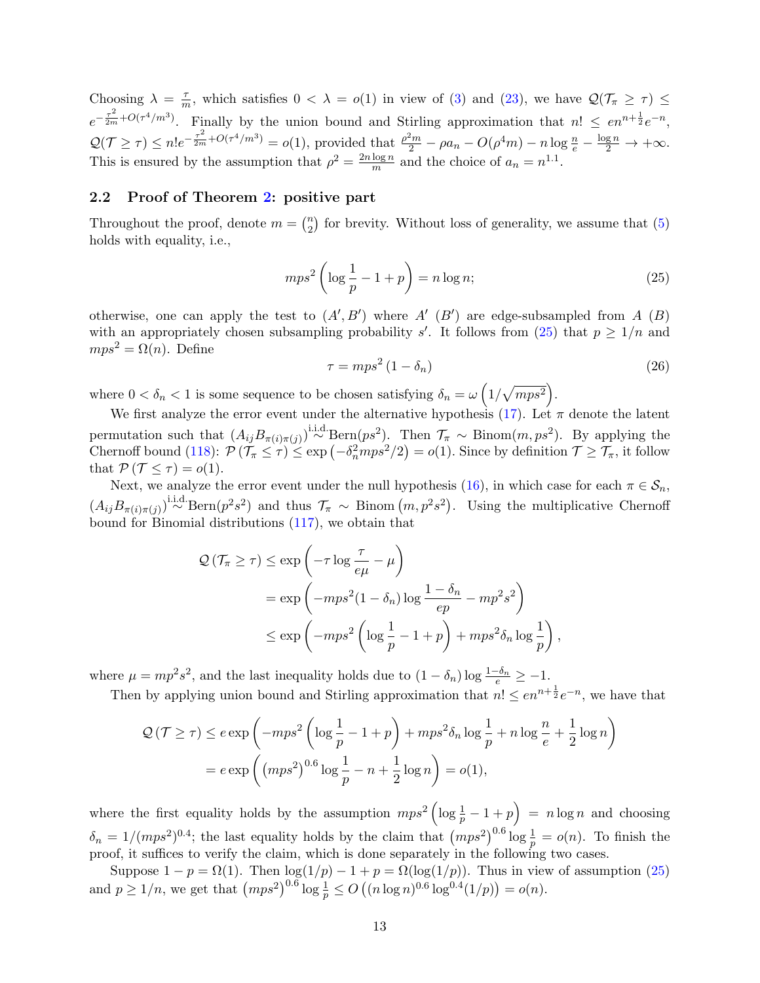Choosing  $\lambda = \frac{\tau}{n}$  $\frac{\tau}{m}$ , which satisfies  $0 < \lambda = o(1)$  in view of [\(3\)](#page-4-4) and [\(23\)](#page-11-1), we have  $\mathcal{Q}(\mathcal{T}_{\pi} \geq \tau) \leq$  $e^{-\frac{\tau^2}{2m}+O(\tau^4/m^3)}$ . Finally by the union bound and Stirling approximation that  $n! \leq en^{n+\frac{1}{2}}e^{-n}$ ,  $\mathcal{Q}(\mathcal{T} \geq \tau) \leq n! e^{-\frac{\tau^2}{2m} + O(\tau^4/m^3)} = o(1)$ , provided that  $\frac{\rho^2 m}{2} - \rho a_n - O(\rho^4 m) - n \log \frac{n}{e} - \frac{\log n}{2} \to +\infty$ . This is ensured by the assumption that  $\rho^2 = \frac{2n \log n}{m}$  $\frac{\log n}{m}$  and the choice of  $a_n = n^{1.1}$ .

## <span id="page-12-0"></span>2.2 Proof of Theorem [2:](#page-4-2) positive part

Throughout the proof, denote  $m = \binom{n}{2}$  $n \choose 2$  for brevity. Without loss of generality, we assume that  $(5)$ holds with equality, i.e.,

$$
mps^2 \left(\log \frac{1}{p} - 1 + p\right) = n \log n; \tag{25}
$$

otherwise, one can apply the test to  $(A', B')$  where  $A'$   $(B')$  are edge-subsampled from A  $(B)$ with an appropriately chosen subsampling probability s'. It follows from  $(25)$  that  $p \geq 1/n$  and  $mps^2 = \Omega(n)$ . Define

<span id="page-12-1"></span>
$$
\tau = mps^2 \left( 1 - \delta_n \right) \tag{26}
$$

where  $0 < \delta_n < 1$  is some sequence to be chosen satisfying  $\delta_n = \omega \left(1/\sqrt{mps^2}\right)$ .

We first analyze the error event under the alternative hypothesis [\(17\)](#page-10-3). Let  $\pi$  denote the latent permutation such that  $(A_{ij}B_{\pi(i)\pi(j)})$ <sup>i.i.d.</sup> Bern $(ps^2)$ . Then  $\mathcal{T}_{\pi} \sim \text{Binom}(m, ps^2)$ . By applying the Chernoff bound [\(118\)](#page-61-1):  $\mathcal{P}(\mathcal{T}_{\pi} \leq \tau) \leq \exp(-\delta_n^2 mps^2/2) = o(1)$ . Since by definition  $\mathcal{T} \geq \mathcal{T}_{\pi}$ , it follow that  $\mathcal{P}(\mathcal{T} \leq \tau) = o(1)$ .

Next, we analyze the error event under the null hypothesis [\(16\)](#page-10-4), in which case for each  $\pi \in \mathcal{S}_n$ ,  $(A_{ij}B_{\pi(i)\pi(j)})$ <sup>i.i.d</sup> Bern $(p^2s^2)$  and thus  $\mathcal{T}_{\pi} \sim$  Binom  $(m, p^2s^2)$ . Using the multiplicative Chernoff bound for Binomial distributions [\(117\)](#page-61-2), we obtain that

$$
\mathcal{Q}(\mathcal{T}_{\pi} \ge \tau) \le \exp\left(-\tau \log \frac{\tau}{e\mu} - \mu\right)
$$
  
=  $\exp\left(-mps^2(1 - \delta_n) \log \frac{1 - \delta_n}{ep} - mp^2s^2\right)$   
 $\le \exp\left(-mps^2\left(\log \frac{1}{p} - 1 + p\right) + mps^2\delta_n \log \frac{1}{p}\right),$ 

where  $\mu = mp^2 s^2$ , and the last inequality holds due to  $(1 - \delta_n) \log \frac{1 - \delta_n}{e} \ge -1$ .

Then by applying union bound and Stirling approximation that  $n! \leq en^{n+\frac{1}{2}}e^{-n}$ , we have that

$$
\mathcal{Q}(\mathcal{T} \ge \tau) \le e \exp\left(-mps^2 \left(\log\frac{1}{p} - 1 + p\right) + mps^2 \delta_n \log\frac{1}{p} + n \log\frac{n}{e} + \frac{1}{2}\log n\right)
$$

$$
= e \exp\left((mps^2)^{0.6}\log\frac{1}{p} - n + \frac{1}{2}\log n\right) = o(1),
$$

where the first equality holds by the assumption  $mps^2 ig( \log \frac{1}{p} - 1 + p \big) = n \log n$  and choosing  $\delta_n = 1/(mps^2)^{0.4}$ ; the last equality holds by the claim that  $(mps^2)^{0.6}$  log  $\frac{1}{p} = o(n)$ . To finish the proof, it suffices to verify the claim, which is done separately in the following two cases.

Suppose  $1 - p = \Omega(1)$ . Then  $\log(1/p) - 1 + p = \Omega(\log(1/p))$ . Thus in view of assumption [\(25\)](#page-12-1) and  $p \ge 1/n$ , we get that  $(mps^2)^{0.6} \log \frac{1}{p} \le O((n \log n)^{0.6} \log^{0.4}(1/p)) = o(n)$ .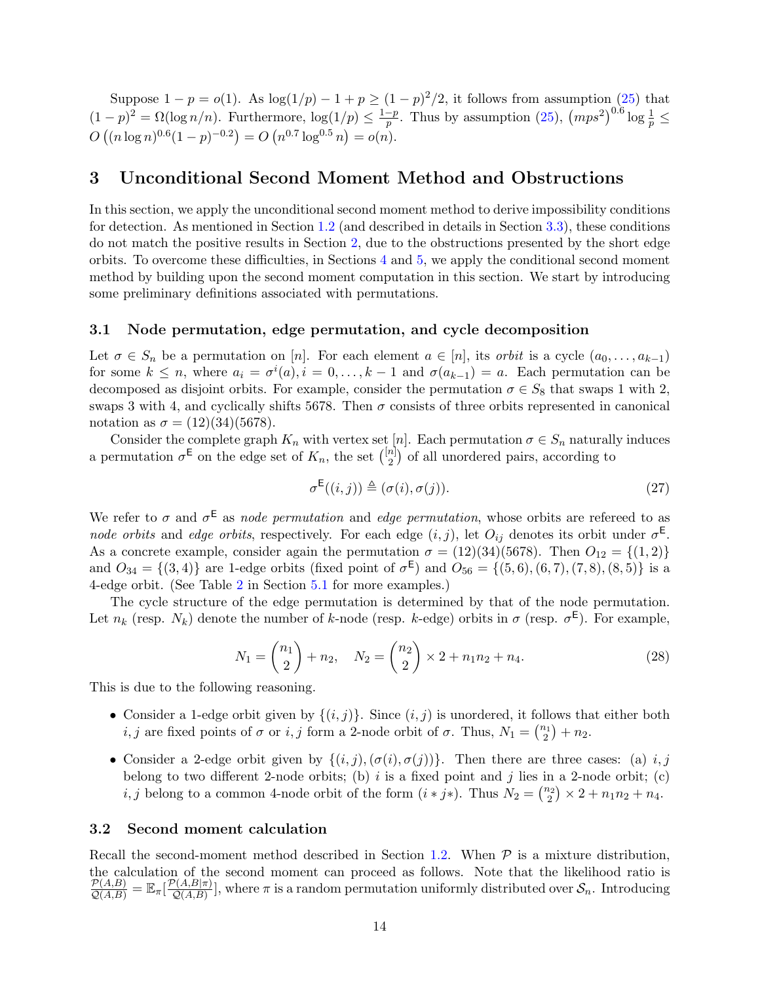Suppose  $1 - p = o(1)$ . As  $\log(1/p) - 1 + p \ge (1 - p)^2/2$ , it follows from assumption [\(25\)](#page-12-1) that  $(1-p)^2 = \Omega(\log n/n)$ . Furthermore,  $\log(1/p) \leq \frac{1-p}{n}$  $\frac{p-p}{p}$ . Thus by assumption [\(25\)](#page-12-1),  $(mps^2)^{0.6}$  log  $\frac{1}{p}$   $\leq$  $O((n \log n)^{0.6}(1-p)^{-0.2}) = O(n^{0.7} \log^{0.5} n) = o(n).$ 

## <span id="page-13-0"></span>3 Unconditional Second Moment Method and Obstructions

In this section, we apply the unconditional second moment method to derive impossibility conditions for detection. As mentioned in Section [1.2](#page-5-0) (and described in details in Section [3.3\)](#page-17-0), these conditions do not match the positive results in Section [2,](#page-10-0) due to the obstructions presented by the short edge orbits. To overcome these difficulties, in Sections [4](#page-19-0) and [5,](#page-24-0) we apply the conditional second moment method by building upon the second moment computation in this section. We start by introducing some preliminary definitions associated with permutations.

### <span id="page-13-1"></span>3.1 Node permutation, edge permutation, and cycle decomposition

Let  $\sigma \in S_n$  be a permutation on [n]. For each element  $a \in [n]$ , its *orbit* is a cycle  $(a_0, \ldots, a_{k-1})$ for some  $k \leq n$ , where  $a_i = \sigma^i(a), i = 0, \ldots, k-1$  and  $\sigma(a_{k-1}) = a$ . Each permutation can be decomposed as disjoint orbits. For example, consider the permutation  $\sigma \in S_8$  that swaps 1 with 2, swaps 3 with 4, and cyclically shifts 5678. Then  $\sigma$  consists of three orbits represented in canonical notation as  $\sigma = (12)(34)(5678)$ .

Consider the complete graph  $K_n$  with vertex set [n]. Each permutation  $\sigma \in S_n$  naturally induces a permutation  $\sigma^{\mathsf{E}}$  on the edge set of  $K_n$ , the set  $\binom{[n]}{2}$  $\binom{n}{2}$  of all unordered pairs, according to

<span id="page-13-3"></span>
$$
\sigma^{\mathsf{E}}((i,j)) \triangleq (\sigma(i), \sigma(j)). \tag{27}
$$

We refer to  $\sigma$  and  $\sigma^{\text{E}}$  as node permutation and edge permutation, whose orbits are refereed to as node orbits and edge orbits, respectively. For each edge  $(i, j)$ , let  $O_{ij}$  denotes its orbit under  $\sigma^{\text{E}}$ . As a concrete example, consider again the permutation  $\sigma = (12)(34)(5678)$ . Then  $O_{12} = \{(1,2)\}\$ and  $O_{34} = \{(3,4)\}\$ are 1-edge orbits (fixed point of  $\sigma^E$ ) and  $O_{56} = \{(5,6), (6,7), (7,8), (8,5)\}\$ is a 4-edge orbit. (See Table [2](#page-29-0) in Section [5.1](#page-28-0) for more examples.)

<span id="page-13-4"></span>The cycle structure of the edge permutation is determined by that of the node permutation. Let  $n_k$  (resp.  $N_k$ ) denote the number of k-node (resp. k-edge) orbits in  $\sigma$  (resp.  $\sigma^{\text{E}}$ ). For example,

$$
N_1 = \binom{n_1}{2} + n_2, \quad N_2 = \binom{n_2}{2} \times 2 + n_1 n_2 + n_4. \tag{28}
$$

This is due to the following reasoning.

- Consider a 1-edge orbit given by  $\{(i,j)\}\$ . Since  $(i,j)$  is unordered, it follows that either both *i*, *j* are fixed points of  $\sigma$  or *i*, *j* form a 2-node orbit of  $\sigma$ . Thus,  $N_1 = \binom{n_1}{2} + n_2$ .
- Consider a 2-edge orbit given by  $\{(i, j), (\sigma(i), \sigma(j))\}$ . Then there are three cases: (a) i, j belong to two different 2-node orbits; (b)  $i$  is a fixed point and  $j$  lies in a 2-node orbit; (c) *i*, *j* belong to a common 4-node orbit of the form  $(i * j*)$ . Thus  $N_2 = \binom{n_2}{2} \times 2 + n_1 n_2 + n_4$ .

#### <span id="page-13-2"></span>3.2 Second moment calculation

Recall the second-moment method described in Section [1.2.](#page-5-0) When  $P$  is a mixture distribution, the calculation of the second moment can proceed as follows. Note that the likelihood ratio is  $\frac{\mathcal{P}(A,B)}{\mathcal{Q}(A,B)} = \mathbb{E}_{\pi}[\frac{\mathcal{P}(A,B|\pi)}{\mathcal{Q}(A,B)}]$  $\mathcal{Q}(A,B|\pi)$ , where  $\pi$  is a random permutation uniformly distributed over  $\mathcal{S}_n$ . Introducing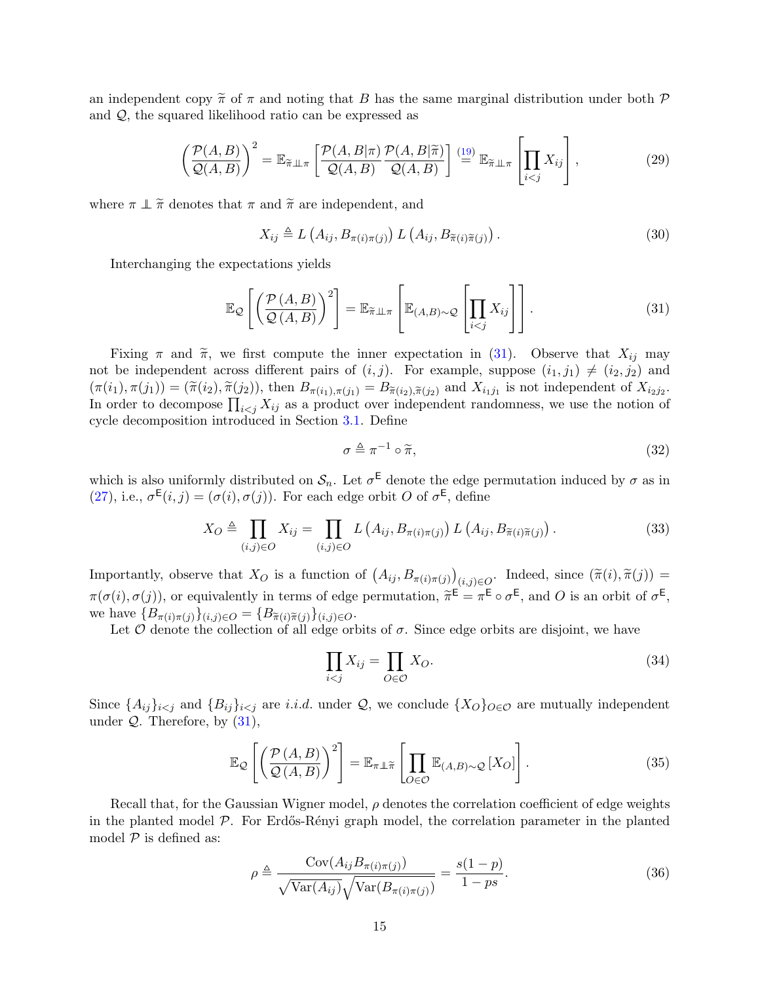an independent copy  $\tilde{\pi}$  of  $\pi$  and noting that B has the same marginal distribution under both P and Q, the squared likelihood ratio can be expressed as

$$
\left(\frac{\mathcal{P}(A,B)}{\mathcal{Q}(A,B)}\right)^2 = \mathbb{E}_{\widetilde{\pi}\perp\perp\pi} \left[\frac{\mathcal{P}(A,B|\pi)}{\mathcal{Q}(A,B)}\frac{\mathcal{P}(A,B|\widetilde{\pi})}{\mathcal{Q}(A,B)}\right] \stackrel{(19)}{=} \mathbb{E}_{\widetilde{\pi}\perp\perp\pi} \left[\prod_{i
$$

where  $\pi \perp \tilde{\pi}$  denotes that  $\pi$  and  $\tilde{\pi}$  are independent, and

<span id="page-14-3"></span>
$$
X_{ij} \triangleq L\left(A_{ij}, B_{\pi(i)\pi(j)}\right) L\left(A_{ij}, B_{\widetilde{\pi}(i)\widetilde{\pi}(j)}\right). \tag{30}
$$

Interchanging the expectations yields

$$
\mathbb{E}_{\mathcal{Q}}\left[\left(\frac{\mathcal{P}(A,B)}{\mathcal{Q}(A,B)}\right)^2\right] = \mathbb{E}_{\widetilde{\pi}\perp\perp\pi}\left[\mathbb{E}_{(A,B)\sim\mathcal{Q}}\left[\prod_{i
$$

Fixing  $\pi$  and  $\widetilde{\pi}$ , we first compute the inner expectation in [\(31\)](#page-14-0). Observe that  $X_{ij}$  may not be independent across different pairs of  $(i, j)$ . For example, suppose  $(i_1, j_1) \neq (i_2, j_2)$  and  $(\pi(i_1), \pi(j_1)) = (\tilde{\pi}(i_2), \tilde{\pi}(j_2))$ , then  $B_{\pi(i_1), \pi(j_1)} = B_{\tilde{\pi}(i_2), \tilde{\pi}(j_2)}$  and  $X_{i_1j_1}$  is not independent of  $X_{i_2j_2}$ .<br>In order to decompose  $\Pi$ ,  $X$  as a product over independent randomness, we use the not In order to decompose  $\prod_{i < j} X_{ij}$  as a product over independent randomness, we use the notion of cycle decomposition introduced in Section [3.1.](#page-13-1) Define

<span id="page-14-5"></span><span id="page-14-1"></span><span id="page-14-0"></span>
$$
\sigma \triangleq \pi^{-1} \circ \widetilde{\pi},\tag{32}
$$

which is also uniformly distributed on  $S_n$ . Let  $\sigma^{\mathsf{E}}$  denote the edge permutation induced by  $\sigma$  as in [\(27\)](#page-13-3), i.e.,  $\sigma^{E}(i, j) = (\sigma(i), \sigma(j))$ . For each edge orbit O of  $\sigma^{E}$ , define

$$
X_O \triangleq \prod_{(i,j)\in O} X_{ij} = \prod_{(i,j)\in O} L\left(A_{ij}, B_{\pi(i)\pi(j)}\right) L\left(A_{ij}, B_{\widetilde{\pi}(i)\widetilde{\pi}(j)}\right). \tag{33}
$$

Importantly, observe that  $X_O$  is a function of  $(A_{ij}, B_{\pi(i)\pi(j)})_{(i,j)\in O}$ . Indeed, since  $(\tilde{\pi}(i), \tilde{\pi}(j))$  $\pi(\sigma(i), \sigma(j))$ , or equivalently in terms of edge permutation,  $\widetilde{\pi}^{\mathsf{E}} = \pi^{\mathsf{E}} \circ \sigma^{\mathsf{E}}$ , and O is an orbit of  $\sigma^{\mathsf{E}}$ , we have  ${B_{\pi(i)\pi(j)}\}_{(i,j)\in O} = {B_{\tilde{\pi}(i)\tilde{\pi}(j)}\}_{(i,j)\in O}$ .

Let  $\hat{O}$  denote the collection of all edge orbits of  $\sigma$ . Since edge orbits are disjoint, we have

<span id="page-14-4"></span><span id="page-14-2"></span>
$$
\prod_{i < j} X_{ij} = \prod_{O \in \mathcal{O}} X_O. \tag{34}
$$

Since  $\{A_{ij}\}_{i\leq j}$  and  $\{B_{ij}\}_{i\leq j}$  are i.i.d. under  $\mathcal{Q}$ , we conclude  $\{X_O\}_{O\in\mathcal{O}}$  are mutually independent under  $Q$ . Therefore, by  $(31)$ ,

$$
\mathbb{E}_{\mathcal{Q}}\left[\left(\frac{\mathcal{P}(A,B)}{\mathcal{Q}(A,B)}\right)^2\right] = \mathbb{E}_{\pi \perp \widetilde{\pi}}\left[\prod_{O \in \mathcal{O}} \mathbb{E}_{(A,B)\sim \mathcal{Q}}\left[X_O\right]\right].\tag{35}
$$

Recall that, for the Gaussian Wigner model,  $\rho$  denotes the correlation coefficient of edge weights in the planted model  $\mathcal{P}$ . For Erdős-Rényi graph model, the correlation parameter in the planted model  $P$  is defined as:

$$
\rho \triangleq \frac{\text{Cov}(A_{ij}B_{\pi(i)\pi(j)})}{\sqrt{\text{Var}(A_{ij})}\sqrt{\text{Var}(B_{\pi(i)\pi(j)})}} = \frac{s(1-p)}{1-ps}.
$$
\n(36)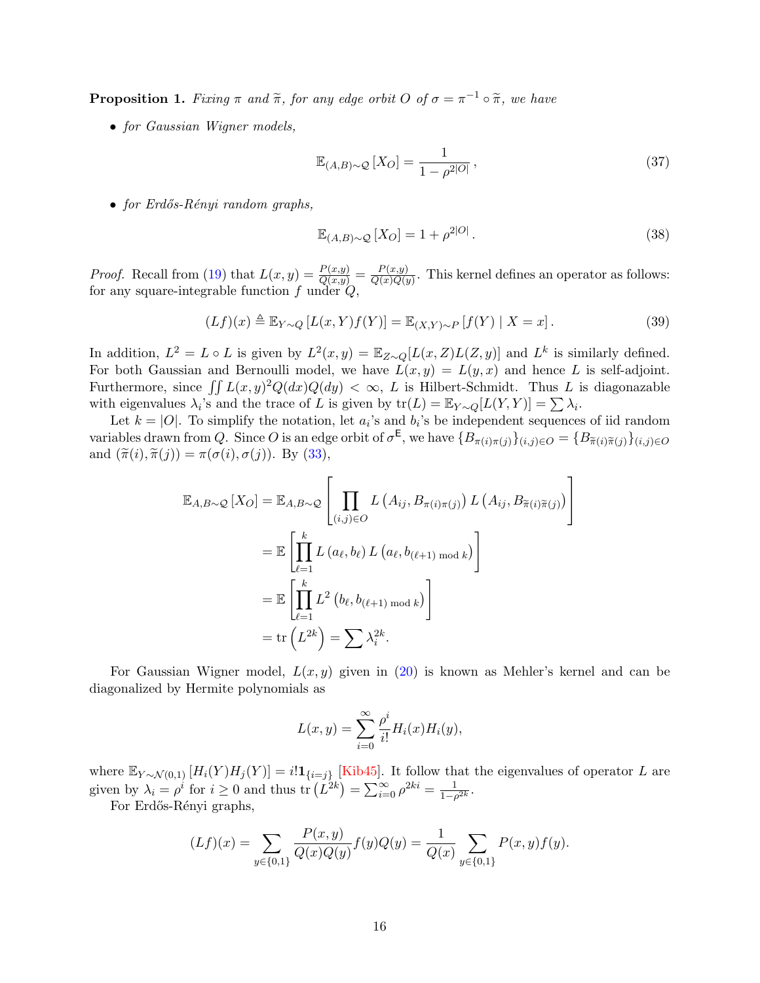<span id="page-15-0"></span>**Proposition 1.** Fixing  $\pi$  and  $\tilde{\pi}$ , for any edge orbit O of  $\sigma = \pi^{-1} \circ \tilde{\pi}$ , we have

• for Gaussian Wigner models,

<span id="page-15-1"></span>
$$
\mathbb{E}_{(A,B)\sim\mathcal{Q}}\left[X_O\right] = \frac{1}{1 - \rho^{2|O|}},\tag{37}
$$

• for Erdős-Rényi random graphs,

<span id="page-15-2"></span>
$$
\mathbb{E}_{(A,B)\sim\mathcal{Q}}[X_O] = 1 + \rho^{2|O|}.
$$
\n(38)

*Proof.* Recall from [\(19\)](#page-11-2) that  $L(x, y) = \frac{P(x,y)}{Q(x,y)} = \frac{P(x,y)}{Q(x)Q(y)}$  $\frac{F(x,y)}{Q(x)Q(y)}$ . This kernel defines an operator as follows: for any square-integrable function  $f$  under  $Q$ ,

$$
(Lf)(x) \triangleq \mathbb{E}_{Y \sim Q} [L(x, Y)f(Y)] = \mathbb{E}_{(X,Y) \sim P} [f(Y) | X = x]. \tag{39}
$$

In addition,  $L^2 = L \circ L$  is given by  $L^2(x, y) = \mathbb{E}_{Z \sim Q}[L(x, Z)L(Z, y)]$  and  $L^k$  is similarly defined. For both Gaussian and Bernoulli model, we have  $L(x, y) = L(y, x)$  and hence L is self-adjoint. Furthermore, since  $\int \int L(x, y)^2 Q(dx) Q(dy) < \infty$ , L is Hilbert-Schmidt. Thus L is diagonazable with eigenvalues  $\lambda_i$ 's and the trace of L is given by  $tr(L) = \mathbb{E}_{Y \sim Q}[L(Y, Y)] = \sum \lambda_i$ .

Let  $k = |O|$ . To simplify the notation, let  $a_i$ 's and  $b_i$ 's be independent sequences of iid random variables drawn from Q. Since O is an edge orbit of  $\sigma^E$ , we have  $\{B_{\pi(i)\pi(j)}\}_{(i,j)\in O} = \{B_{\tilde{\pi}(i)\tilde{\pi}(j)}\}_{(i,j)\in O}$ and  $(\tilde{\pi}(i), \tilde{\pi}(j)) = \pi(\sigma(i), \sigma(j))$ . By [\(33\)](#page-14-1),

$$
\mathbb{E}_{A,B\sim\mathcal{Q}}[X_O] = \mathbb{E}_{A,B\sim\mathcal{Q}}\left[\prod_{(i,j)\in O} L(A_{ij}, B_{\pi(i)\pi(j)}) L(A_{ij}, B_{\tilde{\pi}(i)\tilde{\pi}(j)})\right]
$$

$$
= \mathbb{E}\left[\prod_{\ell=1}^k L(a_\ell, b_\ell) L(a_\ell, b_{(\ell+1) \mod k})\right]
$$

$$
= \mathbb{E}\left[\prod_{\ell=1}^k L^2(b_\ell, b_{(\ell+1) \mod k})\right]
$$

$$
= \text{tr}\left(L^{2k}\right) = \sum \lambda_i^{2k}.
$$

For Gaussian Wigner model,  $L(x, y)$  given in [\(20\)](#page-11-3) is known as Mehler's kernel and can be diagonalized by Hermite polynomials as

$$
L(x,y) = \sum_{i=0}^{\infty} \frac{\rho^i}{i!} H_i(x) H_i(y),
$$

where  $\mathbb{E}_{Y \sim \mathcal{N}(0,1)} [H_i(Y)H_j(Y)] = i! \mathbf{1}_{\{i=j\}}$  [\[Kib45\]](#page-64-10). It follow that the eigenvalues of operator L are given by  $\lambda_i = \rho^i$  for  $i \geq 0$  and thus  $\text{tr}\left(L^{2k}\right) = \sum_{i=0}^{\infty} \rho^{2ki} = \frac{1}{1-\rho^i}$  $\frac{1}{1-\rho^{2k}}$ .

For Erdős-Rényi graphs,

$$
(Lf)(x) = \sum_{y \in \{0,1\}} \frac{P(x,y)}{Q(x)Q(y)} f(y)Q(y) = \frac{1}{Q(x)} \sum_{y \in \{0,1\}} P(x,y)f(y).
$$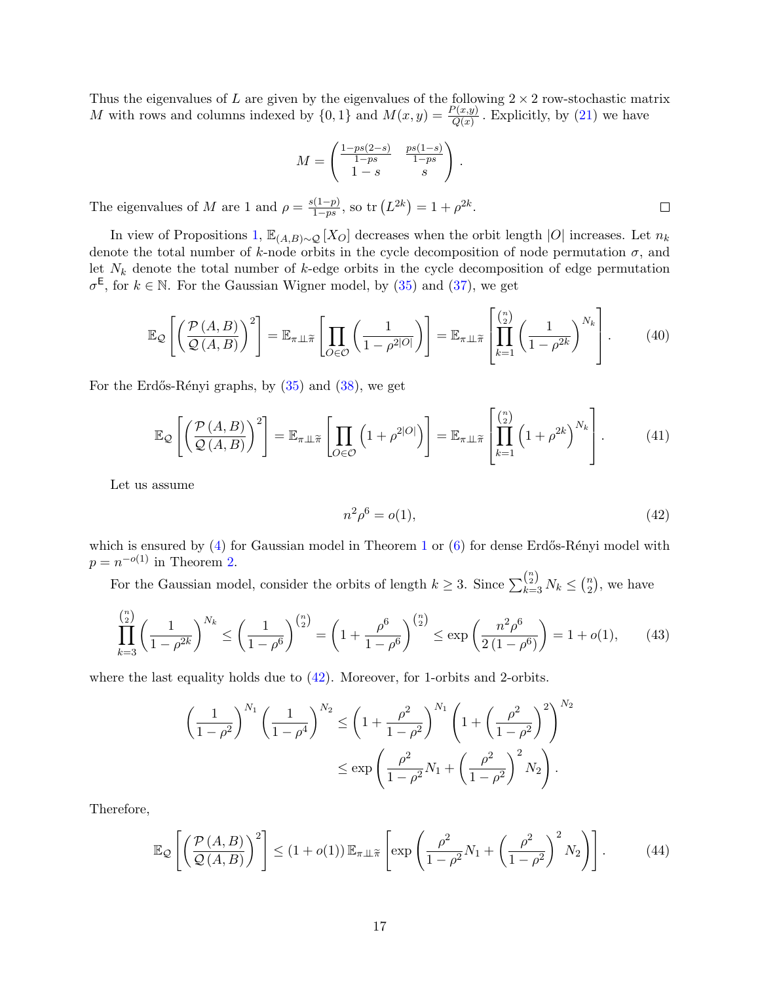Thus the eigenvalues of L are given by the eigenvalues of the following  $2 \times 2$  row-stochastic matrix M with rows and columns indexed by  $\{0,1\}$  and  $M(x,y) = \frac{P(x,y)}{Q(x)}$ . Explicitly, by [\(21\)](#page-11-4) we have

$$
M = \begin{pmatrix} \frac{1 - ps(2 - s)}{1 - ps} & \frac{ps(1 - s)}{1 - ps} \\ 1 - s & s \end{pmatrix}
$$

.

The eigenvalues of M are 1 and  $\rho = \frac{s(1-p)}{1-sp}$  $\frac{1-p}{1-ps}$ , so tr  $(L^{2k}) = 1 + \rho^{2k}$ .

In view of Propositions [1,](#page-15-0)  $\mathbb{E}_{(A,B)\sim\mathcal{Q}}[X_O]$  decreases when the orbit length  $|O|$  increases. Let  $n_k$ denote the total number of k-node orbits in the cycle decomposition of node permutation  $\sigma$ , and let  $N_k$  denote the total number of k-edge orbits in the cycle decomposition of edge permutation  $\sigma^{\mathsf{E}}$ , for  $k \in \mathbb{N}$ . For the Gaussian Wigner model, by [\(35\)](#page-14-2) and [\(37\)](#page-15-1), we get

$$
\mathbb{E}_{\mathcal{Q}}\left[\left(\frac{\mathcal{P}\left(A,B\right)}{\mathcal{Q}\left(A,B\right)}\right)^{2}\right] = \mathbb{E}_{\pi\perp\widetilde{\pi}}\left[\prod_{O\in\mathcal{O}}\left(\frac{1}{1-\rho^{2|O|}}\right)\right] = \mathbb{E}_{\pi\perp\widetilde{\pi}}\left[\prod_{k=1}^{n_{2}}\left(\frac{1}{1-\rho^{2k}}\right)^{N_{k}}\right].\tag{40}
$$

For the Erdős-Rényi graphs, by  $(35)$  and  $(38)$ , we get

$$
\mathbb{E}_{\mathcal{Q}}\left[\left(\frac{\mathcal{P}\left(A,B\right)}{\mathcal{Q}\left(A,B\right)}\right)^{2}\right] = \mathbb{E}_{\pi\perp\widetilde{\pi}}\left[\prod_{O\in\mathcal{O}}\left(1+\rho^{2|O|}\right)\right] = \mathbb{E}_{\pi\perp\widetilde{\pi}}\left[\prod_{k=1}^{\binom{n}{2}}\left(1+\rho^{2k}\right)^{N_{k}}\right].\tag{41}
$$

Let us assume

<span id="page-16-2"></span><span id="page-16-1"></span>
$$
n^2 \rho^6 = o(1), \tag{42}
$$

which is ensured by  $(4)$  for Gaussian model in Theorem [1](#page-4-1) or  $(6)$  for dense Erdős-Rényi model with  $p = n^{-o(1)}$  in Theorem [2.](#page-4-2)

For the Gaussian model, consider the orbits of length  $k \geq 3$ . Since  $\sum_{k=3}^{\binom{n}{2}} N_k \leq \binom{n}{2}$  $n \choose 2$ , we have

$$
\prod_{k=3}^{\binom{n}{2}} \left(\frac{1}{1-\rho^{2k}}\right)^{N_k} \le \left(\frac{1}{1-\rho^6}\right)^{\binom{n}{2}} = \left(1 + \frac{\rho^6}{1-\rho^6}\right)^{\binom{n}{2}} \le \exp\left(\frac{n^2\rho^6}{2\left(1-\rho^6\right)}\right) = 1 + o(1),\tag{43}
$$

where the last equality holds due to [\(42\)](#page-16-0). Moreover, for 1-orbits and 2-orbits.

$$
\left(\frac{1}{1-\rho^2}\right)^{N_1} \left(\frac{1}{1-\rho^4}\right)^{N_2} \le \left(1+\frac{\rho^2}{1-\rho^2}\right)^{N_1} \left(1+\left(\frac{\rho^2}{1-\rho^2}\right)^2\right)^{N_2}
$$

$$
\le \exp\left(\frac{\rho^2}{1-\rho^2}N_1+\left(\frac{\rho^2}{1-\rho^2}\right)^2N_2\right).
$$

Therefore,

$$
\mathbb{E}_{\mathcal{Q}}\left[\left(\frac{\mathcal{P}(A,B)}{\mathcal{Q}(A,B)}\right)^2\right] \le (1+o(1))\,\mathbb{E}_{\pi\perp\widetilde{\pi}}\left[\exp\left(\frac{\rho^2}{1-\rho^2}N_1+\left(\frac{\rho^2}{1-\rho^2}\right)^2N_2\right)\right].\tag{44}
$$

<span id="page-16-0"></span> $\Box$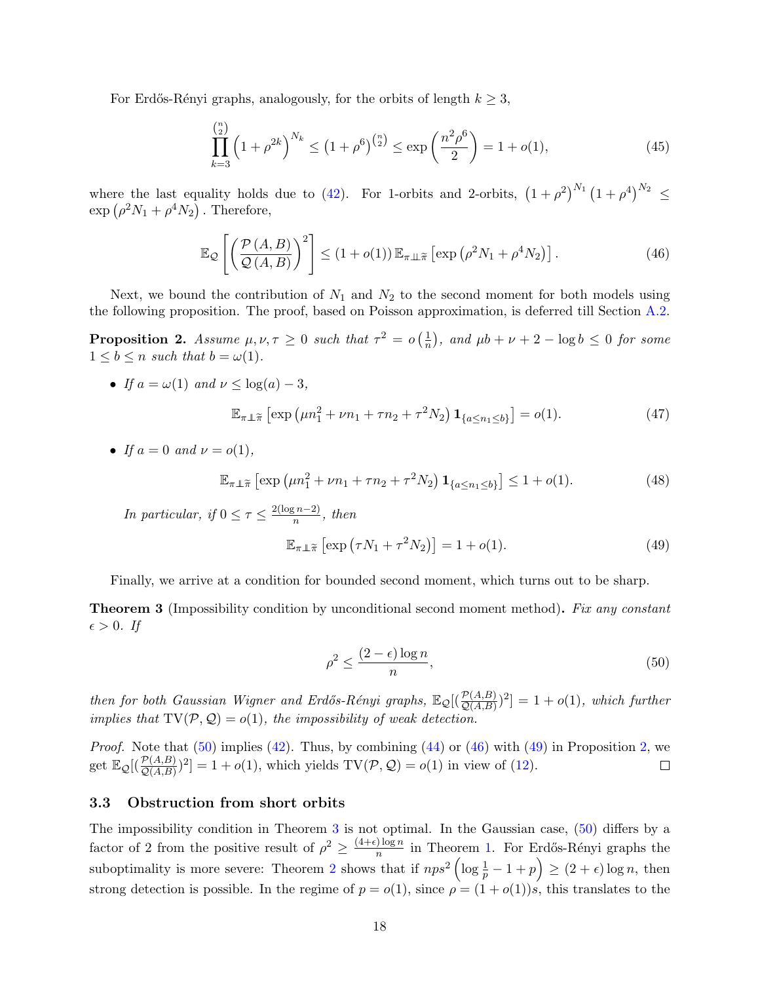For Erdős-Rényi graphs, analogously, for the orbits of length  $k \geq 3$ ,

<span id="page-17-8"></span>
$$
\prod_{k=3}^{\binom{n}{2}} \left(1+\rho^{2k}\right)^{N_k} \le \left(1+\rho^6\right)^{\binom{n}{2}} \le \exp\left(\frac{n^2\rho^6}{2}\right) = 1+o(1),\tag{45}
$$

where the last equality holds due to [\(42\)](#page-16-0). For 1-orbits and 2-orbits,  $(1+\rho^2)^{N_1}(1+\rho^4)^{N_2} \leq$  $\exp\left(\rho^2 N_1 + \rho^4 N_2\right)$ . Therefore,

<span id="page-17-3"></span>
$$
\mathbb{E}_{\mathcal{Q}}\left[\left(\frac{\mathcal{P}\left(A,B\right)}{\mathcal{Q}\left(A,B\right)}\right)^{2}\right] \leq \left(1+o(1)\right)\mathbb{E}_{\pi\perp\tilde{\pi}}\left[\exp\left(\rho^{2}N_{1}+\rho^{4}N_{2}\right)\right].\tag{46}
$$

Next, we bound the contribution of  $N_1$  and  $N_2$  to the second moment for both models using the following proposition. The proof, based on Poisson approximation, is deferred till Section [A.2.](#page-41-0)

<span id="page-17-1"></span>**Proposition 2.** Assume  $\mu, \nu, \tau \geq 0$  such that  $\tau^2 = o\left(\frac{1}{n}\right)$  $(\frac{1}{n})$ , and  $\mu b + \nu + 2 - \log b \leq 0$  for some  $1 \leq b \leq n$  such that  $b = \omega(1)$ .

• If  $a = \omega(1)$  and  $\nu \leq \log(a) - 3$ ,

$$
\mathbb{E}_{\pi \perp \tilde{\pi}} \left[ \exp \left( \mu n_1^2 + \nu n_1 + \tau n_2 + \tau^2 N_2 \right) \mathbf{1}_{\{a \le n_1 \le b\}} \right] = o(1). \tag{47}
$$

• If  $a = 0$  and  $\nu = o(1)$ .

$$
\mathbb{E}_{\pi \perp \tilde{\pi}} \left[ \exp \left( \mu n_1^2 + \nu n_1 + \tau n_2 + \tau^2 N_2 \right) \mathbf{1}_{\{a \le n_1 \le b\}} \right] \le 1 + o(1). \tag{48}
$$

In particular, if  $0 \leq \tau \leq \frac{2(\log n - 2)}{n}$  $\frac{\pi^{(n-2)}}{n}$ , then

<span id="page-17-7"></span><span id="page-17-6"></span>
$$
\mathbb{E}_{\pi \perp \widetilde{\pi}} \left[ \exp \left( \tau N_1 + \tau^2 N_2 \right) \right] = 1 + o(1). \tag{49}
$$

Finally, we arrive at a condition for bounded second moment, which turns out to be sharp.

<span id="page-17-5"></span>**Theorem 3** (Impossibility condition by unconditional second moment method). Fix any constant  $\epsilon > 0$ . If

<span id="page-17-4"></span><span id="page-17-2"></span>
$$
\rho^2 \le \frac{(2 - \epsilon) \log n}{n},\tag{50}
$$

then for both Gaussian Wigner and Erdős-Rényi graphs,  $\mathbb{E}_{\mathcal{Q}}[(\frac{\mathcal{P}(A,B)}{\mathcal{Q}(A,B)})^2] = 1 + o(1)$ , which further implies that  $TV(\mathcal{P}, \mathcal{Q}) = o(1)$ , the impossibility of weak detection.

*Proof.* Note that  $(50)$  implies  $(42)$ . Thus, by combining  $(44)$  or  $(46)$  with  $(49)$  in Proposition [2,](#page-17-1) we get  $\mathbb{E}_{\mathcal{Q}}[(\frac{\mathcal{P}(A,B)}{\mathcal{Q}(A,B)})^2] = 1 + o(1)$ , which yields  $TV(\mathcal{P}, \mathcal{Q}) = o(1)$  in view of [\(12\)](#page-6-4).  $\Box$ 

### <span id="page-17-0"></span>3.3 Obstruction from short orbits

The impossibility condition in Theorem [3](#page-17-5) is not optimal. In the Gaussian case, [\(50\)](#page-17-2) differs by a factor of 2 from the positive result of  $\rho^2 \geq \frac{(4+\epsilon)\log n}{n}$  $\frac{\log n}{n}$  in Theorem [1.](#page-4-1) For Erdős-Rényi graphs the suboptimality is more severe: Theorem [2](#page-4-2) shows that if  $nps^2 \left( \log \frac{1}{p} - 1 + p \right) \ge (2 + \epsilon) \log n$ , then strong detection is possible. In the regime of  $p = o(1)$ , since  $\rho = (1 + o(1))s$ , this translates to the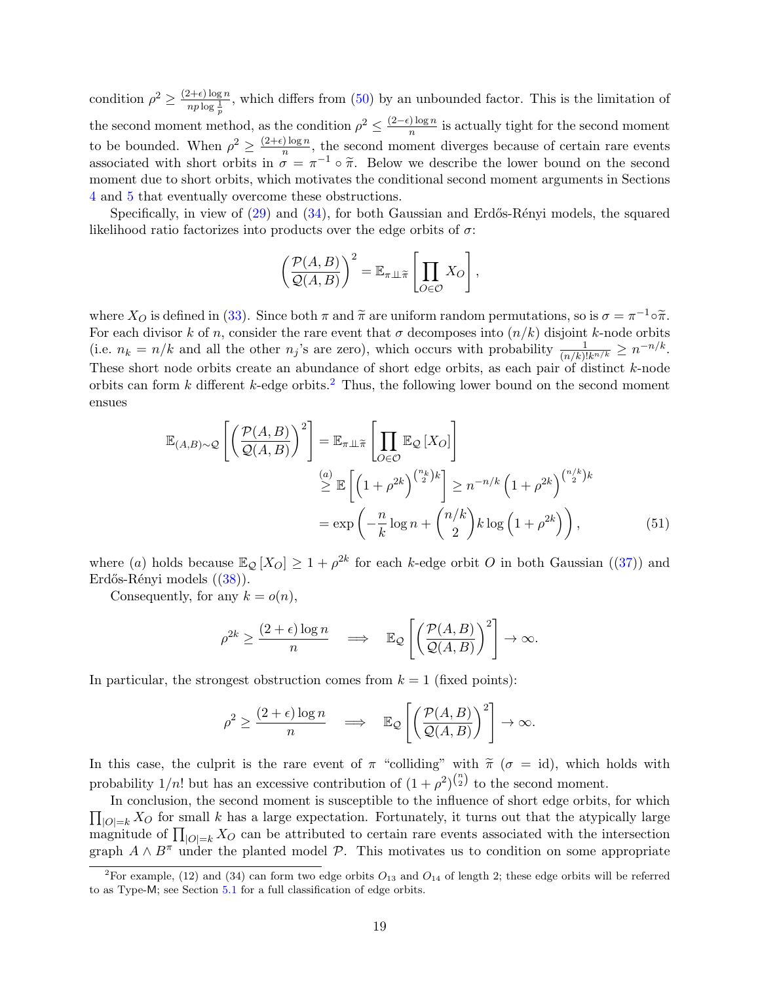condition  $\rho^2 \geq \frac{(2+\epsilon)\log n}{n\ln^{\frac{1}{n}}$  $\frac{a+b}{np \log \frac{1}{p}}$ , which differs from [\(50\)](#page-17-2) by an unbounded factor. This is the limitation of the second moment method, as the condition  $\rho^2 \leq \frac{(2-\epsilon)\log n}{n}$  $\frac{\log n}{n}$  is actually tight for the second moment to be bounded. When  $\rho^2 \geq \frac{(2+\epsilon)\log n}{n}$  $\frac{\log n}{n}$ , the second moment diverges because of certain rare events associated with short orbits in  $\sigma = \pi^{-1} \circ \tilde{\pi}$ . Below we describe the lower bound on the second<br>moment due to short orbits, which motivates the conditional second moment arguments in Sections moment due to short orbits, which motivates the conditional second moment arguments in Sections [4](#page-19-0) and [5](#page-24-0) that eventually overcome these obstructions.

Specifically, in view of  $(29)$  and  $(34)$ , for both Gaussian and Erdős-Rényi models, the squared likelihood ratio factorizes into products over the edge orbits of  $\sigma$ :

$$
\left(\frac{\mathcal{P}(A,B)}{\mathcal{Q}(A,B)}\right)^2 = \mathbb{E}_{\pi \perp \widetilde{\pi}} \left[\prod_{O \in \mathcal{O}} X_O\right],
$$

where  $X_O$  is defined in [\(33\)](#page-14-1). Since both  $\pi$  and  $\tilde{\pi}$  are uniform random permutations, so is  $\sigma = \pi^{-1} \circ \tilde{\pi}$ . For each divisor k of n, consider the rare event that  $\sigma$  decomposes into  $(n/k)$  disjoint k-node orbits (i.e.  $n_k = n/k$  and all the other  $n_j$ 's are zero), which occurs with probability  $\frac{1}{(n/k)!k^{n/k}} \geq n^{-n/k}$ . These short node orbits create an abundance of short edge orbits, as each pair of distinct k-node orbits can form  $k$  different  $k$ -edge orbits.<sup>[2](#page-18-0)</sup> Thus, the following lower bound on the second moment ensues

$$
\mathbb{E}_{(A,B)\sim\mathcal{Q}}\left[\left(\frac{\mathcal{P}(A,B)}{\mathcal{Q}(A,B)}\right)^2\right] = \mathbb{E}_{\pi\perp\widetilde{\pi}}\left[\prod_{O\in\mathcal{O}}\mathbb{E}_{\mathcal{Q}}\left[X_O\right]\right]
$$

$$
\stackrel{(a)}{\geq} \mathbb{E}\left[\left(1+\rho^{2k}\right)^{\binom{n_k}{2}k}\right] \geq n^{-n/k}\left(1+\rho^{2k}\right)^{\binom{n/k}{2}k}
$$

$$
= \exp\left(-\frac{n}{k}\log n + \binom{n/k}{2}k\log\left(1+\rho^{2k}\right)\right),\tag{51}
$$

where (a) holds because  $\mathbb{E}_{\mathcal{Q}}[X_{O}] \geq 1 + \rho^{2k}$  for each k-edge orbit O in both Gaussian ([\(37\)](#page-15-1)) and Erdős-Rényi models  $((38))$  $((38))$  $((38))$ .

Consequently, for any  $k = o(n)$ ,

<span id="page-18-1"></span>
$$
\rho^{2k} \ge \frac{(2+\epsilon)\log n}{n} \quad \Longrightarrow \quad \mathbb{E}_{\mathcal{Q}}\left[\left(\frac{\mathcal{P}(A,B)}{\mathcal{Q}(A,B)}\right)^2\right] \to \infty.
$$

In particular, the strongest obstruction comes from  $k = 1$  (fixed points):

$$
\rho^2 \ge \frac{(2+\epsilon)\log n}{n} \quad \Longrightarrow \quad \mathbb{E}_{\mathcal{Q}}\left[\left(\frac{\mathcal{P}(A,B)}{\mathcal{Q}(A,B)}\right)^2\right] \to \infty.
$$

In this case, the culprit is the rare event of  $\pi$  "colliding" with  $\tilde{\pi}$  ( $\sigma = id$ ), which holds with probability  $1/n!$  but has an excessive contribution of  $(1+\rho^2)^{n \choose 2}$  to the second moment.

In conclusion, the second moment is susceptible to the influence of short edge orbits, for which  $\prod_{|O|=k} X_O$  for small k has a large expectation. Fortunately, it turns out that the atypically large magnitude of  $\prod_{|O|=k} X_O$  can be attributed to certain rare events associated with the intersection graph  $A \wedge B^{\pi}$  under the planted model  $\mathcal{P}$ . This motivates us to condition on some appropriate

<span id="page-18-0"></span><sup>&</sup>lt;sup>2</sup>For example, (12) and (34) can form two edge orbits  $O_{13}$  and  $O_{14}$  of length 2; these edge orbits will be referred to as Type-M; see Section [5.1](#page-28-0) for a full classification of edge orbits.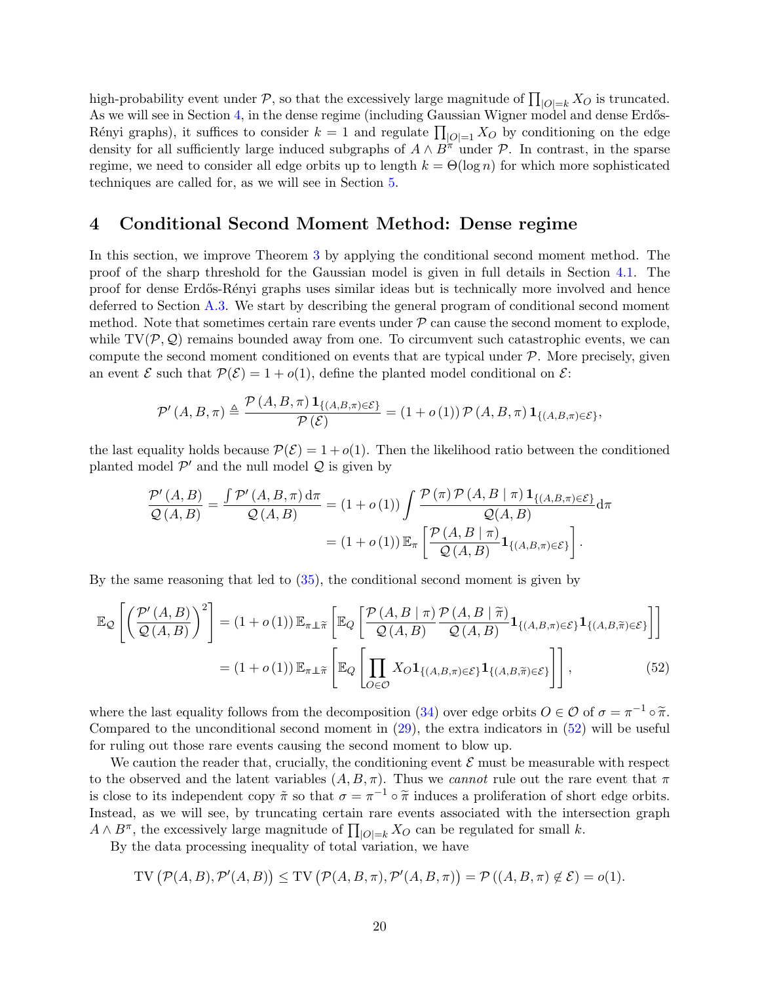high-probability event under  $P$ , so that the excessively large magnitude of  $\prod_{|O|=k} X_O$  is truncated. As we will see in Section [4,](#page-19-0) in the dense regime (including Gaussian Wigner model and dense Erdős-Rényi graphs), it suffices to consider  $k = 1$  and regulate  $\prod_{|O|=1} X_O$  by conditioning on the edge density for all sufficiently large induced subgraphs of  $A \wedge B^{\pi}$  under P. In contrast, in the sparse regime, we need to consider all edge orbits up to length  $k = \Theta(\log n)$  for which more sophisticated techniques are called for, as we will see in Section [5.](#page-24-0)

## <span id="page-19-0"></span>4 Conditional Second Moment Method: Dense regime

In this section, we improve Theorem [3](#page-17-5) by applying the conditional second moment method. The proof of the sharp threshold for the Gaussian model is given in full details in Section [4.1.](#page-20-0) The proof for dense Erdős-Rényi graphs uses similar ideas but is technically more involved and hence deferred to Section [A.3.](#page-42-0) We start by describing the general program of conditional second moment method. Note that sometimes certain rare events under  $P$  can cause the second moment to explode, while  $TV(\mathcal{P}, \mathcal{Q})$  remains bounded away from one. To circumvent such catastrophic events, we can compute the second moment conditioned on events that are typical under  $P$ . More precisely, given an event  $\mathcal E$  such that  $\mathcal P(\mathcal E)=1+o(1)$ , define the planted model conditional on  $\mathcal E$ :

$$
\mathcal{P}'\left(A, B, \pi\right) \triangleq \frac{\mathcal{P}\left(A, B, \pi\right) \mathbf{1}_{\left\{\left(A, B, \pi\right) \in \mathcal{E}\right\}}}{\mathcal{P}\left(\mathcal{E}\right)} = \left(1 + o\left(1\right)\right) \mathcal{P}\left(A, B, \pi\right) \mathbf{1}_{\left\{\left(A, B, \pi\right) \in \mathcal{E}\right\}},
$$

the last equality holds because  $P(\mathcal{E}) = 1 + o(1)$ . Then the likelihood ratio between the conditioned planted model  $\mathcal{P}'$  and the null model  $\mathcal Q$  is given by

<span id="page-19-1"></span>
$$
\frac{\mathcal{P}'(A,B)}{\mathcal{Q}(A,B)} = \frac{\int \mathcal{P}'(A,B,\pi) d\pi}{\mathcal{Q}(A,B)} = (1+o(1)) \int \frac{\mathcal{P}(\pi) \mathcal{P}(A,B \mid \pi) \mathbf{1}_{\{(A,B,\pi) \in \mathcal{E}\}}}{\mathcal{Q}(A,B)} d\pi
$$

$$
= (1+o(1)) \mathbb{E}_{\pi} \left[ \frac{\mathcal{P}(A,B \mid \pi)}{\mathcal{Q}(A,B)} \mathbf{1}_{\{(A,B,\pi) \in \mathcal{E}\}} \right].
$$

By the same reasoning that led to [\(35\)](#page-14-2), the conditional second moment is given by

$$
\mathbb{E}_{\mathcal{Q}}\left[\left(\frac{\mathcal{P}'(A,B)}{\mathcal{Q}(A,B)}\right)^{2}\right] = (1+o(1))\mathbb{E}_{\pi\perp\tilde{\pi}}\left[\mathbb{E}_{Q}\left[\frac{\mathcal{P}(A,B\mid\pi)}{\mathcal{Q}(A,B)}\frac{\mathcal{P}(A,B\mid\tilde{\pi})}{\mathcal{Q}(A,B)}\mathbf{1}_{\{(A,B,\pi)\in\mathcal{E}\}}\mathbf{1}_{\{(A,B,\tilde{\pi})\in\mathcal{E}\}}\right]\right]
$$

$$
= (1+o(1))\mathbb{E}_{\pi\perp\tilde{\pi}}\left[\mathbb{E}_{Q}\left[\prod_{O\in\mathcal{O}}X_{O}\mathbf{1}_{\{(A,B,\pi)\in\mathcal{E}\}}\mathbf{1}_{\{(A,B,\tilde{\pi})\in\mathcal{E}\}}\right]\right],\tag{52}
$$

where the last equality follows from the decomposition [\(34\)](#page-14-4) over edge orbits  $O \in \mathcal{O}$  of  $\sigma = \pi^{-1} \circ \tilde{\pi}$ .<br>Compared to the unconditional second moment in (20), the ortra indicators in (52) will be useful. Compared to the unconditional second moment in  $(29)$ , the extra indicators in  $(52)$  will be useful for ruling out those rare events causing the second moment to blow up.

We caution the reader that, crucially, the conditioning event  $\mathcal E$  must be measurable with respect to the observed and the latent variables  $(A, B, \pi)$ . Thus we *cannot* rule out the rare event that  $\pi$ is close to its independent copy  $\tilde{\pi}$  so that  $\sigma = \pi^{-1} \circ \tilde{\pi}$  induces a proliferation of short edge orbits. Instead, as we will see, by truncating certain rare events associated with the intersection graph  $A \wedge B^{\pi}$ , the excessively large magnitude of  $\prod_{|O|=k} X_O$  can be regulated for small k.

By the data processing inequality of total variation, we have

$$
TV\left(\mathcal{P}(A,B),\mathcal{P}'(A,B)\right) \leq TV\left(\mathcal{P}(A,B,\pi),\mathcal{P}'(A,B,\pi)\right) = \mathcal{P}\left((A,B,\pi) \notin \mathcal{E}\right) = o(1).
$$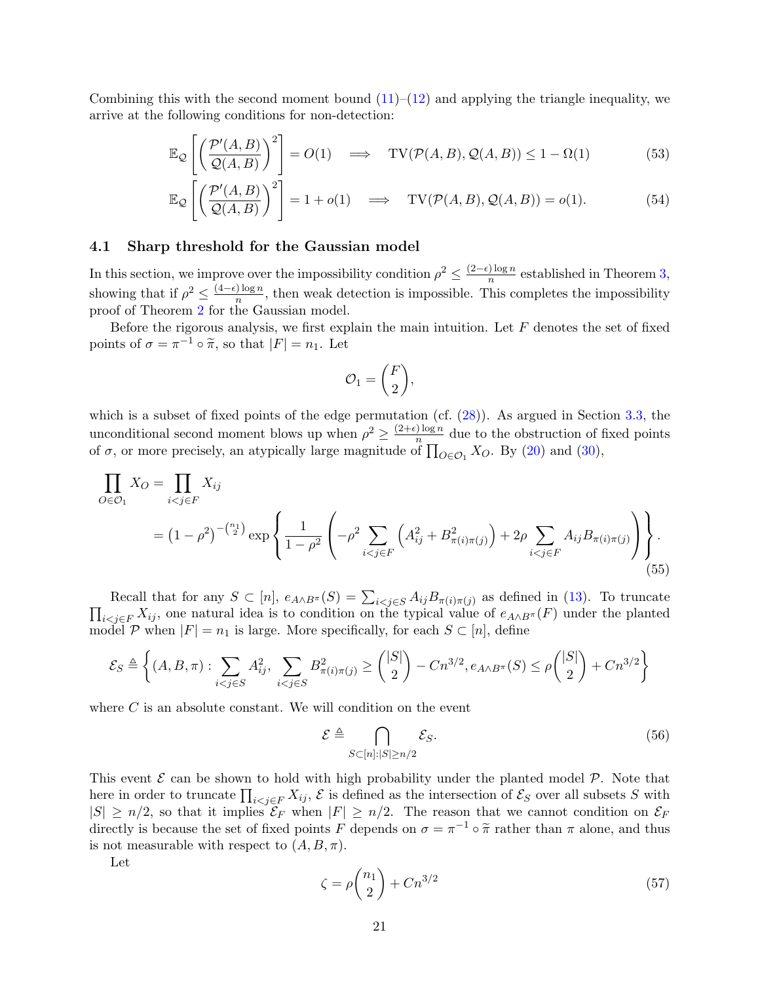Combining this with the second moment bound  $(11)$ – $(12)$  and applying the triangle inequality, we arrive at the following conditions for non-detection:

$$
\mathbb{E}_{\mathcal{Q}}\left[\left(\frac{\mathcal{P}'(A,B)}{\mathcal{Q}(A,B)}\right)^2\right] = O(1) \quad \Longrightarrow \quad \text{TV}(\mathcal{P}(A,B),\mathcal{Q}(A,B)) \le 1 - \Omega(1) \tag{53}
$$

$$
\mathbb{E}_{\mathcal{Q}}\left[\left(\frac{\mathcal{P}'(A,B)}{\mathcal{Q}(A,B)}\right)^2\right] = 1 + o(1) \quad \Longrightarrow \quad \text{TV}(\mathcal{P}(A,B), \mathcal{Q}(A,B)) = o(1). \tag{54}
$$

#### <span id="page-20-0"></span>4.1 Sharp threshold for the Gaussian model

In this section, we improve over the impossibility condition  $\rho^2 \leq \frac{(2-\epsilon)\log n}{n}$  $\frac{n}{\log n}$  established in Theorem [3,](#page-17-5) showing that if  $\rho^2 \leq \frac{(4-\epsilon)\log n}{n}$  $\frac{\log n}{n}$ , then weak detection is impossible. This completes the impossibility proof of Theorem [2](#page-4-2) for the Gaussian model.

Before the rigorous analysis, we first explain the main intuition. Let  $F$  denotes the set of fixed points of  $\sigma = \pi^{-1} \circ \tilde{\pi}$ , so that  $|F| = n_1$ . Let

<span id="page-20-4"></span><span id="page-20-3"></span><span id="page-20-1"></span>
$$
\mathcal{O}_1 = \binom{F}{2},
$$

which is a subset of fixed points of the edge permutation (cf.  $(28)$ ). As argued in Section [3.3,](#page-17-0) the unconditional second moment blows up when  $\rho^2 \geq \frac{(2+\epsilon)\log n}{n}$  $\frac{\log n}{n}$  due to the obstruction of fixed points of  $\sigma$ , or more precisely, an atypically large magnitude of  $\prod_{O \in \mathcal{O}_1} X_O$ . By [\(20\)](#page-11-3) and [\(30\)](#page-14-5),

$$
\prod_{O \in \mathcal{O}_1} X_O = \prod_{i < j \in F} X_{ij}
$$
\n
$$
= \left(1 - \rho^2\right)^{-\binom{n_1}{2}} \exp\left\{\frac{1}{1 - \rho^2} \left( -\rho^2 \sum_{i < j \in F} \left( A_{ij}^2 + B_{\pi(i)\pi(j)}^2 \right) + 2\rho \sum_{i < j \in F} A_{ij} B_{\pi(i)\pi(j)} \right) \right\}.
$$
\n
$$
(55)
$$

Recall that for any  $S \subset [n]$ ,  $e_{A \wedge B^{\pi}}(S) = \sum_{i < j \in S} A_{ij} B_{\pi(i)\pi(j)}$  as defined in [\(13\)](#page-9-2). To truncate  $\prod_{i< j\in F} X_{ij}$ , one natural idea is to condition on the typical value of  $e_{A\wedge B^{\pi}}(F)$  under the planted model P when  $|F| = n_1$  is large. More specifically, for each  $S \subset [n]$ , define

$$
\mathcal{E}_S \triangleq \left\{ (A, B, \pi) : \sum_{i < j \in S} A_{ij}^2, \sum_{i < j \in S} B_{\pi(i)\pi(j)}^2 \ge \binom{|S|}{2} - Cn^{3/2}, e_{A \wedge B^{\pi}}(S) \le \rho \binom{|S|}{2} + Cn^{3/2} \right\}
$$

where  $C$  is an absolute constant. We will condition on the event

<span id="page-20-2"></span>
$$
\mathcal{E} \triangleq \bigcap_{S \subset [n]: |S| \ge n/2} \mathcal{E}_S. \tag{56}
$$

This event  $\mathcal E$  can be shown to hold with high probability under the planted model  $\mathcal P$ . Note that here in order to truncate  $\prod_{i < j \in F} X_{ij}$ ,  $\mathcal E$  is defined as the intersection of  $\mathcal E_S$  over all subsets S with  $|S| \ge n/2$ , so that it implies  $\mathcal{E}_F$  when  $|F| \ge n/2$ . The reason that we cannot condition on  $\mathcal{E}_F$ directly is because the set of fixed points F depends on  $\sigma = \pi^{-1} \circ \tilde{\pi}$  rather than  $\pi$  alone, and thus is not measurable with respect to  $(A, B, \pi)$ .

Let

$$
\zeta = \rho \binom{n_1}{2} + C n^{3/2} \tag{57}
$$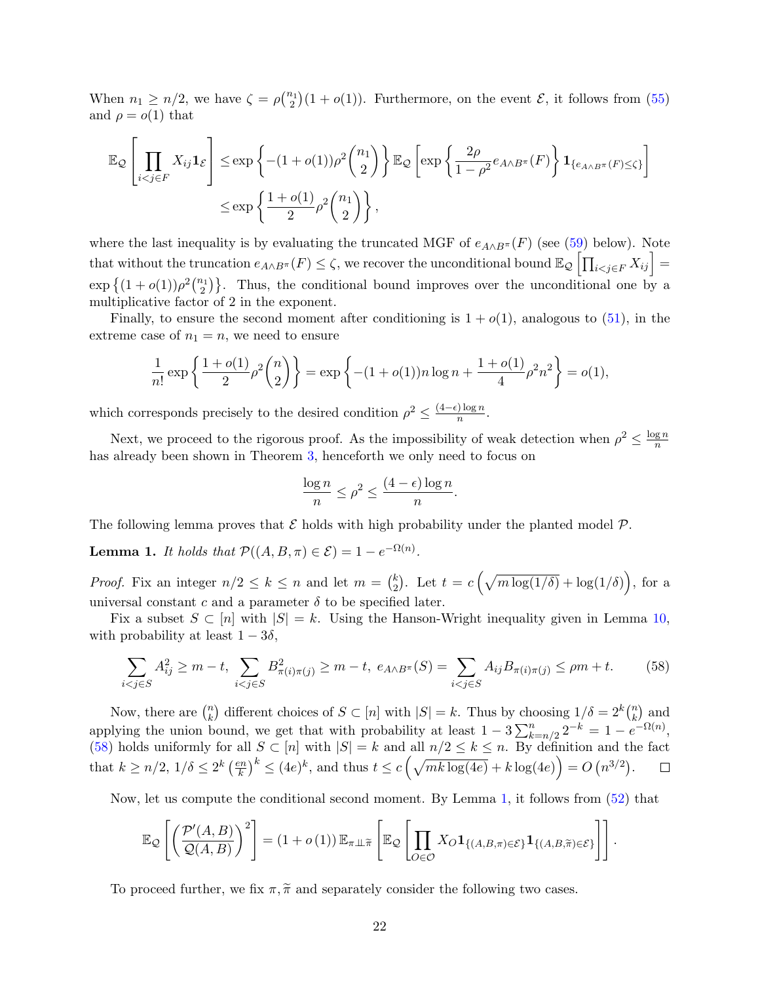When  $n_1 \geq n/2$ , we have  $\zeta = \rho {n_1 \choose 2}(1 + o(1))$ . Furthermore, on the event  $\mathcal{E}$ , it follows from [\(55\)](#page-20-1) and  $\rho = o(1)$  that

$$
\mathbb{E}_{\mathcal{Q}}\left[\prod_{i < j \in F} X_{ij} \mathbf{1}_{\mathcal{E}}\right] \leq \exp\left\{-(1+o(1))\rho^2 \binom{n_1}{2}\right\} \mathbb{E}_{\mathcal{Q}}\left[\exp\left\{\frac{2\rho}{1-\rho^2}e_{A \wedge B^{\pi}}(F)\right\} \mathbf{1}_{\{e_{A \wedge B^{\pi}}(F) \leq \zeta\}}\right]
$$
\n
$$
\leq \exp\left\{\frac{1+o(1)}{2}\rho^2 \binom{n_1}{2}\right\},
$$

where the last inequality is by evaluating the truncated MGF of  $e_{A\wedge B^{\pi}}(F)$  (see [\(59\)](#page-22-0) below). Note that without the truncation  $e_{A\wedge B^{\pi}}(F) \leq \zeta$ , we recover the unconditional bound  $\mathbb{E}_{\mathcal{Q}}\left[\prod_{i< j\in F}X_{ij}\right] =$  $\exp\left\{(1+o(1))\rho^2\binom{n_1}{2}\right\}$ . Thus, the conditional bound improves over the unconditional one by a multiplicative factor of 2 in the exponent.

Finally, to ensure the second moment after conditioning is  $1 + o(1)$ , analogous to [\(51\)](#page-18-1), in the extreme case of  $n_1 = n$ , we need to ensure

$$
\frac{1}{n!} \exp\left\{\frac{1+o(1)}{2}\rho^2 \binom{n}{2}\right\} = \exp\left\{-\left(1+o(1)\right)n\log n + \frac{1+o(1)}{4}\rho^2 n^2\right\} = o(1),
$$

which corresponds precisely to the desired condition  $\rho^2 \leq \frac{(4-\epsilon)\log n}{n}$  $\frac{n}{\log n}$ .

Next, we proceed to the rigorous proof. As the impossibility of weak detection when  $\rho^2 \leq \frac{\log n}{n}$  $\overline{n}$ has already been shown in Theorem [3,](#page-17-5) henceforth we only need to focus on

<span id="page-21-0"></span>
$$
\frac{\log n}{n} \le \rho^2 \le \frac{(4-\epsilon)\log n}{n}.
$$

The following lemma proves that  $\mathcal E$  holds with high probability under the planted model  $\mathcal P$ .

<span id="page-21-1"></span>**Lemma 1.** It holds that  $\mathcal{P}((A, B, \pi) \in \mathcal{E}) = 1 - e^{-\Omega(n)}$ .

*Proof.* Fix an integer  $n/2 \leq k \leq n$  and let  $m = \binom{k}{2}$ <sup>k</sup><sub>2</sub>). Let  $t = c \left(\sqrt{m \log(1/\delta)} + \log(1/\delta)\right)$ , for a universal constant c and a parameter  $\delta$  to be specified later.

Fix a subset  $S \subset [n]$  with  $|S| = k$ . Using the Hanson-Wright inequality given in Lemma [10,](#page-60-1) with probability at least  $1 - 3\delta$ ,

$$
\sum_{i < j \in S} A_{ij}^2 \ge m - t, \sum_{i < j \in S} B_{\pi(i)\pi(j)}^2 \ge m - t, \ e_{A \wedge B^{\pi}}(S) = \sum_{i < j \in S} A_{ij} B_{\pi(i)\pi(j)} \le \rho m + t. \tag{58}
$$

Now, there are  $\binom{n}{k}$  $\binom{n}{k}$  different choices of  $S \subset [n]$  with  $|S| = k$ . Thus by choosing  $1/\delta = 2^k \binom{n}{k}$  $\binom{n}{k}$  and applying the union bound, we get that with probability at least  $1 - 3 \sum_{k=n/2}^{n} 2^{-k} = 1 - e^{-\Omega(n)}$ , [\(58\)](#page-21-0) holds uniformly for all  $S \subset [n]$  with  $|S| = k$  and all  $n/2 \le k \le n$ . By definition and the fact that  $k \geq n/2, 1/\delta \leq 2^k \left(\frac{en}{k}\right)$  $\left(\frac{kn}{k}\right)^k \leq (4e)^k$ , and thus  $t \leq c\left(\sqrt{mk\log(4e)} + k\log(4e)\right) = O\left(n^{3/2}\right)$ .

Now, let us compute the conditional second moment. By Lemma [1,](#page-21-1) it follows from [\(52\)](#page-19-1) that

$$
\mathbb{E}_{\mathcal{Q}}\left[\left(\frac{\mathcal{P}'(A,B)}{\mathcal{Q}(A,B)}\right)^2\right] = (1+o(1))\,\mathbb{E}_{\pi\perp\widetilde{\pi}}\left[\mathbb{E}_{\mathcal{Q}}\left[\prod_{O\in\mathcal{O}}X_O\mathbf{1}_{\{(A,B,\pi)\in\mathcal{E}\}}\mathbf{1}_{\{(A,B,\widetilde{\pi})\in\mathcal{E}\}}\right]\right].
$$

To proceed further, we fix  $\pi, \tilde{\pi}$  and separately consider the following two cases.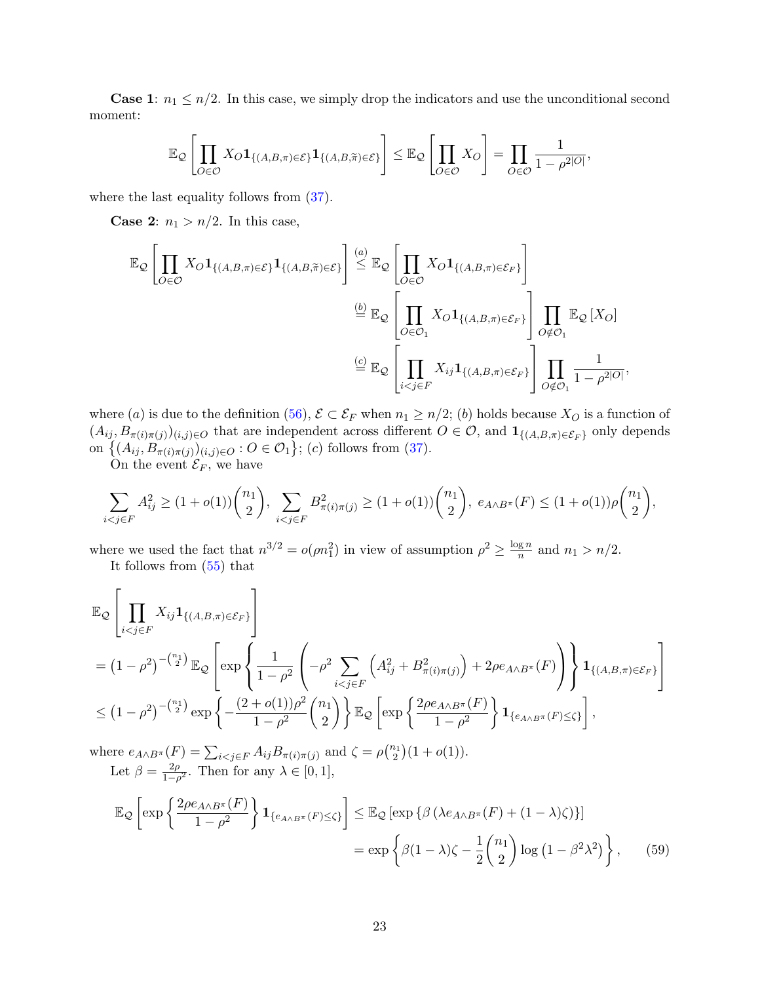**Case 1:**  $n_1 \leq n/2$ . In this case, we simply drop the indicators and use the unconditional second moment:

$$
\mathbb{E}_{\mathcal{Q}}\left[\prod_{O\in\mathcal{O}}X_O\mathbf{1}_{\{(A,B,\pi)\in\mathcal{E}\}}\mathbf{1}_{\{(A,B,\widetilde{\pi})\in\mathcal{E}\}}\right]\leq \mathbb{E}_{\mathcal{Q}}\left[\prod_{O\in\mathcal{O}}X_O\right]=\prod_{O\in\mathcal{O}}\frac{1}{1-\rho^{2|O|}},
$$

where the last equality follows from  $(37)$ .

**Case 2:**  $n_1 > n/2$ . In this case,

$$
\mathbb{E}_{\mathcal{Q}}\left[\prod_{O\in\mathcal{O}}X_O\mathbf{1}_{\{(A,B,\pi)\in\mathcal{E}\}}\mathbf{1}_{\{(A,B,\widetilde{\pi})\in\mathcal{E}\}}\right] \stackrel{(a)}{\leq} \mathbb{E}_{\mathcal{Q}}\left[\prod_{O\in\mathcal{O}}X_O\mathbf{1}_{\{(A,B,\pi)\in\mathcal{E}_F\}}\right]
$$

$$
\stackrel{(b)}{=} \mathbb{E}_{\mathcal{Q}}\left[\prod_{O\in\mathcal{O}_1}X_O\mathbf{1}_{\{(A,B,\pi)\in\mathcal{E}_F\}}\right]\prod_{O\notin\mathcal{O}_1}\mathbb{E}_{\mathcal{Q}}\left[X_O\right]
$$

$$
\stackrel{(c)}{=} \mathbb{E}_{\mathcal{Q}}\left[\prod_{i
$$

where (a) is due to the definition [\(56\)](#page-20-2),  $\mathcal{E} \subset \mathcal{E}_F$  when  $n_1 \geq n/2$ ; (b) holds because  $X_O$  is a function of  $(A_{ij}, B_{\pi(i)\pi(j)})_{(i,j)\in O}$  that are independent across different  $O\in O$ , and  $\mathbf{1}_{\{(A,B,\pi)\in \mathcal{E}_F\}}$  only depends on  $\{(A_{ij}, B_{\pi(i)\pi(j)})_{(i,j)\in O} : O \in O_1\}$ ; (c) follows from [\(37\)](#page-15-1).

On the event  $\mathcal{E}_F$ , we have

$$
\sum_{i < j \in F} A_{ij}^2 \ge (1 + o(1)) \binom{n_1}{2}, \sum_{i < j \in F} B_{\pi(i)\pi(j)}^2 \ge (1 + o(1)) \binom{n_1}{2}, \ e_{A \wedge B^{\pi}}(F) \le (1 + o(1)) \rho \binom{n_1}{2},
$$

where we used the fact that  $n^{3/2} = o(\rho n_1^2)$  in view of assumption  $\rho^2 \ge \frac{\log n}{n}$  $\frac{q}{n}$  and  $n_1 > n/2$ . It follows from [\(55\)](#page-20-1) that

$$
\mathbb{E}_{\mathcal{Q}}\left[\prod_{i < j \in F} X_{ij} \mathbf{1}_{\{(A,B,\pi) \in \mathcal{E}_F\}}\right]
$$
\n
$$
= \left(1 - \rho^2\right)^{-\binom{n_1}{2}} \mathbb{E}_{\mathcal{Q}}\left[\exp\left\{\frac{1}{1 - \rho^2} \left(-\rho^2 \sum_{i < j \in F} \left(A_{ij}^2 + B_{\pi(i)\pi(j)}^2\right) + 2\rho e_{A \wedge B^{\pi}}(F)\right)\right\} \mathbf{1}_{\{(A,B,\pi) \in \mathcal{E}_F\}}\right]
$$
\n
$$
\leq \left(1 - \rho^2\right)^{-\binom{n_1}{2}} \exp\left\{-\frac{(2 + o(1))\rho^2}{1 - \rho^2} \binom{n_1}{2}\right\} \mathbb{E}_{\mathcal{Q}}\left[\exp\left\{\frac{2\rho e_{A \wedge B^{\pi}}(F)}{1 - \rho^2}\right\} \mathbf{1}_{\{e_{A \wedge B^{\pi}}(F) \leq \zeta\}}\right],
$$

where  $e_{A \wedge B^{\pi}}(F) = \sum_{i < j \in F} A_{ij} B_{\pi(i)\pi(j)}$  and  $\zeta = \rho\binom{n_1}{2}(1+o(1)).$ Let  $\beta = \frac{2\rho}{1-\beta}$  $\frac{2\rho}{1-\rho^2}$ . Then for any  $\lambda \in [0,1],$ 

<span id="page-22-0"></span>
$$
\mathbb{E}_{\mathcal{Q}}\left[\exp\left\{\frac{2\rho e_{A\wedge B^{\pi}}(F)}{1-\rho^{2}}\right\}\mathbf{1}_{\{e_{A\wedge B^{\pi}}(F)\leq\zeta\}}\right] \leq \mathbb{E}_{\mathcal{Q}}\left[\exp\left\{\beta\left(\lambda e_{A\wedge B^{\pi}}(F) + (1-\lambda)\zeta\right)\right\}\right]
$$

$$
= \exp\left\{\beta(1-\lambda)\zeta - \frac{1}{2}\binom{n_{1}}{2}\log\left(1-\beta^{2}\lambda^{2}\right)\right\},\qquad(59)
$$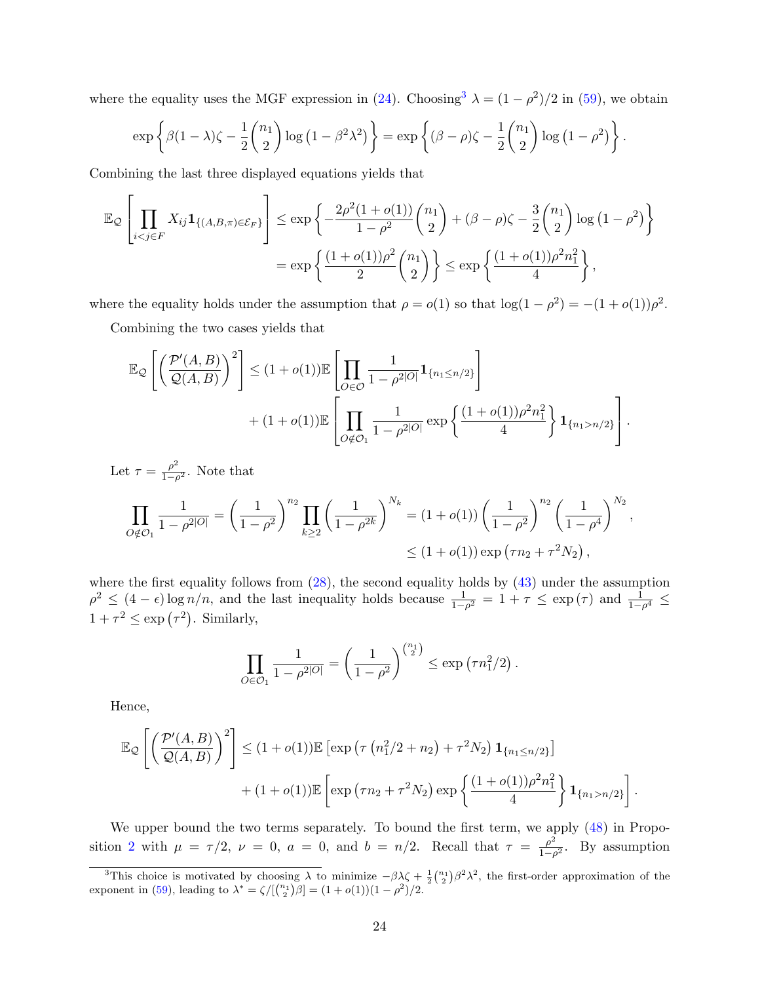where the equality uses the MGF expression in [\(24\)](#page-11-5). Choosing<sup>[3](#page-23-0)</sup>  $\lambda = (1 - \rho^2)/2$  in [\(59\)](#page-22-0), we obtain

$$
\exp\left\{\beta(1-\lambda)\zeta-\frac{1}{2}\binom{n_1}{2}\log\left(1-\beta^2\lambda^2\right)\right\}=\exp\left\{(\beta-\rho)\zeta-\frac{1}{2}\binom{n_1}{2}\log\left(1-\rho^2\right)\right\}.
$$

Combining the last three displayed equations yields that

$$
\mathbb{E}_{\mathcal{Q}}\left[\prod_{i < j \in F} X_{ij} \mathbf{1}_{\{(A,B,\pi) \in \mathcal{E}_F\}}\right] \le \exp\left\{-\frac{2\rho^2(1+o(1))}{1-\rho^2} \binom{n_1}{2} + (\beta-\rho)\zeta - \frac{3}{2} \binom{n_1}{2} \log\left(1-\rho^2\right) \right\}
$$
\n
$$
= \exp\left\{\frac{(1+o(1))\rho^2}{2} \binom{n_1}{2}\right\} \le \exp\left\{\frac{(1+o(1))\rho^2 n_1^2}{4}\right\},
$$

where the equality holds under the assumption that  $\rho = o(1)$  so that  $\log(1 - \rho^2) = -(1 + o(1))\rho^2$ .

Combining the two cases yields that

$$
\mathbb{E}_{\mathcal{Q}}\left[\left(\frac{\mathcal{P}'(A,B)}{\mathcal{Q}(A,B)}\right)^2\right] \leq (1+o(1))\mathbb{E}\left[\prod_{O\in\mathcal{O}}\frac{1}{1-\rho^{2|O|}}\mathbf{1}_{\{n_1\leq n/2\}}\right] + (1+o(1))\mathbb{E}\left[\prod_{O\notin\mathcal{O}_1}\frac{1}{1-\rho^{2|O|}}\exp\left\{\frac{(1+o(1))\rho^2n_1^2}{4}\right\}\mathbf{1}_{\{n_1>n/2\}}\right].
$$

Let 
$$
\tau = \frac{\rho^2}{1 - \rho^2}
$$
. Note that  
\n
$$
\prod_{O \notin \mathcal{O}_1} \frac{1}{1 - \rho^{2|O|}} = \left(\frac{1}{1 - \rho^2}\right)^{n_2} \prod_{k \ge 2} \left(\frac{1}{1 - \rho^{2k}}\right)^{N_k} = (1 + o(1)) \left(\frac{1}{1 - \rho^2}\right)^{n_2} \left(\frac{1}{1 - \rho^4}\right)^{N_2},
$$
\n
$$
\le (1 + o(1)) \exp\left(\tau n_2 + \tau^2 N_2\right),
$$

where the first equality follows from  $(28)$ , the second equality holds by  $(43)$  under the assumption  $\rho^2 \leq (4 - \epsilon) \log n/n$ , and the last inequality holds because  $\frac{1}{1-\rho^2} = 1 + \tau \leq \exp(\tau)$  and  $\frac{1}{1-\rho^4} \leq$  $1 + \tau^2 \leq \exp(\tau^2)$ . Similarly,

$$
\prod_{O \in \mathcal{O}_1} \frac{1}{1 - \rho^{2|O|}} = \left(\frac{1}{1 - \rho^2}\right)^{\binom{n_1}{2}} \le \exp\left(\tau n_1^2 / 2\right).
$$

Hence,

$$
\mathbb{E}_{\mathcal{Q}}\left[\left(\frac{\mathcal{P}'(A,B)}{\mathcal{Q}(A,B)}\right)^2\right] \leq (1+o(1))\mathbb{E}\left[\exp\left(\tau\left(n_1^2/2+n_2\right)+\tau^2N_2\right)\mathbf{1}_{\{n_1\leq n/2\}}\right] + (1+o(1))\mathbb{E}\left[\exp\left(\tau n_2+\tau^2 N_2\right)\exp\left\{\frac{(1+o(1))\rho^2 n_1^2}{4}\right\}\mathbf{1}_{\{n_1>n/2\}}\right].
$$

We upper bound the two terms separately. To bound the first term, we apply  $(48)$  in Propo-sition [2](#page-17-1) with  $\mu = \tau/2$ ,  $\nu = 0$ ,  $a = 0$ , and  $b = n/2$ . Recall that  $\tau = \frac{\rho^2}{1-\rho^2}$  $\frac{\rho^2}{1-\rho^2}$ . By assumption

<span id="page-23-0"></span><sup>&</sup>lt;sup>3</sup>This choice is motivated by choosing  $\lambda$  to minimize  $-\beta\lambda\zeta + \frac{1}{2}\binom{n_1}{2}\beta^2\lambda^2$ , the first-order approximation of the exponent in [\(59\)](#page-22-0), leading to  $\lambda^* = \zeta/[(\binom{n_1}{2}\beta] = (1 + o(1))(1 - \rho^2)/2$ .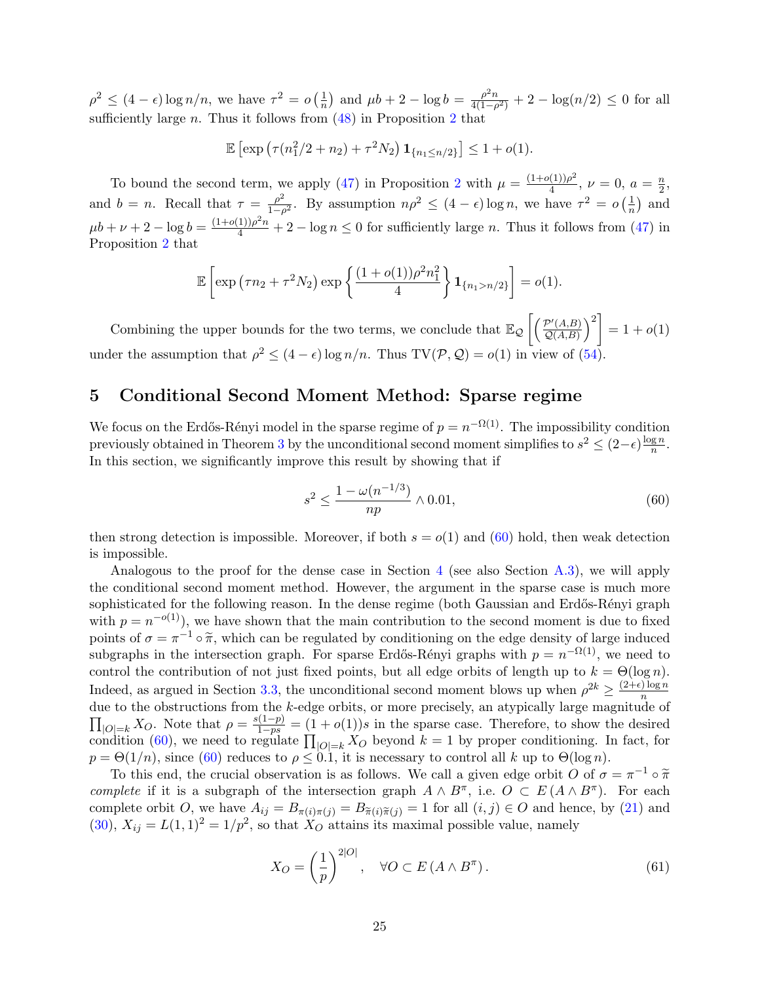$\rho^2 \leq (4 - \epsilon) \log n/n$ , we have  $\tau^2 = o\left(\frac{1}{n}\right)$  $\frac{1}{n}$ ) and  $\mu b + 2 - \log b = \frac{\rho^2 n}{4(1-\rho)}$  $\frac{\rho^2 n}{4(1-\rho^2)} + 2 - \log(n/2) \leq 0$  for all sufficiently large  $n$ . Thus it follows from  $(48)$  in Proposition [2](#page-17-1) that

$$
\mathbb{E}\left[\exp\left(\tau(n_1^2/2+n_2)+\tau^2N_2\right)\mathbf{1}_{\{n_1\leq n/2\}}\right] \leq 1+o(1).
$$

To bound the second term, we apply [\(47\)](#page-17-7) in Proposition [2](#page-17-1) with  $\mu = \frac{(1+o(1))\rho^2}{4}$  $\frac{(1))\rho^2}{4}, \nu = 0, a = \frac{n}{2}$  $\frac{n}{2}$ and  $b = n$ . Recall that  $\tau = \frac{\rho^2}{1 - \rho^2}$  $\frac{\rho^2}{1-\rho^2}$ . By assumption  $n\rho^2 \leq (4-\epsilon)\log n$ , we have  $\tau^2 = o\left(\frac{1}{n}\right)$  $\frac{1}{n}$  and  $\mu b + \nu + 2 - \log b = \frac{(1 + o(1))\rho^2 n}{4} + 2 - \log n \le 0$  for sufficiently large *n*. Thus it follows from [\(47\)](#page-17-7) in Proposition [2](#page-17-1) that

$$
\mathbb{E}\left[\exp\left(\tau n_2 + \tau^2 N_2\right) \exp\left\{\frac{(1+o(1))\rho^2 n_1^2}{4}\right\} \mathbf{1}_{\{n_1 > n/2\}}\right] = o(1).
$$

Combining the upper bounds for the two terms, we conclude that  $\mathbb{E}_{\mathcal{Q}}\left[\left(\frac{\mathcal{P}'(A,B)}{\mathcal{Q}(A,B)}\right)\right]$  $\left[\frac{\mathcal{P}'(A,B)}{\mathcal{Q}(A,B)}\right)^2 = 1 + o(1)$ under the assumption that  $\rho^2 \leq (4 - \epsilon) \log n/n$ . Thus TV(P, Q) =  $o(1)$  in view of [\(54\)](#page-20-3).

## <span id="page-24-0"></span>5 Conditional Second Moment Method: Sparse regime

We focus on the Erdős-Rényi model in the sparse regime of  $p = n^{-\Omega(1)}$ . The impossibility condition previously obtained in Theorem [3](#page-17-5) by the unconditional second moment simplifies to  $s^2 \leq (2-\epsilon)\frac{\log n}{n}$  $\frac{\mathbf{g}\,n}{n}$ . In this section, we significantly improve this result by showing that if

<span id="page-24-1"></span>
$$
s^2 \le \frac{1 - \omega(n^{-1/3})}{np} \wedge 0.01,\tag{60}
$$

then strong detection is impossible. Moreover, if both  $s = o(1)$  and  $(60)$  hold, then weak detection is impossible.

Analogous to the proof for the dense case in Section [4](#page-19-0) (see also Section [A.3\)](#page-42-0), we will apply the conditional second moment method. However, the argument in the sparse case is much more sophisticated for the following reason. In the dense regime (both Gaussian and Erdős-Rényi graph with  $p = n^{-o(1)}$ , we have shown that the main contribution to the second moment is due to fixed points of  $\sigma = \pi^{-1} \circ \tilde{\pi}$ , which can be regulated by conditioning on the edge density of large induced<br>subgraphs in the intersection graph. For grapes Freeze Bonyi graphs with  $n = n^{-\Omega(1)}$  we need to subgraphs in the intersection graph. For sparse Erdős-Rényi graphs with  $p = n^{-\Omega(1)}$ , we need to control the contribution of not just fixed points, but all edge orbits of length up to  $k = \Theta(\log n)$ . Indeed, as argued in Section [3.3,](#page-17-0) the unconditional second moment blows up when  $\rho^{2k} \geq \frac{(2+\epsilon)\log n}{n}$  $\overline{n}$ due to the obstructions from the k-edge orbits, or more precisely, an atypically large magnitude of  $\prod_{|O|=k} X_O$ . Note that  $\rho = \frac{s(1-p)}{1-ps} = (1+o(1))s$  in the sparse case. Therefore, to show the desired condition [\(60\)](#page-24-1), we need to regulate  $\prod_{|O|=k} X_O$  beyond  $k = 1$  by proper conditioning. In fact, for  $p = \Theta(1/n)$ , since [\(60\)](#page-24-1) reduces to  $\rho \leq 0.1$ , it is necessary to control all k up to  $\Theta(\log n)$ .

To this end, the crucial observation is as follows. We call a given edge orbit O of  $\sigma = \pi^{-1} \circ \tilde{\pi}$ <br>realets if it is a subgraph of the intersection graph  $A \wedge B^{\pi}$  is  $O \subset F(A \wedge B^{\pi})$ . For each complete if it is a subgraph of the intersection graph  $A \wedge B^{\pi}$ , i.e.  $O \subset E(A \wedge B^{\pi})$ . For each complete orbit O, we have  $A_{ij} = B_{\pi(i)\pi(j)} = B_{\tilde{\pi}(i)\tilde{\pi}(j)} = 1$  for all  $(i, j) \in O$  and hence, by [\(21\)](#page-11-4) and [\(30\)](#page-14-5),  $X_{ij} = L(1,1)^2 = 1/p^2$ , so that  $X_O$  attains its maximal possible value, namely

<span id="page-24-2"></span>
$$
X_O = \left(\frac{1}{p}\right)^{2|O|}, \quad \forall O \subset E\left(A \wedge B^{\pi}\right). \tag{61}
$$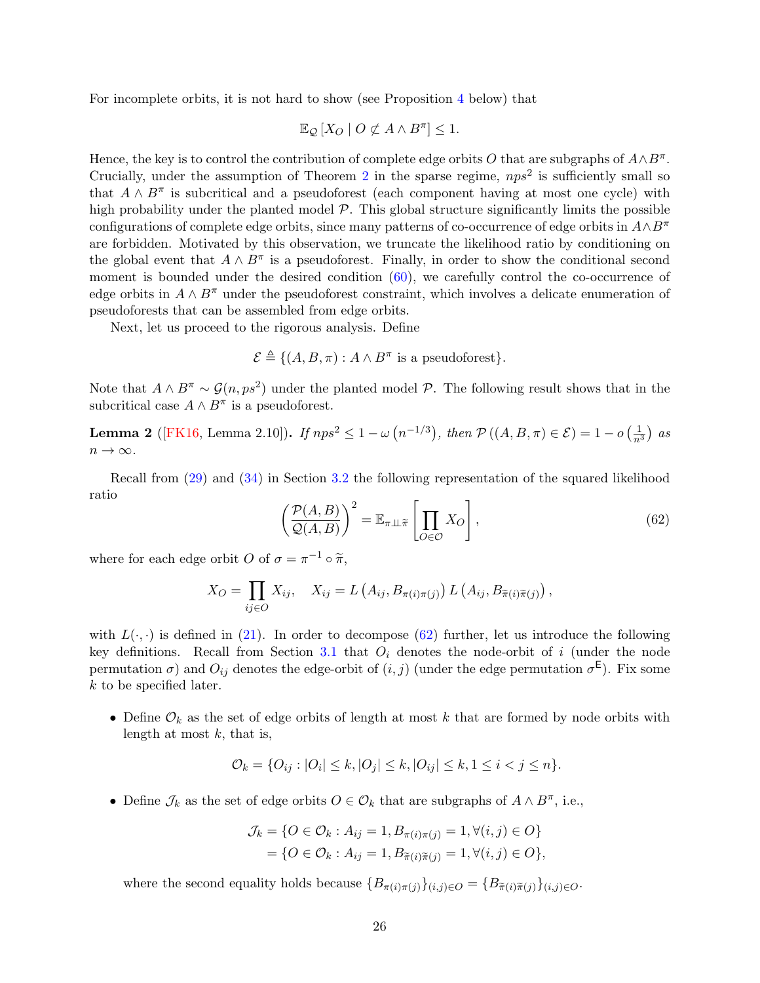For incomplete orbits, it is not hard to show (see Proposition [4](#page-27-2) below) that

$$
\mathbb{E}_{\mathcal{Q}}\left[X_O \mid O \not\subset A \land B^{\pi}\right] \leq 1.
$$

Hence, the key is to control the contribution of complete edge orbits O that are subgraphs of  $A \wedge B^{\pi}$ . Crucially, under the assumption of Theorem [2](#page-4-2) in the sparse regime,  $nps^2$  is sufficiently small so that  $A \wedge B^{\pi}$  is subcritical and a pseudoforest (each component having at most one cycle) with high probability under the planted model  $P$ . This global structure significantly limits the possible configurations of complete edge orbits, since many patterns of co-occurrence of edge orbits in  $A \wedge B^{\pi}$ are forbidden. Motivated by this observation, we truncate the likelihood ratio by conditioning on the global event that  $A \wedge B^{\pi}$  is a pseudoforest. Finally, in order to show the conditional second moment is bounded under the desired condition  $(60)$ , we carefully control the co-occurrence of edge orbits in  $A \wedge B^{\pi}$  under the pseudoforest constraint, which involves a delicate enumeration of pseudoforests that can be assembled from edge orbits.

Next, let us proceed to the rigorous analysis. Define

$$
\mathcal{E} \triangleq \{ (A, B, \pi) : A \wedge B^{\pi} \text{ is a pseudoforest} \}.
$$

Note that  $A \wedge B^{\pi} \sim \mathcal{G}(n, ps^2)$  under the planted model P. The following result shows that in the subcritical case  $A \wedge B^{\pi}$  is a pseudoforest.

<span id="page-25-1"></span>**Lemma 2** ([\[FK16,](#page-63-11) Lemma 2.10]). If  $nps^2 \le 1 - \omega(n^{-1/3})$ , then  $P((A, B, \pi) \in \mathcal{E}) = 1 - o(\frac{1}{n^3})$  as  $n \to \infty$ .

<span id="page-25-0"></span>Recall from [\(29\)](#page-14-3) and [\(34\)](#page-14-4) in Section [3.2](#page-13-2) the following representation of the squared likelihood ratio

$$
\left(\frac{\mathcal{P}(A,B)}{\mathcal{Q}(A,B)}\right)^2 = \mathbb{E}_{\pi \perp \widetilde{\pi}} \left[\prod_{O \in \mathcal{O}} X_O\right],\tag{62}
$$

where for each edge orbit O of  $\sigma = \pi^{-1} \circ \tilde{\pi}$ ,

$$
X_O = \prod_{ij \in O} X_{ij}, \quad X_{ij} = L\left(A_{ij}, B_{\pi(i)\pi(j)}\right) L\left(A_{ij}, B_{\tilde{\pi}(i)\tilde{\pi}(j)}\right),
$$

with  $L(\cdot, \cdot)$  is defined in [\(21\)](#page-11-4). In order to decompose [\(62\)](#page-25-0) further, let us introduce the following key definitions. Recall from Section [3.1](#page-13-1) that  $O_i$  denotes the node-orbit of i (under the node permutation  $\sigma$ ) and  $O_{ij}$  denotes the edge-orbit of  $(i, j)$  (under the edge permutation  $\sigma^{\mathsf{E}}$ ). Fix some k to be specified later.

• Define  $\mathcal{O}_k$  as the set of edge orbits of length at most k that are formed by node orbits with length at most  $k$ , that is,

$$
\mathcal{O}_k = \{O_{ij} : |O_i| \le k, |O_j| \le k, |O_{ij}| \le k, 1 \le i < j \le n\}.
$$

• Define  $\mathcal{J}_k$  as the set of edge orbits  $O \in \mathcal{O}_k$  that are subgraphs of  $A \wedge B^{\pi}$ , i.e.,

$$
\mathcal{J}_k = \{ O \in \mathcal{O}_k : A_{ij} = 1, B_{\pi(i)\pi(j)} = 1, \forall (i, j) \in O \} \n= \{ O \in \mathcal{O}_k : A_{ij} = 1, B_{\widetilde{\pi}(i)\widetilde{\pi}(j)} = 1, \forall (i, j) \in O \},
$$

where the second equality holds because  ${B_{\pi(i)\pi(j)}\}_{(i,j)\in O} = {B_{\pi(i)\pi(j)}\}_{(i,j)\in O}$ .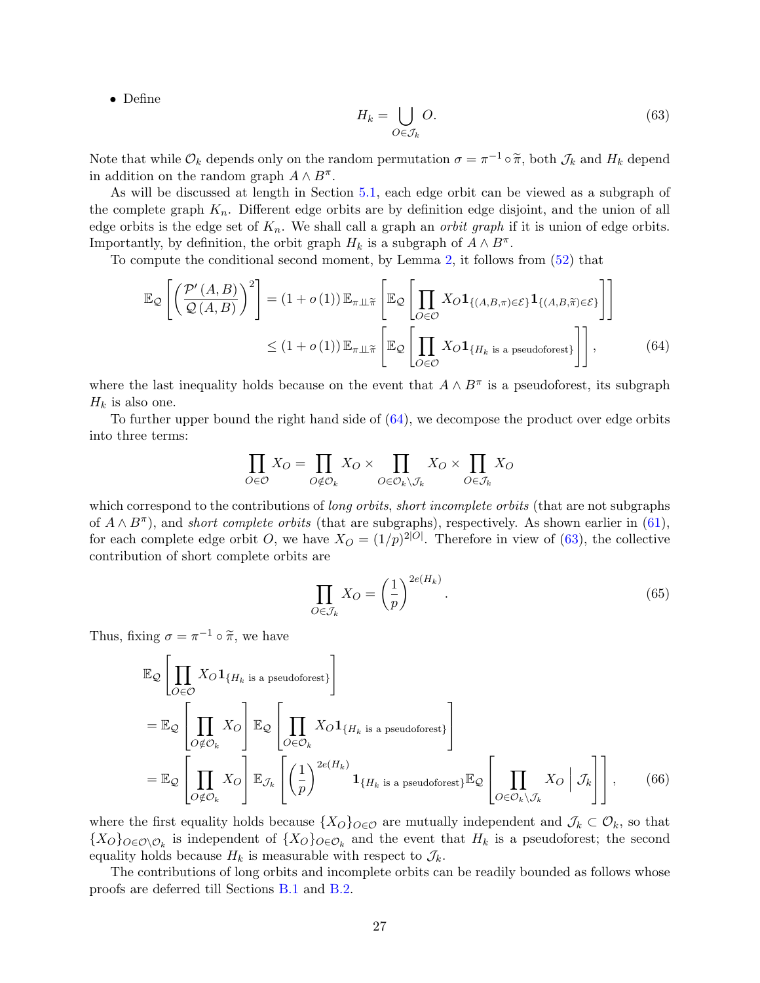<span id="page-26-1"></span>• Define

<span id="page-26-0"></span>
$$
H_k = \bigcup_{O \in \mathcal{J}_k} O. \tag{63}
$$

Note that while  $\mathcal{O}_k$  depends only on the random permutation  $\sigma = \pi^{-1} \circ \widetilde{\pi}$ , both  $\mathcal{J}_k$  and  $H_k$  depend<br>in addition on the random graph  $A \wedge B^{\pi}$ in addition on the random graph  $A \wedge B^{\pi}$ .

As will be discussed at length in Section [5.1,](#page-28-0) each edge orbit can be viewed as a subgraph of the complete graph  $K_n$ . Different edge orbits are by definition edge disjoint, and the union of all edge orbits is the edge set of  $K_n$ . We shall call a graph an *orbit graph* if it is union of edge orbits. Importantly, by definition, the orbit graph  $H_k$  is a subgraph of  $A \wedge B^{\pi}$ .

To compute the conditional second moment, by Lemma [2,](#page-25-1) it follows from [\(52\)](#page-19-1) that

$$
\mathbb{E}_{\mathcal{Q}}\left[\left(\frac{\mathcal{P}'\left(A,B\right)}{\mathcal{Q}\left(A,B\right)}\right)^{2}\right] = \left(1+o\left(1\right)\right)\mathbb{E}_{\pi\perp\tilde{\pi}}\left[\mathbb{E}_{\mathcal{Q}}\left[\prod_{O\in\mathcal{O}}X_{O}\mathbf{1}_{\{(A,B,\pi)\in\mathcal{E}\}}\mathbf{1}_{\{(A,B,\tilde{\pi})\in\mathcal{E}\}}\right]\right] \leq \left(1+o\left(1\right)\right)\mathbb{E}_{\pi\perp\tilde{\pi}}\left[\mathbb{E}_{\mathcal{Q}}\left[\prod_{O\in\mathcal{O}}X_{O}\mathbf{1}_{\{H_{k}\text{ is a pseudoforest}\}}\right]\right],\tag{64}
$$

where the last inequality holds because on the event that  $A \wedge B^{\pi}$  is a pseudoforest, its subgraph  $H_k$  is also one.

To further upper bound the right hand side of [\(64\)](#page-26-0), we decompose the product over edge orbits into three terms:

$$
\prod_{O \in \mathcal{O}} X_O = \prod_{O \notin \mathcal{O}_k} X_O \times \prod_{O \in \mathcal{O}_k \setminus \mathcal{J}_k} X_O \times \prod_{O \in \mathcal{J}_k} X_O
$$

which correspond to the contributions of *long orbits, short incomplete orbits* (that are not subgraphs of  $A \wedge B^{\pi}$ ), and *short complete orbits* (that are subgraphs), respectively. As shown earlier in [\(61\)](#page-24-2), for each complete edge orbit O, we have  $X_O = (1/p)^{2|O|}$ . Therefore in view of [\(63\)](#page-26-1), the collective contribution of short complete orbits are

<span id="page-26-2"></span>
$$
\prod_{O \in \mathcal{J}_k} X_O = \left(\frac{1}{p}\right)^{2e(H_k)}.
$$
\n(65)

Thus, fixing  $\sigma = \pi^{-1} \circ \tilde{\pi}$ , we have

$$
\mathbb{E}_{\mathcal{Q}}\left[\prod_{O\in\mathcal{O}}X_O\mathbf{1}_{\{H_k \text{ is a pseudoforest}\}}\right]
$$
\n
$$
= \mathbb{E}_{\mathcal{Q}}\left[\prod_{O\notin\mathcal{O}_k}X_O\right] \mathbb{E}_{\mathcal{Q}}\left[\prod_{O\in\mathcal{O}_k}X_O\mathbf{1}_{\{H_k \text{ is a pseudoforest}\}}\right]
$$
\n
$$
= \mathbb{E}_{\mathcal{Q}}\left[\prod_{O\notin\mathcal{O}_k}X_O\right] \mathbb{E}_{\mathcal{J}_k}\left[\left(\frac{1}{p}\right)^{2e(H_k)}\mathbf{1}_{\{H_k \text{ is a pseudoforest}\}}\mathbb{E}_{\mathcal{Q}}\left[\prod_{O\in\mathcal{O}_k\setminus\mathcal{J}_k}X_O\right|\mathcal{J}_k\right],\qquad(66)
$$

where the first equality holds because  $\{X_O\}_{O\in\mathcal{O}}$  are mutually independent and  $\mathcal{J}_k\subset\mathcal{O}_k$ , so that  ${X_O}_{O \in O\setminus O_k}$  is independent of  ${X_O}_{O \in O_k}$  and the event that  $H_k$  is a pseudoforest; the second equality holds because  $H_k$  is measurable with respect to  $\mathcal{J}_k$ .

The contributions of long orbits and incomplete orbits can be readily bounded as follows whose proofs are deferred till Sections [B.1](#page-50-1) and [B.2.](#page-51-0)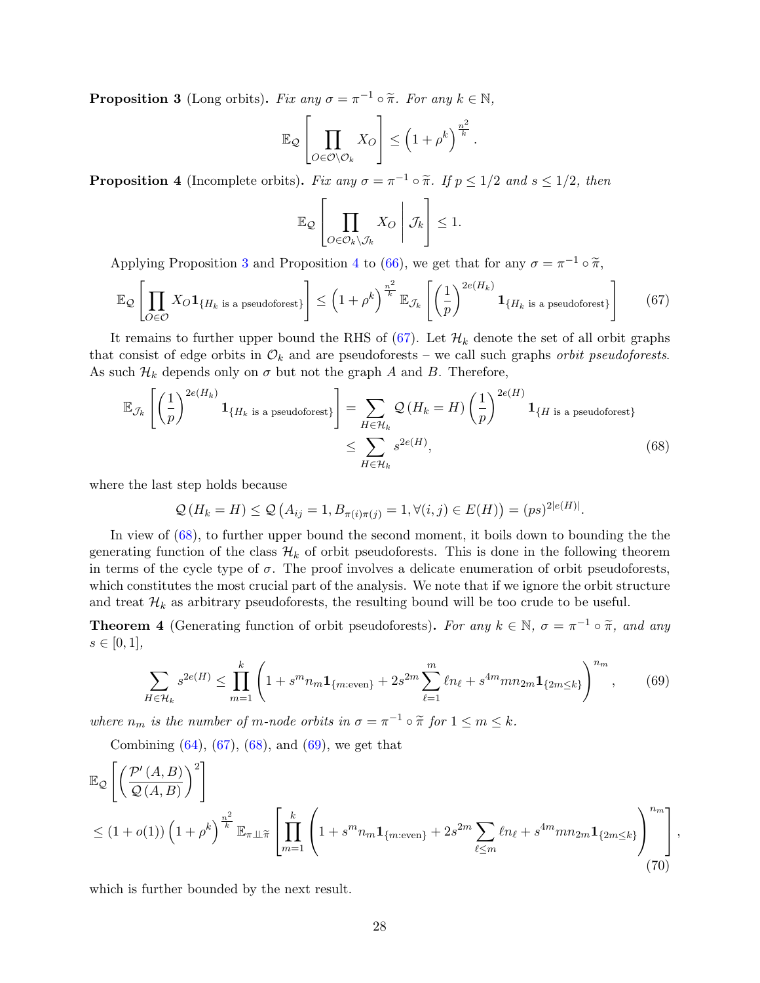<span id="page-27-1"></span>**Proposition 3** (Long orbits). Fix any  $\sigma = \pi^{-1} \circ \tilde{\pi}$ . For any  $k \in \mathbb{N}$ ,

$$
\mathbb{E}_{\mathcal{Q}}\left[\prod_{O\in\mathcal{O}\setminus\mathcal{O}_k}X_O\right] \leq \left(1+\rho^k\right)^{\frac{n^2}{k}}.
$$

<span id="page-27-2"></span>**Proposition 4** (Incomplete orbits). Fix any  $\sigma = \pi^{-1} \circ \tilde{\pi}$ . If  $p \leq 1/2$  and  $s \leq 1/2$ , then

<span id="page-27-4"></span><span id="page-27-3"></span>
$$
\mathbb{E}_{\mathcal{Q}}\left[\prod_{O\in\mathcal{O}_k\setminus\mathcal{J}_k}X_O\bigg|\mathcal{J}_k\right]\leq 1.
$$

Applying Proposition [3](#page-27-1) and Proposition [4](#page-27-2) to [\(66\)](#page-26-2), we get that for any  $\sigma = \pi^{-1} \circ \tilde{\pi}$ ,

$$
\mathbb{E}_{\mathcal{Q}}\left[\prod_{O\in\mathcal{O}}X_O\mathbf{1}_{\{H_k \text{ is a pseudoforest}\}}\right] \leq \left(1+\rho^k\right)^{\frac{n^2}{k}}\mathbb{E}_{\mathcal{J}_k}\left[\left(\frac{1}{p}\right)^{2e(H_k)}\mathbf{1}_{\{H_k \text{ is a pseudoforest}\}}\right] \tag{67}
$$

It remains to further upper bound the RHS of [\(67\)](#page-27-3). Let  $\mathcal{H}_k$  denote the set of all orbit graphs that consist of edge orbits in  $\mathcal{O}_k$  and are pseudoforests – we call such graphs *orbit pseudoforests*. As such  $\mathcal{H}_k$  depends only on  $\sigma$  but not the graph A and B. Therefore,

$$
\mathbb{E}_{\mathcal{J}_k} \left[ \left( \frac{1}{p} \right)^{2e(H_k)} \mathbf{1}_{\{H_k \text{ is a pseudofores}\}} \right] = \sum_{H \in \mathcal{H}_k} \mathcal{Q} \left( H_k = H \right) \left( \frac{1}{p} \right)^{2e(H)} \mathbf{1}_{\{H \text{ is a pseudofores}\}} \leq \sum_{H \in \mathcal{H}_k} s^{2e(H)}, \tag{68}
$$

where the last step holds because

<span id="page-27-5"></span>
$$
Q(H_k = H) \le Q(A_{ij} = 1, B_{\pi(i)\pi(j)} = 1, \forall (i, j) \in E(H)) = (ps)^{2|e(H)|}.
$$

In view of [\(68\)](#page-27-4), to further upper bound the second moment, it boils down to bounding the the generating function of the class  $\mathcal{H}_k$  of orbit pseudoforests. This is done in the following theorem in terms of the cycle type of  $\sigma$ . The proof involves a delicate enumeration of orbit pseudoforests, which constitutes the most crucial part of the analysis. We note that if we ignore the orbit structure and treat  $\mathcal{H}_k$  as arbitrary pseudoforests, the resulting bound will be too crude to be useful.

<span id="page-27-0"></span>**Theorem 4** (Generating function of orbit pseudoforests). For any  $k \in \mathbb{N}$ ,  $\sigma = \pi^{-1} \circ \tilde{\pi}$ , and any  $e \in [0, 1]$  $s \in [0, 1],$ 

<span id="page-27-6"></span>
$$
\sum_{H \in \mathcal{H}_k} s^{2e(H)} \le \prod_{m=1}^k \left( 1 + s^m n_m \mathbf{1}_{\{m:\text{even}\}} + 2s^{2m} \sum_{\ell=1}^m \ell n_\ell + s^{4m} m n_{2m} \mathbf{1}_{\{2m \le k\}} \right)^{n_m},\tag{69}
$$

where  $n_m$  is the number of m-node orbits in  $\sigma = \pi^{-1} \circ \tilde{\pi}$  for  $1 \le m \le k$ .

Combining  $(64)$ ,  $(67)$ ,  $(68)$ , and  $(69)$ , we get that

$$
\mathbb{E}_{\mathcal{Q}}\left[\left(\frac{\mathcal{P}'\left(A,B\right)}{\mathcal{Q}\left(A,B\right)}\right)^{2}\right] \leq (1+o(1))\left(1+\rho^{k}\right)^{\frac{n^{2}}{k}}\mathbb{E}_{\pi\perp\tilde{\pi}}\left[\prod_{m=1}^{k}\left(1+s^{m}n_{m}\mathbf{1}_{\{m:\text{even}\}}+2s^{2m}\sum_{\ell\leq m}\ell n_{\ell}+s^{4m}mn_{2m}\mathbf{1}_{\{2m\leq k\}}\right)_{(70)}^{n_{m}}\right],
$$
\n
$$
(70)
$$

which is further bounded by the next result.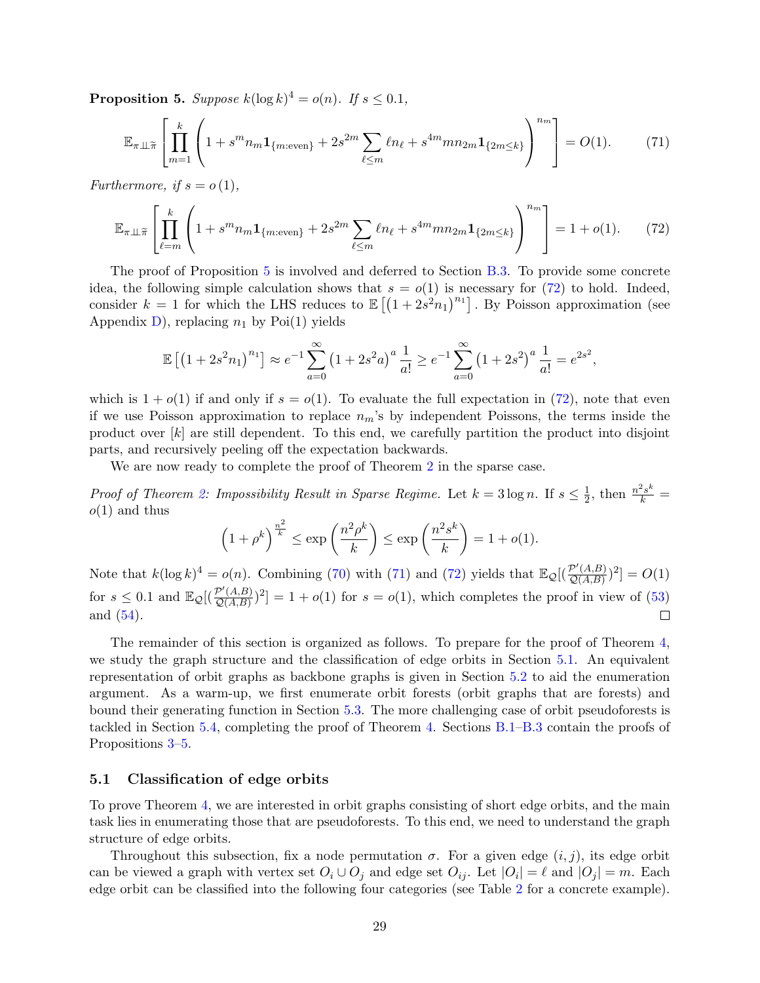<span id="page-28-1"></span>**Proposition 5.** Suppose  $k(\log k)^4 = o(n)$ . If  $s \le 0.1$ ,

<span id="page-28-3"></span>
$$
\mathbb{E}_{\pi \perp \tilde{\pi}} \left[ \prod_{m=1}^{k} \left( 1 + s^m n_m \mathbf{1}_{\{m:\text{even}\}} + 2s^{2m} \sum_{\ell \le m} \ell n_{\ell} + s^{4m} m n_{2m} \mathbf{1}_{\{2m \le k\}} \right)^{n_m} \right] = O(1). \tag{71}
$$

Furthermore, if  $s = o(1)$ ,

$$
\mathbb{E}_{\pi \perp \widetilde{\pi}} \left[ \prod_{\ell=m}^{k} \left( 1 + s^m n_m \mathbf{1}_{\{m:\text{even}\}} + 2s^{2m} \sum_{\ell \le m} \ell n_\ell + s^{4m} m n_{2m} \mathbf{1}_{\{2m \le k\}} \right)^{n_m} \right] = 1 + o(1). \tag{72}
$$

The proof of Proposition [5](#page-28-1) is involved and deferred to Section [B.3.](#page-52-0) To provide some concrete idea, the following simple calculation shows that  $s = o(1)$  is necessary for [\(72\)](#page-28-2) to hold. Indeed, consider  $k = 1$  for which the LHS reduces to  $\mathbb{E}[(1 + 2s^2n_1)^{n_1}]$ . By Poisson approximation (see Appendix [D\)](#page-61-0), replacing  $n_1$  by Poi(1) yields

<span id="page-28-2"></span>
$$
\mathbb{E}\left[\left(1+2s^2n_1\right)^{n_1}\right] \approx e^{-1} \sum_{a=0}^{\infty} \left(1+2s^2a\right)^a \frac{1}{a!} \geq e^{-1} \sum_{a=0}^{\infty} \left(1+2s^2\right)^a \frac{1}{a!} = e^{2s^2},
$$

which is  $1 + o(1)$  if and only if  $s = o(1)$ . To evaluate the full expectation in [\(72\)](#page-28-2), note that even if we use Poisson approximation to replace  $n_m$ 's by independent Poissons, the terms inside the product over [k] are still dependent. To this end, we carefully partition the product into disjoint parts, and recursively peeling off the expectation backwards.

We are now ready to complete the proof of Theorem [2](#page-4-2) in the sparse case.

*Proof of Theorem [2:](#page-4-2) Impossibility Result in Sparse Regime.* Let  $k = 3 \log n$ . If  $s \leq \frac{1}{2}$  $\frac{1}{2}$ , then  $\frac{n^2 s^k}{k}$  =  $o(1)$  and thus

$$
\left(1+\rho^k\right)^{\frac{n^2}{k}} \le \exp\left(\frac{n^2\rho^k}{k}\right) \le \exp\left(\frac{n^2s^k}{k}\right) = 1+o(1).
$$

Note that  $k(\log k)^4 = o(n)$ . Combining [\(70\)](#page-27-6) with [\(71\)](#page-28-3) and [\(72\)](#page-28-2) yields that  $\mathbb{E}_{\mathcal{Q}}[(\frac{\mathcal{P}'(A,B)}{\mathcal{Q}(A,B)})]$  $\frac{P'(A,B)}{Q(A,B)}$ <sup>2</sup>] =  $O(1)$ for  $s \leq 0.1$  and  $\mathbb{E}_{\mathcal{Q}}[(\frac{\mathcal{P}'(A,B)}{\mathcal{O}(A,B)})]$  $\frac{p'(A,B)}{Q(A,B)}$ <sup>2</sup>] = 1 + o(1) for s = o(1), which completes the proof in view of [\(53\)](#page-20-4) and [\(54\)](#page-20-3).  $\Box$ 

The remainder of this section is organized as follows. To prepare for the proof of Theorem [4,](#page-27-0) we study the graph structure and the classification of edge orbits in Section [5.1.](#page-28-0) An equivalent representation of orbit graphs as backbone graphs is given in Section [5.2](#page-30-0) to aid the enumeration argument. As a warm-up, we first enumerate orbit forests (orbit graphs that are forests) and bound their generating function in Section [5.3.](#page-32-0) The more challenging case of orbit pseudoforests is tackled in Section [5.4,](#page-34-0) completing the proof of Theorem [4.](#page-27-0) Sections [B.1–](#page-50-1)[B.3](#page-52-0) contain the proofs of Propositions [3](#page-27-1)[–5.](#page-28-1)

### <span id="page-28-0"></span>5.1 Classification of edge orbits

To prove Theorem [4,](#page-27-0) we are interested in orbit graphs consisting of short edge orbits, and the main task lies in enumerating those that are pseudoforests. To this end, we need to understand the graph structure of edge orbits.

Throughout this subsection, fix a node permutation  $\sigma$ . For a given edge  $(i, j)$ , its edge orbit can be viewed a graph with vertex set  $O_i \cup O_j$  and edge set  $O_{ij}$ . Let  $|O_i| = \ell$  and  $|O_j| = m$ . Each edge orbit can be classified into the following four categories (see Table [2](#page-29-0) for a concrete example).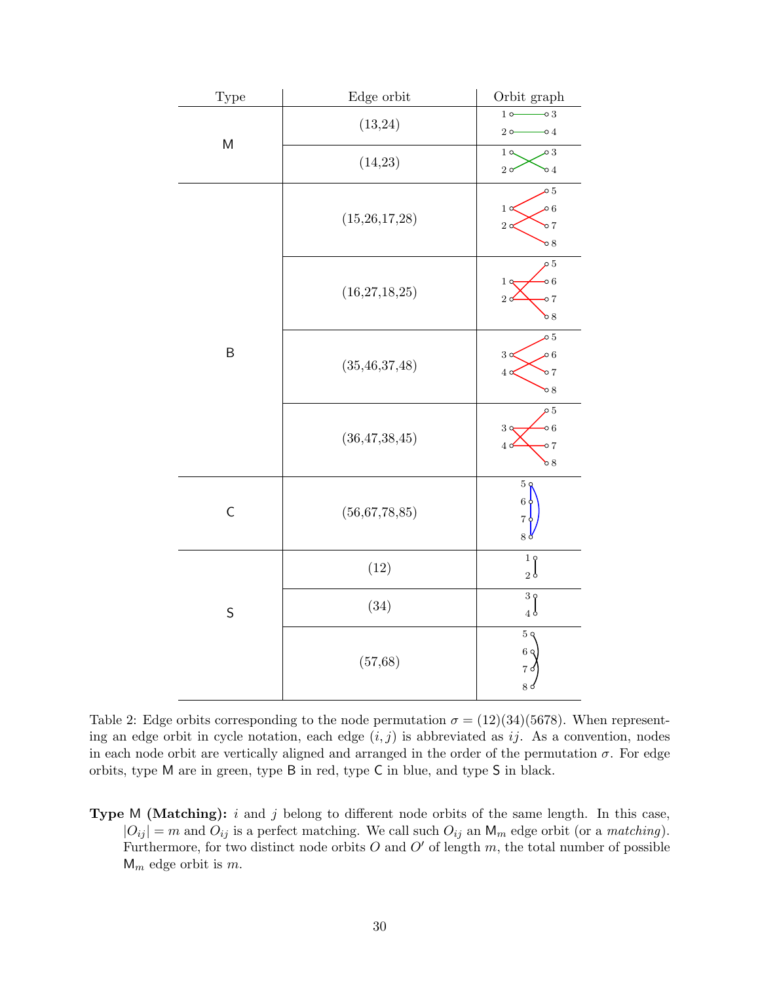<span id="page-29-0"></span>

| Type        | ${\bf Edge\ orbit}$ | Orbit graph                                                                                  |
|-------------|---------------------|----------------------------------------------------------------------------------------------|
|             | (13,24)             | $10$ $-$ 0 3<br>$20-$<br>$\multimap$ 4                                                       |
| M           | (14,23)             | 1 <sub>0</sub><br>$\circ$ 3<br>$2\sigma$<br>$\circ$ 4                                        |
|             | (15,26,17,28)       | $\circ 5$<br>$\sim 6$<br>$1\alpha$<br>$2^{\circ}$<br>$\frac{1}{2}$<br>$\mathcal{O}8$         |
|             | (16, 27, 18, 25)    | $\mathfrak{o}5$<br>$\circ 6$<br>$1 \circ$<br>2c<br>$\circ$ 7<br>68                           |
| $\sf B$     | (35, 46, 37, 48)    | $\circ 5$<br>$\mathfrak{o}6$<br>$3\alpha$<br>4 <sub>o</sub><br>$\circ$ 7<br>$\mathcal{O}8$   |
|             | (36, 47, 38, 45)    | $\rho_{5}$<br>$\circ 6$<br>3 <sub>q</sub><br>$\overline{4}$ c<br>$\circ$ 7<br>$\mathcal{O}8$ |
| $\mathsf C$ | (56,67,78,85)       | $5\zeta$<br>$6\,$<br>7 <sub>0</sub><br>$8\,\mathrm{g}$                                       |
|             | (12)                | 19<br>2 <sub>0</sub>                                                                         |
| S           | (34)                | 39<br>4 <sub>o</sub>                                                                         |
|             | (57, 68)            | 5 <sub>q</sub><br>6 <sub>q</sub><br>7d<br>8d                                                 |

Table 2: Edge orbits corresponding to the node permutation  $\sigma = (12)(34)(5678)$ . When representing an edge orbit in cycle notation, each edge  $(i, j)$  is abbreviated as ij. As a convention, nodes in each node orbit are vertically aligned and arranged in the order of the permutation  $\sigma$ . For edge orbits, type M are in green, type B in red, type C in blue, and type S in black.

**Type M (Matching):** i and j belong to different node orbits of the same length. In this case,  $|O_{ij}| = m$  and  $O_{ij}$  is a perfect matching. We call such  $O_{ij}$  an  $\mathsf{M}_m$  edge orbit (or a *matching*). Furthermore, for two distinct node orbits  $O$  and  $O'$  of length  $m$ , the total number of possible  $M_m$  edge orbit is m.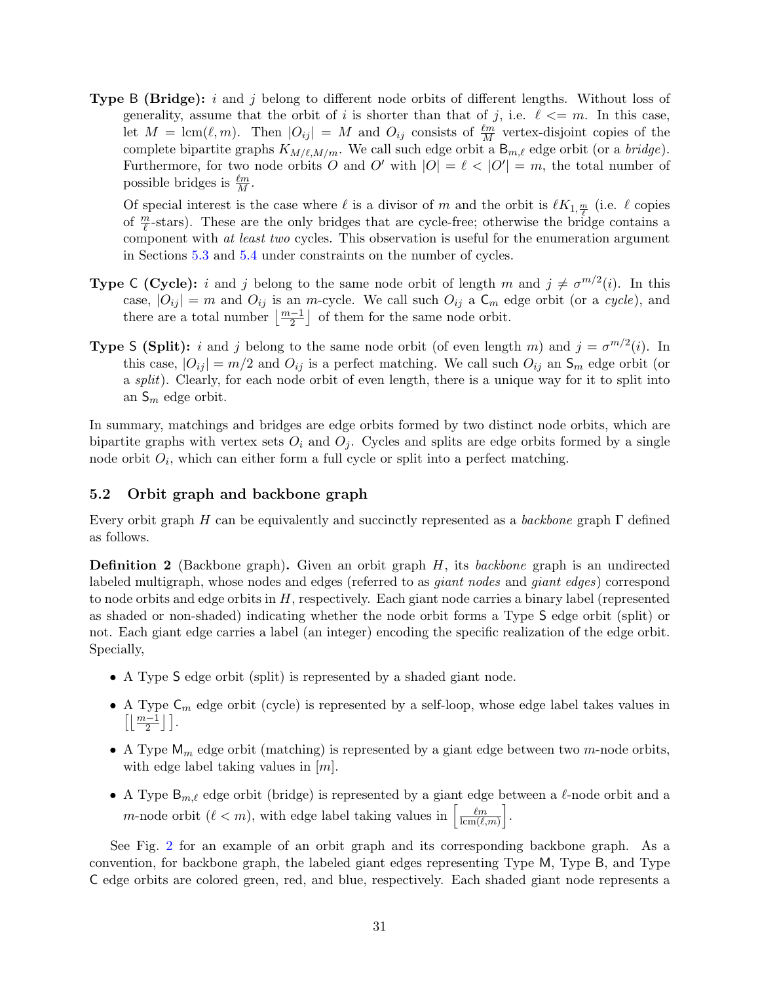**Type B (Bridge):** i and j belong to different node orbits of different lengths. Without loss of generality, assume that the orbit of i is shorter than that of j, i.e.  $\ell \leq m$ . In this case, let  $M = \text{lcm}(\ell, m)$ . Then  $|O_{ij}| = M$  and  $O_{ij}$  consists of  $\frac{\ell m}{M}$  vertex-disjoint copies of the complete bipartite graphs  $K_{M/\ell,M/m}$ . We call such edge orbit a B<sub>m, $\ell$ </sub> edge orbit (or a *bridge*). Furthermore, for two node orbits O and O' with  $|O| = \ell < |O'| = m$ , the total number of possible bridges is  $\frac{\ell m}{M}$ .

Of special interest is the case where  $\ell$  is a divisor of m and the orbit is  $\ell K_{1, \frac{m}{\ell}}$  (i.e.  $\ell$  copies of  $\frac{m}{\ell}$ -stars). These are the only bridges that are cycle-free; otherwise the bridge contains a component with at least two cycles. This observation is useful for the enumeration argument in Sections [5.3](#page-32-0) and [5.4](#page-34-0) under constraints on the number of cycles.

- **Type C (Cycle):** i and j belong to the same node orbit of length m and  $j \neq \sigma^{m/2}(i)$ . In this case,  $|O_{ij}| = m$  and  $O_{ij}$  is an m-cycle. We call such  $O_{ij}$  a  $C_m$  edge orbit (or a cycle), and there are a total number  $\lfloor \frac{m-1}{2} \rfloor$  of them for the same node orbit.
- **Type S (Split):** i and j belong to the same node orbit (of even length m) and  $j = \sigma^{m/2}(i)$ . In this case,  $|O_{ij}| = m/2$  and  $O_{ij}$  is a perfect matching. We call such  $O_{ij}$  an  $S_m$  edge orbit (or a split). Clearly, for each node orbit of even length, there is a unique way for it to split into an  $S_m$  edge orbit.

In summary, matchings and bridges are edge orbits formed by two distinct node orbits, which are bipartite graphs with vertex sets  $O_i$  and  $O_j$ . Cycles and splits are edge orbits formed by a single node orbit  $O_i$ , which can either form a full cycle or split into a perfect matching.

### <span id="page-30-0"></span>5.2 Orbit graph and backbone graph

Every orbit graph H can be equivalently and succinctly represented as a backbone graph  $\Gamma$  defined as follows.

<span id="page-30-1"></span>Definition 2 (Backbone graph). Given an orbit graph H, its backbone graph is an undirected labeled multigraph, whose nodes and edges (referred to as giant nodes and giant edges) correspond to node orbits and edge orbits in  $H$ , respectively. Each giant node carries a binary label (represented as shaded or non-shaded) indicating whether the node orbit forms a Type S edge orbit (split) or not. Each giant edge carries a label (an integer) encoding the specific realization of the edge orbit. Specially,

- A Type S edge orbit (split) is represented by a shaded giant node.
- A Type  $C_m$  edge orbit (cycle) is represented by a self-loop, whose edge label takes values in  $\left[\left\lfloor \frac{m-1}{2}\right\rfloor\right]$ .
- A Type  $M_m$  edge orbit (matching) is represented by a giant edge between two m-node orbits, with edge label taking values in  $[m]$ .
- A Type  $B_{m,\ell}$  edge orbit (bridge) is represented by a giant edge between a  $\ell$ -node orbit and a m-node orbit  $(\ell < m)$ , with edge label taking values in  $\left[\frac{\ell m}{\text{Im}(\ell)}\right]$  $\frac{\ell m}{\mathrm{lcm}(\ell,m)}\bigg].$

See Fig. [2](#page-31-0) for an example of an orbit graph and its corresponding backbone graph. As a convention, for backbone graph, the labeled giant edges representing Type M, Type B, and Type C edge orbits are colored green, red, and blue, respectively. Each shaded giant node represents a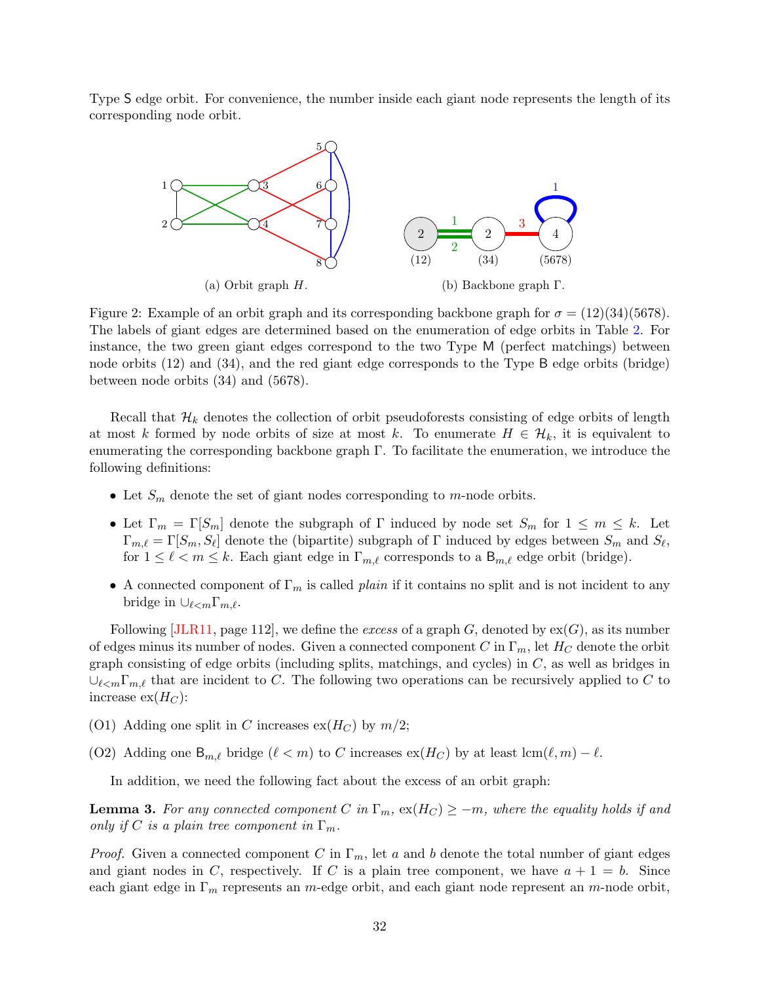<span id="page-31-0"></span>Type S edge orbit. For convenience, the number inside each giant node represents the length of its corresponding node orbit.



Figure 2: Example of an orbit graph and its corresponding backbone graph for  $\sigma = (12)(34)(5678)$ . The labels of giant edges are determined based on the enumeration of edge orbits in Table [2.](#page-29-0) For instance, the two green giant edges correspond to the two Type M (perfect matchings) between node orbits (12) and (34), and the red giant edge corresponds to the Type B edge orbits (bridge) between node orbits (34) and (5678).

Recall that  $\mathcal{H}_k$  denotes the collection of orbit pseudoforests consisting of edge orbits of length at most k formed by node orbits of size at most k. To enumerate  $H \in \mathcal{H}_k$ , it is equivalent to enumerating the corresponding backbone graph Γ. To facilitate the enumeration, we introduce the following definitions:

- Let  $S_m$  denote the set of giant nodes corresponding to m-node orbits.
- Let  $\Gamma_m = \Gamma[S_m]$  denote the subgraph of  $\Gamma$  induced by node set  $S_m$  for  $1 \leq m \leq k$ . Let  $\Gamma_{m,\ell} = \Gamma[S_m, S_\ell]$  denote the (bipartite) subgraph of  $\Gamma$  induced by edges between  $S_m$  and  $S_\ell$ , for  $1 \leq \ell < m \leq k$ . Each giant edge in  $\Gamma_{m,\ell}$  corresponds to a  $B_{m,\ell}$  edge orbit (bridge).
- A connected component of  $\Gamma_m$  is called *plain* if it contains no split and is not incident to any bridge in  $\cup_{\ell < m} \Gamma_{m,\ell}$ .

Following [\[JLR11,](#page-64-11) page 112], we define the excess of a graph G, denoted by  $ex(G)$ , as its number of edges minus its number of nodes. Given a connected component C in  $\Gamma_m$ , let  $H_C$  denote the orbit graph consisting of edge orbits (including splits, matchings, and cycles) in  $C$ , as well as bridges in  $\cup_{\ell \leq m} \Gamma_{m,\ell}$  that are incident to C. The following two operations can be recursively applied to C to increase  $ex(H_C)$ :

- <span id="page-31-1"></span>(O1) Adding one split in C increases  $ex(H_C)$  by  $m/2$ ;
- <span id="page-31-2"></span>(O2) Adding one  $B_{m,\ell}$  bridge  $(\ell < m)$  to C increases  $ex(H_C)$  by at least  $lcm(\ell, m) - \ell$ .

In addition, we need the following fact about the excess of an orbit graph:

<span id="page-31-3"></span>**Lemma 3.** For any connected component C in  $\Gamma_m$ ,  $ex(H_C) \ge -m$ , where the equality holds if and only if C is a plain tree component in  $\Gamma_m$ .

*Proof.* Given a connected component C in  $\Gamma_m$ , let a and b denote the total number of giant edges and giant nodes in C, respectively. If C is a plain tree component, we have  $a + 1 = b$ . Since each giant edge in  $\Gamma_m$  represents an m-edge orbit, and each giant node represent an m-node orbit,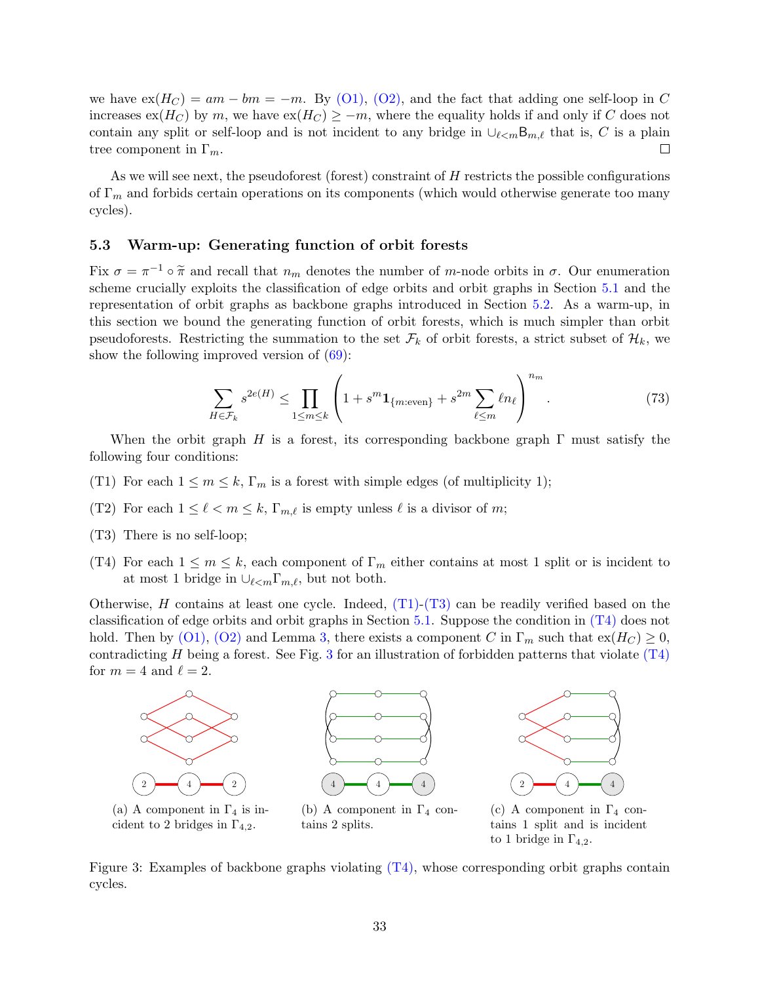we have  $ex(H_C) = am - bm = -m$ . By [\(O1\),](#page-31-1) [\(O2\),](#page-31-2) and the fact that adding one self-loop in C increases  $ex(H_C)$  by m, we have  $ex(H_C) \ge -m$ , where the equality holds if and only if C does not contain any split or self-loop and is not incident to any bridge in  $\cup_{\ell\leq m}$ B<sub>m, $\ell$ </sub> that is, C is a plain tree component in  $\Gamma_m$ . П

As we will see next, the pseudoforest (forest) constraint of  $H$  restricts the possible configurations of  $\Gamma_m$  and forbids certain operations on its components (which would otherwise generate too many cycles).

### <span id="page-32-0"></span>5.3 Warm-up: Generating function of orbit forests

Fix  $\sigma = \pi^{-1} \circ \tilde{\pi}$  and recall that  $n_m$  denotes the number of m-node orbits in  $\sigma$ . Our enumeration contains  $\tilde{\pi}$  and  $\tilde{\pi}$  and  $\tilde{\pi}$  and  $\tilde{\pi}$  and  $\tilde{\pi}$  and  $\tilde{\pi}$  and  $\tilde{\pi}$  and  $\tilde{\pi}$  and  $\til$ scheme crucially exploits the classification of edge orbits and orbit graphs in Section [5.1](#page-28-0) and the representation of orbit graphs as backbone graphs introduced in Section [5.2.](#page-30-0) As a warm-up, in this section we bound the generating function of orbit forests, which is much simpler than orbit pseudoforests. Restricting the summation to the set  $\mathcal{F}_k$  of orbit forests, a strict subset of  $\mathcal{H}_k$ , we show the following improved version of  $(69)$ :

<span id="page-32-5"></span>
$$
\sum_{H \in \mathcal{F}_k} s^{2e(H)} \le \prod_{1 \le m \le k} \left( 1 + s^m \mathbf{1}_{\{m:\text{even}\}} + s^{2m} \sum_{\ell \le m} \ell n_\ell \right)^{n_m} . \tag{73}
$$

When the orbit graph H is a forest, its corresponding backbone graph  $\Gamma$  must satisfy the following four conditions:

- <span id="page-32-1"></span>(T1) For each  $1 \leq m \leq k$ ,  $\Gamma_m$  is a forest with simple edges (of multiplicity 1);
- <span id="page-32-6"></span>(T2) For each  $1 \leq \ell < m \leq k$ ,  $\Gamma_{m,\ell}$  is empty unless  $\ell$  is a divisor of m;
- <span id="page-32-2"></span>(T3) There is no self-loop;
- <span id="page-32-3"></span>(T4) For each  $1 \leq m \leq k$ , each component of  $\Gamma_m$  either contains at most 1 split or is incident to at most 1 bridge in  $\bigcup_{\ell \leq m} \Gamma_{m,\ell}$ , but not both.

Otherwise, H contains at least one cycle. Indeed,  $(T1)-(T3)$  $(T1)-(T3)$  can be readily verified based on the classification of edge orbits and orbit graphs in Section  $5.1$ . Suppose the condition in  $(T4)$  does not hold. Then by [\(O1\),](#page-31-1) [\(O2\)](#page-31-2) and Lemma [3,](#page-31-3) there exists a component C in  $\Gamma_m$  such that  $ex(H_C) \geq 0$ , contradicting  $H$  being a forest. See Fig. [3](#page-32-4) for an illustration of forbidden patterns that violate  $(T4)$ for  $m = 4$  and  $\ell = 2$ .

<span id="page-32-4"></span>

Figure 3: Examples of backbone graphs violating  $(T<sub>4</sub>)$ , whose corresponding orbit graphs contain cycles.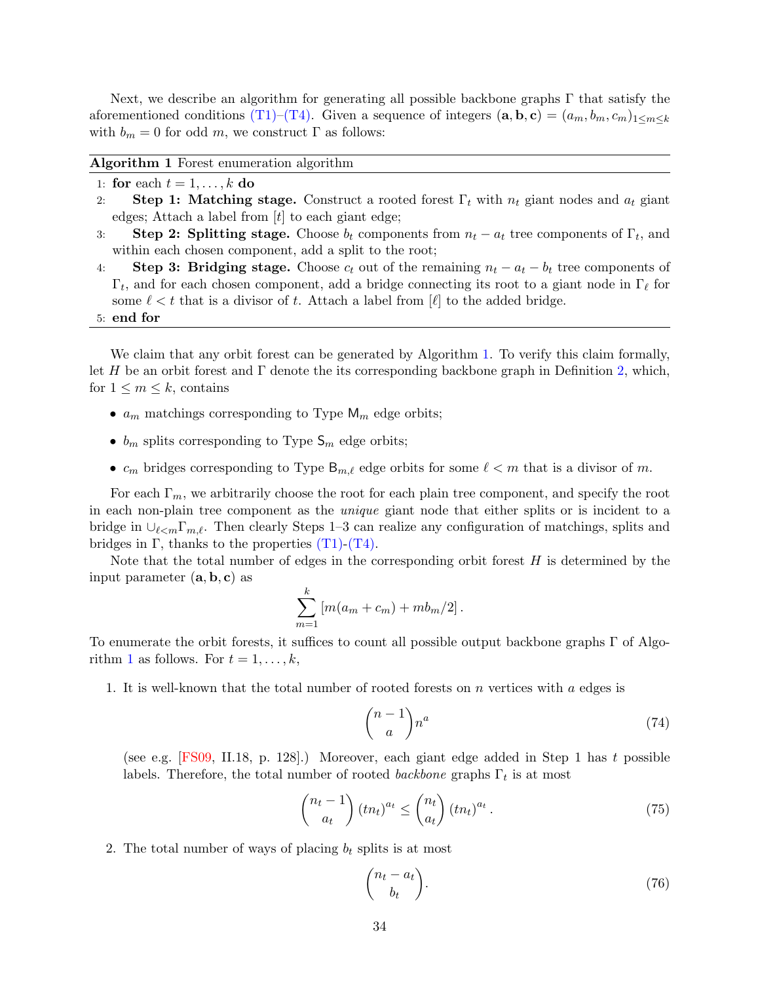Next, we describe an algorithm for generating all possible backbone graphs Γ that satisfy the aforementioned conditions [\(T1\)–](#page-32-1)[\(T4\).](#page-32-3) Given a sequence of integers  $(\mathbf{a}, \mathbf{b}, \mathbf{c}) = (a_m, b_m, c_m)_{1 \leq m \leq k}$ with  $b_m = 0$  for odd m, we construct  $\Gamma$  as follows:

<span id="page-33-0"></span>

|  |  |  | <b>Algorithm 1</b> Forest enumeration algorithm |  |
|--|--|--|-------------------------------------------------|--|
|--|--|--|-------------------------------------------------|--|

- 1: for each  $t = 1, \ldots, k$  do
- 2: Step 1: Matching stage. Construct a rooted forest  $\Gamma_t$  with  $n_t$  giant nodes and  $a_t$  giant edges; Attach a label from  $[t]$  to each giant edge;
- 3: Step 2: Splitting stage. Choose  $b_t$  components from  $n_t a_t$  tree components of  $\Gamma_t$ , and within each chosen component, add a split to the root;
- 4: Step 3: Bridging stage. Choose  $c_t$  out of the remaining  $n_t a_t b_t$  tree components of  $\Gamma_t$ , and for each chosen component, add a bridge connecting its root to a giant node in  $\Gamma_\ell$  for some  $\ell < t$  that is a divisor of t. Attach a label from  $[\ell]$  to the added bridge.

5: end for

We claim that any orbit forest can be generated by Algorithm [1.](#page-33-0) To verify this claim formally, let H be an orbit forest and  $\Gamma$  denote the its corresponding backbone graph in Definition [2,](#page-30-1) which, for  $1 \leq m \leq k$ , contains

- $a_m$  matchings corresponding to Type  $M_m$  edge orbits;
- $b_m$  splits corresponding to Type  $\mathsf{S}_m$  edge orbits;
- $c_m$  bridges corresponding to Type  $\mathsf{B}_{m,\ell}$  edge orbits for some  $\ell < m$  that is a divisor of m.

For each  $\Gamma_m$ , we arbitrarily choose the root for each plain tree component, and specify the root in each non-plain tree component as the unique giant node that either splits or is incident to a bridge in  $\cup_{\ell\leq m}\Gamma_{m,\ell}$ . Then clearly Steps 1–3 can realize any configuration of matchings, splits and bridges in  $\Gamma$ , thanks to the properties  $(T1)-(T4)$  $(T1)-(T4)$ .

Note that the total number of edges in the corresponding orbit forest  $H$  is determined by the input parameter  $(a, b, c)$  as

$$
\sum_{m=1}^{k} \left[ m(a_m + c_m) + m b_m/2 \right].
$$

To enumerate the orbit forests, it suffices to count all possible output backbone graphs Γ of Algo-rithm [1](#page-33-0) as follows. For  $t = 1, \ldots, k$ ,

1. It is well-known that the total number of rooted forests on  $n$  vertices with  $a$  edges is

<span id="page-33-3"></span>
$$
\binom{n-1}{a}n^a\tag{74}
$$

(see e.g. [\[FS09,](#page-63-12) II.18, p. 128].) Moreover, each giant edge added in Step 1 has t possible labels. Therefore, the total number of rooted backbone graphs  $\Gamma_t$  is at most

$$
\binom{n_t - 1}{a_t} (tn_t)^{a_t} \le \binom{n_t}{a_t} (tn_t)^{a_t}.
$$
\n(75)

2. The total number of ways of placing  $b_t$  splits is at most

<span id="page-33-2"></span><span id="page-33-1"></span>
$$
\binom{n_t - a_t}{b_t}.\tag{76}
$$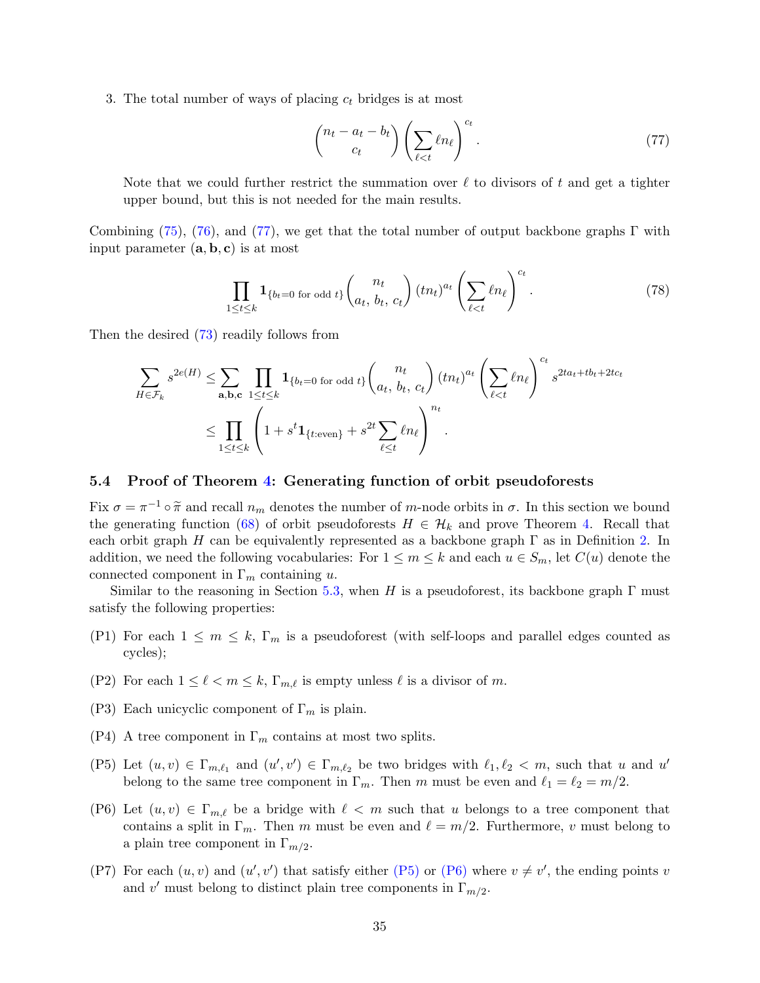3. The total number of ways of placing  $c_t$  bridges is at most

<span id="page-34-1"></span>
$$
\begin{pmatrix} n_t - a_t - b_t \\ c_t \end{pmatrix} \left( \sum_{\ell < t} \ell n_\ell \right)^{c_t} . \tag{77}
$$

Note that we could further restrict the summation over  $\ell$  to divisors of t and get a tighter upper bound, but this is not needed for the main results.

Combining [\(75\)](#page-33-1), [\(76\)](#page-33-2), and [\(77\)](#page-34-1), we get that the total number of output backbone graphs  $\Gamma$  with input parameter  $(a, b, c)$  is at most

$$
\prod_{1 \le t \le k} \mathbf{1}_{\{b_t=0 \text{ for odd } t\}} \binom{n_t}{a_t, b_t, c_t} (tn_t)^{a_t} \left(\sum_{\ell < t} \ell n_\ell\right)^{c_t}.
$$
\n
$$
(78)
$$

Then the desired  $(73)$  readily follows from

$$
\sum_{H \in \mathcal{F}_k} s^{2e(H)} \leq \sum_{\mathbf{a},\mathbf{b},\mathbf{c}} \prod_{1 \leq t \leq k} \mathbf{1}_{\{b_t=0 \text{ for odd } t\}} {n_t \choose a_t, b_t, c_t} (tn_t)^{a_t} \left( \sum_{\ell < t} \ell n_\ell \right)^{c_t} s^{2ta_t + tb_t + 2tc_t}
$$
\n
$$
\leq \prod_{1 \leq t \leq k} \left( 1 + s^t \mathbf{1}_{\{t:\text{even}\}} + s^{2t} \sum_{\ell \leq t} \ell n_\ell \right)^{n_t}.
$$

#### <span id="page-34-0"></span>5.4 Proof of Theorem [4:](#page-27-0) Generating function of orbit pseudoforests

Fix  $\sigma = \pi^{-1} \circ \tilde{\pi}$  and recall  $n_m$  denotes the number of m-node orbits in  $\sigma$ . In this section we bound<br>the generating function (68) of orbit populations  $H \subset \mathcal{H}$ , and prove Theorem 4. Bossil that the generating function [\(68\)](#page-27-4) of orbit pseudoforests  $H \in \mathcal{H}_k$  and prove Theorem [4.](#page-27-0) Recall that each orbit graph H can be equivalently represented as a backbone graph  $\Gamma$  as in Definition [2.](#page-30-1) In addition, we need the following vocabularies: For  $1 \leq m \leq k$  and each  $u \in S_m$ , let  $C(u)$  denote the connected component in  $\Gamma_m$  containing u.

Similar to the reasoning in Section [5.3,](#page-32-0) when H is a pseudoforest, its backbone graph  $\Gamma$  must satisfy the following properties:

- <span id="page-34-6"></span>(P1) For each  $1 \leq m \leq k$ ,  $\Gamma_m$  is a pseudoforest (with self-loops and parallel edges counted as cycles);
- <span id="page-34-7"></span>(P2) For each  $1 \leq \ell < m \leq k$ ,  $\Gamma_{m,\ell}$  is empty unless  $\ell$  is a divisor of m.
- <span id="page-34-8"></span>(P3) Each unicyclic component of  $\Gamma_m$  is plain.
- <span id="page-34-4"></span>(P4) A tree component in  $\Gamma_m$  contains at most two splits.
- <span id="page-34-2"></span>(P5) Let  $(u, v) \in \Gamma_{m,\ell_1}$  and  $(u', v') \in \Gamma_{m,\ell_2}$  be two bridges with  $\ell_1, \ell_2 < m$ , such that u and u' belong to the same tree component in  $\Gamma_m$ . Then m must be even and  $\ell_1 = \ell_2 = m/2$ .
- <span id="page-34-3"></span>(P6) Let  $(u, v) \in \Gamma_{m,\ell}$  be a bridge with  $\ell < m$  such that u belongs to a tree component that contains a split in  $\Gamma_m$ . Then m must be even and  $\ell = m/2$ . Furthermore, v must belong to a plain tree component in  $\Gamma_{m/2}$ .
- <span id="page-34-5"></span>(P7) For each  $(u, v)$  and  $(u', v')$  that satisfy either [\(P5\)](#page-34-2) or [\(P6\)](#page-34-3) where  $v \neq v'$ , the ending points v and v' must belong to distinct plain tree components in  $\Gamma_{m/2}$ .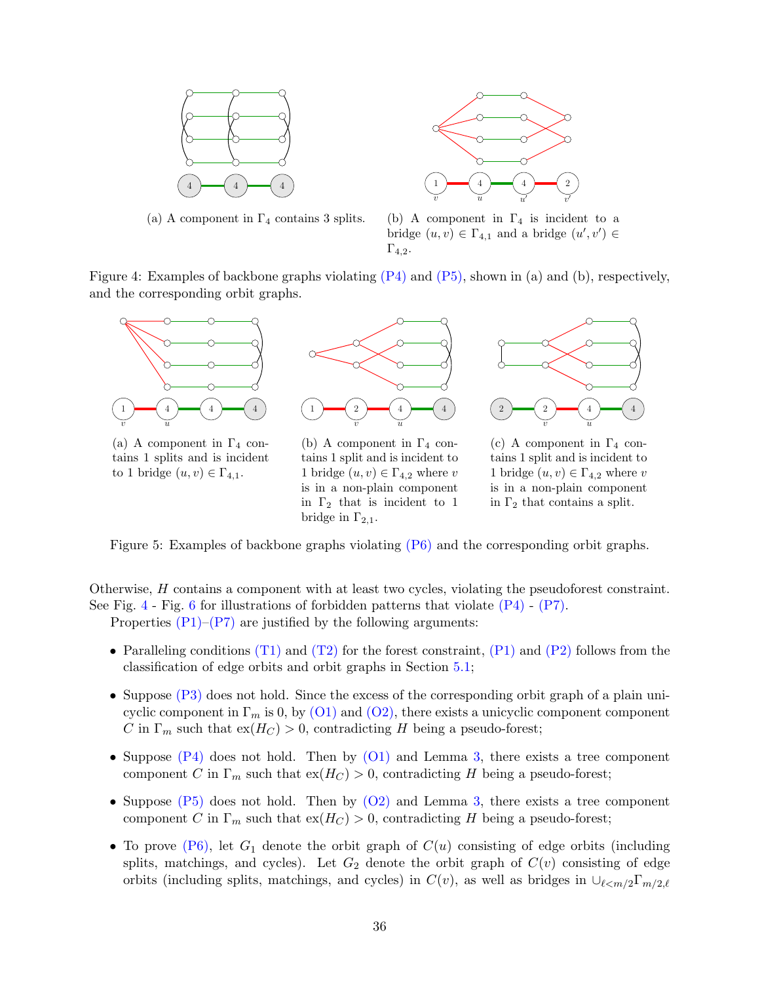<span id="page-35-0"></span>

(a) A component in  $\Gamma_4$  contains 3 splits.



(b) A component in  $\Gamma_4$  is incident to a bridge  $(u, v) \in \Gamma_{4,1}$  and a bridge  $(u', v') \in$  $\Gamma_{4,2}$ .

Figure 4: Examples of backbone graphs violating [\(P4\)](#page-34-4) and [\(P5\),](#page-34-2) shown in (a) and (b), respectively, and the corresponding orbit graphs.



(a) A component in  $\Gamma_4$  contains 1 splits and is incident to 1 bridge  $(u, v) \in \Gamma_{4,1}$ .



(b) A component in  $\Gamma_4$  contains 1 split and is incident to 1 bridge  $(u, v) \in \Gamma_{4,2}$  where v is in a non-plain component in  $\Gamma_2$  that is incident to 1 bridge in  $\Gamma_{2,1}$ .



(c) A component in  $\Gamma_4$  contains 1 split and is incident to 1 bridge  $(u, v) \in \Gamma_{4,2}$  where v is in a non-plain component in  $\Gamma_2$  that contains a split.

Figure 5: Examples of backbone graphs violating [\(P6\)](#page-34-3) and the corresponding orbit graphs.

Otherwise, H contains a component with at least two cycles, violating the pseudoforest constraint. See Fig. [4](#page-35-0) - Fig. [6](#page-36-0) for illustrations of forbidden patterns that violate  $(P4)$  -  $(P7)$ . Properties  $(P1)$ – $(P7)$  are justified by the following arguments:

- Paralleling conditions  $(T1)$  and  $(T2)$  for the forest constraint,  $(P1)$  and  $(P2)$  follows from the classification of edge orbits and orbit graphs in Section [5.1;](#page-28-0)
- Suppose [\(P3\)](#page-34-8) does not hold. Since the excess of the corresponding orbit graph of a plain unicyclic component in  $\Gamma_m$  is 0, by [\(O1\)](#page-31-1) and [\(O2\),](#page-31-2) there exists a unicyclic component component C in  $\Gamma_m$  such that  $ex(H_C) > 0$ , contradicting H being a pseudo-forest;
- Suppose  $(P4)$  does not hold. Then by  $(O1)$  and Lemma [3,](#page-31-3) there exists a tree component component C in  $\Gamma_m$  such that  $\exp(H_C) > 0$ , contradicting H being a pseudo-forest;
- Suppose  $(P5)$  does not hold. Then by  $(O2)$  and Lemma [3,](#page-31-3) there exists a tree component component C in  $\Gamma_m$  such that  $ex(H_C) > 0$ , contradicting H being a pseudo-forest;
- To prove  $(P6)$ , let  $G_1$  denote the orbit graph of  $C(u)$  consisting of edge orbits (including splits, matchings, and cycles). Let  $G_2$  denote the orbit graph of  $C(v)$  consisting of edge orbits (including splits, matchings, and cycles) in  $C(v)$ , as well as bridges in  $\cup_{\ell \leq m/2} \Gamma_{m/2,\ell}$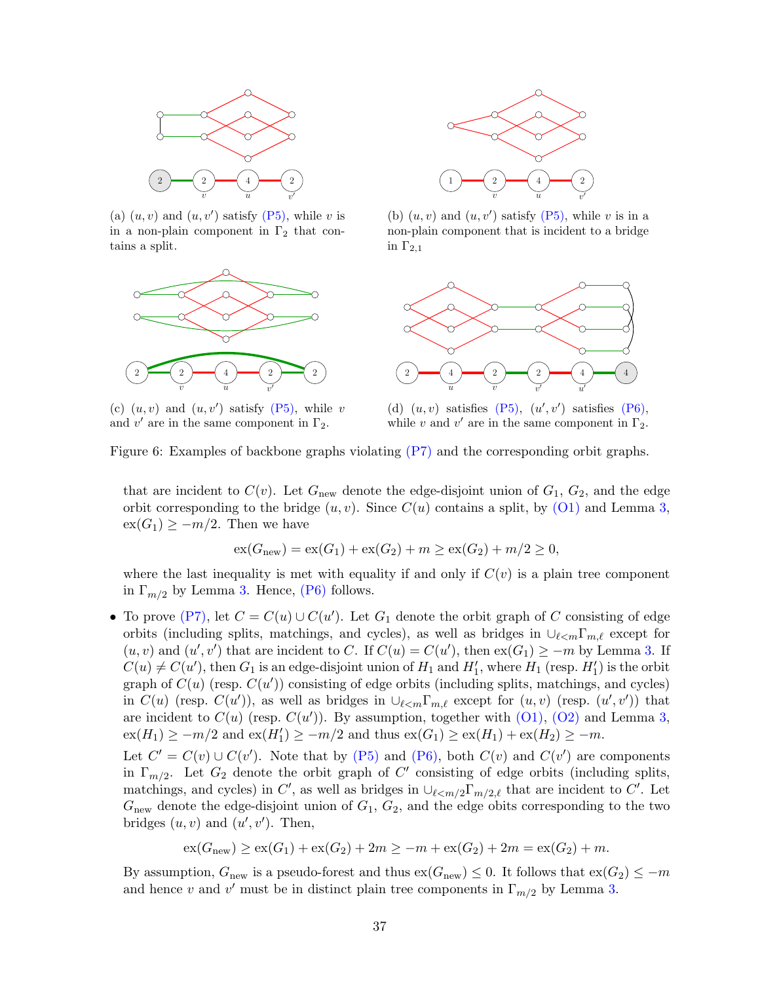<span id="page-36-0"></span>

(a)  $(u, v)$  and  $(u, v')$  satisfy [\(P5\),](#page-34-2) while v is in a non-plain component in  $\Gamma_2$  that contains a split.



(c)  $(u, v)$  and  $(u, v')$  satisfy [\(P5\),](#page-34-2) while v and  $v'$  are in the same component in  $\Gamma_2$ .



(b)  $(u, v)$  and  $(u, v')$  satisfy  $(P5)$ , while v is in a non-plain component that is incident to a bridge in  $\Gamma_{2,1}$ 



(d)  $(u, v)$  satisfies  $(P5)$ ,  $(u', v')$  satisfies  $(P6)$ , while v and  $v'$  are in the same component in  $\Gamma_2$ .

Figure 6: Examples of backbone graphs violating [\(P7\)](#page-34-5) and the corresponding orbit graphs.

that are incident to  $C(v)$ . Let  $G_{\text{new}}$  denote the edge-disjoint union of  $G_1, G_2$ , and the edge orbit corresponding to the bridge  $(u, v)$ . Since  $C(u)$  contains a split, by  $(01)$  and Lemma [3,](#page-31-3)  $ex(G_1) \geq -m/2$ . Then we have

$$
ex(G_{new}) = ex(G_1) + ex(G_2) + m \ge ex(G_2) + m/2 \ge 0,
$$

where the last inequality is met with equality if and only if  $C(v)$  is a plain tree component in  $\Gamma_{m/2}$  by Lemma [3.](#page-31-3) Hence, [\(P6\)](#page-34-3) follows.

• To prove [\(P7\),](#page-34-5) let  $C = C(u) \cup C(u')$ . Let  $G_1$  denote the orbit graph of C consisting of edge orbits (including splits, matchings, and cycles), as well as bridges in  $\cup_{\ell \leq m} \Gamma_{m,\ell}$  except for  $(u, v)$  and  $(u', v')$  that are incident to C. If  $C(u) = C(u')$ , then  $ex(G_1) \ge -m$  by Lemma [3.](#page-31-3) If  $C(u) \neq C(u')$ , then  $G_1$  is an edge-disjoint union of  $H_1$  and  $H'_1$ , where  $H_1$  (resp.  $H'_1$ ) is the orbit graph of  $C(u)$  (resp.  $C(u')$ ) consisting of edge orbits (including splits, matchings, and cycles) in  $C(u)$  (resp.  $C(u')$ ), as well as bridges in  $\cup_{\ell \leq m} \Gamma_{m,\ell}$  except for  $(u, v)$  (resp.  $(u', v')$ ) that are incident to  $C(u)$  (resp.  $C(u')$ ). By assumption, together with  $(01)$ ,  $(02)$  and Lemma [3,](#page-31-3)  $ex(H_1) \geq -m/2$  and  $ex(H'_1) \geq -m/2$  and thus  $ex(G_1) \geq ex(H_1) + ex(H_2) \geq -m$ .

Let  $C' = C(v) \cup C(v')$ . Note that by [\(P5\)](#page-34-2) and [\(P6\),](#page-34-3) both  $C(v)$  and  $C(v')$  are components in  $\Gamma_{m/2}$ . Let  $G_2$  denote the orbit graph of C' consisting of edge orbits (including splits, matchings, and cycles) in C', as well as bridges in  $\bigcup_{\ell \leq m/2} \Gamma_{m/2,\ell}$  that are incident to C'. Let  $G<sub>new</sub>$  denote the edge-disjoint union of  $G<sub>1</sub>$ ,  $G<sub>2</sub>$ , and the edge obits corresponding to the two bridges  $(u, v)$  and  $(u', v')$ . Then,

$$
ex(G_{new}) \ge ex(G_1) + ex(G_2) + 2m \ge -m + ex(G_2) + 2m = ex(G_2) + m.
$$

By assumption,  $G_{\text{new}}$  is a pseudo-forest and thus  $ex(G_{\text{new}}) \leq 0$ . It follows that  $ex(G_2) \leq -m$ and hence v and v' must be in distinct plain tree components in  $\Gamma_{m/2}$  by Lemma [3.](#page-31-3)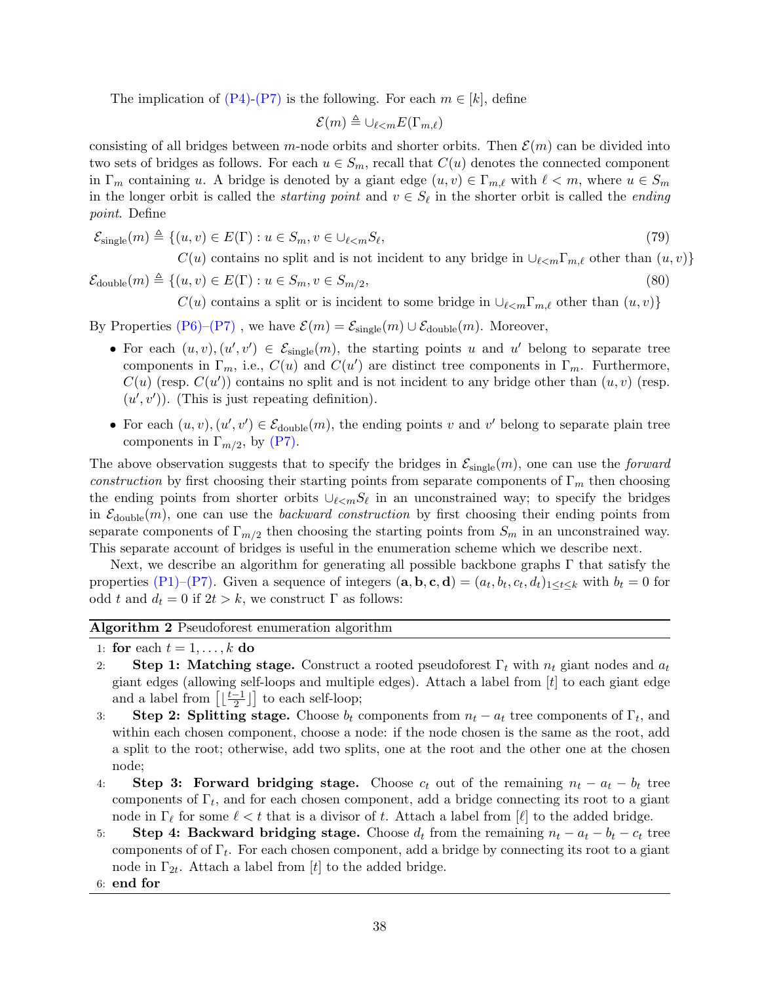The implication of  $(P4)-(P7)$  $(P4)-(P7)$  is the following. For each  $m \in [k]$ , define

$$
\mathcal{E}(m) \triangleq \bigcup_{\ell < m} E(\Gamma_{m,\ell})
$$

consisting of all bridges between m-node orbits and shorter orbits. Then  $\mathcal{E}(m)$  can be divided into two sets of bridges as follows. For each  $u \in S_m$ , recall that  $C(u)$  denotes the connected component in  $\Gamma_m$  containing u. A bridge is denoted by a giant edge  $(u, v) \in \Gamma_{m,\ell}$  with  $\ell < m$ , where  $u \in S_m$ in the longer orbit is called the *starting point* and  $v \in S_\ell$  in the shorter orbit is called the *ending* point. Define

$$
\mathcal{E}_{\text{single}}(m) \triangleq \{ (u, v) \in E(\Gamma) : u \in S_m, v \in \bigcup_{\ell < m} S_\ell,\tag{79}
$$

 $C(u)$  contains no split and is not incident to any bridge in  $\cup_{\ell \leq m} \Gamma_{m,\ell}$  other than  $(u, v)$ }

 $\mathcal{E}_{\text{double}}(m) \triangleq \{(u, v) \in E(\Gamma) : u \in S_m, v \in S_{m/2},\}$  $, \t(80)$ 

 $C(u)$  contains a split or is incident to some bridge in  $\cup_{\ell \leq m} \Gamma_{m,\ell}$  other than  $(u, v)$ }

By Properties [\(P6\)–](#page-34-3)[\(P7\)](#page-34-5), we have  $\mathcal{E}(m) = \mathcal{E}_{\text{single}}(m) \cup \mathcal{E}_{\text{double}}(m)$ . Moreover,

- For each  $(u, v), (u', v') \in \mathcal{E}_{single}(m)$ , the starting points u and u' belong to separate tree components in  $\Gamma_m$ , i.e.,  $C(u)$  and  $C(u')$  are distinct tree components in  $\Gamma_m$ . Furthermore,  $C(u)$  (resp.  $C(u')$ ) contains no split and is not incident to any bridge other than  $(u, v)$  (resp.  $(u', v')$ ). (This is just repeating definition).
- For each  $(u, v), (u', v') \in \mathcal{E}_{\text{double}}(m)$ , the ending points v and v' belong to separate plain tree components in  $\Gamma_{m/2}$ , by [\(P7\).](#page-34-5)

The above observation suggests that to specify the bridges in  $\mathcal{E}_{single}(m)$ , one can use the *forward* construction by first choosing their starting points from separate components of  $\Gamma_m$  then choosing the ending points from shorter orbits  $\cup_{\ell \leq m} S_{\ell}$  in an unconstrained way; to specify the bridges in  $\mathcal{E}_{\text{double}}(m)$ , one can use the *backward construction* by first choosing their ending points from separate components of  $\Gamma_{m/2}$  then choosing the starting points from  $S_m$  in an unconstrained way. This separate account of bridges is useful in the enumeration scheme which we describe next.

Next, we describe an algorithm for generating all possible backbone graphs Γ that satisfy the properties [\(P1\)–](#page-34-6)[\(P7\).](#page-34-5) Given a sequence of integers  $(\mathbf{a}, \mathbf{b}, \mathbf{c}, \mathbf{d}) = (a_t, b_t, c_t, d_t)_{1 \le t \le k}$  with  $b_t = 0$  for odd t and  $d_t = 0$  if  $2t > k$ , we construct  $\Gamma$  as follows:

### <span id="page-37-0"></span>Algorithm 2 Pseudoforest enumeration algorithm

- 1: for each  $t = 1, \ldots, k$  do
- 2: Step 1: Matching stage. Construct a rooted pseudoforest  $\Gamma_t$  with  $n_t$  giant nodes and  $a_t$ giant edges (allowing self-loops and multiple edges). Attach a label from  $[t]$  to each giant edge and a label from  $\left[ \frac{t-1}{2} \right]$  $\frac{-1}{2}$ ] to each self-loop;
- 3: Step 2: Splitting stage. Choose  $b_t$  components from  $n_t a_t$  tree components of  $\Gamma_t$ , and within each chosen component, choose a node: if the node chosen is the same as the root, add a split to the root; otherwise, add two splits, one at the root and the other one at the chosen node;
- 4: Step 3: Forward bridging stage. Choose  $c_t$  out of the remaining  $n_t a_t b_t$  tree components of  $\Gamma_t$ , and for each chosen component, add a bridge connecting its root to a giant node in  $\Gamma_\ell$  for some  $\ell < t$  that is a divisor of t. Attach a label from  $[\ell]$  to the added bridge.
- 5: Step 4: Backward bridging stage. Choose  $d_t$  from the remaining  $n_t a_t b_t c_t$  tree components of of  $\Gamma_t$ . For each chosen component, add a bridge by connecting its root to a giant node in  $\Gamma_{2t}$ . Attach a label from [t] to the added bridge.
- 6: end for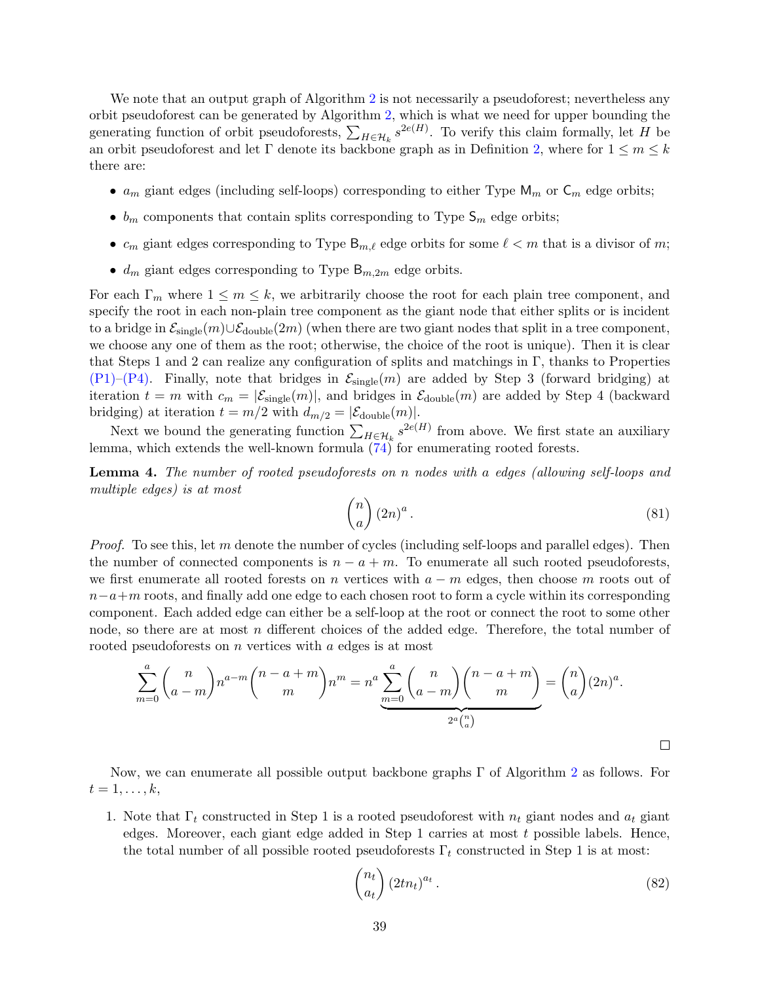We note that an output graph of Algorithm [2](#page-37-0) is not necessarily a pseudoforest; nevertheless any orbit pseudoforest can be generated by Algorithm [2,](#page-37-0) which is what we need for upper bounding the generating function of orbit pseudoforests,  $\sum_{H \in \mathcal{H}_k} s^{2e(H)}$ . To verify this claim formally, let H be an orbit pseudoforest and let  $\Gamma$  denote its backbone graph as in Definition [2,](#page-30-1) where for  $1 \leq m \leq k$ there are:

- $a_m$  giant edges (including self-loops) corresponding to either Type  $\mathsf{M}_m$  or  $\mathsf{C}_m$  edge orbits;
- $b_m$  components that contain splits corresponding to Type  $\mathsf{S}_m$  edge orbits;
- $c_m$  giant edges corresponding to Type  $\mathsf{B}_{m,\ell}$  edge orbits for some  $\ell < m$  that is a divisor of m;
- $d_m$  giant edges corresponding to Type  $B_{m,2m}$  edge orbits.

For each  $\Gamma_m$  where  $1 \leq m \leq k$ , we arbitrarily choose the root for each plain tree component, and specify the root in each non-plain tree component as the giant node that either splits or is incident to a bridge in  $\mathcal{E}_{single}(m) \cup \mathcal{E}_{double}(2m)$  (when there are two giant nodes that split in a tree component, we choose any one of them as the root; otherwise, the choice of the root is unique). Then it is clear that Steps 1 and 2 can realize any configuration of splits and matchings in Γ, thanks to Properties  $(P1)$ – $(P4)$ . Finally, note that bridges in  $\mathcal{E}_{single}(m)$  are added by Step 3 (forward bridging) at iteration  $t = m$  with  $c_m = |\mathcal{E}_{single}(m)|$ , and bridges in  $\mathcal{E}_{double}(m)$  are added by Step 4 (backward bridging) at iteration  $t = m/2$  with  $d_{m/2} = |\mathcal{E}_{\text{double}}(m)|$ .

Next we bound the generating function  $\sum_{H \in \mathcal{H}_k} s^{2e(H)}$  from above. We first state an auxiliary lemma, which extends the well-known formula  $(74)$  for enumerating rooted forests.

Lemma 4. The number of rooted pseudoforests on n nodes with a edges (allowing self-loops and multiple edges) is at most

$$
\binom{n}{a} (2n)^a. \tag{81}
$$

*Proof.* To see this, let m denote the number of cycles (including self-loops and parallel edges). Then the number of connected components is  $n - a + m$ . To enumerate all such rooted pseudoforests, we first enumerate all rooted forests on n vertices with  $a - m$  edges, then choose m roots out of  $n-a+m$  roots, and finally add one edge to each chosen root to form a cycle within its corresponding component. Each added edge can either be a self-loop at the root or connect the root to some other node, so there are at most n different choices of the added edge. Therefore, the total number of rooted pseudoforests on *n* vertices with *a* edges is at most

$$
\sum_{m=0}^{a} {n \choose a-m} n^{a-m} {n-a+m \choose m} n^m = n^a \sum_{m=0}^{a} {n \choose a-m} {n-a+m \choose m} = {n \choose a} (2n)^a.
$$

Now, we can enumerate all possible output backbone graphs Γ of Algorithm [2](#page-37-0) as follows. For  $t=1,\ldots,k,$ 

1. Note that  $\Gamma_t$  constructed in Step 1 is a rooted pseudoforest with  $n_t$  giant nodes and  $a_t$  giant edges. Moreover, each giant edge added in Step 1 carries at most t possible labels. Hence, the total number of all possible rooted pseudoforests  $\Gamma_t$  constructed in Step 1 is at most:

<span id="page-38-0"></span>
$$
\binom{n_t}{a_t} (2tn_t)^{a_t} \,. \tag{82}
$$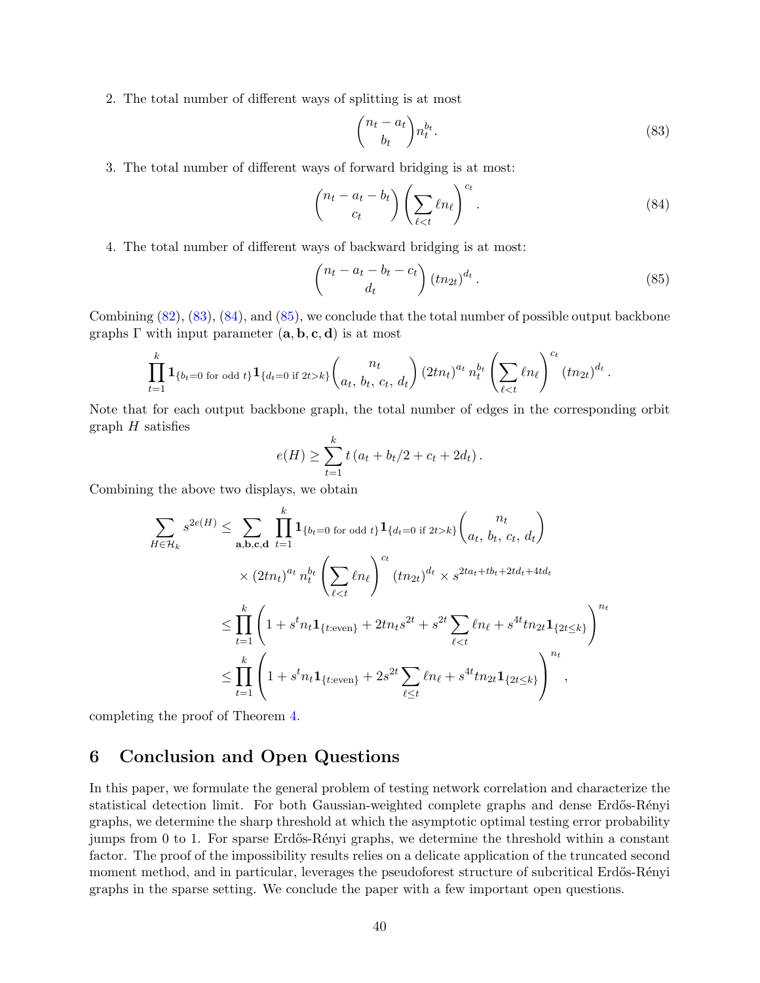2. The total number of different ways of splitting is at most

<span id="page-39-3"></span><span id="page-39-2"></span><span id="page-39-1"></span>
$$
\binom{n_t - a_t}{b_t} n_t^{b_t}.\tag{83}
$$

3. The total number of different ways of forward bridging is at most:

$$
\begin{pmatrix} n_t - a_t - b_t \\ c_t \end{pmatrix} \left( \sum_{\ell < t} \ell n_\ell \right)^{c_t} . \tag{84}
$$

4. The total number of different ways of backward bridging is at most:

$$
\begin{pmatrix} n_t - a_t - b_t - c_t \ d_t \end{pmatrix} (t n_{2t})^{d_t} . \tag{85}
$$

Combining [\(82\)](#page-38-0), [\(83\)](#page-39-1), [\(84\)](#page-39-2), and [\(85\)](#page-39-3), we conclude that the total number of possible output backbone graphs  $\Gamma$  with input parameter  $(a, b, c, d)$  is at most

$$
\prod_{t=1}^k \mathbf{1}_{\{b_t=0 \text{ for odd } t\}} \mathbf{1}_{\{d_t=0 \text{ if } 2t>k\}} {n_t \choose a_t, b_t, c_t, d_t} (2tn_t)^{a_t} n_t^{b_t} \left( \sum_{\ell < t} \ell n_\ell \right)^{c_t} (tn_{2t})^{d_t}.
$$

Note that for each output backbone graph, the total number of edges in the corresponding orbit graph  $H$  satisfies

$$
e(H) \ge \sum_{t=1}^{k} t (a_t + b_t/2 + c_t + 2d_t).
$$

Combining the above two displays, we obtain

$$
\sum_{H \in \mathcal{H}_k} s^{2e(H)} \leq \sum_{\mathbf{a},\mathbf{b},\mathbf{c},\mathbf{d}} \prod_{t=1}^k \mathbf{1}_{\{b_t=0 \text{ for odd } t\}} \mathbf{1}_{\{d_t=0 \text{ if } 2t > k\}} \binom{n_t}{a_t, b_t, c_t, d_t}
$$
\n
$$
\times (2tn_t)^{a_t} n_t^{b_t} \left( \sum_{\ell < t} \ell n_\ell \right)^{c_t} (tn_{2t})^{d_t} \times s^{2ta_t + tb_t + 2td_t + 4td_t}
$$
\n
$$
\leq \prod_{t=1}^k \left( 1 + s^t n_t \mathbf{1}_{\{t:\text{even}\}} + 2tn_ts^{2t} + s^{2t} \sum_{\ell < t} \ell n_\ell + s^{4t} t n_{2t} \mathbf{1}_{\{2t \leq k\}} \right)^{n_t}
$$
\n
$$
\leq \prod_{t=1}^k \left( 1 + s^t n_t \mathbf{1}_{\{t:\text{even}\}} + 2s^{2t} \sum_{\ell \leq t} \ell n_\ell + s^{4t} t n_{2t} \mathbf{1}_{\{2t \leq k\}} \right)^{n_t},
$$

completing the proof of Theorem [4.](#page-27-0)

## <span id="page-39-0"></span>6 Conclusion and Open Questions

In this paper, we formulate the general problem of testing network correlation and characterize the statistical detection limit. For both Gaussian-weighted complete graphs and dense Erdős-Rényi graphs, we determine the sharp threshold at which the asymptotic optimal testing error probability jumps from 0 to 1. For sparse Erdős-Rényi graphs, we determine the threshold within a constant factor. The proof of the impossibility results relies on a delicate application of the truncated second moment method, and in particular, leverages the pseudoforest structure of subcritical Erdős-Rényi graphs in the sparse setting. We conclude the paper with a few important open questions.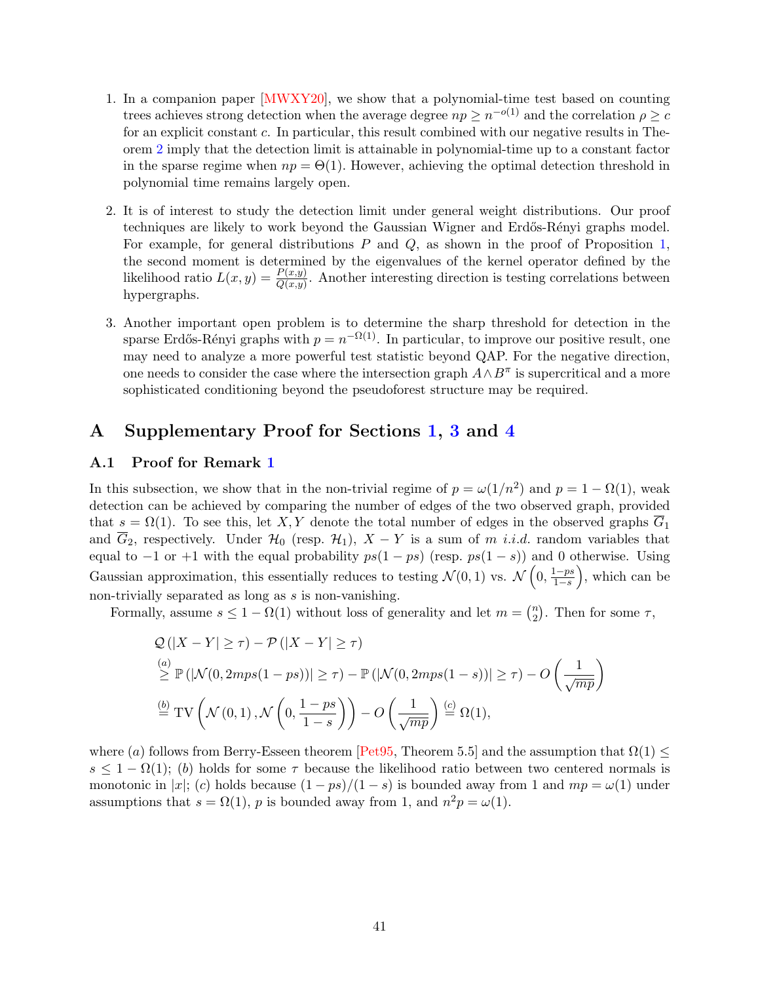- 1. In a companion paper [\[MWXY20\]](#page-64-5), we show that a polynomial-time test based on counting trees achieves strong detection when the average degree  $np \geq n^{-o(1)}$  and the correlation  $\rho \geq c$ for an explicit constant c. In particular, this result combined with our negative results in Theorem [2](#page-4-2) imply that the detection limit is attainable in polynomial-time up to a constant factor in the sparse regime when  $np = \Theta(1)$ . However, achieving the optimal detection threshold in polynomial time remains largely open.
- 2. It is of interest to study the detection limit under general weight distributions. Our proof techniques are likely to work beyond the Gaussian Wigner and Erdős-Rényi graphs model. For example, for general distributions  $P$  and  $Q$ , as shown in the proof of Proposition [1,](#page-15-0) the second moment is determined by the eigenvalues of the kernel operator defined by the likelihood ratio  $L(x, y) = \frac{P(x, y)}{Q(x, y)}$ . Another interesting direction is testing correlations between hypergraphs.
- 3. Another important open problem is to determine the sharp threshold for detection in the sparse Erdős-Rényi graphs with  $p = n^{-\Omega(1)}$ . In particular, to improve our positive result, one may need to analyze a more powerful test statistic beyond QAP. For the negative direction, one needs to consider the case where the intersection graph  $A \wedge B^{\pi}$  is supercritical and a more sophisticated conditioning beyond the pseudoforest structure may be required.

# <span id="page-40-0"></span>A Supplementary Proof for Sections [1,](#page-1-0) [3](#page-13-0) and [4](#page-19-0)

### <span id="page-40-1"></span>A.1 Proof for Remark [1](#page-5-1)

In this subsection, we show that in the non-trivial regime of  $p = \omega(1/n^2)$  and  $p = 1 - \Omega(1)$ , weak detection can be achieved by comparing the number of edges of the two observed graph, provided that  $s = \Omega(1)$ . To see this, let X, Y denote the total number of edges in the observed graphs  $\overline{G}_1$ and  $\overline{G}_2$ , respectively. Under  $\mathcal{H}_0$  (resp.  $\mathcal{H}_1$ ),  $X - Y$  is a sum of m *i.i.d.* random variables that equal to  $-1$  or  $+1$  with the equal probability  $ps(1 - ps)$  (resp.  $ps(1 - s)$ ) and 0 otherwise. Using Gaussian approximation, this essentially reduces to testing  $\mathcal{N}(0,1)$  vs.  $\mathcal{N}\left(0,\frac{1-ps}{1-s}\right)$  $\frac{1-ps}{1-s}$ , which can be non-trivially separated as long as s is non-vanishing.

Formally, assume  $s \leq 1 - \Omega(1)$  without loss of generality and let  $m = \binom{n}{2}$  $n \choose 2$ . Then for some  $\tau$ ,

$$
Q(|X - Y| \ge \tau) - P(|X - Y| \ge \tau)
$$
\n
$$
\stackrel{(a)}{\ge} \mathbb{P}(|\mathcal{N}(0, 2mps(1 - ps))| \ge \tau) - \mathbb{P}(|\mathcal{N}(0, 2mps(1 - s))| \ge \tau) - O\left(\frac{1}{\sqrt{mp}}\right)
$$
\n
$$
\stackrel{(b)}{=} \text{TV}\left(\mathcal{N}(0, 1), \mathcal{N}\left(0, \frac{1 - ps}{1 - s}\right)\right) - O\left(\frac{1}{\sqrt{mp}}\right) \stackrel{(c)}{=} \Omega(1),
$$

where (a) follows from Berry-Esseen theorem [\[Pet95,](#page-64-12) Theorem 5.5] and the assumption that  $\Omega(1) \leq$  $s \leq 1 - \Omega(1)$ ; (b) holds for some  $\tau$  because the likelihood ratio between two centered normals is monotonic in |x|; (c) holds because  $(1 - ps)/(1 - s)$  is bounded away from 1 and  $mp = \omega(1)$  under assumptions that  $s = \Omega(1)$ , p is bounded away from 1, and  $n^2p = \omega(1)$ .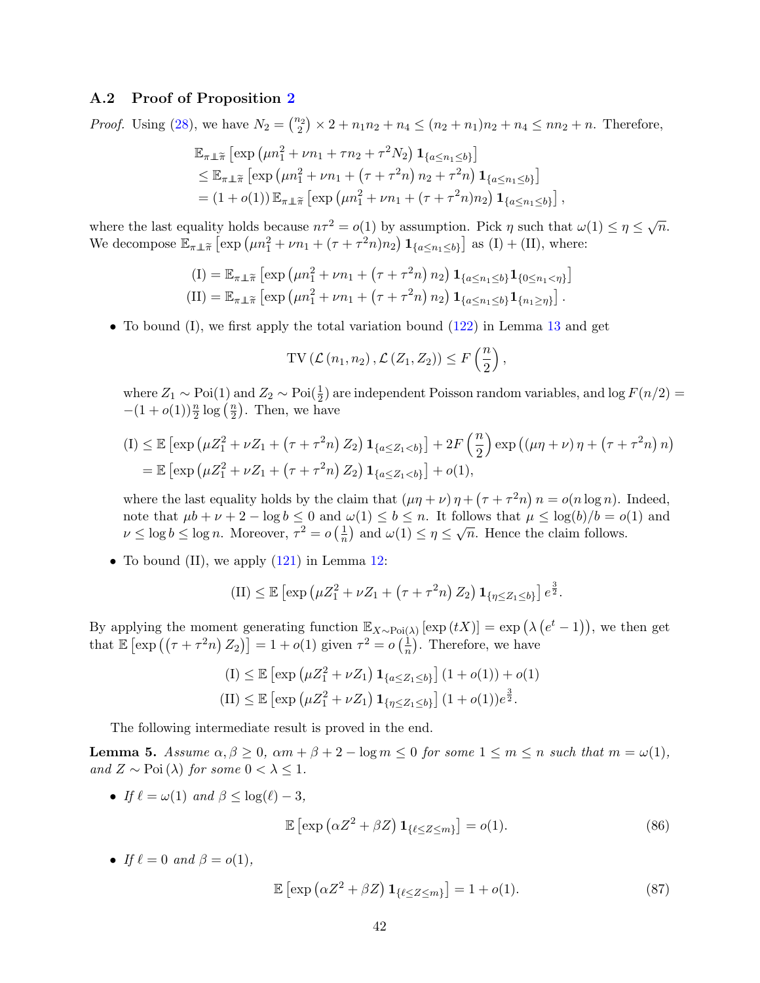### <span id="page-41-0"></span>A.2 Proof of Proposition [2](#page-17-1)

*Proof.* Using [\(28\)](#page-13-4), we have  $N_2 = \binom{n_2}{2} \times 2 + n_1 n_2 + n_4 \le (n_2 + n_1)n_2 + n_4 \le nn_2 + n$ . Therefore,

$$
\mathbb{E}_{\pi \perp \tilde{\pi}} \left[ \exp \left( \mu n_1^2 + \nu n_1 + \tau n_2 + \tau^2 N_2 \right) \mathbf{1}_{\{a \le n_1 \le b\}} \right] \n\le \mathbb{E}_{\pi \perp \tilde{\pi}} \left[ \exp \left( \mu n_1^2 + \nu n_1 + \left( \tau + \tau^2 n \right) n_2 + \tau^2 n \right) \mathbf{1}_{\{a \le n_1 \le b\}} \right] \n= (1 + o(1)) \mathbb{E}_{\pi \perp \tilde{\pi}} \left[ \exp \left( \mu n_1^2 + \nu n_1 + (\tau + \tau^2 n) n_2 \right) \mathbf{1}_{\{a \le n_1 \le b\}} \right],
$$

where the last equality holds because  $n\tau^2 = o(1)$  by assumption. Pick  $\eta$  such that  $\omega(1) \leq \eta \leq \sqrt{n}$ . We decompose  $\mathbb{E}_{\pi \perp \tilde{\pi}} \left[ \exp \left( \mu n_1^2 + \nu n_1 + (\tau + \tau^2 n) n_2 \right) \mathbf{1}_{\{a \leq n_1 \leq b\}} \right]$  as  $(I) + (II)$ , where:

$$
\begin{aligned} \n\text{(I)} &= \mathbb{E}_{\pi \perp \widetilde{\pi}} \left[ \exp \left( \mu n_1^2 + \nu n_1 + \left( \tau + \tau^2 n \right) n_2 \right) \mathbf{1}_{\{a \le n_1 \le b\}} \mathbf{1}_{\{0 \le n_1 < \eta\}} \right] \\ \n\text{(II)} &= \mathbb{E}_{\pi \perp \widetilde{\pi}} \left[ \exp \left( \mu n_1^2 + \nu n_1 + \left( \tau + \tau^2 n \right) n_2 \right) \mathbf{1}_{\{a \le n_1 \le b\}} \mathbf{1}_{\{n_1 \ge \eta\}} \right]. \n\end{aligned}
$$

• To bound  $(I)$ , we first apply the total variation bound  $(122)$  in Lemma [13](#page-62-8) and get

$$
\mathrm{TV}\left(\mathcal{L}\left(n_1, n_2\right), \mathcal{L}\left(Z_1, Z_2\right)\right) \le F\left(\frac{n}{2}\right)
$$

,

where  $Z_1 \sim \text{Poi}(1)$  and  $Z_2 \sim \text{Poi}(\frac{1}{2})$  are independent Poisson random variables, and log  $F(n/2) =$  $-(1+o(1))\frac{n}{2}\log\left(\frac{n}{2}\right)$  $\frac{n}{2}$ ). Then, we have

$$
(I) \leq \mathbb{E} \left[ \exp \left( \mu Z_1^2 + \nu Z_1 + (\tau + \tau^2 n) Z_2 \right) \mathbf{1}_{\{a \leq Z_1 < b\}} \right] + 2F\left(\frac{n}{2}\right) \exp \left( (\mu \eta + \nu) \eta + (\tau + \tau^2 n) n \right) = \mathbb{E} \left[ \exp \left( \mu Z_1^2 + \nu Z_1 + (\tau + \tau^2 n) Z_2 \right) \mathbf{1}_{\{a \leq Z_1 < b\}} \right] + o(1),
$$

where the last equality holds by the claim that  $(\mu \eta + \nu) \eta + (\tau + \tau^2 n) n = o(n \log n)$ . Indeed, note that  $\mu b + \nu + 2 - \log b \leq 0$  and  $\omega(1) \leq b \leq n$ . It follows that  $\mu \leq \log(b)/b = o(1)$  and  $\nu \leq \log b \leq \log n$ . Moreover,  $\tau^2 = o\left(\frac{1}{n}\right)$  $\frac{d}{n}$  and  $\omega(1) \leq \eta \leq \sqrt{n}$ . Hence the claim follows.

• To bound (II), we apply  $(121)$  in Lemma [12:](#page-61-4)

$$
(II) \leq \mathbb{E}\left[\exp\left(\mu Z_1^2 + \nu Z_1 + \left(\tau + \tau^2 n\right) Z_2\right) \mathbf{1}_{\{\eta \leq Z_1 \leq b\}}\right] e^{\frac{3}{2}}.
$$

By applying the moment generating function  $\mathbb{E}_{X \sim \text{Poi}(\lambda)} [\exp(tX)] = \exp(\lambda(e^t - 1)),$  we then get that  $\mathbb{E} \left[ \exp \left( \left( \tau + \tau^2 n \right) Z_2 \right) \right] = 1 + o(1)$  given  $\tau^2 = o\left( \frac{1}{n} \right)$  $\frac{1}{n}$ ). Therefore, we have

$$
(I) \leq \mathbb{E} \left[ \exp \left( \mu Z_1^2 + \nu Z_1 \right) \mathbf{1}_{\{a \leq Z_1 \leq b\}} \right] (1 + o(1)) + o(1)
$$
  

$$
(II) \leq \mathbb{E} \left[ \exp \left( \mu Z_1^2 + \nu Z_1 \right) \mathbf{1}_{\{\eta \leq Z_1 \leq b\}} \right] (1 + o(1)) e^{\frac{3}{2}}.
$$

The following intermediate result is proved in the end.

<span id="page-41-3"></span>**Lemma 5.** Assume  $\alpha, \beta \ge 0$ ,  $\alpha m + \beta + 2 - \log m \le 0$  for some  $1 \le m \le n$  such that  $m = \omega(1)$ , and  $Z \sim \mathrm{Poi}(\lambda)$  for some  $0 < \lambda \leq 1$ .

• If  $\ell = \omega(1)$  and  $\beta \leq \log(\ell) - 3$ ,

<span id="page-41-2"></span><span id="page-41-1"></span>
$$
\mathbb{E}\left[\exp\left(\alpha Z^2 + \beta Z\right)\mathbf{1}_{\{\ell \le Z \le m\}}\right] = o(1). \tag{86}
$$

• If  $\ell = 0$  and  $\beta = o(1)$ ,

$$
\mathbb{E}\left[\exp\left(\alpha Z^2 + \beta Z\right)\mathbf{1}_{\{\ell \le Z \le m\}}\right] = 1 + o(1). \tag{87}
$$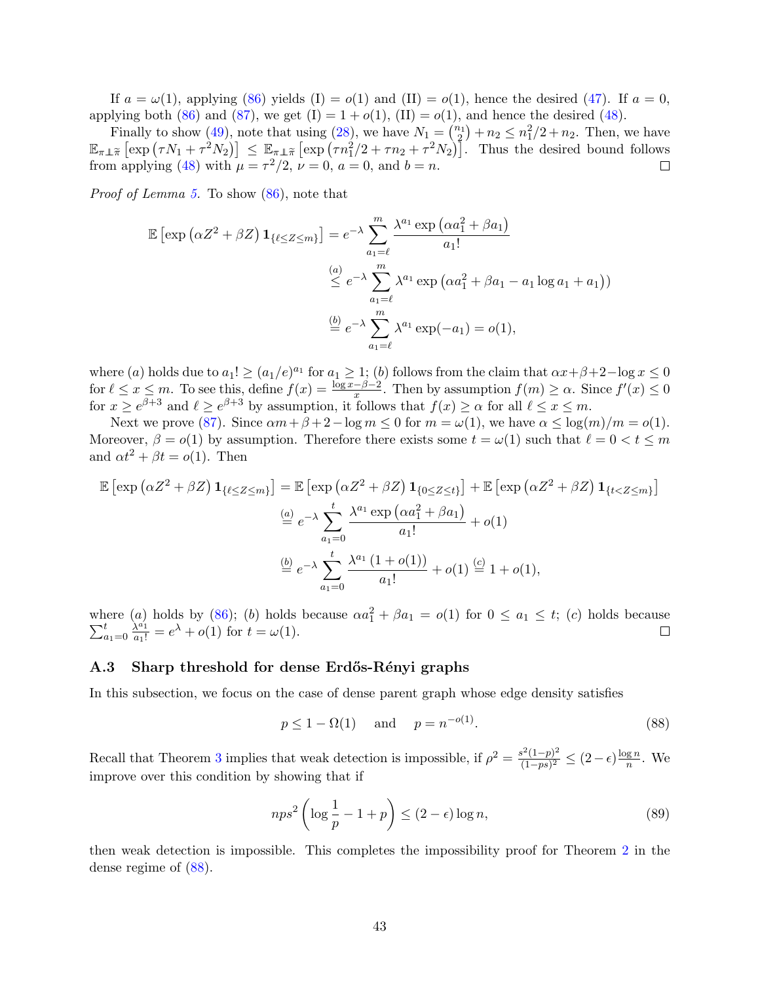If  $a = \omega(1)$ , applying [\(86\)](#page-41-1) yields (I) =  $o(1)$  and (II) =  $o(1)$ , hence the desired [\(47\)](#page-17-7). If  $a = 0$ , applying both [\(86\)](#page-41-1) and [\(87\)](#page-41-2), we get  $(I) = 1 + o(1)$ ,  $(II) = o(1)$ , and hence the desired [\(48\)](#page-17-6).

Finally to show [\(49\)](#page-17-4), note that using [\(28\)](#page-13-4), we have  $N_1 = \binom{n_1}{2} + n_2 \leq n_1^2/2 + n_2$ . Then, we have  $\mathbb{E}_{\pi\perp\tilde{\pi}}\left[\exp\left(\tau N_1+\tau^2 N_2\right)\right] \leq \mathbb{E}_{\pi\perp\tilde{\pi}}\left[\exp\left(\tau n_1^2/2+\tau n_2+\tau^2 N_2\right)\right].$  Thus the desired bound follows from applying [\(48\)](#page-17-6) with  $\mu = \tau^2/2$ ,  $\nu = 0$ ,  $a = 0$ , and  $b = n$ .  $\Box$ 

Proof of Lemma [5.](#page-41-3) To show [\(86\)](#page-41-1), note that

$$
\mathbb{E}\left[\exp\left(\alpha Z^2 + \beta Z\right) \mathbf{1}_{\{\ell \le Z \le m\}}\right] = e^{-\lambda} \sum_{a_1=\ell}^m \frac{\lambda^{a_1} \exp\left(\alpha a_1^2 + \beta a_1\right)}{a_1!}
$$

$$
\stackrel{(a)}{\le} e^{-\lambda} \sum_{a_1=\ell}^m \lambda^{a_1} \exp\left(\alpha a_1^2 + \beta a_1 - a_1 \log a_1 + a_1\right))
$$

$$
\stackrel{(b)}{=} e^{-\lambda} \sum_{a_1=\ell}^m \lambda^{a_1} \exp(-a_1) = o(1),
$$

where (a) holds due to  $a_1! \ge (a_1/e)^{a_1}$  for  $a_1 \ge 1$ ; (b) follows from the claim that  $\alpha x + \beta + 2 - \log x \le 0$ for  $\ell \leq x \leq m$ . To see this, define  $f(x) = \frac{\log x - \beta - 2}{x}$ . Then by assumption  $f(m) \geq \alpha$ . Since  $f'(x) \leq 0$ for  $x \ge e^{\beta+3}$  and  $\ell \ge e^{\beta+3}$  by assumption, it follows that  $f(x) \ge \alpha$  for all  $\ell \le x \le m$ .

Next we prove [\(87\)](#page-41-2). Since  $\alpha m + \beta + 2 - \log m \leq 0$  for  $m = \omega(1)$ , we have  $\alpha \leq \log(m)/m = o(1)$ . Moreover,  $\beta = o(1)$  by assumption. Therefore there exists some  $t = \omega(1)$  such that  $\ell = 0 < t \le m$ and  $\alpha t^2 + \beta t = o(1)$ . Then

$$
\mathbb{E}\left[\exp\left(\alpha Z^2 + \beta Z\right) \mathbf{1}_{\{\ell \le Z \le m\}}\right] = \mathbb{E}\left[\exp\left(\alpha Z^2 + \beta Z\right) \mathbf{1}_{\{0 \le Z \le t\}}\right] + \mathbb{E}\left[\exp\left(\alpha Z^2 + \beta Z\right) \mathbf{1}_{\{t < Z \le m\}}\right]
$$

$$
\stackrel{(a)}{=} e^{-\lambda} \sum_{a_1=0}^{t} \frac{\lambda^{a_1} \exp\left(\alpha a_1^2 + \beta a_1\right)}{a_1!} + o(1)
$$

$$
\stackrel{(b)}{=} e^{-\lambda} \sum_{a_1=0}^{t} \frac{\lambda^{a_1} \left(1 + o(1)\right)}{a_1!} + o(1) \stackrel{(c)}{=} 1 + o(1),
$$

where (a) holds by [\(86\)](#page-41-1); (b) holds because  $\alpha a_1^2$  $\sum$ here (a) holds by (86); (b) holds because  $\alpha a_1^2 + \beta a_1 = o(1)$  for  $0 \le a_1 \le t$ ; (c) holds because  $a_{1}=0 \frac{\lambda^{a_1}}{a_1!} = e^{\lambda} + o(1)$  for  $t = \omega(1)$ .

## <span id="page-42-0"></span>A.3 Sharp threshold for dense Erdős-Rényi graphs

In this subsection, we focus on the case of dense parent graph whose edge density satisfies

<span id="page-42-1"></span>
$$
p \le 1 - \Omega(1) \quad \text{and} \quad p = n^{-o(1)}.
$$
\n
$$
(88)
$$

Recall that Theorem [3](#page-17-5) implies that weak detection is impossible, if  $\rho^2 = \frac{s^2(1-p)^2}{(1-n)^2}$  $\frac{\delta^2(1-p)^2}{(1-ps)^2} \le (2-\epsilon)\frac{\log n}{n}$  $\frac{\lg n}{n}$ . We improve over this condition by showing that if

<span id="page-42-2"></span>
$$
nps^2 \left(\log \frac{1}{p} - 1 + p\right) \le (2 - \epsilon) \log n,\tag{89}
$$

then weak detection is impossible. This completes the impossibility proof for Theorem [2](#page-4-2) in the dense regime of [\(88\)](#page-42-1).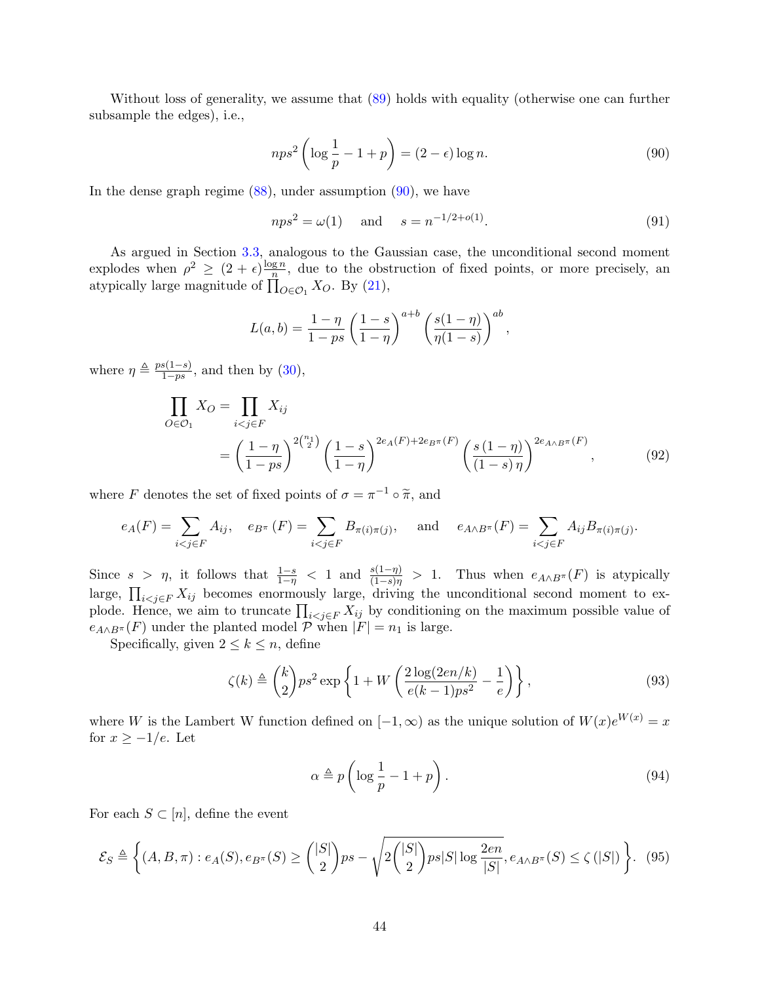Without loss of generality, we assume that [\(89\)](#page-42-2) holds with equality (otherwise one can further subsample the edges), i.e.,

<span id="page-43-0"></span>
$$
nps^2 \left(\log \frac{1}{p} - 1 + p\right) = (2 - \epsilon) \log n. \tag{90}
$$

In the dense graph regime  $(88)$ , under assumption  $(90)$ , we have

<span id="page-43-5"></span>
$$
nps^2 = \omega(1)
$$
 and  $s = n^{-1/2 + o(1)}$ . (91)

As argued in Section [3.3,](#page-17-0) analogous to the Gaussian case, the unconditional second moment explodes when  $\rho^2 \geq (2 + \epsilon) \frac{\log n}{n}$  $\frac{gn}{n}$ , due to the obstruction of fixed points, or more precisely, an atypically large magnitude of  $\prod_{O \in \mathcal{O}_1} X_O$ . By [\(21\)](#page-11-4),

<span id="page-43-4"></span>
$$
L(a, b) = \frac{1 - \eta}{1 - ps} \left(\frac{1 - s}{1 - \eta}\right)^{a + b} \left(\frac{s(1 - \eta)}{\eta(1 - s)}\right)^{ab},
$$

where  $\eta \triangleq \frac{ps(1-s)}{1-s}$  $\frac{s(1-s)}{1-ps}$ , and then by  $(30)$ ,

$$
\prod_{O \in \mathcal{O}_1} X_O = \prod_{i < j \in F} X_{ij} \\
= \left(\frac{1 - \eta}{1 - ps}\right)^{2\binom{n_1}{2}} \left(\frac{1 - s}{1 - \eta}\right)^{2e_A(F) + 2e_B\pi(F)} \left(\frac{s(1 - \eta)}{(1 - s)\eta}\right)^{2e_{A \wedge B}\pi(F)},\n\tag{92}
$$

where F denotes the set of fixed points of  $\sigma = \pi^{-1} \circ \tilde{\pi}$ , and

$$
e_A(F) = \sum_{i < j \in F} A_{ij}, \quad e_{B^\pi}(F) = \sum_{i < j \in F} B_{\pi(i)\pi(j)}, \quad \text{and} \quad e_{A \wedge B^\pi}(F) = \sum_{i < j \in F} A_{ij} B_{\pi(i)\pi(j)}.
$$

Since  $s > \eta$ , it follows that  $\frac{1-s}{1-\eta} < 1$  and  $\frac{s(1-\eta)}{(1-s)\eta} > 1$ . Thus when  $e_{A\wedge B^{\pi}}(F)$  is atypically large,  $\prod_{i < j \in F} X_{ij}$  becomes enormously large, driving the unconditional second moment to explode. Hence, we aim to truncate  $\prod_{i < j \in F} X_{ij}$  by conditioning on the maximum possible value of  $e_{A\wedge B^{\pi}}(F)$  under the planted model  $\mathcal P$  when  $|F|=n_1$  is large.

Specifically, given  $2 \leq k \leq n$ , define

$$
\zeta(k) \triangleq \binom{k}{2} p s^2 \exp\left\{1 + W\left(\frac{2\log(2en/k)}{e(k-1)p s^2} - \frac{1}{e}\right)\right\},\tag{93}
$$

where W is the Lambert W function defined on  $[-1,\infty)$  as the unique solution of  $W(x)e^{W(x)} = x$ for  $x \geq -1/e$ . Let

<span id="page-43-3"></span><span id="page-43-2"></span><span id="page-43-1"></span>
$$
\alpha \triangleq p \left( \log \frac{1}{p} - 1 + p \right). \tag{94}
$$

For each  $S \subset [n]$ , define the event

$$
\mathcal{E}_S \triangleq \left\{ (A, B, \pi) : e_A(S), e_{B^{\pi}}(S) \ge \binom{|S|}{2} ps - \sqrt{2\binom{|S|}{2} ps|S| \log \frac{2en}{|S|}}, e_{A \wedge B^{\pi}}(S) \le \zeta(|S|) \right\}.
$$
 (95)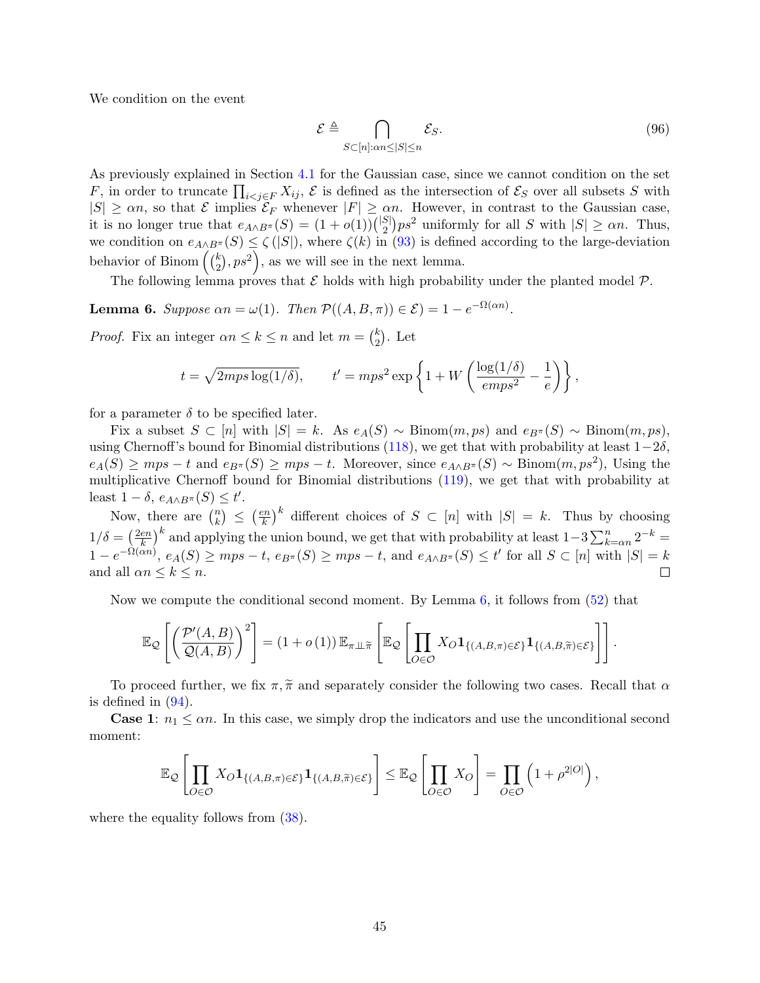We condition on the event

<span id="page-44-1"></span>
$$
\mathcal{E} \triangleq \bigcap_{S \subset [n]:\alpha n \le |S| \le n} \mathcal{E}_S. \tag{96}
$$

As previously explained in Section [4.1](#page-20-0) for the Gaussian case, since we cannot condition on the set F, in order to truncate  $\prod_{i < j \in F} X_{ij}$ ,  $\mathcal E$  is defined as the intersection of  $\mathcal E_S$  over all subsets S with  $|S| \geq \alpha n$ , so that  $\mathcal E$  implies  $\mathcal E_F$  whenever  $|F| \geq \alpha n$ . However, in contrast to the Gaussian case, it is no longer true that  $e_{A \wedge B^{\pi}}(S) = (1 + o(1))\binom{|S|}{2}$  $S_2^{\{S\}}$  uniformly for all S with  $|S| \ge \alpha n$ . Thus, we condition on  $e_{A\wedge B^{\pi}}(S) \leq \zeta(|S|)$ , where  $\zeta(k)$  in [\(93\)](#page-43-1) is defined according to the large-deviation behavior of Binom  $\left(\binom{k}{2}\right)$  $\binom{k}{2}, ps^2$ , as we will see in the next lemma.

The following lemma proves that  $\mathcal E$  holds with high probability under the planted model  $\mathcal P$ .

<span id="page-44-0"></span>**Lemma 6.** Suppose  $\alpha n = \omega(1)$ . Then  $\mathcal{P}((A, B, \pi)) \in \mathcal{E}$  = 1 –  $e^{-\Omega(\alpha n)}$ .

*Proof.* Fix an integer  $\alpha n \leq k \leq n$  and let  $m = \binom{k}{2}$  $_{2}^{k}$ ). Let

$$
t = \sqrt{2mps \log(1/\delta)},
$$
  $t' = mps^2 \exp\left\{1 + W\left(\frac{\log(1/\delta)}{emps^2} - \frac{1}{e}\right)\right\},$ 

for a parameter  $\delta$  to be specified later.

Fix a subset  $S \subset [n]$  with  $|S| = k$ . As  $e_A(S) \sim \text{Binom}(m, ps)$  and  $e_{B^{\pi}}(S) \sim \text{Binom}(m, ps)$ , using Chernoff's bound for Binomial distributions [\(118\)](#page-61-1), we get that with probability at least  $1-2\delta$ ,  $e_A(S) \geq mps - t$  and  $e_{B^{\pi}}(S) \geq mps - t$ . Moreover, since  $e_{A \wedge B^{\pi}}(S) \sim \text{Binom}(m, ps^2)$ , Using the multiplicative Chernoff bound for Binomial distributions [\(119\)](#page-61-5), we get that with probability at least  $1 - \delta$ ,  $e_{A \wedge B^{\pi}}(S) \leq t'$ .

 $\left(\frac{kn}{k}\right)^k$  different choices of  $S \subset [n]$  with  $|S| = k$ . Thus by choosing Now, there are  $\binom{n}{k}$  $\binom{n}{k} \leq \left(\frac{en}{k}\right)$  $\left(\frac{en}{k}\right)^k$  and applying the union bound, we get that with probability at least  $1-3\sum_{k=\alpha n}^n 2^{-k} =$  $1/\delta = \left(\frac{2en}{k}\right)$  $1-e^{-\Omega(\alpha n)}$ ,  $e_A(S) \ge mps - t$ ,  $e_{B^{\pi}}(S) \ge mps - t$ , and  $e_{A \wedge B^{\pi}}(S) \le t'$  for all  $S \subset [n]$  with  $|S| = k$ and all  $\alpha n \leq k \leq n$ .  $\Box$ 

Now we compute the conditional second moment. By Lemma  $6$ , it follows from  $(52)$  that

$$
\mathbb{E}_{\mathcal{Q}}\left[\left(\frac{\mathcal{P}'(A,B)}{\mathcal{Q}(A,B)}\right)^2\right] = (1+o(1))\,\mathbb{E}_{\pi\perp\tilde{\pi}}\left[\mathbb{E}_{\mathcal{Q}}\left[\prod_{O\in\mathcal{O}}X_O\mathbf{1}_{\{(A,B,\pi)\in\mathcal{E}\}}\mathbf{1}_{\{(A,B,\tilde{\pi})\in\mathcal{E}\}}\right]\right].
$$

To proceed further, we fix  $\pi, \tilde{\pi}$  and separately consider the following two cases. Recall that  $\alpha$ is defined in  $(94)$ .

**Case 1:**  $n_1 \leq \alpha n$ . In this case, we simply drop the indicators and use the unconditional second moment:

$$
\mathbb{E}_{\mathcal{Q}}\left[\prod_{O\in\mathcal{O}}X_O\mathbf{1}_{\{(A,B,\pi)\in\mathcal{E}\}}\mathbf{1}_{\{(A,B,\widetilde{\pi})\in\mathcal{E}\}}\right] \leq \mathbb{E}_{\mathcal{Q}}\left[\prod_{O\in\mathcal{O}}X_O\right] = \prod_{O\in\mathcal{O}}\left(1+\rho^{2|O|}\right),
$$

where the equality follows from  $(38)$ .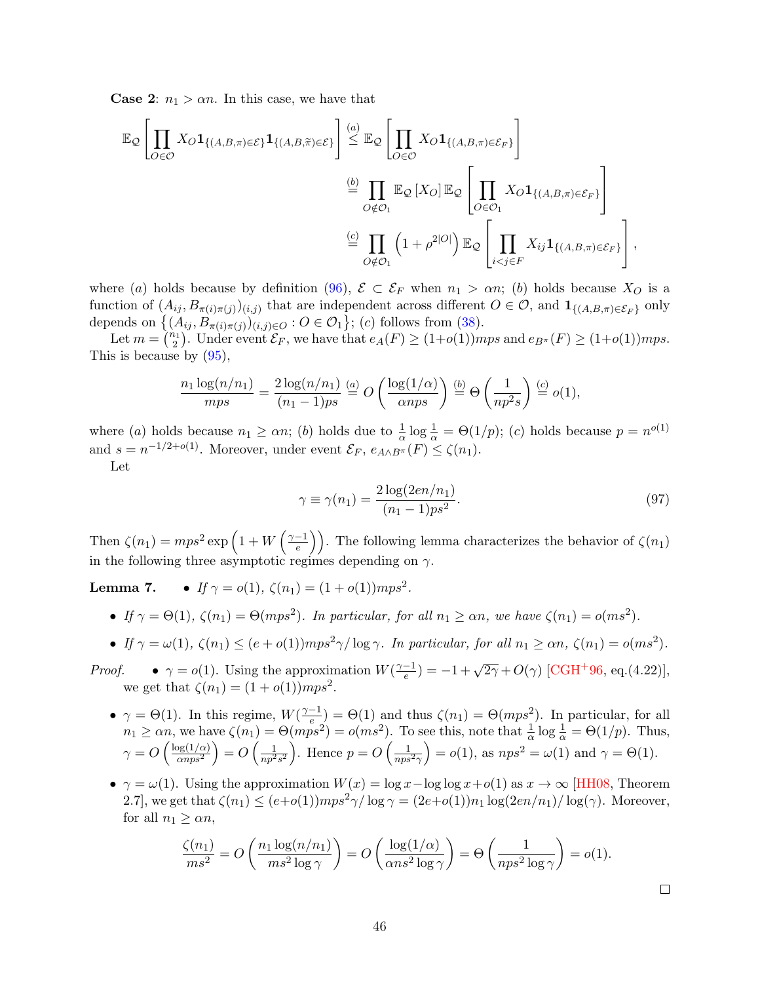**Case 2:**  $n_1 > \alpha n$ . In this case, we have that

$$
\mathbb{E}_{\mathcal{Q}}\left[\prod_{O\in\mathcal{O}}X_O\mathbf{1}_{\{(A,B,\pi)\in\mathcal{E}\}}\mathbf{1}_{\{(A,B,\widetilde{\pi})\in\mathcal{E}\}}\right] \stackrel{(a)}{\leq} \mathbb{E}_{\mathcal{Q}}\left[\prod_{O\in\mathcal{O}}X_O\mathbf{1}_{\{(A,B,\pi)\in\mathcal{E}_F\}}\right]
$$

$$
\stackrel{(b)}{=} \prod_{O\notin\mathcal{O}_1}\mathbb{E}_{\mathcal{Q}}\left[X_O\right]\mathbb{E}_{\mathcal{Q}}\left[\prod_{O\in\mathcal{O}_1}X_O\mathbf{1}_{\{(A,B,\pi)\in\mathcal{E}_F\}}\right]
$$

$$
\stackrel{(c)}{=} \prod_{O\notin\mathcal{O}_1}\left(1+\rho^{2|O|}\right)\mathbb{E}_{\mathcal{Q}}\left[\prod_{i
$$

where (a) holds because by definition [\(96\)](#page-44-1),  $\mathcal{E} \subset \mathcal{E}_F$  when  $n_1 > \alpha n$ ; (b) holds because  $X_O$  is a function of  $(A_{ij}, B_{\pi(i)\pi(j)})_{(i,j)}$  that are independent across different  $O \in \mathcal{O}$ , and  $\mathbf{1}_{\{(A,B,\pi)\in\mathcal{E}_F\}}$  only depends on  $\{(A_{ij}, B_{\pi(i)\pi(j)})(i,j)\in O : O \in \mathcal{O}_1\}$ ; (c) follows from [\(38\)](#page-15-2).

Let  $m = \binom{n_1}{2}$ . Under event  $\mathcal{E}_F$ , we have that  $e_A(F) \ge (1+o(1))mps$  and  $e_{B^{\pi}}(F) \ge (1+o(1))mps$ . This is because by [\(95\)](#page-43-3),

$$
\frac{n_1 \log(n/n_1)}{mps} = \frac{2 \log(n/n_1)}{(n_1 - 1)ps} \stackrel{(a)}{=} O\left(\frac{\log(1/\alpha)}{\alpha nps}\right) \stackrel{(b)}{=} \Theta\left(\frac{1}{np^2s}\right) \stackrel{(c)}{=} o(1),
$$

where (a) holds because  $n_1 \ge \alpha n$ ; (b) holds due to  $\frac{1}{\alpha} \log \frac{1}{\alpha} = \Theta(1/p)$ ; (c) holds because  $p = n^{o(1)}$ and  $s = n^{-1/2+o(1)}$ . Moreover, under event  $\mathcal{E}_F$ ,  $e_{A \wedge B^{\pi}}(F) \leq \zeta(n_1)$ .

Let

<span id="page-45-0"></span>
$$
\gamma \equiv \gamma(n_1) = \frac{2\log(2en/n_1)}{(n_1 - 1)ps^2}.\tag{97}
$$

Then  $\zeta(n_1) = mps^2 \exp\left(1 + W\left(\frac{\gamma - 1}{e}\right)\right)$  $\left(\frac{-1}{e}\right)$ . The following lemma characterizes the behavior of  $\zeta(n_1)$ in the following three asymptotic regimes depending on  $\gamma$ .

**Lemma 7.** • If  $\gamma = o(1)$ ,  $\zeta(n_1) = (1 + o(1))mps^2$ .

- If  $\gamma = \Theta(1)$ ,  $\zeta(n_1) = \Theta(mps^2)$ . In particular, for all  $n_1 \ge \alpha n$ , we have  $\zeta(n_1) = o(ms^2)$ .
- If  $\gamma = \omega(1)$ ,  $\zeta(n_1) \le (e + o(1))mps^2\gamma/\log \gamma$ . In particular, for all  $n_1 \ge \alpha n$ ,  $\zeta(n_1) = o(ms^2)$ .
- *Proof.*  $\gamma = o(1)$ . Using the approximation  $W(\frac{\gamma 1}{e})$  $\frac{(-1)}{e}$  = -1 +  $\sqrt{2\gamma}$  + O( $\gamma$ ) [\[CGH](#page-63-13)<sup>+</sup>96, eq.(4.22)], we get that  $\zeta(n_1) = (1 + o(1))mps^2$ .
	- $\gamma = \Theta(1)$ . In this regime,  $W(\frac{\gamma 1}{\epsilon})$  $\frac{(-1)}{e}$  =  $\Theta(1)$  and thus  $\zeta(n_1) = \Theta(mps^2)$ . In particular, for all  $n_1 \ge \alpha n$ , we have  $\zeta(n_1) = \Theta(mps^2) = o(ms^2)$ . To see this, note that  $\frac{1}{\alpha} \log \frac{1}{\alpha} = \Theta(1/p)$ . Thus,  $\gamma = O\left(\frac{\log(1/\alpha)}{\alpha n n s^2}\right)$  $\frac{\log(1/\alpha)}{\alpha nps^2}$  =  $O\left(\frac{1}{np^2s^2}\right)$ . Hence  $p = O\left(\frac{1}{nps^2\gamma}\right) = o(1)$ , as  $nps^2 = \omega(1)$  and  $\gamma = \Theta(1)$ .
	- $\gamma = \omega(1)$ . Using the approximation  $W(x) = \log x \log \log x + o(1)$  as  $x \to \infty$  [\[HH08,](#page-63-14) Theorem 2.7], we get that  $\zeta(n_1) \leq (e+o(1))mps^2\gamma/\log \gamma = (2e+o(1))n_1\log(2en/n_1)/\log(\gamma)$ . Moreover, for all  $n_1 \geq \alpha n$ ,

$$
\frac{\zeta(n_1)}{ms^2} = O\left(\frac{n_1 \log(n/n_1)}{ms^2 \log \gamma}\right) = O\left(\frac{\log(1/\alpha)}{\alpha ns^2 \log \gamma}\right) = \Theta\left(\frac{1}{nps^2 \log \gamma}\right) = o(1).
$$

 $\Box$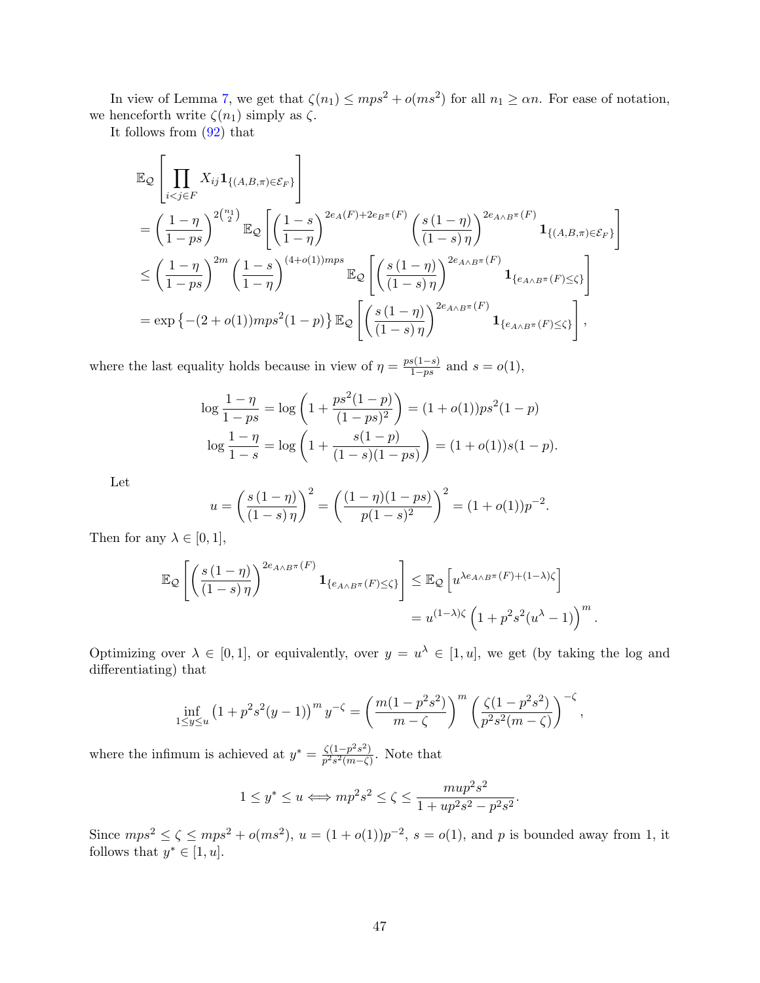In view of Lemma [7,](#page-0-0) we get that  $\zeta(n_1) \leq mps^2 + o(ms^2)$  for all  $n_1 \geq \alpha n$ . For ease of notation, we henceforth write  $\zeta(n_1)$  simply as  $\zeta$ .

It follows from [\(92\)](#page-43-4) that

$$
\mathbb{E}_{\mathcal{Q}}\left[\prod_{i < j \in F} X_{ij} \mathbf{1}_{\{(A,B,\pi) \in \mathcal{E}_F\}}\right]
$$
\n
$$
= \left(\frac{1-\eta}{1-ps}\right)^{2\binom{n_1}{2}} \mathbb{E}_{\mathcal{Q}}\left[\left(\frac{1-s}{1-\eta}\right)^{2e_A(F)+2e_B\pi(F)} \left(\frac{s(1-\eta)}{(1-s)\eta}\right)^{2e_{A\wedge B}\pi(F)} \mathbf{1}_{\{(A,B,\pi) \in \mathcal{E}_F\}}\right]
$$
\n
$$
\leq \left(\frac{1-\eta}{1-ps}\right)^{2m} \left(\frac{1-s}{1-\eta}\right)^{(4+o(1))mps} \mathbb{E}_{\mathcal{Q}}\left[\left(\frac{s(1-\eta)}{(1-s)\eta}\right)^{2e_{A\wedge B}\pi(F)} \mathbf{1}_{\{e_{A\wedge B}\pi(F) \leq \zeta\}}\right]
$$
\n
$$
= \exp\left\{-(2+o(1))mps^2(1-p)\right\} \mathbb{E}_{\mathcal{Q}}\left[\left(\frac{s(1-\eta)}{(1-s)\eta}\right)^{2e_{A\wedge B}\pi(F)} \mathbf{1}_{\{e_{A\wedge B}\pi(F) \leq \zeta\}}\right],
$$

where the last equality holds because in view of  $\eta = \frac{ps(1-s)}{1-s}$  $\frac{s(1-s)}{1-ps}$  and  $s = o(1)$ ,

$$
\log \frac{1-\eta}{1-ps} = \log \left(1 + \frac{ps^2(1-p)}{(1-ps)^2}\right) = (1+o(1))ps^2(1-p)
$$

$$
\log \frac{1-\eta}{1-s} = \log \left(1 + \frac{s(1-p)}{(1-s)(1-ps)}\right) = (1+o(1))s(1-p).
$$

Let

$$
u = \left(\frac{s(1-\eta)}{(1-s)\eta}\right)^2 = \left(\frac{(1-\eta)(1-ps)}{p(1-s)^2}\right)^2 = (1+o(1))p^{-2}.
$$

Then for any  $\lambda \in [0, 1],$ 

$$
\mathbb{E}_{\mathcal{Q}}\left[\left(\frac{s(1-\eta)}{(1-s)\,\eta}\right)^{2e_{A\wedge B}\pi(F)}\mathbf{1}_{\{e_{A\wedge B}\pi(F)\leq\zeta\}}\right] \leq \mathbb{E}_{\mathcal{Q}}\left[u^{\lambda e_{A\wedge B}\pi(F)+(1-\lambda)\zeta}\right]
$$

$$
= u^{(1-\lambda)\zeta}\left(1+p^2s^2(u^\lambda-1)\right)^m.
$$

Optimizing over  $\lambda \in [0,1]$ , or equivalently, over  $y = u^{\lambda} \in [1, u]$ , we get (by taking the log and differentiating) that

$$
\inf_{1 \le y \le u} \left(1 + p^2 s^2 (y - 1)\right)^m y^{-\zeta} = \left(\frac{m(1 - p^2 s^2)}{m - \zeta}\right)^m \left(\frac{\zeta(1 - p^2 s^2)}{p^2 s^2 (m - \zeta)}\right)^{-\zeta},
$$

where the infimum is achieved at  $y^* = \frac{\zeta(1-p^2s^2)}{s^2s^2(m-\zeta)}$  $\frac{\zeta(1-p-s)}{p^2s^2(m-\zeta)}$ . Note that

$$
1 \le y^* \le u \Longleftrightarrow mp^2 s^2 \le \zeta \le \frac{m u p^2 s^2}{1 + u p^2 s^2 - p^2 s^2}.
$$

Since  $mps^2 \le \zeta \le mps^2 + o(ms^2)$ ,  $u = (1 + o(1))p^{-2}$ ,  $s = o(1)$ , and p is bounded away from 1, it follows that  $y^* \in [1, u]$ .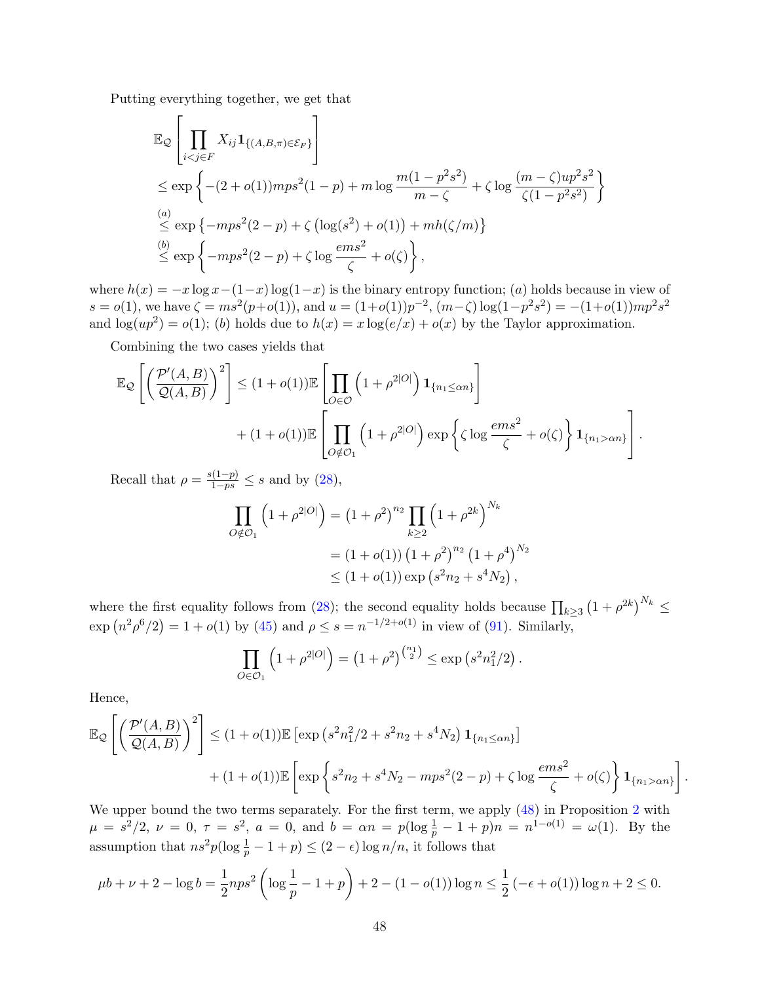Putting everything together, we get that

$$
\mathbb{E}_{\mathcal{Q}}\left[\prod_{i < j \in F} X_{ij} \mathbf{1}_{\{(A,B,\pi) \in \mathcal{E}_F\}}\right]
$$
\n
$$
\leq \exp\left\{-(2+o(1))mps^2(1-p) + m\log\frac{m(1-p^2s^2)}{m-\zeta} + \zeta\log\frac{(m-\zeta)wp^2s^2}{\zeta(1-p^2s^2)}\right\}
$$
\n
$$
\stackrel{(a)}{\leq} \exp\left\{-mps^2(2-p) + \zeta\left(\log(s^2) + o(1)\right) + mh(\zeta/m)\right\}
$$
\n
$$
\stackrel{(b)}{\leq} \exp\left\{-mps^2(2-p) + \zeta\log\frac{ems^2}{\zeta} + o(\zeta)\right\},
$$

where  $h(x) = -x \log x - (1-x) \log(1-x)$  is the binary entropy function; (a) holds because in view of  $s = o(1)$ , we have  $\zeta = ms^2(p+o(1))$ , and  $u = (1+o(1))p^{-2}$ ,  $(m-\zeta)log(1-p^2s^2) = -(1+o(1))mp^2s^2$ and  $\log(up^2) = o(1)$ ; (b) holds due to  $h(x) = x \log(e/x) + o(x)$  by the Taylor approximation.

Combining the two cases yields that

$$
\mathbb{E}_{\mathcal{Q}}\left[\left(\frac{\mathcal{P}'(A,B)}{\mathcal{Q}(A,B)}\right)^2\right] \leq (1+o(1))\mathbb{E}\left[\prod_{O\in\mathcal{O}}\left(1+\rho^{2|O|}\right)\mathbf{1}_{\{n_1\leq\alpha n\}}\right] + (1+o(1))\mathbb{E}\left[\prod_{O\notin\mathcal{O}_1}\left(1+\rho^{2|O|}\right)\exp\left\{\zeta\log\frac{ems^2}{\zeta}+o(\zeta)\right\}\mathbf{1}_{\{n_1>\alpha n\}}\right].
$$

Recall that  $\rho = \frac{s(1-p)}{1-ps} \leq s$  and by [\(28\)](#page-13-4),

$$
\prod_{O \notin \mathcal{O}_1} \left( 1 + \rho^{2|O|} \right) = \left( 1 + \rho^2 \right)^{n_2} \prod_{k \ge 2} \left( 1 + \rho^{2k} \right)^{N_k}
$$
\n
$$
= \left( 1 + o(1) \right) \left( 1 + \rho^2 \right)^{n_2} \left( 1 + \rho^4 \right)^{N_2}
$$
\n
$$
\le \left( 1 + o(1) \right) \exp \left( s^2 n_2 + s^4 N_2 \right),
$$

where the first equality follows from [\(28\)](#page-13-4); the second equality holds because  $\prod_{k\geq 3} (1+\rho^{2k})^{N_k} \leq$  $\exp(n^2 \rho^6/2) = 1 + o(1)$  by [\(45\)](#page-17-8) and  $\rho \leq s = n^{-1/2 + o(1)}$  in view of [\(91\)](#page-43-5). Similarly,

$$
\prod_{O \in \mathcal{O}_1} \left( 1 + \rho^{2|O|} \right) = \left( 1 + \rho^2 \right)^{\binom{n_1}{2}} \le \exp\left( s^2 n_1^2 / 2 \right).
$$

Hence,

$$
\mathbb{E}_{\mathcal{Q}}\left[\left(\frac{\mathcal{P}'(A,B)}{\mathcal{Q}(A,B)}\right)^2\right] \leq (1+o(1))\mathbb{E}\left[\exp\left(s^2n_1^2/2+s^2n_2+s^4N_2\right)\mathbf{1}_{\{n_1\leq\alpha n\}}\right] + (1+o(1))\mathbb{E}\left[\exp\left\{s^2n_2+s^4N_2-mps^2(2-p)+\zeta\log\frac{ems^2}{\zeta}+o(\zeta)\right\}\mathbf{1}_{\{n_1>\alpha n\}}\right].
$$

We upper bound the two terms separately. For the first term, we apply [\(48\)](#page-17-6) in Proposition [2](#page-17-1) with  $\mu = s^2/2, \nu = 0, \tau = s^2, a = 0, \text{ and } b = \alpha n = p(\log \frac{1}{p} - 1 + p)n = n^{1-o(1)} = \omega(1).$  By the assumption that  $ns^2p(\log\frac{1}{p}-1+p) \leq (2-\epsilon)\log n/n$ , it follows that

$$
\mu b + \nu + 2 - \log b = \frac{1}{2} np s^2 \left( \log \frac{1}{p} - 1 + p \right) + 2 - (1 - o(1)) \log n \le \frac{1}{2} \left( -\epsilon + o(1) \right) \log n + 2 \le 0.
$$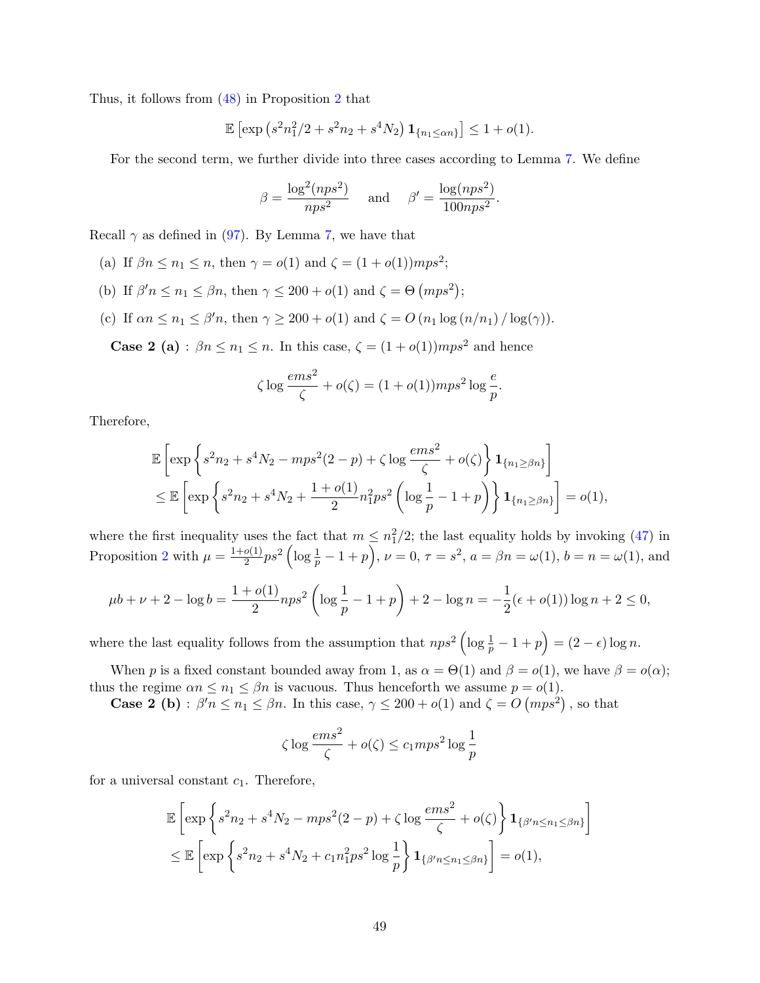Thus, it follows from [\(48\)](#page-17-6) in Proposition [2](#page-17-1) that

$$
\mathbb{E}\left[\exp\left(s^2n_1^2/2+s^2n_2+s^4N_2\right)\mathbf{1}_{\{n_1\leq\alpha n\}}\right]\leq 1+o(1).
$$

For the second term, we further divide into three cases according to Lemma [7.](#page-0-0) We define

$$
\beta = \frac{\log^2(nps^2)}{nps^2} \quad \text{and} \quad \beta' = \frac{\log(nps^2)}{100nps^2}.
$$

Recall  $\gamma$  as defined in [\(97\)](#page-45-0). By Lemma [7,](#page-0-0) we have that

- (a) If  $\beta n \leq n_1 \leq n$ , then  $\gamma = o(1)$  and  $\zeta = (1 + o(1))mps^2$ ;
- (b) If  $\beta' n \leq n_1 \leq \beta n$ , then  $\gamma \leq 200 + o(1)$  and  $\zeta = \Theta$   $(mps^2)$ ;
- (c) If  $\alpha n \leq n_1 \leq \beta' n$ , then  $\gamma \geq 200 + o(1)$  and  $\zeta = O(n_1 \log(n/n_1) / \log(\gamma))$ .

**Case 2 (a)**:  $\beta n \leq n_1 \leq n$ . In this case,  $\zeta = (1 + o(1))mps^2$  and hence

$$
\zeta \log \frac{ems^2}{\zeta} + o(\zeta) = (1 + o(1)) mps^2 \log \frac{e}{p}.
$$

Therefore,

$$
\mathbb{E}\left[\exp\left\{s^2n_2 + s^4N_2 - mps^2(2-p) + \zeta\log\frac{ems^2}{\zeta} + o(\zeta)\right\}\mathbf{1}_{\{n_1 \geq \beta n\}}\right] \n\leq \mathbb{E}\left[\exp\left\{s^2n_2 + s^4N_2 + \frac{1+o(1)}{2}n_1^2ps^2\left(\log\frac{1}{p} - 1 + p\right)\right\}\mathbf{1}_{\{n_1 \geq \beta n\}}\right] = o(1),
$$

where the first inequality uses the fact that  $m \leq n_1^2/2$ ; the last equality holds by invoking [\(47\)](#page-17-7) in Proposition [2](#page-17-1) with  $\mu = \frac{1+o(1)}{2}$  $\frac{\rho(1)}{2}ps^2 \left( \log \frac{1}{p} - 1 + p \right)$ ,  $\nu = 0$ ,  $\tau = s^2$ ,  $a = \beta n = \omega(1)$ ,  $b = n = \omega(1)$ , and

$$
\mu b + \nu + 2 - \log b = \frac{1 + o(1)}{2} n p s^2 \left( \log \frac{1}{p} - 1 + p \right) + 2 - \log n = -\frac{1}{2} (\epsilon + o(1)) \log n + 2 \le 0,
$$

where the last equality follows from the assumption that  $nps^2 \left( \log \frac{1}{p} - 1 + p \right) = (2 - \epsilon) \log n$ .

When p is a fixed constant bounded away from 1, as  $\alpha = \Theta(1)$  and  $\beta = o(1)$ , we have  $\beta = o(\alpha)$ ; thus the regime  $\alpha n \leq n_1 \leq \beta n$  is vacuous. Thus henceforth we assume  $p = o(1)$ .

**Case 2 (b)**:  $\beta' n \leq n_1 \leq \beta n$ . In this case,  $\gamma \leq 200 + o(1)$  and  $\zeta = O(mps^2)$ , so that

$$
\zeta \log \frac{ems^2}{\zeta} + o(\zeta) \le c_1 mps^2 \log \frac{1}{p}
$$

for a universal constant  $c_1$ . Therefore,

$$
\mathbb{E}\left[\exp\left\{s^2n_2 + s^4N_2 - mps^2(2-p) + \zeta\log\frac{ems^2}{\zeta} + o(\zeta)\right\}\mathbf{1}_{\{\beta'n \le n_1 \le \beta n\}}\right]
$$
  

$$
\le \mathbb{E}\left[\exp\left\{s^2n_2 + s^4N_2 + c_1n_1^2ps^2\log\frac{1}{p}\right\}\mathbf{1}_{\{\beta'n \le n_1 \le \beta n\}}\right] = o(1),
$$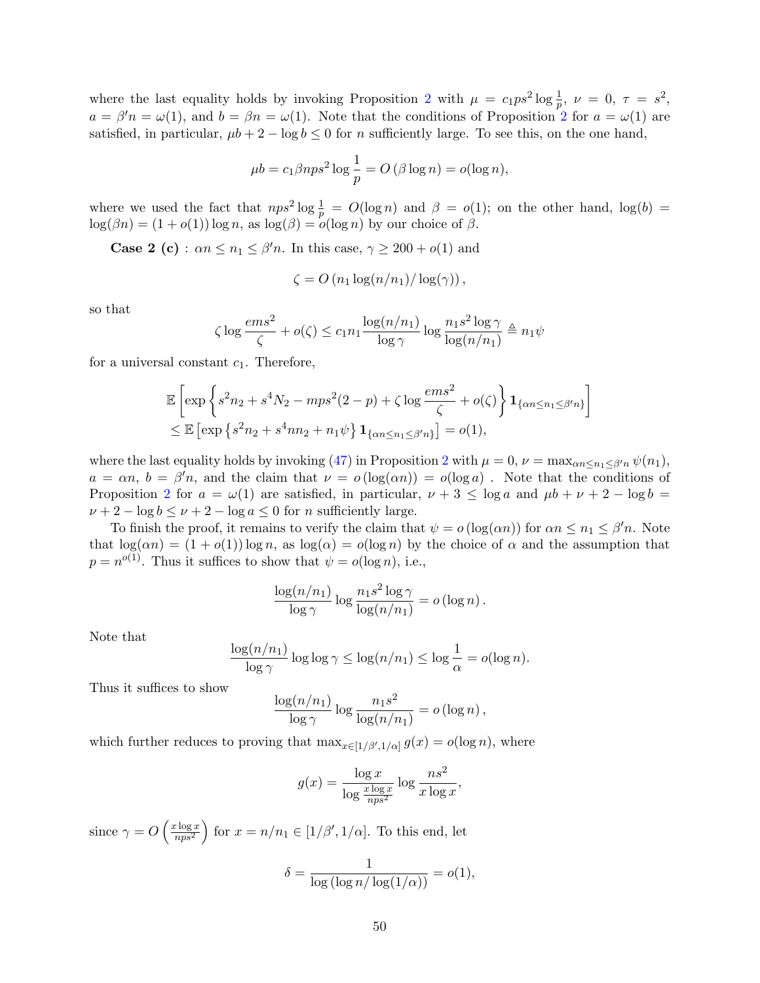where the last equality holds by invoking Proposition [2](#page-17-1) with  $\mu = c_1 p s^2 \log \frac{1}{p}$ ,  $\nu = 0$ ,  $\tau = s^2$ ,  $a = \beta' n = \omega(1)$ , and  $b = \beta n = \omega(1)$ . Note that the conditions of Proposition [2](#page-17-1) for  $a = \omega(1)$  are satisfied, in particular,  $\mu b + 2 - \log b \le 0$  for n sufficiently large. To see this, on the one hand,

$$
\mu b = c_1 \beta n p s^2 \log \frac{1}{p} = O\left(\beta \log n\right) = o(\log n),
$$

where we used the fact that  $nps^2 \log \frac{1}{p} = O(\log n)$  and  $\beta = o(1)$ ; on the other hand,  $\log(b) =$  $log(\beta n) = (1 + o(1)) log n$ , as  $log(\beta) = o(log n)$  by our choice of  $\beta$ .

**Case 2 (c)**:  $\alpha n \leq n_1 \leq \beta' n$ . In this case,  $\gamma \geq 200 + o(1)$  and

$$
\zeta = O\left(n_1 \log(n/n_1) / \log(\gamma)\right),\,
$$

so that

$$
\zeta \log \frac{ems^2}{\zeta} + o(\zeta) \le c_1 n_1 \frac{\log(n/n_1)}{\log \gamma} \log \frac{n_1 s^2 \log \gamma}{\log(n/n_1)} \triangleq n_1 \psi
$$

for a universal constant  $c_1$ . Therefore,

$$
\mathbb{E}\left[\exp\left\{s^2n_2+s^4N_2-mps^2(2-p)+\zeta\log\frac{ems^2}{\zeta}+o(\zeta)\right\}\mathbf{1}_{\{\alpha n\leq n_1\leq\beta'n\}}\right]
$$
  
\$\leq\mathbb{E}\left[\exp\left\{s^2n\_2+s^4nn\_2+n\_1\psi\right\}\mathbf{1}\_{\{\alpha n\leq n\_1\leq\beta'n\}}\right]=o(1),

where the last equality holds by invoking [\(47\)](#page-17-7) in Proposition [2](#page-17-1) with  $\mu = 0$ ,  $\nu = \max_{\alpha n \leq n_1 \leq \beta n} \psi(n_1)$ ,  $a = \alpha n, b = \beta' n$ , and the claim that  $\nu = o(\log(\alpha n)) = o(\log a)$ . Note that the conditions of Proposition [2](#page-17-1) for  $a = \omega(1)$  are satisfied, in particular,  $\nu + 3 \le \log a$  and  $\mu b + \nu + 2 - \log b =$  $\nu + 2 - \log b \leq \nu + 2 - \log a \leq 0$  for *n* sufficiently large.

To finish the proof, it remains to verify the claim that  $\psi = o(\log(\alpha n))$  for  $\alpha n \leq n_1 \leq \beta' n$ . Note that  $\log(\alpha n) = (1 + o(1)) \log n$ , as  $\log(\alpha) = o(\log n)$  by the choice of  $\alpha$  and the assumption that  $p = n^{o(1)}$ . Thus it suffices to show that  $\psi = o(\log n)$ , i.e.,

$$
\frac{\log(n/n_1)}{\log \gamma} \log \frac{n_1 s^2 \log \gamma}{\log(n/n_1)} = o(\log n).
$$

Note that

$$
\frac{\log(n/n_1)}{\log \gamma} \log \log \gamma \le \log(n/n_1) \le \log \frac{1}{\alpha} = o(\log n).
$$

Thus it suffices to show

$$
\frac{\log(n/n_1)}{\log \gamma} \log \frac{n_1 s^2}{\log(n/n_1)} = o(\log n),
$$

which further reduces to proving that  $\max_{x \in [1/\beta', 1/\alpha]} g(x) = o(\log n)$ , where

$$
g(x) = \frac{\log x}{\log \frac{x \log x}{nps^2}} \log \frac{ns^2}{x \log x},
$$

since  $\gamma = O\left(\frac{x \log x}{n^{1/2}}\right)$  $\left(\frac{c \log x}{nps^2}\right)$  for  $x = n/n_1 \in [1/\beta', 1/\alpha]$ . To this end, let

$$
\delta = \frac{1}{\log(\log n/\log(1/\alpha))} = o(1),
$$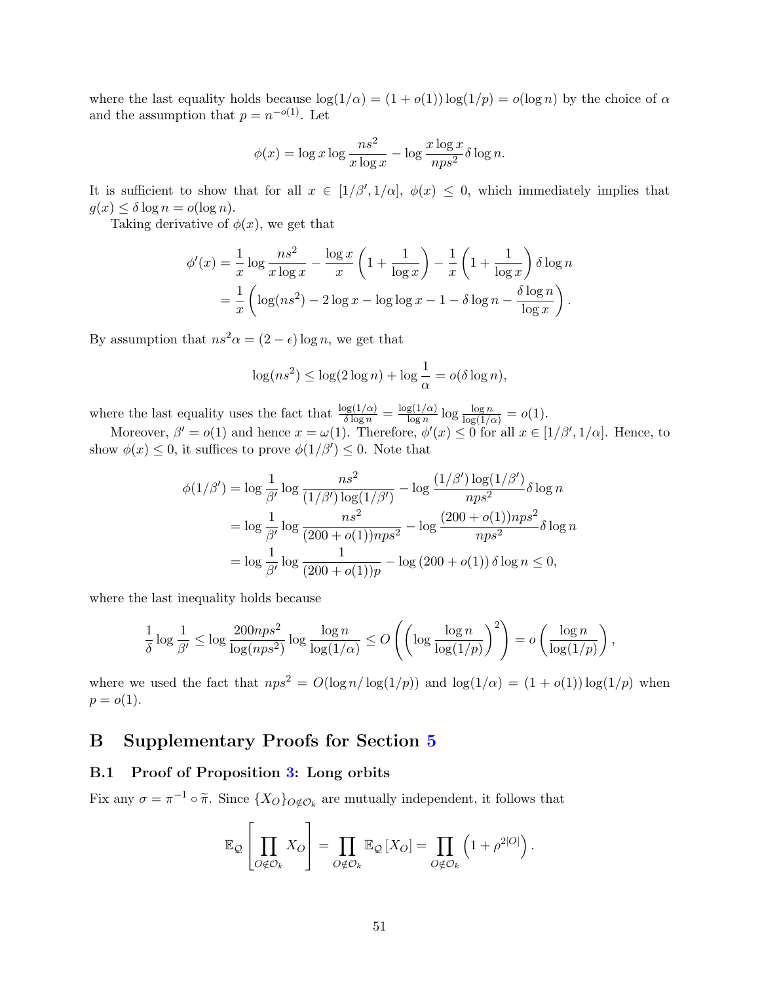where the last equality holds because  $\log(1/\alpha) = (1 + o(1)) \log(1/p) = o(\log n)$  by the choice of  $\alpha$ and the assumption that  $p = n^{-o(1)}$ . Let

$$
\phi(x) = \log x \log \frac{ns^2}{x \log x} - \log \frac{x \log x}{nps^2} \delta \log n.
$$

It is sufficient to show that for all  $x \in [1/\beta', 1/\alpha], \phi(x) \leq 0$ , which immediately implies that  $g(x) \leq \delta \log n = o(\log n)$ .

Taking derivative of  $\phi(x)$ , we get that

$$
\phi'(x) = \frac{1}{x} \log \frac{ns^2}{x \log x} - \frac{\log x}{x} \left( 1 + \frac{1}{\log x} \right) - \frac{1}{x} \left( 1 + \frac{1}{\log x} \right) \delta \log n
$$

$$
= \frac{1}{x} \left( \log(ns^2) - 2 \log x - \log \log x - 1 - \delta \log n - \frac{\delta \log n}{\log x} \right).
$$

By assumption that  $ns^2\alpha = (2 - \epsilon) \log n$ , we get that

$$
\log(ns^2) \le \log(2\log n) + \log\frac{1}{\alpha} = o(\delta\log n),
$$

where the last equality uses the fact that  $\frac{\log(1/\alpha)}{\delta \log n} = \frac{\log(1/\alpha)}{\log n}$  $\frac{\lg(1/\alpha)}{\log n} \log \frac{\log n}{\log(1/\alpha)} = o(1).$ 

Moreover,  $\beta' = o(1)$  and hence  $x = \omega(1)$ . Therefore,  $\phi'(x) \leq 0$  for all  $x \in [1/\beta', 1/\alpha]$ . Hence, to show  $\phi(x) \leq 0$ , it suffices to prove  $\phi(1/\beta') \leq 0$ . Note that

$$
\phi(1/\beta') = \log \frac{1}{\beta'} \log \frac{ns^2}{(1/\beta') \log(1/\beta')} - \log \frac{(1/\beta') \log(1/\beta')}{nps^2} \delta \log n
$$
  
=  $\log \frac{1}{\beta'} \log \frac{ns^2}{(200 + o(1))nps^2} - \log \frac{(200 + o(1))nps^2}{nps^2} \delta \log n$   
=  $\log \frac{1}{\beta'} \log \frac{1}{(200 + o(1))p} - \log (200 + o(1)) \delta \log n \le 0$ ,

where the last inequality holds because

$$
\frac{1}{\delta}\log \frac{1}{\beta'} \leq \log \frac{200nps^2}{\log (nps^2)}\log \frac{\log n}{\log (1/\alpha)} \leq O\left(\left(\log \frac{\log n}{\log (1/p)}\right)^2\right) = o\left(\frac{\log n}{\log (1/p)}\right),
$$

where we used the fact that  $nps^2 = O(\log n/\log(1/p))$  and  $\log(1/\alpha) = (1 + o(1))\log(1/p)$  when  $p = o(1)$ .

## <span id="page-50-0"></span>B Supplementary Proofs for Section [5](#page-24-0)

## <span id="page-50-1"></span>B.1 Proof of Proposition [3:](#page-27-1) Long orbits

Fix any  $\sigma = \pi^{-1} \circ \tilde{\pi}$ . Since  $\{X_O\}_{O \notin \mathcal{O}_k}$  are mutually independent, it follows that

$$
\mathbb{E}_{\mathcal{Q}}\left[\prod_{O \notin \mathcal{O}_k} X_O\right] = \prod_{O \notin \mathcal{O}_k} \mathbb{E}_{\mathcal{Q}}\left[X_O\right] = \prod_{O \notin \mathcal{O}_k} \left(1 + \rho^{2|O|}\right).
$$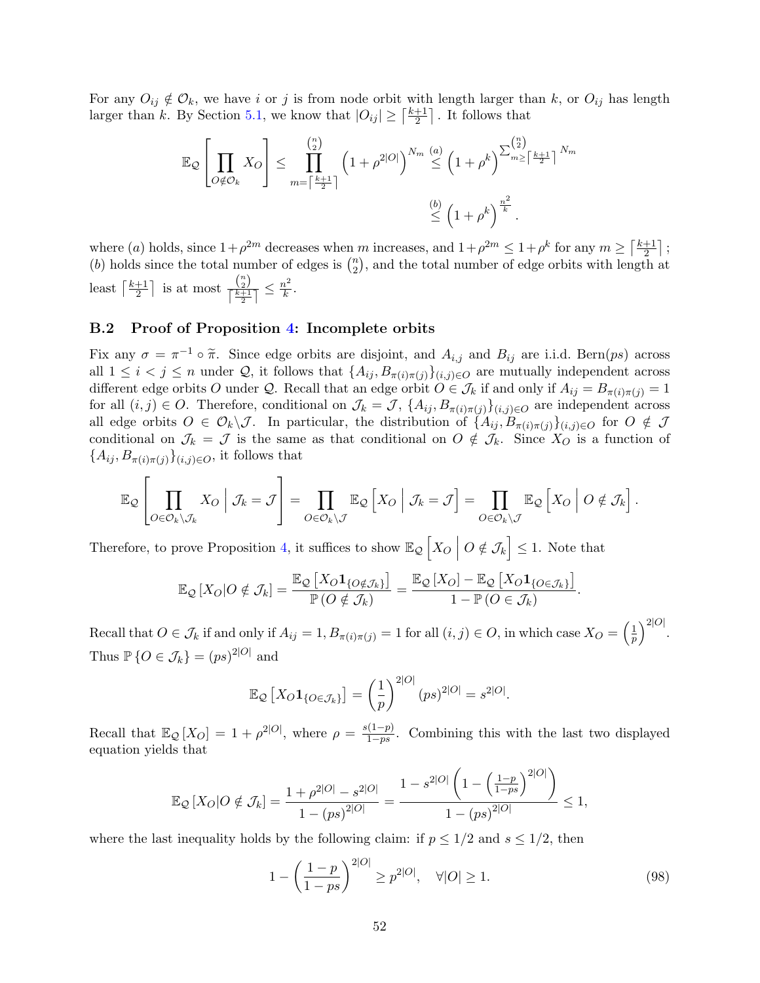For any  $O_{ij} \notin \mathcal{O}_k$ , we have i or j is from node orbit with length larger than k, or  $O_{ij}$  has length larger than k. By Section [5.1,](#page-28-0) we know that  $|O_{ij}| \geq \lceil \frac{k+1}{2} \rceil$  $\frac{+1}{2}$ . It follows that

$$
\mathbb{E}_{\mathcal{Q}}\left[\prod_{O \notin \mathcal{O}_k} X_O\right] \leq \prod_{m=\lceil \frac{k+1}{2} \rceil}^{\binom{n}{2}} \left(1+\rho^{2|O|}\right)^{N_m} \stackrel{(a)}{\leq} \left(1+\rho^k\right)^{\sum_{m\geq \lceil \frac{k+1}{2} \rceil}^{\binom{n}{2}} N_m}
$$

$$
\stackrel{(b)}{\leq} \left(1+\rho^k\right)^{\frac{n^2}{k}}.
$$

where (a) holds, since  $1+\rho^{2m}$  decreases when m increases, and  $1+\rho^{2m} \leq 1+\rho^k$  for any  $m \geq \lceil \frac{k+1}{2} \rceil$  $\frac{+1}{2}$ ]; (b) holds since the total number of edges is  $\binom{n}{2}$  $\binom{n}{2}$ , and the total number of edge orbits with length at least  $\lceil \frac{k+1}{2} \rceil$  $\frac{+1}{2}$  is at most  $\frac{\binom{n}{2}}{\lceil \frac{k+1}{2} \rceil}$  $\frac{\binom{n}{2}}{\lceil \frac{k+1}{2} \rceil} \leq \frac{n^2}{k}$  $\frac{\imath^2}{k}$ .

## <span id="page-51-0"></span>B.2 Proof of Proposition [4:](#page-27-2) Incomplete orbits

Fix any  $\sigma = \pi^{-1} \circ \tilde{\pi}$ . Since edge orbits are disjoint, and  $A_{i,j}$  and  $B_{ij}$  are i.i.d. Bern(ps) across all  $1 \leq i < j \leq n$  under Q, it follows that  $\{A_{ij}, B_{\pi(i)\pi(j)}\}_{(i,j)\in O}$  are mutually independent across different edge orbits O under Q. Recall that an edge orbit  $O \in \mathcal{J}_k$  if and only if  $A_{ij} = B_{\pi(i)\pi(j)} = 1$ for all  $(i, j) \in O$ . Therefore, conditional on  $\mathcal{J}_k = \mathcal{J}$ ,  $\{A_{ij}, B_{\pi(i)\pi(j)}\}_{(i,j)\in O}$  are independent across all edge orbits  $O \in \mathcal{O}_k \setminus \mathcal{J}$ . In particular, the distribution of  $\{A_{ij}, B_{\pi(i)\pi(j)}\}_{(i,j)\in O}$  for  $O \notin \mathcal{J}$ conditional on  $\mathcal{J}_k = \mathcal{J}$  is the same as that conditional on  $O \notin \mathcal{J}_k$ . Since  $X_O$  is a function of  ${A_{ij}, B_{\pi(i)\pi(j)}\}_{(i,j)\in O}$ , it follows that

$$
\mathbb{E}_{\mathcal{Q}}\left[\prod_{O\in\mathcal{O}_k\setminus\mathcal{J}_k}X_O\bigg|\mathcal{J}_k=\mathcal{J}\right]=\prod_{O\in\mathcal{O}_k\setminus\mathcal{J}}\mathbb{E}_{\mathcal{Q}}\left[X_O\bigg|\mathcal{J}_k=\mathcal{J}\right]=\prod_{O\in\mathcal{O}_k\setminus\mathcal{J}}\mathbb{E}_{\mathcal{Q}}\left[X_O\bigg|\mathcal{O}\notin\mathcal{J}_k\right].
$$

Therefore, to prove Proposition [4,](#page-27-2) it suffices to show  $\mathbb{E}_{\mathcal{Q}}\left[X_O \mid O \notin \mathcal{J}_k\right] \leq 1$ . Note that

$$
\mathbb{E}_{\mathcal{Q}}\left[X_O|O \notin \mathcal{J}_k\right] = \frac{\mathbb{E}_{\mathcal{Q}}\left[X_O\mathbf{1}_{\{O \notin \mathcal{J}_k\}}\right]}{\mathbb{P}\left(O \notin \mathcal{J}_k\right)} = \frac{\mathbb{E}_{\mathcal{Q}}\left[X_O\right] - \mathbb{E}_{\mathcal{Q}}\left[X_O\mathbf{1}_{\{O \in \mathcal{J}_k\}}\right]}{1 - \mathbb{P}\left(O \in \mathcal{J}_k\right)}.
$$

Recall that  $O \in \mathcal{J}_k$  if and only if  $A_{ij} = 1, B_{\pi(i)\pi(j)} = 1$  for all  $(i, j) \in O$ , in which case  $X_O = \left(\frac{1}{p}\right)$  $\frac{1}{p}\Big)^{2|O|}.$ Thus  $\mathbb{P}\left\{O \in \mathcal{J}_k\right\} = (ps)^{2|O|}$  and

$$
\mathbb{E}_{\mathcal{Q}}\left[X_O\mathbf{1}_{\{O\in\mathcal{J}_k\}}\right] = \left(\frac{1}{p}\right)^{2|O|} (ps)^{2|O|} = s^{2|O|}.
$$

Recall that  $\mathbb{E}_{\mathcal{Q}}[X_{\mathcal{O}}] = 1 + \rho^{2|\mathcal{O}|}$ , where  $\rho = \frac{s(1-p)}{1-ns}$  $\frac{1-p}{1-ps}$ . Combining this with the last two displayed equation yields that

$$
\mathbb{E}_{\mathcal{Q}}\left[X_O|O \notin \mathcal{J}_k\right] = \frac{1+\rho^{2|O|} - s^{2|O|}}{1-(ps)^{2|O|}} = \frac{1-s^{2|O|}\left(1-\left(\frac{1-p}{1-ps}\right)^{2|O|}\right)}{1-(ps)^{2|O|}} \le 1,
$$

where the last inequality holds by the following claim: if  $p \leq 1/2$  and  $s \leq 1/2$ , then

<span id="page-51-1"></span>
$$
1 - \left(\frac{1-p}{1-ps}\right)^{2|O|} \ge p^{2|O|}, \quad \forall |O| \ge 1.
$$
\n(98)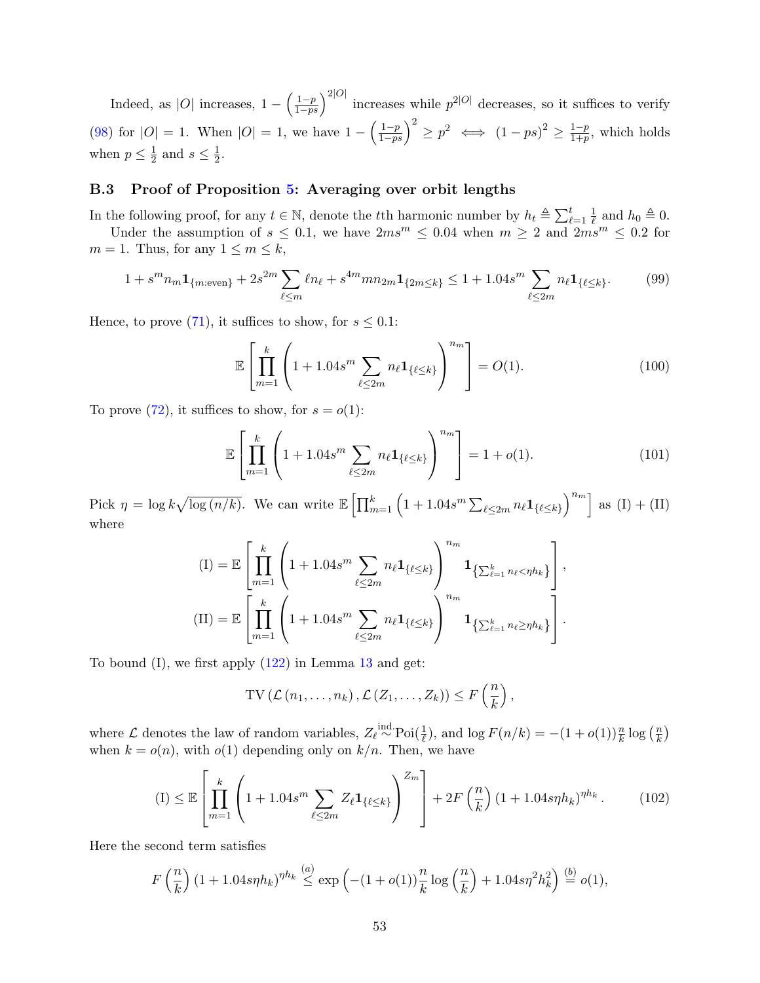Indeed, as |O| increases,  $1 - \left(\frac{1-p}{1-ps}\right)^{2|O|}$  increases while  $p^{2|O|}$  decreases, so it suffices to verify [\(98\)](#page-51-1) for  $|O| = 1$ . When  $|O| = 1$ , we have  $1 - \left(\frac{1-p}{1-ps}\right)^2 \ge p^2 \iff (1-ps)^2 \ge \frac{1-p}{1+p}$  $\frac{1-p}{1+p}$ , which holds when  $p \leq \frac{1}{2}$  $\frac{1}{2}$  and  $s \leq \frac{1}{2}$  $\frac{1}{2}$ .

### <span id="page-52-0"></span>B.3 Proof of Proposition [5:](#page-28-1) Averaging over orbit lengths

In the following proof, for any  $t \in \mathbb{N}$ , denote the tth harmonic number by  $h_t \triangleq \sum_{\ell=1}^t \frac{1}{\ell}$  $\frac{1}{\ell}$  and  $h_0 \triangleq 0$ .

Under the assumption of  $s \leq 0.1$ , we have  $2ms^m \leq 0.04$  when  $m \geq 2$  and  $2ms^m \leq 0.2$  for  $m = 1$ . Thus, for any  $1 \leq m \leq k$ ,

$$
1 + s^m n_m \mathbf{1}_{\{m:\text{even}\}} + 2s^{2m} \sum_{\ell \le m} \ell n_\ell + s^{4m} m n_{2m} \mathbf{1}_{\{2m \le k\}} \le 1 + 1.04s^m \sum_{\ell \le 2m} n_\ell \mathbf{1}_{\{\ell \le k\}}.\tag{99}
$$

Hence, to prove [\(71\)](#page-28-3), it suffices to show, for  $s \leq 0.1$ :

<span id="page-52-3"></span><span id="page-52-1"></span>
$$
\mathbb{E}\left[\prod_{m=1}^{k}\left(1+1.04s^{m}\sum_{\ell\leq 2m}n_{\ell}\mathbf{1}_{\{\ell\leq k\}}\right)^{n_{m}}\right]=O(1). \tag{100}
$$

To prove [\(72\)](#page-28-2), it suffices to show, for  $s = o(1)$ :

$$
\mathbb{E}\left[\prod_{m=1}^{k}\left(1+1.04s^m\sum_{\ell\leq 2m}n_{\ell}\mathbf{1}_{\{\ell\leq k\}}\right)^{n_m}\right]=1+o(1). \tag{101}
$$

Pick  $\eta = \log k \sqrt{\log (n/k)}$ . We can write  $\mathbb{E} \left[ \prod_{m=1}^k \left( 1 + 1.04 s^m \sum_{\ell \leq 2m} n_\ell \mathbf{1}_{\{\ell \leq k\}} \right)^{n_m} \right]$  as  $(I) + (II)$ where

$$
\begin{aligned} \n(\mathbf{I}) &= \mathbb{E} \left[ \prod_{m=1}^{k} \left( 1 + 1.04s^{m} \sum_{\ell \le 2m} n_{\ell} \mathbf{1}_{\{\ell \le k\}} \right) \right]^{n_{m}} \mathbf{1}_{\left\{ \sum_{\ell=1}^{k} n_{\ell} < \eta h_{k} \right\}} \n\\ \n(\mathbf{II}) &= \mathbb{E} \left[ \prod_{m=1}^{k} \left( 1 + 1.04s^{m} \sum_{\ell \le 2m} n_{\ell} \mathbf{1}_{\{\ell \le k\}} \right) \right]^{n_{m}} \mathbf{1}_{\left\{ \sum_{\ell=1}^{k} n_{\ell} \ge \eta h_{k} \right\}} \n\end{aligned}
$$

To bound  $(I)$ , we first apply  $(122)$  in Lemma [13](#page-62-8) and get:

<span id="page-52-2"></span>
$$
\mathrm{TV}\left(\mathcal{L}\left(n_1,\ldots,n_k\right),\mathcal{L}\left(Z_1,\ldots,Z_k\right)\right)\leq F\left(\frac{n}{k}\right),\,
$$

where  $\mathcal L$  denotes the law of random variables,  $Z_{\ell} \stackrel{\text{ind.}}{\sim} \text{Poi}(\frac{1}{\ell})$ , and  $\log F(n/k) = -(1+o(1))\frac{n}{k}\log\left(\frac{n}{k}\right)$  $\frac{n}{k}$ when  $k = o(n)$ , with  $o(1)$  depending only on  $k/n$ . Then, we have

$$
(I) \leq \mathbb{E}\left[\prod_{m=1}^{k} \left(1 + 1.04s^m \sum_{\ell \leq 2m} Z_{\ell} \mathbf{1}_{\{\ell \leq k\}}\right)^{Z_m}\right] + 2F\left(\frac{n}{k}\right) (1 + 1.04s\eta h_k)^{\eta h_k}.
$$
 (102)

Here the second term satisfies

$$
F\left(\frac{n}{k}\right)(1+1.04s\eta h_k)^{\eta h_k} \stackrel{(a)}{\leq} \exp\left(-(1+o(1))\frac{n}{k}\log\left(\frac{n}{k}\right)+1.04s\eta^2h_k^2\right) \stackrel{(b)}{=} o(1),
$$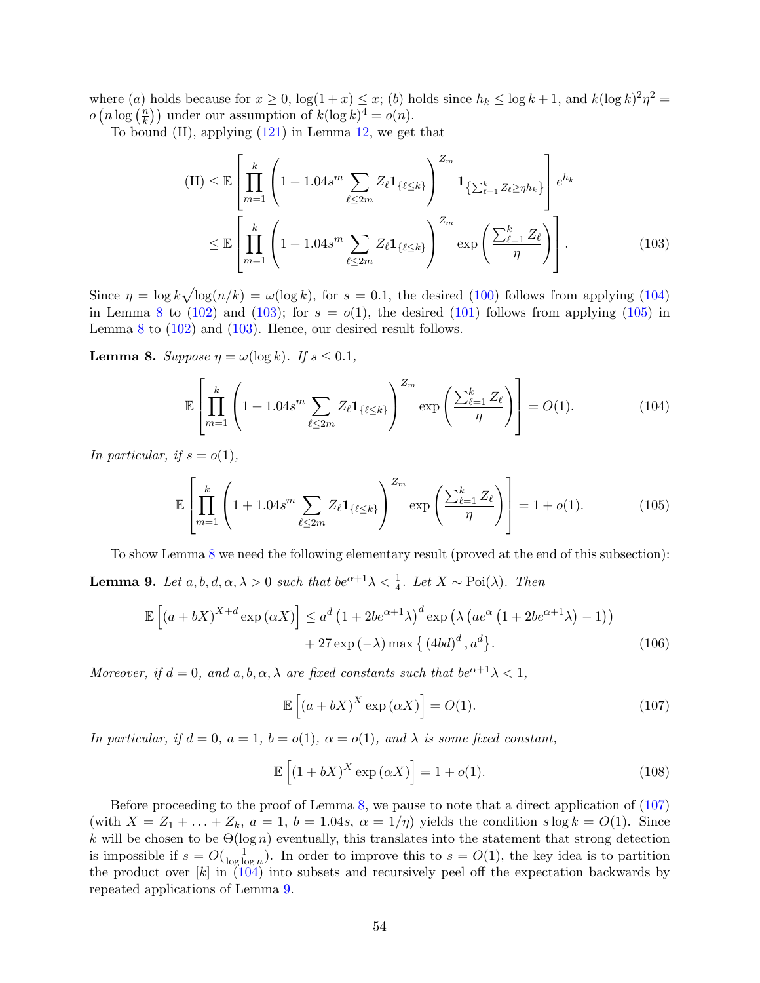where (a) holds because for  $x \ge 0$ ,  $\log(1+x) \le x$ ; (b) holds since  $h_k \le \log k + 1$ , and  $k(\log k)^2 \eta^2 =$  $o(n \log(\frac{n}{k}))$  $\binom{n}{k}$ ) under our assumption of  $k(\log k)^4 = o(n)$ .

To bound  $(II)$ , applying  $(121)$  in Lemma [12,](#page-61-4) we get that

<span id="page-53-2"></span>
$$
(II) \leq \mathbb{E}\left[\prod_{m=1}^{k} \left(1 + 1.04s^{m} \sum_{\ell \leq 2m} Z_{\ell} \mathbf{1}_{\{\ell \leq k\}}\right)^{Z_{m}} \mathbf{1}_{\{\sum_{\ell=1}^{k} Z_{\ell} \geq \eta h_{k}\}}\right] e^{h_{k}}
$$
  

$$
\leq \mathbb{E}\left[\prod_{m=1}^{k} \left(1 + 1.04s^{m} \sum_{\ell \leq 2m} Z_{\ell} \mathbf{1}_{\{\ell \leq k\}}\right)^{Z_{m}} \exp\left(\frac{\sum_{\ell=1}^{k} Z_{\ell}}{\eta}\right)\right].
$$
 (103)

Since  $\eta = \log k \sqrt{\log(n/k)} = \omega(\log k)$ , for  $s = 0.1$ , the desired [\(100\)](#page-52-1) follows from applying [\(104\)](#page-53-0) in Lemma [8](#page-53-1) to [\(102\)](#page-52-2) and [\(103\)](#page-53-2); for  $s = o(1)$ , the desired [\(101\)](#page-52-3) follows from applying [\(105\)](#page-53-3) in Lemma [8](#page-53-1) to  $(102)$  and  $(103)$ . Hence, our desired result follows.

<span id="page-53-1"></span>**Lemma 8.** Suppose  $\eta = \omega(\log k)$ . If  $s \leq 0.1$ ,

<span id="page-53-0"></span>
$$
\mathbb{E}\left[\prod_{m=1}^{k}\left(1+1.04s^{m}\sum_{\ell\leq 2m}Z_{\ell}\mathbf{1}_{\{\ell\leq k\}}\right)^{Z_{m}}\exp\left(\frac{\sum_{\ell=1}^{k}Z_{\ell}}{\eta}\right)\right]=O(1). \tag{104}
$$

In particular, if  $s = o(1)$ ,

$$
\mathbb{E}\left[\prod_{m=1}^{k}\left(1+1.04s^{m}\sum_{\ell\leq 2m}Z_{\ell}\mathbf{1}_{\{\ell\leq k\}}\right)^{Z_{m}}\exp\left(\frac{\sum_{\ell=1}^{k}Z_{\ell}}{\eta}\right)\right]=1+o(1). \tag{105}
$$

To show Lemma [8](#page-53-1) we need the following elementary result (proved at the end of this subsection):

<span id="page-53-5"></span>**Lemma 9.** Let  $a, b, d, \alpha, \lambda > 0$  such that  $be^{\alpha+1}\lambda < \frac{1}{4}$ . Let  $X \sim \text{Poi}(\lambda)$ . Then

$$
\mathbb{E}\left[\left(a+bX\right)^{X+d}\exp\left(\alpha X\right)\right] \leq a^d \left(1+2be^{\alpha+1}\lambda\right)^d \exp\left(\lambda\left(ae^{\alpha}\left(1+2be^{\alpha+1}\lambda\right)-1\right)\right) +27\exp\left(-\lambda\right)\max\left\{\left(4bd\right)^d, a^d\right\}.
$$
\n(106)

Moreover, if  $d = 0$ , and  $a, b, \alpha, \lambda$  are fixed constants such that  $be^{\alpha+1}\lambda < 1$ ,

<span id="page-53-7"></span><span id="page-53-6"></span><span id="page-53-4"></span><span id="page-53-3"></span>
$$
\mathbb{E}\left[\left(a+bX\right)^{X}\exp\left(\alpha X\right)\right] = O(1). \tag{107}
$$

In particular, if  $d = 0$ ,  $a = 1$ ,  $b = o(1)$ ,  $\alpha = o(1)$ , and  $\lambda$  is some fixed constant,

$$
\mathbb{E}\left[\left(1+bX\right)^{X}\exp\left(\alpha X\right)\right] = 1 + o(1). \tag{108}
$$

Before proceeding to the proof of Lemma [8,](#page-53-1) we pause to note that a direct application of [\(107\)](#page-53-4) (with  $X = Z_1 + \ldots + Z_k$ ,  $a = 1$ ,  $b = 1.04s$ ,  $\alpha = 1/\eta$ ) yields the condition  $s \log k = O(1)$ . Since k will be chosen to be  $\Theta(\log n)$  eventually, this translates into the statement that strong detection is impossible if  $s = O(\frac{1}{\log k})$  $\frac{1}{\log \log n}$ ). In order to improve this to  $s = O(1)$ , the key idea is to partition the product over  $[k]$  in  $(104)$  into subsets and recursively peel off the expectation backwards by repeated applications of Lemma [9.](#page-53-5)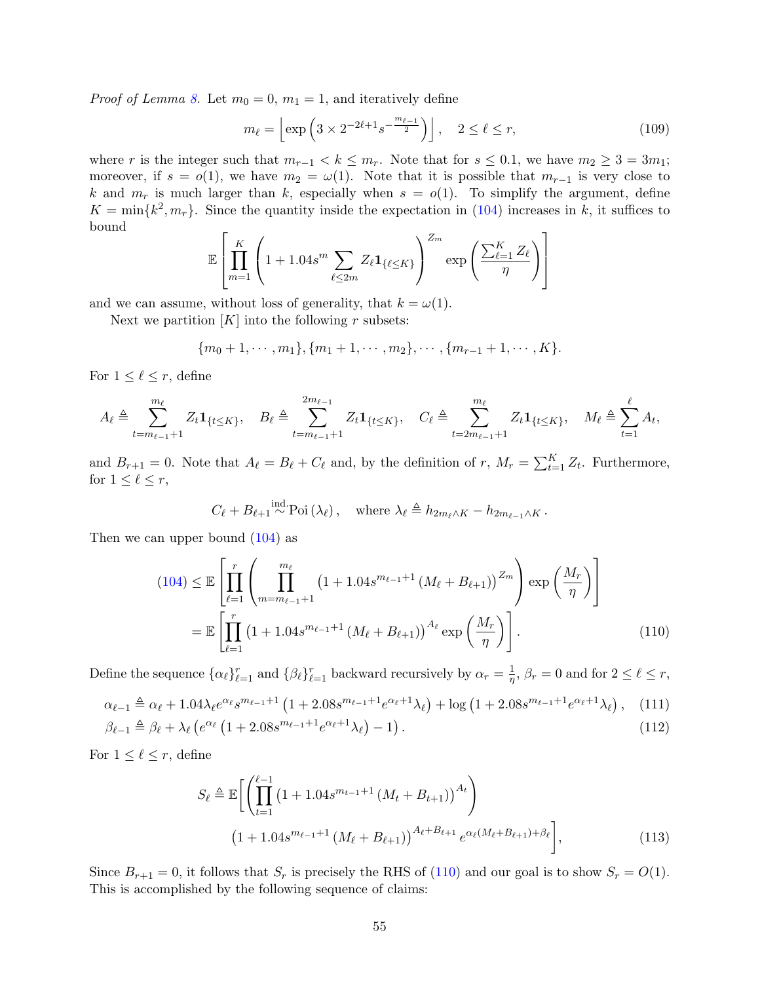*Proof of Lemma [8.](#page-53-1)* Let  $m_0 = 0$ ,  $m_1 = 1$ , and iteratively define

<span id="page-54-1"></span>
$$
m_{\ell} = \left[ \exp\left( 3 \times 2^{-2\ell + 1} s^{-\frac{m_{\ell-1}}{2}} \right) \right], \quad 2 \le \ell \le r,
$$
\n
$$
(109)
$$

where r is the integer such that  $m_{r-1} < k \leq m_r$ . Note that for  $s \leq 0.1$ , we have  $m_2 \geq 3 = 3m_1$ ; moreover, if  $s = o(1)$ , we have  $m_2 = \omega(1)$ . Note that it is possible that  $m_{r-1}$  is very close to k and  $m_r$  is much larger than k, especially when  $s = o(1)$ . To simplify the argument, define  $K = \min\{k^2, m_r\}$ . Since the quantity inside the expectation in [\(104\)](#page-53-0) increases in k, it suffices to bound

$$
\mathbb{E}\left[\prod_{m=1}^{K}\left(1+1.04s^{m}\sum_{\ell\leq 2m}Z_{\ell}\mathbf{1}_{\{\ell\leq K\}}\right)^{Z_{m}}\exp\left(\frac{\sum_{\ell=1}^{K}Z_{\ell}}{\eta}\right)\right]
$$

and we can assume, without loss of generality, that  $k = \omega(1)$ .

Next we partition  $[K]$  into the following r subsets:

$$
{m_0+1,\cdots,m_1},\{m_1+1,\cdots,m_2\},\cdots,\{m_{r-1}+1,\cdots,K\}.
$$

For  $1 \leq \ell \leq r$ , define

$$
A_{\ell} \triangleq \sum_{t=m_{\ell-1}+1}^{m_{\ell}} Z_t \mathbf{1}_{\{t \leq K\}}, \quad B_{\ell} \triangleq \sum_{t=m_{\ell-1}+1}^{2m_{\ell-1}} Z_t \mathbf{1}_{\{t \leq K\}}, \quad C_{\ell} \triangleq \sum_{t=2m_{\ell-1}+1}^{m_{\ell}} Z_t \mathbf{1}_{\{t \leq K\}}, \quad M_{\ell} \triangleq \sum_{t=1}^{\ell} A_t,
$$

and  $B_{r+1} = 0$ . Note that  $A_\ell = B_\ell + C_\ell$  and, by the definition of r,  $M_r = \sum_{t=1}^K Z_t$ . Furthermore, for  $1 \leq \ell \leq r$ ,

<span id="page-54-0"></span>
$$
C_{\ell} + B_{\ell+1} \stackrel{\text{ind.}}{\sim} \text{Poi}(\lambda_{\ell}), \text{ where } \lambda_{\ell} \triangleq h_{2m_{\ell} \wedge K} - h_{2m_{\ell-1} \wedge K}.
$$

Then we can upper bound [\(104\)](#page-53-0) as

$$
(104) \leq \mathbb{E}\left[\prod_{\ell=1}^{r} \left(\prod_{m=m_{\ell-1}+1}^{m_{\ell}} \left(1+1.04s^{m_{\ell-1}+1} \left(M_{\ell} + B_{\ell+1}\right)\right)^{Z_m}\right) \exp\left(\frac{M_r}{\eta}\right)\right]
$$

$$
= \mathbb{E}\left[\prod_{\ell=1}^{r} \left(1+1.04s^{m_{\ell-1}+1} \left(M_{\ell} + B_{\ell+1}\right)\right)^{A_{\ell}} \exp\left(\frac{M_r}{\eta}\right)\right].
$$
(110)

Define the sequence  $\{\alpha_\ell\}_{\ell=1}^r$  and  $\{\beta_\ell\}_{\ell=1}^r$  backward recursively by  $\alpha_r = \frac{1}{\eta}$  $\frac{1}{\eta}$ ,  $\beta_r = 0$  and for  $2 \leq \ell \leq r$ ,

$$
\alpha_{\ell-1} \triangleq \alpha_{\ell} + 1.04\lambda_{\ell}e^{\alpha_{\ell}}s^{m_{\ell-1}+1} \left(1 + 2.08s^{m_{\ell-1}+1}e^{\alpha_{\ell}+1}\lambda_{\ell}\right) + \log\left(1 + 2.08s^{m_{\ell-1}+1}e^{\alpha_{\ell}+1}\lambda_{\ell}\right), \quad (111)
$$

$$
\beta_{\ell-1} \triangleq \beta_{\ell} + \lambda_{\ell} \left( e^{\alpha_{\ell}} \left( 1 + 2.08s^{m_{\ell-1}+1} e^{\alpha_{\ell}+1} \lambda_{\ell} \right) - 1 \right). \tag{112}
$$

For  $1 \leq \ell \leq r$ , define

<span id="page-54-4"></span><span id="page-54-3"></span><span id="page-54-2"></span>
$$
S_{\ell} \triangleq \mathbb{E}\bigg[\left(\prod_{t=1}^{\ell-1} \left(1 + 1.04s^{m_{t-1}+1} \left(M_t + B_{t+1}\right)\right)^{A_t}\right) \tag{113}
$$
\n
$$
\left(1 + 1.04s^{m_{\ell-1}+1} \left(M_{\ell} + B_{\ell+1}\right)\right)^{A_{\ell}+B_{\ell+1}} e^{\alpha_{\ell} \left(M_{\ell} + B_{\ell+1}\right) + \beta_{\ell}}\bigg],
$$

Since  $B_{r+1} = 0$ , it follows that  $S_r$  is precisely the RHS of [\(110\)](#page-54-0) and our goal is to show  $S_r = O(1)$ . This is accomplished by the following sequence of claims: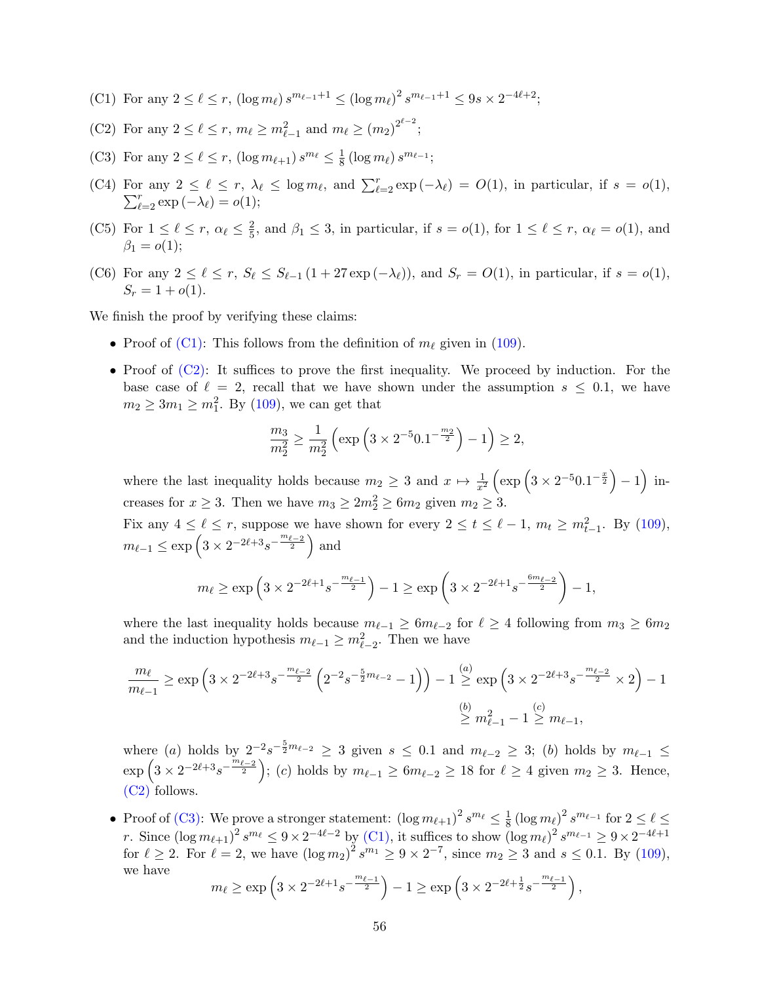- <span id="page-55-0"></span>(C1) For any  $2 \leq \ell \leq r$ ,  $(\log m_{\ell}) s^{m_{\ell-1}+1} \leq (\log m_{\ell})^2 s^{m_{\ell-1}+1} \leq 9s \times 2^{-4\ell+2};$
- <span id="page-55-1"></span>(C2) For any  $2 \le \ell \le r$ ,  $m_{\ell} \ge m_{\ell-1}^2$  and  $m_{\ell} \ge (m_2)^{2^{\ell-2}}$ ;
- <span id="page-55-2"></span>(C3) For any  $2 \leq \ell \leq r$ ,  $(\log m_{\ell+1}) s^{m_{\ell}} \leq \frac{1}{8}$  $\frac{1}{8} \left(\log m_\ell\right) s^{m_{\ell-1}};$
- <span id="page-55-3"></span>(C4) For any  $2 \leq \ell \leq r$ ,  $\lambda_{\ell} \leq \log m_{\ell}$ , and  $\sum_{\ell=2}^{r}$ <br> $\sum_{\ell=2}^{r} \exp(-\lambda_{\ell}) = o(1)$ ; r any  $2 \leq \ell \leq r$ ,  $\lambda_{\ell} \leq \log m_{\ell}$ , and  $\sum_{\ell=2}^{r} \exp(-\lambda_{\ell}) = O(1)$ , in particular, if  $s = o(1)$ ,  $\sum_{\ell=2}^{r} \exp(-\lambda_{\ell}) = o(1)$ ;
- <span id="page-55-4"></span>(C5) For  $1 \leq \ell \leq r$ ,  $\alpha_{\ell} \leq \frac{2}{5}$  $\frac{2}{5}$ , and  $\beta_1 \leq 3$ , in particular, if  $s = o(1)$ , for  $1 \leq \ell \leq r$ ,  $\alpha_{\ell} = o(1)$ , and  $\beta_1 = o(1);$
- <span id="page-55-5"></span>(C6) For any  $2 \leq \ell \leq r$ ,  $S_{\ell} \leq S_{\ell-1} (1 + 27 \exp(-\lambda_{\ell}))$ , and  $S_r = O(1)$ , in particular, if  $s = o(1)$ ,  $S_r = 1 + o(1)$ .

We finish the proof by verifying these claims:

- Proof of [\(C1\):](#page-55-0) This follows from the definition of  $m_\ell$  given in [\(109\)](#page-54-1).
- Proof of  $(C2)$ : It suffices to prove the first inequality. We proceed by induction. For the base case of  $\ell = 2$ , recall that we have shown under the assumption  $s \leq 0.1$ , we have  $m_2 \geq 3m_1 \geq m_1^2$ . By [\(109\)](#page-54-1), we can get that

$$
\frac{m_3}{m_2^2} \ge \frac{1}{m_2^2} \left( \exp\left(3 \times 2^{-5} 0.1^{-\frac{m_2}{2}}\right) - 1\right) \ge 2,
$$

where the last inequality holds because  $m_2 \geq 3$  and  $x \mapsto \frac{1}{x^2} \left( \exp \left( 3 \times 2^{-5} 0.1^{-\frac{x}{2}} \right) - 1 \right)$  increases for  $x \geq 3$ . Then we have  $m_3 \geq 2m_2^2 \geq 6m_2$  given  $m_2 \geq 3$ .

Fix any  $4 \leq \ell \leq r$ , suppose we have shown for every  $2 \leq t \leq \ell - 1$ ,  $m_t \geq m_{t-1}^2$ . By [\(109\)](#page-54-1),  $m_{\ell-1} \le \exp \left(3 \times 2^{-2\ell+3}s^{-\frac{m_{\ell-2}}{2}}\right)$  and

$$
m_{\ell} \ge \exp\left(3 \times 2^{-2\ell+1} s^{-\frac{m_{\ell-1}}{2}}\right) - 1 \ge \exp\left(3 \times 2^{-2\ell+1} s^{-\frac{6m_{\ell-2}}{2}}\right) - 1,
$$

where the last inequality holds because  $m_{\ell-1} \geq 6m_{\ell-2}$  for  $\ell \geq 4$  following from  $m_3 \geq 6m_2$ and the induction hypothesis  $m_{\ell-1} \geq m_{\ell-2}^2$ . Then we have

$$
\frac{m_{\ell}}{m_{\ell-1}} \ge \exp\left(3 \times 2^{-2\ell+3} s^{-\frac{m_{\ell-2}}{2}} \left(2^{-2} s^{-\frac{5}{2}m_{\ell-2}} - 1\right)\right) - 1 \stackrel{(a)}{\ge} \exp\left(3 \times 2^{-2\ell+3} s^{-\frac{m_{\ell-2}}{2}} \times 2\right) - 1
$$

$$
\stackrel{(b)}{\ge} m_{\ell-1}^2 - 1 \stackrel{(c)}{\ge} m_{\ell-1},
$$

where (a) holds by  $2^{-2}s^{-\frac{5}{2}m_{\ell-2}} \geq 3$  given  $s \leq 0.1$  and  $m_{\ell-2} \geq 3$ ; (b) holds by  $m_{\ell-1} \leq$  $\exp\left(3 \times 2^{-2\ell+3} s^{-\frac{m_{\ell-2}}{2}}\right);$  (c) holds by  $m_{\ell-1} \ge 6 m_{\ell-2} \ge 18$  for  $\ell \ge 4$  given  $m_2 \ge 3$ . Hence, [\(C2\)](#page-55-1) follows.

• Proof of [\(C3\):](#page-55-2) We prove a stronger statement:  $(\log m_{\ell+1})^2 s^{m_{\ell}} \leq \frac{1}{8}$  $\frac{1}{8} \left( \log m_\ell \right)^2 s^{m_{\ell-1}}$  for  $2 \leq \ell \leq$ r. Since  $(\log m_{\ell+1})^2 s^{m_{\ell}} \leq 9 \times 2^{-4\ell-2}$  by [\(C1\),](#page-55-0) it suffices to show  $(\log m_{\ell})^2 s^{m_{\ell-1}} \geq 9 \times 2^{-4\ell+1}$ for  $\ell \ge 2$ . For  $\ell = 2$ , we have  $(\log m_2)^2 s^{m_1} \ge 9 \times 2^{-7}$ , since  $m_2 \ge 3$  and  $s \le 0.1$ . By [\(109\)](#page-54-1), we have

$$
m_{\ell} \ge \exp\left(3 \times 2^{-2\ell+1} s^{-\frac{m_{\ell-1}}{2}}\right) - 1 \ge \exp\left(3 \times 2^{-2\ell+\frac{1}{2}} s^{-\frac{m_{\ell-1}}{2}}\right),
$$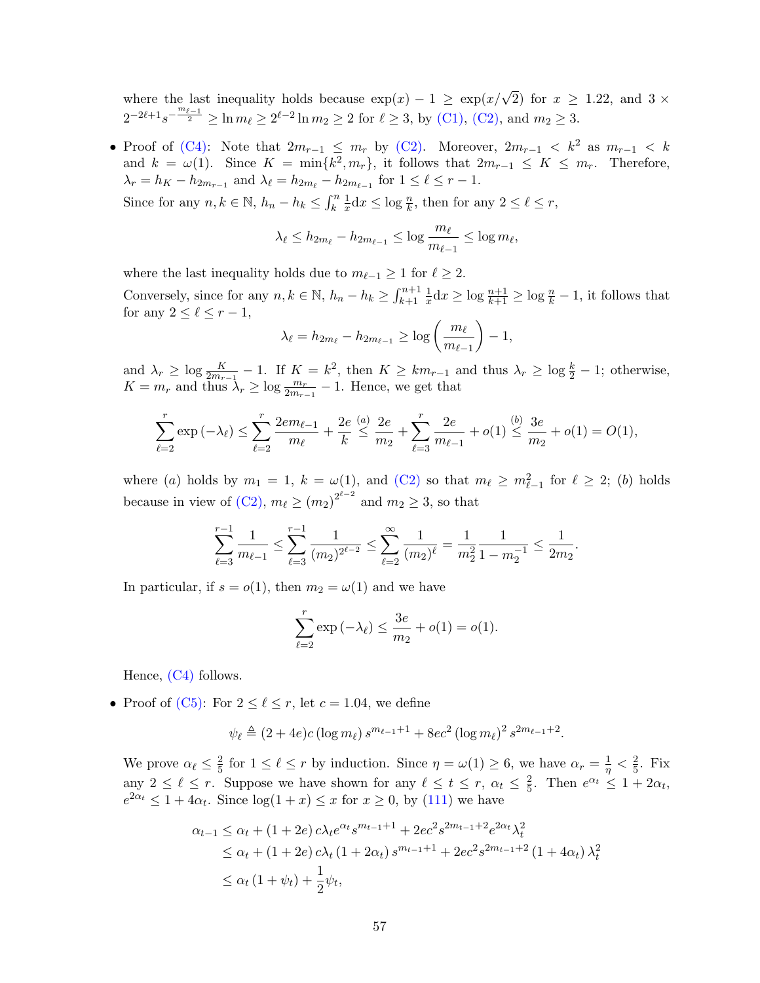where the last inequality holds because  $\exp(x) - 1 \ge \exp(x/\sqrt{2})$  for  $x \ge 1.22$ , and  $3 \times$  $2^{-2\ell+1}s^{-\frac{m_{\ell-1}}{2}} \geq \ln m_{\ell} \geq 2^{\ell-2}\ln m_2 \geq 2$  for  $\ell \geq 3$ , by [\(C1\),](#page-55-0) [\(C2\),](#page-55-1) and  $m_2 \geq 3$ .

• Proof of [\(C4\):](#page-55-3) Note that  $2m_{r-1} \leq m_r$  by [\(C2\).](#page-55-1) Moreover,  $2m_{r-1} < k^2$  as  $m_{r-1} < k$ and  $k = \omega(1)$ . Since  $K = \min\{k^2, m_r\}$ , it follows that  $2m_{r-1} \leq K \leq m_r$ . Therefore,  $\lambda_r = h_K - h_{2m_{r-1}}$  and  $\lambda_\ell = h_{2m_\ell} - h_{2m_{\ell-1}}$  for  $1 \leq \ell \leq r-1$ . Since for any  $n, k \in \mathbb{N}$ ,  $h_n - h_k \leq \int_k^n$ 1  $\frac{1}{x}dx \leq \log \frac{n}{k}$ , then for any  $2 \leq \ell \leq r$ ,

$$
0 < l < l < l < l
$$

$$
\lambda_{\ell} \le h_{2m_{\ell}} - h_{2m_{\ell-1}} \le \log \frac{m_{\ell}}{m_{\ell-1}} \le \log m_{\ell},
$$

where the last inequality holds due to  $m_{\ell-1} \geq 1$  for  $\ell \geq 2$ .

Conversely, since for any  $n, k \in \mathbb{N}$ ,  $h_n - h_k \geq \int_{k+1}^{n+1}$ 1  $\frac{1}{x}dx \geq \log \frac{n+1}{k+1} \geq \log \frac{n}{k} - 1$ , it follows that for any  $2 \leq \ell \leq r - 1$ ,

$$
\lambda_{\ell} = h_{2m_{\ell}} - h_{2m_{\ell-1}} \ge \log\left(\frac{m_{\ell}}{m_{\ell-1}}\right) - 1,
$$

and  $\lambda_r \geq \log \frac{K}{2m_{r-1}} - 1$ . If  $K = k^2$ , then  $K \geq km_{r-1}$  and thus  $\lambda_r \geq \log \frac{k}{2} - 1$ ; otherwise,  $K = m_r$  and thus  $\lambda_r \geq \log \frac{m_r}{2m_{r-1}} - 1$ . Hence, we get that

$$
\sum_{\ell=2}^r \exp(-\lambda_\ell) \le \sum_{\ell=2}^r \frac{2e m_{\ell-1}}{m_\ell} + \frac{2e}{k} \stackrel{(a)}{\le} \frac{2e}{m_2} + \sum_{\ell=3}^r \frac{2e}{m_{\ell-1}} + o(1) \stackrel{(b)}{\le} \frac{3e}{m_2} + o(1) = O(1),
$$

where (a) holds by  $m_1 = 1$ ,  $k = \omega(1)$ , and [\(C2\)](#page-55-1) so that  $m_\ell \ge m_{\ell-1}^2$  for  $\ell \ge 2$ ; (b) holds because in view of [\(C2\),](#page-55-1)  $m_{\ell} \ge (m_2)^{2^{\ell-2}}$  and  $m_2 \ge 3$ , so that

$$
\sum_{\ell=3}^{r-1} \frac{1}{m_{\ell-1}} \le \sum_{\ell=3}^{r-1} \frac{1}{(m_2)^{2^{\ell-2}}} \le \sum_{\ell=2}^{\infty} \frac{1}{(m_2)^{\ell}} = \frac{1}{m_2^2} \frac{1}{1 - m_2^{-1}} \le \frac{1}{2m_2}.
$$

In particular, if  $s = o(1)$ , then  $m_2 = \omega(1)$  and we have

$$
\sum_{\ell=2}^{r} \exp(-\lambda_{\ell}) \le \frac{3e}{m_2} + o(1) = o(1).
$$

Hence, [\(C4\)](#page-55-3) follows.

• Proof of  $(C5)$ : For  $2 \leq \ell \leq r$ , let  $c = 1.04$ , we define

$$
\psi_{\ell} \triangleq (2 + 4e)c(\log m_{\ell}) s^{m_{\ell-1}+1} + 8ec^2(\log m_{\ell})^2 s^{2m_{\ell-1}+2}.
$$

We prove  $\alpha_{\ell} \leq \frac{2}{5}$  $\frac{2}{5}$  for  $1 \leq \ell \leq r$  by induction. Since  $\eta = \omega(1) \geq 6$ , we have  $\alpha_r = \frac{1}{\eta} < \frac{2}{5}$  $\frac{2}{5}$ . Fix any  $2 \leq \ell \leq r$ . Suppose we have shown for any  $\ell \leq t \leq r$ ,  $\alpha_t \leq \frac{2}{5}$  $\frac{2}{5}$ . Then  $e^{\alpha_t} \leq 1 + 2\alpha_t$ ,  $e^{2\alpha t} \leq 1 + 4\alpha_t$ . Since  $\log(1+x) \leq x$  for  $x \geq 0$ , by [\(111\)](#page-54-2) we have

$$
\alpha_{t-1} \leq \alpha_t + (1+2e) c \lambda_t e^{\alpha_t} s^{m_{t-1}+1} + 2e^{2s} s^{2m_{t-1}+2} e^{2\alpha_t} \lambda_t^2
$$
  
\n
$$
\leq \alpha_t + (1+2e) c \lambda_t (1+2\alpha_t) s^{m_{t-1}+1} + 2e^{2s} s^{2m_{t-1}+2} (1+4\alpha_t) \lambda_t^2
$$
  
\n
$$
\leq \alpha_t (1+\psi_t) + \frac{1}{2} \psi_t,
$$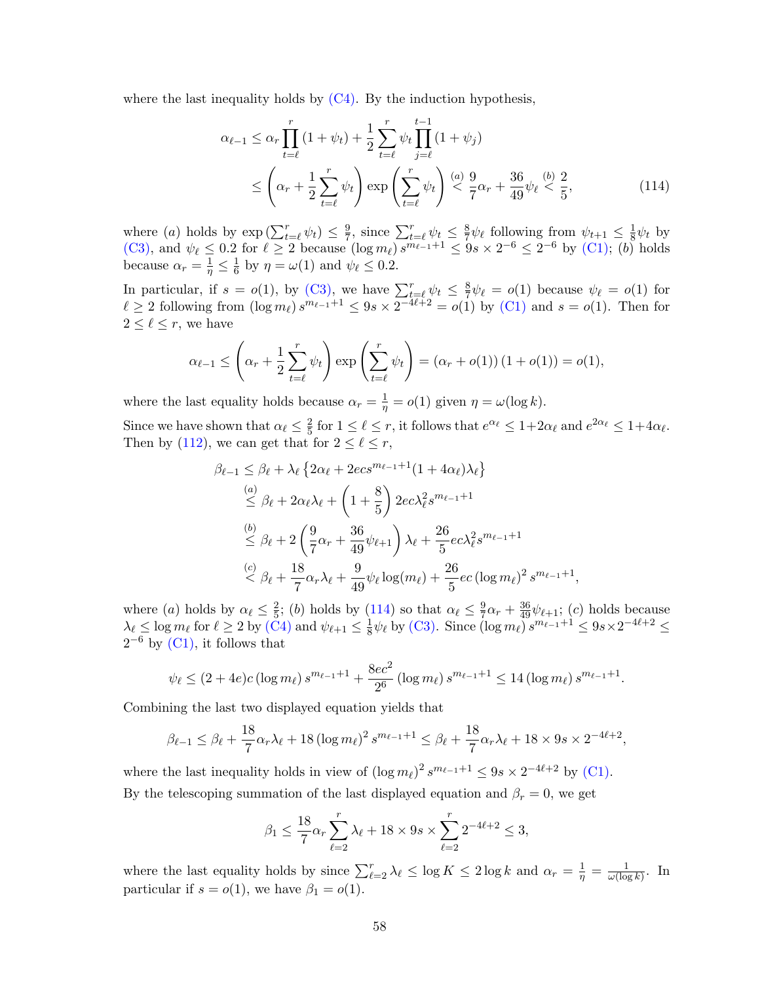where the last inequality holds by  $(C4)$ . By the induction hypothesis,

$$
\alpha_{\ell-1} \leq \alpha_r \prod_{t=\ell}^r (1 + \psi_t) + \frac{1}{2} \sum_{t=\ell}^r \psi_t \prod_{j=\ell}^{t-1} (1 + \psi_j)
$$
  

$$
\leq \left( \alpha_r + \frac{1}{2} \sum_{t=\ell}^r \psi_t \right) \exp \left( \sum_{t=\ell}^r \psi_t \right) \stackrel{(a)}{\leq} \frac{9}{7} \alpha_r + \frac{36}{49} \psi_\ell \stackrel{(b)}{\leq} \frac{2}{5},
$$
 (114)

where (*a*) holds by  $\exp\left(\sum_{t=\ell}^r \psi_t\right) \leq \frac{9}{7}$  $\frac{9}{7}$ , since  $\sum_{t=\ell}^{r} \psi_t \leq \frac{8}{7}$  $\frac{8}{7}\psi_{\ell}$  following from  $\psi_{t+1} \leq \frac{1}{8}$  $rac{1}{8}\psi_t$  by [\(C3\),](#page-55-2) and  $\psi_{\ell} \leq 0.2$  for  $\ell \geq 2$  because  $(\log m_{\ell}) s^{m_{\ell-1}+1} \leq 9s \times 2^{-6} \leq 2^{-6}$  by [\(C1\);](#page-55-0) (b) holds because  $\alpha_r = \frac{1}{\eta} \leq \frac{1}{6}$  $\frac{1}{6}$  by  $\eta = \omega(1)$  and  $\psi_{\ell} \leq 0.2$ .

In particular, if  $s = o(1)$ , by [\(C3\),](#page-55-2) we have  $\sum_{t=\ell}^{r} \psi_t \leq \frac{8}{7}$  $\frac{8}{7}\psi_{\ell} = o(1)$  because  $\psi_{\ell} = o(1)$  for  $\ell \geq 2$  following from  $(\log m_\ell) s^{m_{\ell-1}+1} \leq 9s \times 2^{-4\ell+2} = o(1)$  by  $(C1)$  and  $s = o(1)$ . Then for  $2 \leq \ell \leq r$ , we have

$$
\alpha_{\ell-1} \leq \left(\alpha_r + \frac{1}{2} \sum_{t=\ell}^r \psi_t\right) \exp\left(\sum_{t=\ell}^r \psi_t\right) = \left(\alpha_r + o(1)\right)\left(1 + o(1)\right) = o(1),
$$

where the last equality holds because  $\alpha_r = \frac{1}{\eta} = o(1)$  given  $\eta = \omega(\log k)$ .

Since we have shown that  $\alpha_{\ell} \leq \frac{2}{5}$  $\frac{2}{5}$  for  $1 \leq \ell \leq r$ , it follows that  $e^{\alpha_{\ell}} \leq 1+2\alpha_{\ell}$  and  $e^{2\alpha_{\ell}} \leq 1+4\alpha_{\ell}$ . Then by [\(112\)](#page-54-3), we can get that for  $2 \leq \ell \leq r$ ,

$$
\beta_{\ell-1} \leq \beta_{\ell} + \lambda_{\ell} \left\{ 2\alpha_{\ell} + 2ec s^{m_{\ell-1}+1} (1 + 4\alpha_{\ell}) \lambda_{\ell} \right\}
$$
  
\n
$$
\leq \beta_{\ell} + 2\alpha_{\ell} \lambda_{\ell} + \left( 1 + \frac{8}{5} \right) 2ec \lambda_{\ell}^{2} s^{m_{\ell-1}+1}
$$
  
\n
$$
\leq \beta_{\ell} + 2\left( \frac{9}{7} \alpha_{r} + \frac{36}{49} \psi_{\ell+1} \right) \lambda_{\ell} + \frac{26}{5} ec \lambda_{\ell}^{2} s^{m_{\ell-1}+1}
$$
  
\n
$$
\leq \beta_{\ell} + \frac{18}{7} \alpha_{r} \lambda_{\ell} + \frac{9}{49} \psi_{\ell} \log(m_{\ell}) + \frac{26}{5} ec \left( \log m_{\ell} \right)^{2} s^{m_{\ell-1}+1}
$$

where (a) holds by  $\alpha_{\ell} \leq \frac{2}{5}$  $\frac{2}{5}$ ; (b) holds by [\(114\)](#page-57-0) so that  $\alpha_{\ell} \leq \frac{9}{7}$  $\frac{9}{7}\alpha_r + \frac{36}{49}\psi_{\ell+1}$ ; (c) holds because  $\lambda_{\ell} \leq \log m_{\ell}$  for  $\ell \geq 2$  by  $(\check{C}4)$  and  $\psi_{\ell+1} \leq \frac{1}{8}$  $\frac{1}{8}\psi_{\ell}$  by [\(C3\).](#page-55-2) Since  $(\log m_{\ell}) s^{m_{\ell-1}+1} \leq 9s \times 2^{-4\ell+2} \leq$  $2^{-6}$  by  $(C1)$ , it follows that

<span id="page-57-0"></span>,

$$
\psi_{\ell} \le (2 + 4e)c(\log m_{\ell}) s^{m_{\ell-1}+1} + \frac{8ec^2}{2^6} (\log m_{\ell}) s^{m_{\ell-1}+1} \le 14 (\log m_{\ell}) s^{m_{\ell-1}+1}.
$$

Combining the last two displayed equation yields that

$$
\beta_{\ell-1} \le \beta_{\ell} + \frac{18}{7} \alpha_r \lambda_{\ell} + 18 (\log m_{\ell})^2 s^{m_{\ell-1}+1} \le \beta_{\ell} + \frac{18}{7} \alpha_r \lambda_{\ell} + 18 \times 9s \times 2^{-4\ell+2},
$$

where the last inequality holds in view of  $(\log m_\ell)^2 s^{m_{\ell-1}+1} \leq 9s \times 2^{-4\ell+2}$  by [\(C1\).](#page-55-0) By the telescoping summation of the last displayed equation and  $\beta_r = 0$ , we get

$$
\beta_1 \le \frac{18}{7} \alpha_r \sum_{\ell=2}^r \lambda_\ell + 18 \times 9s \times \sum_{\ell=2}^r 2^{-4\ell+2} \le 3,
$$

where the last equality holds by since  $\sum_{\ell=2}^r \lambda_\ell \leq \log K \leq 2 \log k$  and  $\alpha_r = \frac{1}{\eta} = \frac{1}{\omega(\log k)}$  $\frac{1}{\omega(\log k)}$ . In particular if  $s = o(1)$ , we have  $\beta_1 = o(1)$ .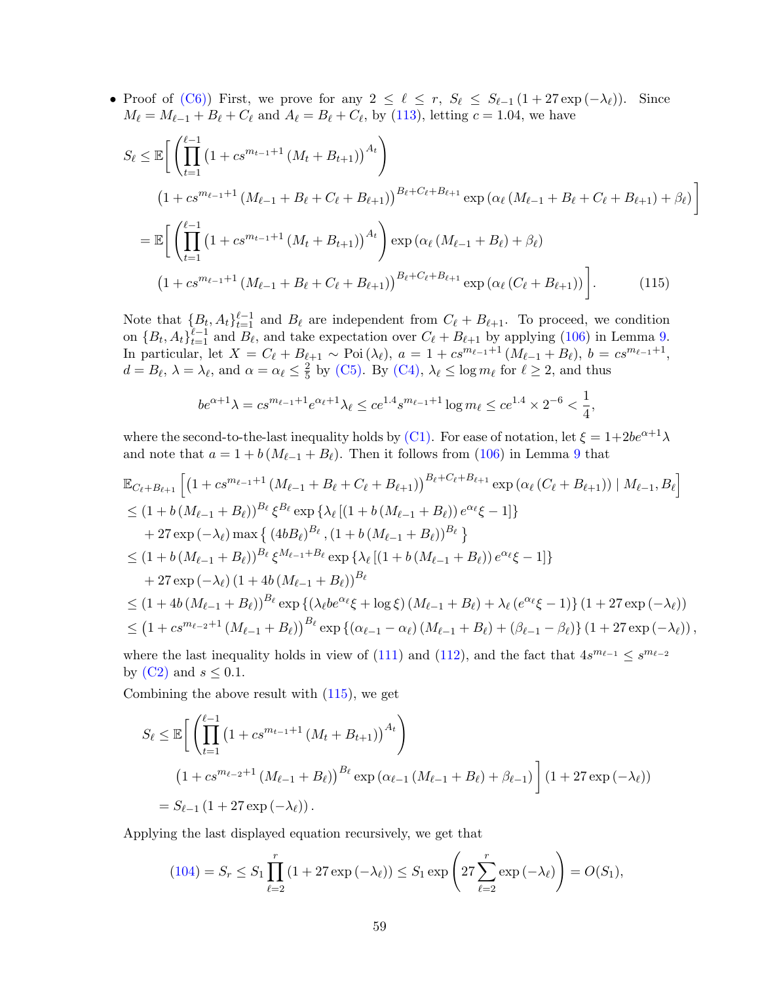• Proof of [\(C6\)\)](#page-55-5) First, we prove for any  $2 \leq \ell \leq r$ ,  $S_{\ell} \leq S_{\ell-1} (1 + 27 \exp(-\lambda_{\ell}))$ . Since  $M_{\ell} = M_{\ell-1} + B_{\ell} + C_{\ell}$  and  $A_{\ell} = B_{\ell} + C_{\ell}$ , by [\(113\)](#page-54-4), letting  $c = 1.04$ , we have

$$
S_{\ell} \leq \mathbb{E}\bigg[\left(\prod_{t=1}^{\ell-1} \left(1 + cs^{m_{t-1}+1} \left(M_t + B_{t+1}\right)\right)^{A_t}\right) \tag{1+cs^{m_{\ell-1}+1} \left(M_{\ell-1} + B_{\ell} + C_{\ell} + B_{\ell+1}\right)\right]^{B_{\ell}+C_{\ell}+B_{\ell+1}} \exp\left(\alpha_{\ell} \left(M_{\ell-1} + B_{\ell} + C_{\ell} + B_{\ell+1}\right) + \beta_{\ell}\right)\bigg]
$$

$$
= \mathbb{E}\bigg[\left(\prod_{t=1}^{\ell-1} \left(1 + cs^{m_{t-1}+1} \left(M_t + B_{t+1}\right)\right)^{A_t}\right) \exp\left(\alpha_{\ell} \left(M_{\ell-1} + B_{\ell}\right) + \beta_{\ell}\right) \tag{115}
$$

Note that  ${B_t, A_t}_{t=1}^{\ell-1}$  and  $B_\ell$  are independent from  $C_\ell + B_{\ell+1}$ . To proceed, we condition on  $\{B_t, A_t\}_{t=1}^{\ell-1}$  and  $B_\ell$ , and take expectation over  $C_\ell + B_{\ell+1}$  by applying [\(106\)](#page-53-6) in Lemma [9.](#page-53-5) In particular, let  $X = C_{\ell} + B_{\ell+1} \sim \text{Poi}(\lambda_{\ell}), a = 1 + c s^{m_{\ell-1}+1} (M_{\ell-1} + B_{\ell}), b = c s^{m_{\ell-1}+1},$  $d = B_{\ell}, \ \lambda = \lambda_{\ell}, \text{ and } \alpha = \alpha_{\ell} \leq \frac{2}{5}$  $\frac{2}{5}$  by [\(C5\).](#page-55-4) By [\(C4\),](#page-55-3)  $\lambda_{\ell} \leq \log m_{\ell}$  for  $\ell \geq 2$ , and thus

<span id="page-58-0"></span>
$$
be^{\alpha+1}\lambda = cs^{m_{\ell-1}+1}e^{\alpha_{\ell}+1}\lambda_{\ell} \le ce^{1.4} s^{m_{\ell-1}+1} \log m_{\ell} \le ce^{1.4} \times 2^{-6} < \frac{1}{4},
$$

where the second-to-the-last inequality holds by [\(C1\).](#page-55-0) For ease of notation, let  $\xi = 1+2be^{\alpha+1}\lambda$ and note that  $a = 1 + b \left( M_{\ell-1} + B_{\ell} \right)$ . Then it follows from [\(106\)](#page-53-6) in Lemma [9](#page-53-5) that

$$
\mathbb{E}_{C_{\ell}+B_{\ell+1}}\left[\left(1+cs^{m_{\ell-1}+1}(M_{\ell-1}+B_{\ell}+C_{\ell}+B_{\ell+1})\right)^{B_{\ell}+C_{\ell}+B_{\ell+1}}\exp\left(\alpha_{\ell}\left(C_{\ell}+B_{\ell+1}\right)\right)| M_{\ell-1}, B_{\ell}\right] \n\leq (1+b(M_{\ell-1}+B_{\ell}))^{B_{\ell}}\xi^{B_{\ell}}\exp\left\{\lambda_{\ell}\left[(1+b(M_{\ell-1}+B_{\ell}))e^{\alpha_{\ell}}\xi-1\right]\right\} \n+27\exp\left(-\lambda_{\ell}\right)\max\left\{\left(4bB_{\ell}\right)^{B_{\ell}},\left(1+b(M_{\ell-1}+B_{\ell})\right)^{B_{\ell}}\right\} \n\leq (1+b(M_{\ell-1}+B_{\ell}))^{B_{\ell}}\xi^{M_{\ell-1}+B_{\ell}}\exp\left\{\lambda_{\ell}\left[(1+b(M_{\ell-1}+B_{\ell}))e^{\alpha_{\ell}}\xi-1\right]\right\} \n+27\exp\left(-\lambda_{\ell}\right)\left(1+4b(M_{\ell-1}+B_{\ell})\right)^{B_{\ell}} \n\leq (1+4b(M_{\ell-1}+B_{\ell}))^{B_{\ell}}\exp\left\{\left(\lambda_{\ell}be^{\alpha_{\ell}}\xi+\log\xi\right)(M_{\ell-1}+B_{\ell})+\lambda_{\ell}\left(e^{\alpha_{\ell}}\xi-1\right)\right\}\left(1+27\exp\left(-\lambda_{\ell}\right)\right) \n\leq (1+cs^{m_{\ell-2}+1}(M_{\ell-1}+B_{\ell})\right)^{B_{\ell}}\exp\left\{\left(\alpha_{\ell-1}-\alpha_{\ell}\right)(M_{\ell-1}+B_{\ell})+\left(\beta_{\ell-1}-\beta_{\ell}\right)\right\}\left(1+27\exp\left(-\lambda_{\ell}\right)\right),
$$

where the last inequality holds in view of [\(111\)](#page-54-2) and [\(112\)](#page-54-3), and the fact that  $4s^{m_{\ell-1}} \leq s^{m_{\ell-2}}$ by  $(C2)$  and  $s \leq 0.1$ .

Combining the above result with [\(115\)](#page-58-0), we get

$$
S_{\ell} \leq \mathbb{E}\bigg[\left(\prod_{t=1}^{\ell-1} \left(1 + cs^{m_{t-1}+1} \left(M_t + B_{t+1}\right)\right)^{A_t}\right) \tag{1 + cs^{m_{\ell-2}+1} \left(M_{\ell-1} + B_{\ell}\right)\right)^{B_{\ell}} \exp\left(\alpha_{\ell-1} \left(M_{\ell-1} + B_{\ell}\right) + \beta_{\ell-1}\right)\bigg] \left(1 + 27 \exp\left(-\lambda_{\ell}\right)\right) = S_{\ell-1} \left(1 + 27 \exp\left(-\lambda_{\ell}\right)\right).
$$

Applying the last displayed equation recursively, we get that

$$
(104) = S_r \le S_1 \prod_{\ell=2}^r (1 + 27 \exp(-\lambda_\ell)) \le S_1 \exp\left(27 \sum_{\ell=2}^r \exp(-\lambda_\ell)\right) = O(S_1),
$$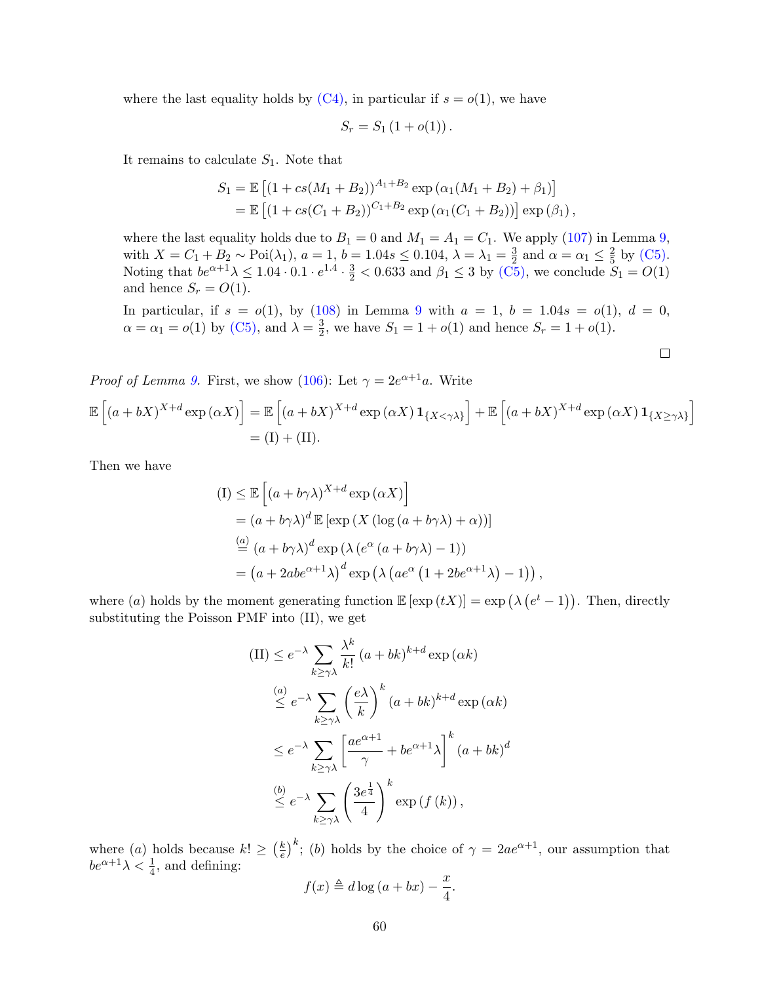where the last equality holds by  $(C4)$ , in particular if  $s = o(1)$ , we have

$$
S_r = S_1 (1 + o(1)).
$$

It remains to calculate  $S_1$ . Note that

$$
S_1 = \mathbb{E} [(1 + cs(M_1 + B_2))^{A_1 + B_2} \exp (\alpha_1(M_1 + B_2) + \beta_1)]
$$
  
=  $\mathbb{E} [(1 + cs(C_1 + B_2))^{C_1 + B_2} \exp (\alpha_1(C_1 + B_2))] \exp (\beta_1),$ 

where the last equality holds due to  $B_1 = 0$  and  $M_1 = A_1 = C_1$ . We apply [\(107\)](#page-53-4) in Lemma [9,](#page-53-5) with  $X = C_1 + B_2 \sim \text{Poi}(\lambda_1)$ ,  $a = 1$ ,  $b = 1.04s \le 0.104$ ,  $\lambda = \lambda_1 = \frac{3}{2}$  $\frac{3}{2}$  and  $\alpha = \alpha_1 \leq \frac{2}{5}$  $rac{2}{5}$  by [\(C5\).](#page-55-4) Noting that  $be^{\alpha+1}\lambda \leq 1.04 \cdot 0.1 \cdot e^{1.4} \cdot \frac{3}{2} < 0.633$  and  $\beta_1 \leq 3$  by [\(C5\),](#page-55-4) we conclude  $S_1 = O(1)$ and hence  $S_r = O(1)$ .

In particular, if  $s = o(1)$ , by [\(108\)](#page-53-7) in Lemma [9](#page-53-5) with  $a = 1$ ,  $b = 1.04s = o(1)$ ,  $d = 0$ ,  $\alpha = \alpha_1 = o(1)$  by [\(C5\),](#page-55-4) and  $\lambda = \frac{3}{2}$  $S_2^3$ , we have  $S_1 = 1 + o(1)$  and hence  $S_r = 1 + o(1)$ .

$$
\Box
$$

*Proof of Lemma [9.](#page-53-5)* First, we show [\(106\)](#page-53-6): Let  $\gamma = 2e^{\alpha+1}a$ . Write  $\mathbb{E}\left[\left(a+bX\right)^{X+d}\exp\left(\alpha X\right)\right]=\mathbb{E}\left[\left(a+bX\right)^{X+d}\exp\left(\alpha X\right)\mathbf{1}_{\left\{X<\gamma\lambda\right\}}\right]+\mathbb{E}\left[\left(a+bX\right)^{X+d}\exp\left(\alpha X\right)\mathbf{1}_{\left\{X\geq\gamma\lambda\right\}}\right]$  $= (I) + (II).$ 

Then we have

$$
\begin{aligned} \n(I) &\leq \mathbb{E}\left[\left(a+b\gamma\lambda\right)^{X+d}\exp\left(\alpha X\right)\right] \\ \n&= \left(a+b\gamma\lambda\right)^{d}\mathbb{E}\left[\exp\left(X\left(\log\left(a+b\gamma\lambda\right)+\alpha\right)\right)\right] \\ \n&\stackrel{(a)}{=} \left(a+b\gamma\lambda\right)^{d}\exp\left(\lambda\left(e^{\alpha}\left(a+b\gamma\lambda\right)-1\right)\right) \\ \n&= \left(a+2abe^{\alpha+1}\lambda\right)^{d}\exp\left(\lambda\left(ae^{\alpha}\left(1+2be^{\alpha+1}\lambda\right)-1\right)\right), \n\end{aligned}
$$

where (a) holds by the moment generating function  $\mathbb{E} [\exp(tX)] = \exp(\lambda (e^t - 1))$ . Then, directly substituting the Poisson PMF into (II), we get

$$
\begin{split} \n\text{(II)} &\leq e^{-\lambda} \sum_{k\geq \gamma\lambda} \frac{\lambda^k}{k!} \left( a + bk \right)^{k+d} \exp\left( \alpha k \right) \\ \n&\leq e^{-\lambda} \sum_{k\geq \gamma\lambda} \left( \frac{e\lambda}{k} \right)^k \left( a + bk \right)^{k+d} \exp\left( \alpha k \right) \\ \n&\leq e^{-\lambda} \sum_{k\geq \gamma\lambda} \left[ \frac{ae^{\alpha+1}}{\gamma} + be^{\alpha+1} \lambda \right]^k \left( a + bk \right)^d \\ \n&\leq e^{-\lambda} \sum_{k\geq \gamma\lambda} \left( \frac{3e^{\frac{1}{4}}}{4} \right)^k \exp\left( f\left( k \right) \right), \n\end{split}
$$

where (a) holds because  $k! \geq \left(\frac{k}{e}\right)$  $(\frac{k}{e})^k$ ; (b) holds by the choice of  $\gamma = 2ae^{\alpha+1}$ , our assumption that  $be^{\alpha+1}\lambda < \frac{1}{4}$ , and defining:

$$
f(x) \triangleq d \log (a + bx) - \frac{x}{4}.
$$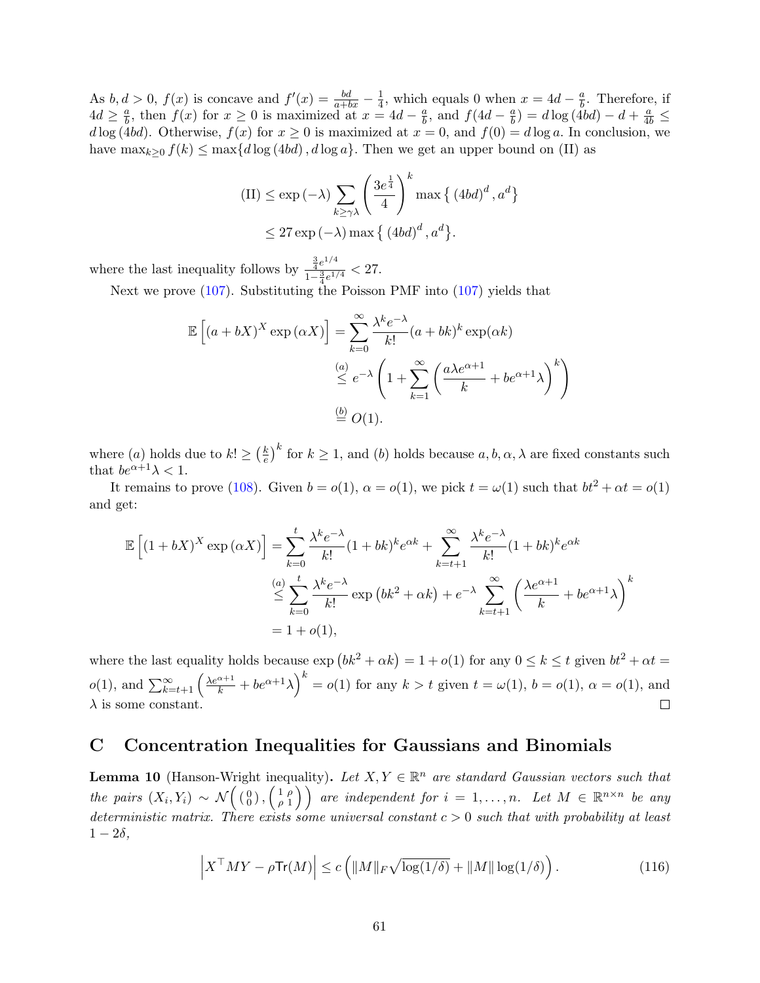As  $b, d > 0$ ,  $f(x)$  is concave and  $f'(x) = \frac{bd}{a+bx} - \frac{1}{4}$  $\frac{1}{4}$ , which equals 0 when  $x = 4d - \frac{a}{b}$  $\frac{a}{b}$ . Therefore, if  $4d \geq \frac{a}{b}$  $\frac{a}{b}$ , then  $f(x)$  for  $x \ge 0$  is maximized at  $x = 4d - \frac{a}{b}$  $\frac{a}{b}$ , and  $f(4d - \frac{a}{b})$  $\left(\frac{a}{b}\right) = d \log \left(\frac{4bd}{b}\right) - d + \frac{a}{4b} \leq$  $d \log(4bd)$ . Otherwise,  $f(x)$  for  $x \ge 0$  is maximized at  $x = 0$ , and  $f(0) = d \log a$ . In conclusion, we have  $\max_{k>0} f(k) \leq \max\{d \log (4bd), d \log a\}$ . Then we get an upper bound on (II) as

$$
\begin{aligned} \text{(II)} &\leq \exp\left(-\lambda\right) \sum_{k\geq \gamma\lambda} \left(\frac{3e^{\frac{1}{4}}}{4}\right)^k \max\left\{\left(4bd\right)^d, a^d\right\} \\ &\leq 27\exp\left(-\lambda\right) \max\left\{\left(4bd\right)^d, a^d\right\}. \end{aligned}
$$

where the last inequality follows by  $\frac{\frac{3}{4}e^{1/4}}{\frac{3}{4}e^{1/4}}$  $\frac{4e^{-t}}{1-\frac{3}{4}e^{1/4}} < 27.$ 

Next we prove [\(107\)](#page-53-4). Substituting the Poisson PMF into (107) yields that

$$
\mathbb{E}\left[\left(a+bX\right)^{X}\exp\left(\alpha X\right)\right] = \sum_{k=0}^{\infty} \frac{\lambda^{k} e^{-\lambda}}{k!} (a+bk)^{k} \exp\left(\alpha k\right)
$$

$$
\stackrel{(a)}{\leq} e^{-\lambda} \left(1 + \sum_{k=1}^{\infty} \left(\frac{a\lambda e^{\alpha+1}}{k} + be^{\alpha+1}\lambda\right)^{k}\right)
$$

$$
\stackrel{(b)}{=} O(1).
$$

where (*a*) holds due to  $k! \geq \left(\frac{k}{e}\right)$  $\frac{k}{e}^{\frac{k}{b}}$  for  $k \geq 1$ , and (b) holds because  $a, b, \alpha, \lambda$  are fixed constants such that  $be^{\alpha+1}\lambda < 1$ .

It remains to prove [\(108\)](#page-53-7). Given  $b = o(1)$ ,  $\alpha = o(1)$ , we pick  $t = \omega(1)$  such that  $bt^2 + \alpha t = o(1)$ and get:

$$
\mathbb{E}\left[\left(1+bX\right)^{X}\exp\left(\alpha X\right)\right] = \sum_{k=0}^{t} \frac{\lambda^{k}e^{-\lambda}}{k!}(1+bk)^{k}e^{\alpha k} + \sum_{k=t+1}^{\infty} \frac{\lambda^{k}e^{-\lambda}}{k!}(1+bk)^{k}e^{\alpha k}
$$
\n
$$
\stackrel{(a)}{\leq} \sum_{k=0}^{t} \frac{\lambda^{k}e^{-\lambda}}{k!}\exp\left(bk^{2}+\alpha k\right)+e^{-\lambda}\sum_{k=t+1}^{\infty} \left(\frac{\lambda e^{\alpha+1}}{k}+be^{\alpha+1}\lambda\right)^{k}
$$
\n
$$
= 1+o(1),
$$

where the last equality holds because  $\exp{(bk^2 + \alpha k)} = 1 + o(1)$  for any  $0 \le k \le t$  given  $bt^2 + \alpha t =$  $o(1)$ , and  $\sum_{k=t+1}^{\infty} \left(\frac{\lambda e^{\alpha+1}}{k} + be^{\alpha+1}\lambda\right)^k = o(1)$  for any  $k > t$  given  $t = \omega(1)$ ,  $b = o(1)$ ,  $\alpha = o(1)$ , and  $\lambda$  is some constant.  $\Box$ 

## <span id="page-60-0"></span>C Concentration Inequalities for Gaussians and Binomials

<span id="page-60-1"></span>**Lemma 10** (Hanson-Wright inequality). Let  $X, Y \in \mathbb{R}^n$  are standard Gaussian vectors such that the pairs  $(X_i, Y_i) \sim \mathcal{N}\left(\begin{array}{c} 0 \\ 0 \end{array}\right), \begin{pmatrix} 1 \\ \rho \end{pmatrix}$  $\left( \begin{array}{c} 1 \ \rho \\ \rho \ 1 \end{array} \right)$  are independent for  $i = 1, \ldots, n$ . Let  $M \in \mathbb{R}^{n \times n}$  be any deterministic matrix. There exists some universal constant  $c > 0$  such that with probability at least  $1-2\delta$ ,

$$
\left| X^\top M Y - \rho \text{Tr}(M) \right| \le c \left( \|M\|_F \sqrt{\log(1/\delta)} + \|M\| \log(1/\delta) \right). \tag{116}
$$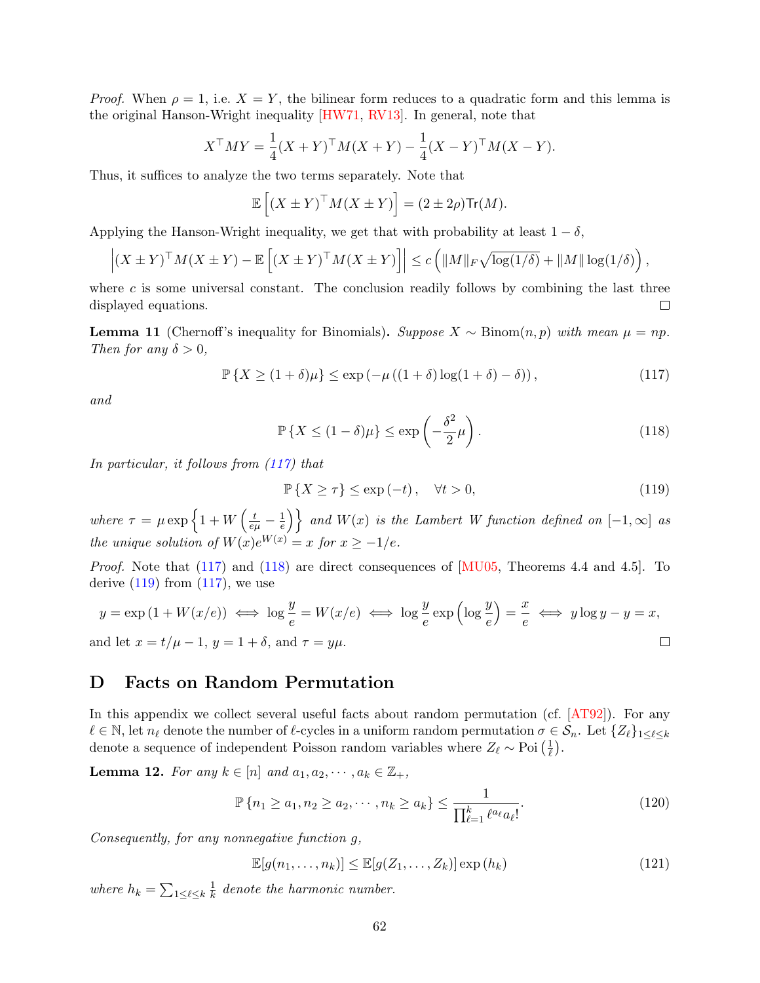*Proof.* When  $\rho = 1$ , i.e.  $X = Y$ , the bilinear form reduces to a quadratic form and this lemma is the original Hanson-Wright inequality [\[HW71,](#page-64-13) [RV13\]](#page-65-9). In general, note that

$$
X^{\top}MY = \frac{1}{4}(X+Y)^{\top}M(X+Y) - \frac{1}{4}(X-Y)^{\top}M(X-Y).
$$

Thus, it suffices to analyze the two terms separately. Note that

$$
\mathbb{E}\left[ (X \pm Y)^{\top} M (X \pm Y) \right] = (2 \pm 2\rho) \text{Tr}(M).
$$

Applying the Hanson-Wright inequality, we get that with probability at least  $1 - \delta$ ,

$$
\left| (X \pm Y)^{\top} M (X \pm Y) - \mathbb{E} \left[ (X \pm Y)^{\top} M (X \pm Y) \right] \right| \leq c \left( \|M\|_F \sqrt{\log(1/\delta)} + \|M\| \log(1/\delta) \right),
$$

where  $c$  is some universal constant. The conclusion readily follows by combining the last three displayed equations.  $\Box$ 

**Lemma 11** (Chernoff's inequality for Binomials). Suppose  $X \sim Binom(n, p)$  with mean  $\mu = np$ . Then for any  $\delta > 0$ ,

$$
\mathbb{P}\left\{X \ge (1+\delta)\mu\right\} \le \exp\left(-\mu\left((1+\delta)\log(1+\delta)-\delta\right)\right),\tag{117}
$$

and

<span id="page-61-2"></span><span id="page-61-1"></span>
$$
\mathbb{P}\left\{X \le (1-\delta)\mu\right\} \le \exp\left(-\frac{\delta^2}{2}\mu\right). \tag{118}
$$

In particular, it follows from [\(117\)](#page-61-2) that

<span id="page-61-5"></span>
$$
\mathbb{P}\left\{X\geq\tau\right\}\leq\exp\left(-t\right),\quad\forall t>0,\tag{119}
$$

where  $\tau = \mu \exp\left\{1 + W\left(\frac{t}{e\mu} - \frac{1}{e}\right)\right\}$  $\left\{ \frac{1}{e} \right\}$  and  $W(x)$  is the Lambert W function defined on  $[-1,\infty]$  as the unique solution of  $W(x)e^{W(x)} = x$  for  $x \ge -1/e$ .

Proof. Note that [\(117\)](#page-61-2) and [\(118\)](#page-61-1) are direct consequences of [\[MU05,](#page-64-14) Theorems 4.4 and 4.5]. To derive  $(119)$  from  $(117)$ , we use

$$
y = \exp(1 + W(x/e)) \iff \log \frac{y}{e} = W(x/e) \iff \log \frac{y}{e} \exp\left(\log \frac{y}{e}\right) = \frac{x}{e} \iff y \log y - y = x,
$$
  
and let  $x = t/\mu - 1$ ,  $y = 1 + \delta$ , and  $\tau = y\mu$ .

## <span id="page-61-0"></span>D Facts on Random Permutation

In this appendix we collect several useful facts about random permutation (cf.  $[AT92]$ ). For any  $\ell \in \mathbb{N}$ , let  $n_{\ell}$  denote the number of  $\ell$ -cycles in a uniform random permutation  $\sigma \in \mathcal{S}_n$ . Let  $\{Z_{\ell}\}_{1\leq \ell \leq k}$ denote a sequence of independent Poisson random variables where  $Z_{\ell} \sim \text{Poi} \left( \frac{1}{\ell} \right)$  $\frac{1}{\ell}$ .

<span id="page-61-4"></span>**Lemma 12.** For any  $k \in [n]$  and  $a_1, a_2, \dots, a_k \in \mathbb{Z}_+,$ 

$$
\mathbb{P}\left\{n_1 \ge a_1, n_2 \ge a_2, \cdots, n_k \ge a_k\right\} \le \frac{1}{\prod_{\ell=1}^k \ell^{a_\ell} a_\ell!}.\tag{120}
$$

Consequently, for any nonnegative function g,

<span id="page-61-6"></span><span id="page-61-3"></span>
$$
\mathbb{E}[g(n_1,\ldots,n_k)] \leq \mathbb{E}[g(Z_1,\ldots,Z_k)] \exp(h_k)
$$
\n(121)

where  $h_k = \sum_{1 \leq \ell \leq k} \frac{1}{k}$  $\frac{1}{k}$  denote the harmonic number.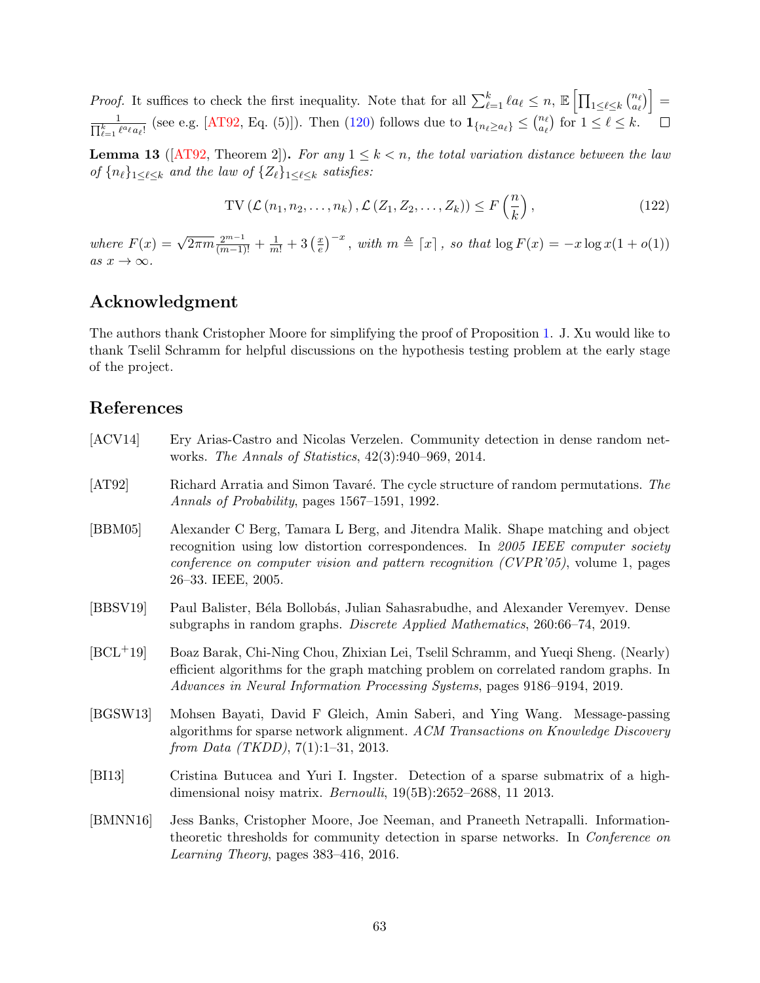*Proof.* It suffices to check the first inequality. Note that for all  $\sum_{\ell=1}^k \ell a_\ell \leq n$ ,  $\mathbb{E} \left[ \prod_{1 \leq \ell \leq k} {n_{\ell} \choose a_\ell} \right]$  $_{a_\ell}^{n_\ell)} \Big] =$  $\boldsymbol{\Pi}$  $\frac{1}{k-1} \frac{1}{\ell^a \ell a_\ell!}$  (see e.g. [\[AT92,](#page-62-9) Eq. (5)]). Then [\(120\)](#page-61-6) follows due to  $\mathbf{1}_{\{n_\ell \ge a_\ell\}} \le \binom{n_\ell}{a_\ell}$  $\binom{n_{\ell}}{a_{\ell}}$  for  $1 \leq \ell \leq k$ .

<span id="page-62-8"></span>**Lemma 13** ([\[AT92,](#page-62-9) Theorem 2]). For any  $1 \leq k < n$ , the total variation distance between the law of  ${n_\ell}_{1\leq \ell\leq k}$  and the law of  ${Z_\ell}_{1\leq \ell\leq k}$  satisfies:

<span id="page-62-7"></span>
$$
\text{TV}\left(\mathcal{L}\left(n_1, n_2, \dots, n_k\right), \mathcal{L}\left(Z_1, Z_2, \dots, Z_k\right)\right) \le F\left(\frac{n}{k}\right),\tag{122}
$$

where  $F(x) = \sqrt{2\pi m} \frac{2^{m-1}}{(m-1)!} + \frac{1}{m!} + 3\left(\frac{x}{e}\right)$  $\left(\frac{x}{e}\right)^{-x}$ , with  $m \triangleq \lceil x \rceil$ , so that  $\log F(x) = -x \log x(1 + o(1))$ as  $x \to \infty$ .

# Acknowledgment

The authors thank Cristopher Moore for simplifying the proof of Proposition [1.](#page-15-0) J. Xu would like to thank Tselil Schramm for helpful discussions on the hypothesis testing problem at the early stage of the project.

## References

- <span id="page-62-4"></span>[ACV14] Ery Arias-Castro and Nicolas Verzelen. Community detection in dense random networks. The Annals of Statistics, 42(3):940–969, 2014.
- <span id="page-62-9"></span>[AT92] Richard Arratia and Simon Tavaré. The cycle structure of random permutations. The Annals of Probability, pages 1567–1591, 1992.
- <span id="page-62-0"></span>[BBM05] Alexander C Berg, Tamara L Berg, and Jitendra Malik. Shape matching and object recognition using low distortion correspondences. In 2005 IEEE computer society conference on computer vision and pattern recognition (CVPR'05), volume 1, pages 26–33. IEEE, 2005.
- <span id="page-62-3"></span>[BBSV19] Paul Balister, B´ela Bollob´as, Julian Sahasrabudhe, and Alexander Veremyev. Dense subgraphs in random graphs. Discrete Applied Mathematics, 260:66–74, 2019.
- <span id="page-62-2"></span>[BCL+19] Boaz Barak, Chi-Ning Chou, Zhixian Lei, Tselil Schramm, and Yueqi Sheng. (Nearly) efficient algorithms for the graph matching problem on correlated random graphs. In Advances in Neural Information Processing Systems, pages 9186–9194, 2019.
- <span id="page-62-1"></span>[BGSW13] Mohsen Bayati, David F Gleich, Amin Saberi, and Ying Wang. Message-passing algorithms for sparse network alignment. ACM Transactions on Knowledge Discovery from Data (TKDD), 7(1):1–31, 2013.
- <span id="page-62-6"></span>[BI13] Cristina Butucea and Yuri I. Ingster. Detection of a sparse submatrix of a highdimensional noisy matrix. Bernoulli, 19(5B):2652–2688, 11 2013.
- <span id="page-62-5"></span>[BMNN16] Jess Banks, Cristopher Moore, Joe Neeman, and Praneeth Netrapalli. Informationtheoretic thresholds for community detection in sparse networks. In Conference on Learning Theory, pages 383–416, 2016.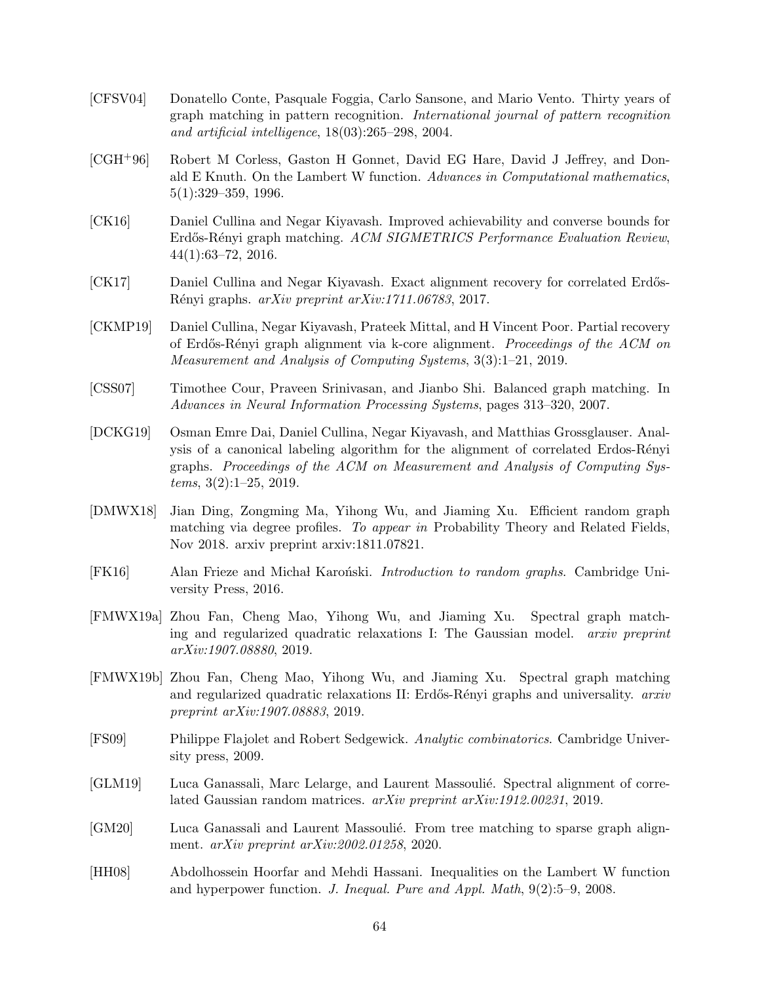- <span id="page-63-10"></span>[CFSV04] Donatello Conte, Pasquale Foggia, Carlo Sansone, and Mario Vento. Thirty years of graph matching in pattern recognition. International journal of pattern recognition and artificial intelligence, 18(03):265–298, 2004.
- <span id="page-63-13"></span>[CGH+96] Robert M Corless, Gaston H Gonnet, David EG Hare, David J Jeffrey, and Donald E Knuth. On the Lambert W function. Advances in Computational mathematics, 5(1):329–359, 1996.
- <span id="page-63-4"></span>[CK16] Daniel Cullina and Negar Kiyavash. Improved achievability and converse bounds for Erdős-Rényi graph matching. ACM SIGMETRICS Performance Evaluation Review, 44(1):63–72, 2016.
- <span id="page-63-5"></span>[CK17] Daniel Cullina and Negar Kiyavash. Exact alignment recovery for correlated Erdős-R´enyi graphs. arXiv preprint arXiv:1711.06783, 2017.
- <span id="page-63-7"></span>[CKMP19] Daniel Cullina, Negar Kiyavash, Prateek Mittal, and H Vincent Poor. Partial recovery of Erd˝os-R´enyi graph alignment via k-core alignment. Proceedings of the ACM on Measurement and Analysis of Computing Systems, 3(3):1–21, 2019.
- <span id="page-63-0"></span>[CSS07] Timothee Cour, Praveen Srinivasan, and Jianbo Shi. Balanced graph matching. In Advances in Neural Information Processing Systems, pages 313–320, 2007.
- <span id="page-63-6"></span>[DCKG19] Osman Emre Dai, Daniel Cullina, Negar Kiyavash, and Matthias Grossglauser. Analysis of a canonical labeling algorithm for the alignment of correlated Erdos-Rényi graphs. Proceedings of the ACM on Measurement and Analysis of Computing Systems, 3(2):1–25, 2019.
- <span id="page-63-1"></span>[DMWX18] Jian Ding, Zongming Ma, Yihong Wu, and Jiaming Xu. Efficient random graph matching via degree profiles. To appear in Probability Theory and Related Fields, Nov 2018. arxiv preprint arxiv:1811.07821.
- <span id="page-63-11"></span>[FK16] Alan Frieze and Michał Karoński. *Introduction to random graphs*. Cambridge University Press, 2016.
- <span id="page-63-2"></span>[FMWX19a] Zhou Fan, Cheng Mao, Yihong Wu, and Jiaming Xu. Spectral graph matching and regularized quadratic relaxations I: The Gaussian model. arxiv preprint arXiv:1907.08880, 2019.
- <span id="page-63-8"></span>[FMWX19b] Zhou Fan, Cheng Mao, Yihong Wu, and Jiaming Xu. Spectral graph matching and regularized quadratic relaxations II: Erdős-Rényi graphs and universality. arxiv preprint arXiv:1907.08883, 2019.
- <span id="page-63-12"></span>[FS09] Philippe Flajolet and Robert Sedgewick. Analytic combinatorics. Cambridge University press, 2009.
- <span id="page-63-3"></span>[GLM19] Luca Ganassali, Marc Lelarge, and Laurent Massoulié. Spectral alignment of correlated Gaussian random matrices. arXiv preprint arXiv:1912.00231, 2019.
- <span id="page-63-9"></span>[GM20] Luca Ganassali and Laurent Massoulié. From tree matching to sparse graph alignment. arXiv preprint arXiv:2002.01258, 2020.
- <span id="page-63-14"></span>[HH08] Abdolhossein Hoorfar and Mehdi Hassani. Inequalities on the Lambert W function and hyperpower function. J. Inequal. Pure and Appl. Math, 9(2):5–9, 2008.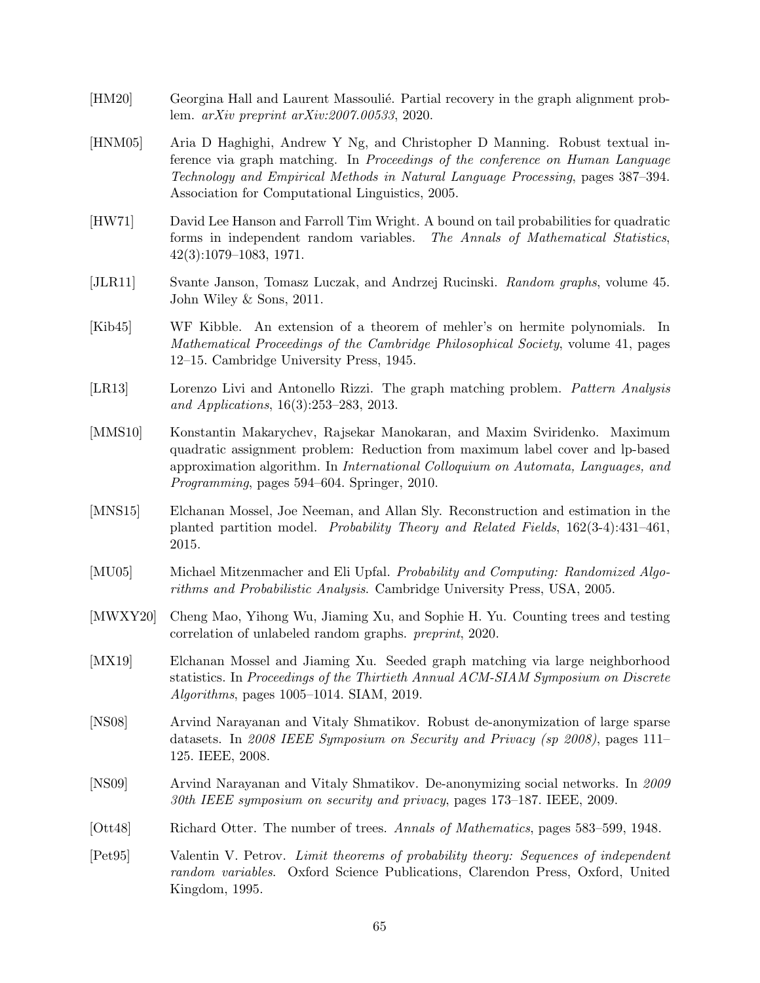- <span id="page-64-4"></span>[HM20] Georgina Hall and Laurent Massoulié. Partial recovery in the graph alignment problem. arXiv preprint arXiv:2007.00533, 2020.
- <span id="page-64-2"></span>[HNM05] Aria D Haghighi, Andrew Y Ng, and Christopher D Manning. Robust textual inference via graph matching. In Proceedings of the conference on Human Language Technology and Empirical Methods in Natural Language Processing, pages 387–394. Association for Computational Linguistics, 2005.
- <span id="page-64-13"></span>[HW71] David Lee Hanson and Farroll Tim Wright. A bound on tail probabilities for quadratic forms in independent random variables. The Annals of Mathematical Statistics, 42(3):1079–1083, 1971.
- <span id="page-64-11"></span>[JLR11] Svante Janson, Tomasz Luczak, and Andrzej Rucinski. Random graphs, volume 45. John Wiley & Sons, 2011.
- <span id="page-64-10"></span>[Kib45] WF Kibble. An extension of a theorem of mehler's on hermite polynomials. In Mathematical Proceedings of the Cambridge Philosophical Society, volume 41, pages 12–15. Cambridge University Press, 1945.
- <span id="page-64-8"></span>[LR13] Lorenzo Livi and Antonello Rizzi. The graph matching problem. Pattern Analysis and Applications, 16(3):253–283, 2013.
- <span id="page-64-7"></span>[MMS10] Konstantin Makarychev, Rajsekar Manokaran, and Maxim Sviridenko. Maximum quadratic assignment problem: Reduction from maximum label cover and lp-based approximation algorithm. In International Colloquium on Automata, Languages, and Programming, pages 594–604. Springer, 2010.
- <span id="page-64-9"></span>[MNS15] Elchanan Mossel, Joe Neeman, and Allan Sly. Reconstruction and estimation in the planted partition model. Probability Theory and Related Fields, 162(3-4):431–461, 2015.
- <span id="page-64-14"></span>[MU05] Michael Mitzenmacher and Eli Upfal. Probability and Computing: Randomized Algorithms and Probabilistic Analysis. Cambridge University Press, USA, 2005.
- <span id="page-64-5"></span>[MWXY20] Cheng Mao, Yihong Wu, Jiaming Xu, and Sophie H. Yu. Counting trees and testing correlation of unlabeled random graphs. preprint, 2020.
- <span id="page-64-3"></span>[MX19] Elchanan Mossel and Jiaming Xu. Seeded graph matching via large neighborhood statistics. In Proceedings of the Thirtieth Annual ACM-SIAM Symposium on Discrete Algorithms, pages 1005–1014. SIAM, 2019.
- <span id="page-64-0"></span>[NS08] Arvind Narayanan and Vitaly Shmatikov. Robust de-anonymization of large sparse datasets. In 2008 IEEE Symposium on Security and Privacy (sp 2008), pages 111– 125. IEEE, 2008.
- <span id="page-64-1"></span>[NS09] Arvind Narayanan and Vitaly Shmatikov. De-anonymizing social networks. In 2009 30th IEEE symposium on security and privacy, pages 173–187. IEEE, 2009.
- <span id="page-64-6"></span>[Ott48] Richard Otter. The number of trees. Annals of Mathematics, pages 583–599, 1948.
- <span id="page-64-12"></span>[Pet95] Valentin V. Petrov. Limit theorems of probability theory: Sequences of independent random variables. Oxford Science Publications, Clarendon Press, Oxford, United Kingdom, 1995.